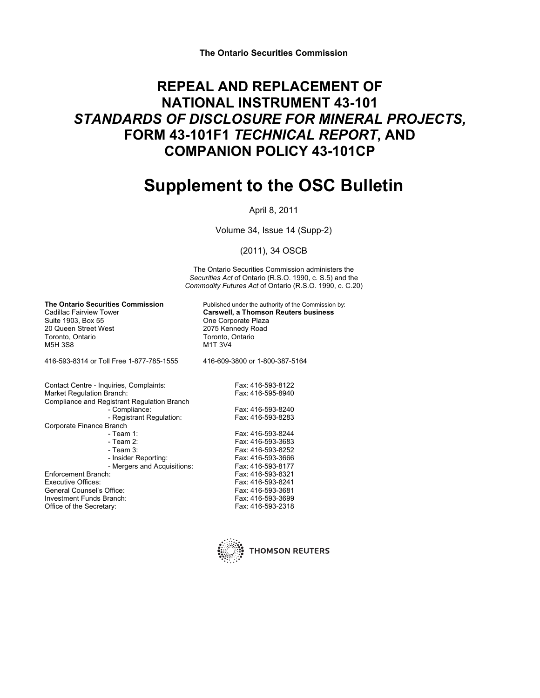# **REPEAL AND REPLACEMENT OF NATIONAL INSTRUMENT 43-101**  *STANDARDS OF DISCLOSURE FOR MINERAL PROJECTS,* **FORM 43-101F1** *TECHNICAL REPORT***, AND COMPANION POLICY 43-101CP**

# **Supplement to the OSC Bulletin**

April 8, 2011

Volume 34, Issue 14 (Supp-2)

### (2011), 34 OSCB

The Ontario Securities Commission administers the *Securities Act* of Ontario (R.S.O. 1990, c. S.5) and the *Commodity Futures Act* of Ontario (R.S.O. 1990, c. C.20)

| The Ontario Securities Commission<br>Cadillac Fairview Tower<br>Suite 1903, Box 55<br>20 Queen Street West<br>Toronto, Ontario<br>M5H 3S8 |                                                                                          | Published under the authority of th<br><b>Carswell, a Thomson Reute</b><br>One Corporate Plaza<br>2075 Kennedy Road<br>Toronto, Ontario<br>M1T 3V4 |
|-------------------------------------------------------------------------------------------------------------------------------------------|------------------------------------------------------------------------------------------|----------------------------------------------------------------------------------------------------------------------------------------------------|
|                                                                                                                                           | 416-593-8314 or Toll Free 1-877-785-1555                                                 | 416-609-3800 or 1-800-387-5                                                                                                                        |
| Contact Centre - Inquiries, Complaints:<br><b>Market Regulation Branch:</b>                                                               |                                                                                          | Fax: 416-593-8122<br>Fax: 416-595-8940                                                                                                             |
|                                                                                                                                           | Compliance and Registrant Regulation Branch<br>- Compliance:<br>- Registrant Regulation: | Fax: 416-593-8240<br>Fax: 416-593-8283                                                                                                             |
| Corporate Finance Branch                                                                                                                  |                                                                                          |                                                                                                                                                    |
|                                                                                                                                           | $-$ Team 1:                                                                              | Fax: 416-593-8244                                                                                                                                  |
|                                                                                                                                           | - Team 2:                                                                                | Fax: 416-593-3683                                                                                                                                  |
|                                                                                                                                           | - Team 3:                                                                                | Fax: 416-593-8252                                                                                                                                  |
|                                                                                                                                           | - Insider Reporting:<br>- Mergers and Acquisitions:                                      | Fax: 416-593-3666<br>Fax: 416-593-8177                                                                                                             |
| Enforcement Branch:                                                                                                                       |                                                                                          | Fax: 416-593-8321                                                                                                                                  |
| Executive Offices:                                                                                                                        |                                                                                          | Fax: 416-593-8241                                                                                                                                  |
| General Counsel's Office:                                                                                                                 |                                                                                          | Fax: 416-593-3681                                                                                                                                  |
| <b>Investment Funds Branch:</b>                                                                                                           |                                                                                          | Fax: 416-593-3699                                                                                                                                  |
| Office of the Secretary:                                                                                                                  |                                                                                          | Fax: 416-593-2318                                                                                                                                  |
|                                                                                                                                           |                                                                                          |                                                                                                                                                    |

**The authority of the Commission by: omson Reuters business<br>Plaza** or 1-800-387-5164 416-593-8122 416-595-8940 416-593-8240 416-593-8283 416-593-8244 416-593-3683 416-593-8252 416-593-3666 416-593-8177

**THOMSON REUTERS**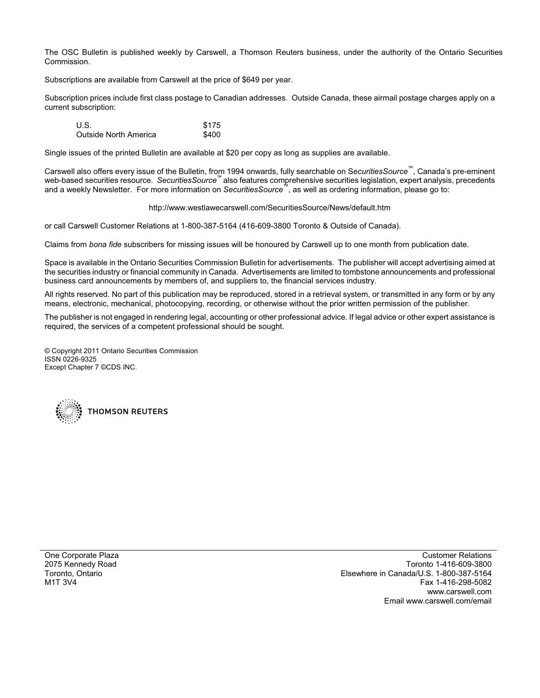The OSC Bulletin is published weekly by Carswell, a Thomson Reuters business, under the authority of the Ontario Securities Commission.

Subscriptions are available from Carswell at the price of \$649 per year.

Subscription prices include first class postage to Canadian addresses. Outside Canada, these airmail postage charges apply on a current subscription:

| U.S.                         | \$175 |
|------------------------------|-------|
| <b>Outside North America</b> | \$400 |

Single issues of the printed Bulletin are available at \$20 per copy as long as supplies are available.

Carswell also offers every issue of the Bulletin, from 1994 onwards, fully searchable on S*ecuritiesSource*™, Canada's pre-eminent web-based securities resource. *SecuritiesSource*™ also features comprehensive securities legislation, expert analysis, precedents and a weekly Newsletter. For more information on *SecuritiesSource*™, as well as ordering information, please go to:

http://www.westlawecarswell.com/SecuritiesSource/News/default.htm

or call Carswell Customer Relations at 1-800-387-5164 (416-609-3800 Toronto & Outside of Canada).

Claims from *bona fide* subscribers for missing issues will be honoured by Carswell up to one month from publication date.

Space is available in the Ontario Securities Commission Bulletin for advertisements. The publisher will accept advertising aimed at the securities industry or financial community in Canada. Advertisements are limited to tombstone announcements and professional business card announcements by members of, and suppliers to, the financial services industry.

All rights reserved. No part of this publication may be reproduced, stored in a retrieval system, or transmitted in any form or by any means, electronic, mechanical, photocopying, recording, or otherwise without the prior written permission of the publisher.

The publisher is not engaged in rendering legal, accounting or other professional advice. If legal advice or other expert assistance is required, the services of a competent professional should be sought.

© Copyright 2011 Ontario Securities Commission ISSN 0226-9325 Except Chapter 7 ©CDS INC.



One Corporate Plaza 2075 Kennedy Road Toronto, Ontario M1T 3V4

Customer Relations Toronto 1-416-609-3800 Elsewhere in Canada/U.S. 1-800-387-5164 Fax 1-416-298-5082 www.carswell.com Email www.carswell.com/email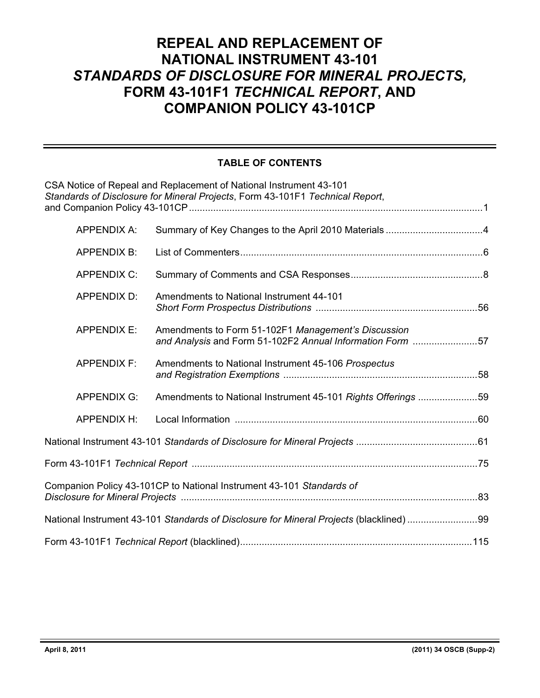# **REPEAL AND REPLACEMENT OF NATIONAL INSTRUMENT 43-101**  *STANDARDS OF DISCLOSURE FOR MINERAL PROJECTS,* **FORM 43-101F1** *TECHNICAL REPORT***, AND COMPANION POLICY 43-101CP**

## **TABLE OF CONTENTS**

|                                                                      |                                                                                         | CSA Notice of Repeal and Replacement of National Instrument 43-101                                               |  |  |
|----------------------------------------------------------------------|-----------------------------------------------------------------------------------------|------------------------------------------------------------------------------------------------------------------|--|--|
|                                                                      |                                                                                         | Standards of Disclosure for Mineral Projects, Form 43-101F1 Technical Report,                                    |  |  |
|                                                                      | <b>APPENDIX A:</b>                                                                      |                                                                                                                  |  |  |
|                                                                      | <b>APPENDIX B:</b>                                                                      |                                                                                                                  |  |  |
|                                                                      | <b>APPENDIX C:</b>                                                                      |                                                                                                                  |  |  |
|                                                                      | <b>APPENDIX D:</b>                                                                      | Amendments to National Instrument 44-101                                                                         |  |  |
|                                                                      | <b>APPENDIX E:</b>                                                                      | Amendments to Form 51-102F1 Management's Discussion<br>and Analysis and Form 51-102F2 Annual Information Form 57 |  |  |
|                                                                      | <b>APPENDIX F:</b>                                                                      | Amendments to National Instrument 45-106 Prospectus                                                              |  |  |
|                                                                      | <b>APPENDIX G:</b>                                                                      | Amendments to National Instrument 45-101 Rights Offerings 59                                                     |  |  |
|                                                                      | <b>APPENDIX H:</b>                                                                      |                                                                                                                  |  |  |
|                                                                      |                                                                                         |                                                                                                                  |  |  |
|                                                                      |                                                                                         |                                                                                                                  |  |  |
| Companion Policy 43-101CP to National Instrument 43-101 Standards of |                                                                                         |                                                                                                                  |  |  |
|                                                                      | National Instrument 43-101 Standards of Disclosure for Mineral Projects (blacklined) 99 |                                                                                                                  |  |  |
|                                                                      |                                                                                         |                                                                                                                  |  |  |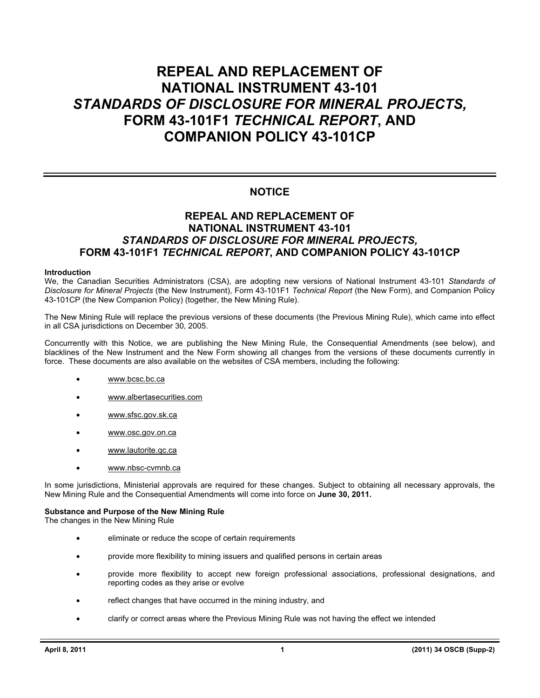# **REPEAL AND REPLACEMENT OF NATIONAL INSTRUMENT 43-101**  *STANDARDS OF DISCLOSURE FOR MINERAL PROJECTS,* **FORM 43-101F1** *TECHNICAL REPORT***, AND COMPANION POLICY 43-101CP**

## **NOTICE**

## **REPEAL AND REPLACEMENT OF NATIONAL INSTRUMENT 43-101**  *STANDARDS OF DISCLOSURE FOR MINERAL PROJECTS,* **FORM 43-101F1** *TECHNICAL REPORT***, AND COMPANION POLICY 43-101CP**

#### **Introduction**

We, the Canadian Securities Administrators (CSA), are adopting new versions of National Instrument 43-101 *Standards of Disclosure for Mineral Projects* (the New Instrument), Form 43-101F1 *Technical Report* (the New Form), and Companion Policy 43-101CP (the New Companion Policy) (together, the New Mining Rule).

The New Mining Rule will replace the previous versions of these documents (the Previous Mining Rule), which came into effect in all CSA jurisdictions on December 30, 2005.

Concurrently with this Notice, we are publishing the New Mining Rule, the Consequential Amendments (see below), and blacklines of the New Instrument and the New Form showing all changes from the versions of these documents currently in force. These documents are also available on the websites of CSA members, including the following:

- www.bcsc.bc.ca
- www.albertasecurities.com
- www.sfsc.gov.sk.ca
- www.osc.gov.on.ca
- www.lautorite.qc.ca
- www.nbsc-cvmnb.ca

In some jurisdictions, Ministerial approvals are required for these changes. Subject to obtaining all necessary approvals, the New Mining Rule and the Consequential Amendments will come into force on **June 30, 2011.** 

#### **Substance and Purpose of the New Mining Rule**

The changes in the New Mining Rule

- eliminate or reduce the scope of certain requirements
- provide more flexibility to mining issuers and qualified persons in certain areas
- provide more flexibility to accept new foreign professional associations, professional designations, and reporting codes as they arise or evolve
- reflect changes that have occurred in the mining industry, and
- clarify or correct areas where the Previous Mining Rule was not having the effect we intended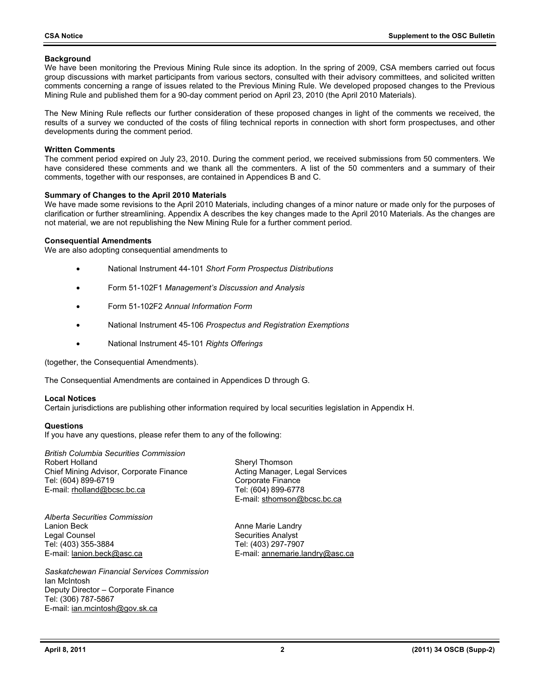## **Background**

We have been monitoring the Previous Mining Rule since its adoption. In the spring of 2009, CSA members carried out focus group discussions with market participants from various sectors, consulted with their advisory committees, and solicited written comments concerning a range of issues related to the Previous Mining Rule. We developed proposed changes to the Previous Mining Rule and published them for a 90-day comment period on April 23, 2010 (the April 2010 Materials).

The New Mining Rule reflects our further consideration of these proposed changes in light of the comments we received, the results of a survey we conducted of the costs of filing technical reports in connection with short form prospectuses, and other developments during the comment period.

## **Written Comments**

The comment period expired on July 23, 2010. During the comment period, we received submissions from 50 commenters. We have considered these comments and we thank all the commenters. A list of the 50 commenters and a summary of their comments, together with our responses, are contained in Appendices B and C.

## **Summary of Changes to the April 2010 Materials**

We have made some revisions to the April 2010 Materials, including changes of a minor nature or made only for the purposes of clarification or further streamlining. Appendix A describes the key changes made to the April 2010 Materials. As the changes are not material, we are not republishing the New Mining Rule for a further comment period.

### **Consequential Amendments**

We are also adopting consequential amendments to

- National Instrument 44-101 *Short Form Prospectus Distributions*
- Form 51-102F1 *Management's Discussion and Analysis*
- Form 51-102F2 *Annual Information Form*
- National Instrument 45-106 *Prospectus and Registration Exemptions*
- National Instrument 45-101 *Rights Offerings*

(together, the Consequential Amendments).

The Consequential Amendments are contained in Appendices D through G.

#### **Local Notices**

Certain jurisdictions are publishing other information required by local securities legislation in Appendix H.

#### **Questions**

If you have any questions, please refer them to any of the following:

*British Columbia Securities Commission*  Robert Holland Sheryl Thomson Chief Mining Advisor, Corporate Finance **Acting Manager, Legal Services**<br>Tel: (604) 899-6719 **Corporate Finance** Tel: (604) 899-6719 Corporate Finance E-mail: rholland@bcsc.bc.ca

*Alberta Securities Commission*  Legal CounselSecurities Analyst Tel: (403) 355-3884Tel: (403) 297-7907

*Saskatchewan Financial Services Commission*  Ian McIntosh Deputy Director – Corporate Finance Tel: (306) 787-5867 E-mail: ian.mcintosh@gov.sk.ca

E-mail: sthomson@bcsc.bc.ca

Anne Marie Landry E-mail: annemarie.landry@asc.ca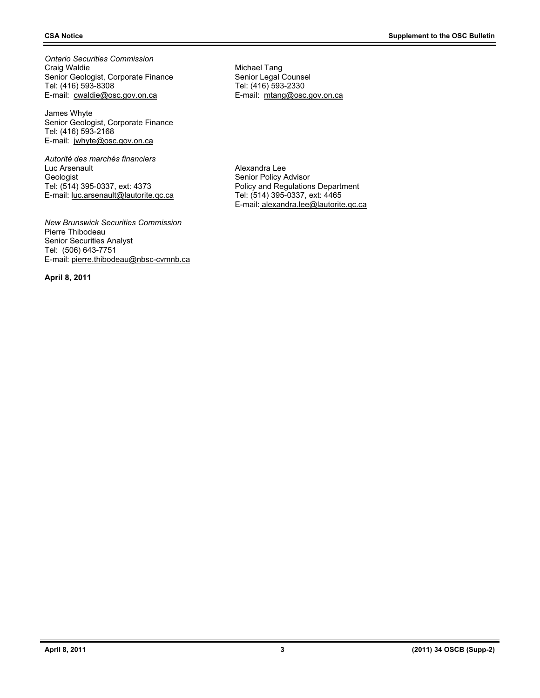*Ontario Securities Commission*  Senior Geologist, Corporate Finance<br>Tel: (416) 593-8308 E-mail: cwaldie@osc.gov.on.ca E-mail: mtang@osc.gov.on.ca

James Whyte Senior Geologist, Corporate Finance Tel: (416) 593-2168 E-mail: jwhyte@osc.gov.on.ca

*Autorité des marchés financiers*  Luc Arsenault **Alexandra Lee Ceologist**<br>Geologist Alexandra Lee Geologist Alexandra Lee Geologist Alexandra Lee Geologist Alexandra Lee Geologist Alex Geologist Geologist Senior Policy Advisor<br>Tel: (514) 395-0337, ext: 4373 Policy and Regulation E-mail: luc.arsenault@lautorite.qc.ca Tel: (514) 395-0337, ext: 4465

*New Brunswick Securities Commission* Pierre Thibodeau Senior Securities Analyst Tel: (506) 643-7751 E-mail: pierre.thibodeau@nbsc-cvmnb.ca

**April 8, 2011**

Michael Tang<br>Senior Legal Counsel Tel: (416) 593-2330

Policy and Regulations Department E-mail: alexandra.lee@lautorite.qc.ca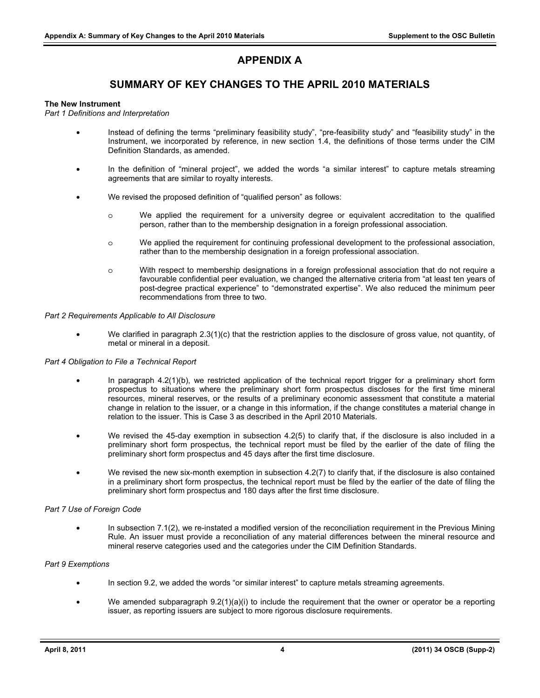# **APPENDIX A**

# **SUMMARY OF KEY CHANGES TO THE APRIL 2010 MATERIALS**

#### **The New Instrument**

*Part 1 Definitions and Interpretation* 

- Instead of defining the terms "preliminary feasibility study", "pre-feasibility study" and "feasibility study" in the Instrument, we incorporated by reference, in new section 1.4, the definitions of those terms under the CIM Definition Standards, as amended.
- In the definition of "mineral project", we added the words "a similar interest" to capture metals streaming agreements that are similar to royalty interests.
- We revised the proposed definition of "qualified person" as follows:
	- o We applied the requirement for a university degree or equivalent accreditation to the qualified person, rather than to the membership designation in a foreign professional association.
	- o We applied the requirement for continuing professional development to the professional association, rather than to the membership designation in a foreign professional association.
	- o With respect to membership designations in a foreign professional association that do not require a favourable confidential peer evaluation, we changed the alternative criteria from "at least ten years of post-degree practical experience" to "demonstrated expertise". We also reduced the minimum peer recommendations from three to two.

#### *Part 2 Requirements Applicable to All Disclosure*

• We clarified in paragraph 2.3(1)(c) that the restriction applies to the disclosure of gross value, not quantity, of metal or mineral in a deposit.

#### *Part 4 Obligation to File a Technical Report*

- In paragraph 4.2(1)(b), we restricted application of the technical report trigger for a preliminary short form prospectus to situations where the preliminary short form prospectus discloses for the first time mineral resources, mineral reserves, or the results of a preliminary economic assessment that constitute a material change in relation to the issuer, or a change in this information, if the change constitutes a material change in relation to the issuer. This is Case 3 as described in the April 2010 Materials.
- We revised the 45-day exemption in subsection 4.2(5) to clarify that, if the disclosure is also included in a preliminary short form prospectus, the technical report must be filed by the earlier of the date of filing the preliminary short form prospectus and 45 days after the first time disclosure.
- We revised the new six-month exemption in subsection 4.2(7) to clarify that, if the disclosure is also contained in a preliminary short form prospectus, the technical report must be filed by the earlier of the date of filing the preliminary short form prospectus and 180 days after the first time disclosure.

#### *Part 7 Use of Foreign Code*

• In subsection 7.1(2), we re-instated a modified version of the reconciliation requirement in the Previous Mining Rule. An issuer must provide a reconciliation of any material differences between the mineral resource and mineral reserve categories used and the categories under the CIM Definition Standards.

#### *Part 9 Exemptions*

- In section 9.2, we added the words "or similar interest" to capture metals streaming agreements.
- We amended subparagraph  $9.2(1)(a)(i)$  to include the requirement that the owner or operator be a reporting issuer, as reporting issuers are subject to more rigorous disclosure requirements.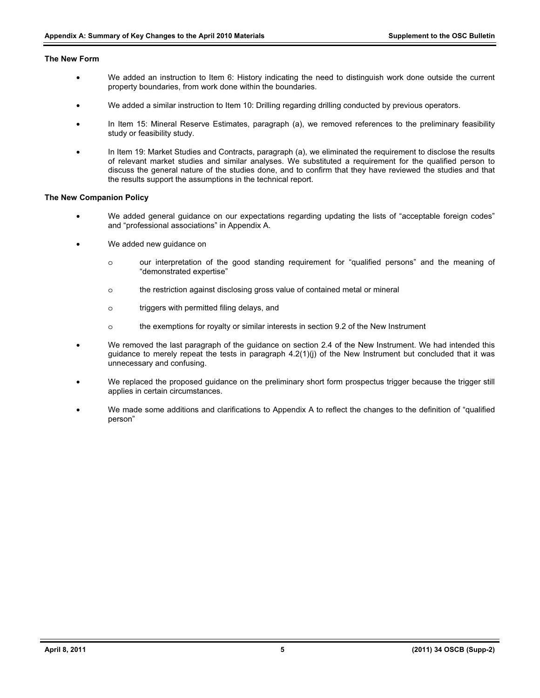#### **The New Form**

- We added an instruction to Item 6: History indicating the need to distinguish work done outside the current property boundaries, from work done within the boundaries.
- We added a similar instruction to Item 10: Drilling regarding drilling conducted by previous operators.
- In Item 15: Mineral Reserve Estimates, paragraph (a), we removed references to the preliminary feasibility study or feasibility study.
- In Item 19: Market Studies and Contracts, paragraph (a), we eliminated the requirement to disclose the results of relevant market studies and similar analyses. We substituted a requirement for the qualified person to discuss the general nature of the studies done, and to confirm that they have reviewed the studies and that the results support the assumptions in the technical report.

### **The New Companion Policy**

- We added general guidance on our expectations regarding updating the lists of "acceptable foreign codes" and "professional associations" in Appendix A.
- We added new guidance on
	- o our interpretation of the good standing requirement for "qualified persons" and the meaning of "demonstrated expertise"
	- o the restriction against disclosing gross value of contained metal or mineral
	- o triggers with permitted filing delays, and
	- o the exemptions for royalty or similar interests in section 9.2 of the New Instrument
- We removed the last paragraph of the guidance on section 2.4 of the New Instrument. We had intended this guidance to merely repeat the tests in paragraph 4.2(1)(j) of the New Instrument but concluded that it was unnecessary and confusing.
- We replaced the proposed guidance on the preliminary short form prospectus trigger because the trigger still applies in certain circumstances.
- We made some additions and clarifications to Appendix A to reflect the changes to the definition of "qualified person"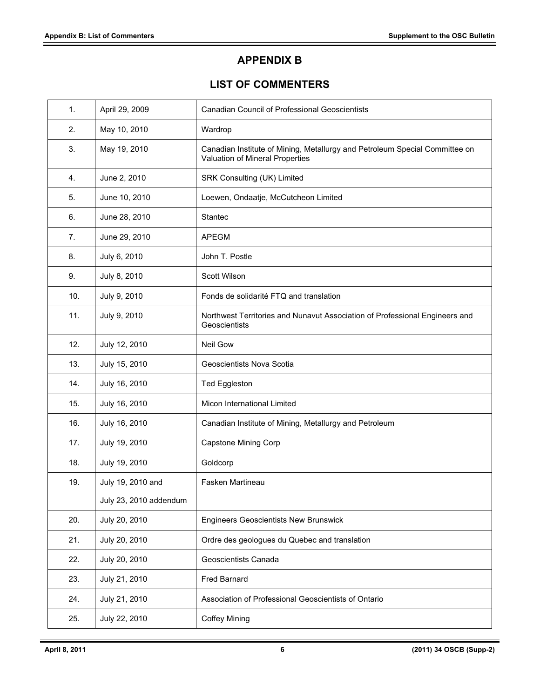# **APPENDIX B**

# **LIST OF COMMENTERS**

| 1.  | April 29, 2009         | <b>Canadian Council of Professional Geoscientists</b>                                                          |
|-----|------------------------|----------------------------------------------------------------------------------------------------------------|
| 2.  | May 10, 2010           | Wardrop                                                                                                        |
| 3.  | May 19, 2010           | Canadian Institute of Mining, Metallurgy and Petroleum Special Committee on<br>Valuation of Mineral Properties |
| 4.  | June 2, 2010           | SRK Consulting (UK) Limited                                                                                    |
| 5.  | June 10, 2010          | Loewen, Ondaatje, McCutcheon Limited                                                                           |
| 6.  | June 28, 2010          | Stantec                                                                                                        |
| 7.  | June 29, 2010          | <b>APEGM</b>                                                                                                   |
| 8.  | July 6, 2010           | John T. Postle                                                                                                 |
| 9.  | July 8, 2010           | Scott Wilson                                                                                                   |
| 10. | July 9, 2010           | Fonds de solidarité FTQ and translation                                                                        |
| 11. | July 9, 2010           | Northwest Territories and Nunavut Association of Professional Engineers and<br>Geoscientists                   |
| 12. | July 12, 2010          | Neil Gow                                                                                                       |
| 13. | July 15, 2010          | Geoscientists Nova Scotia                                                                                      |
| 14. | July 16, 2010          | <b>Ted Eggleston</b>                                                                                           |
| 15. | July 16, 2010          | Micon International Limited                                                                                    |
| 16. | July 16, 2010          | Canadian Institute of Mining, Metallurgy and Petroleum                                                         |
| 17. | July 19, 2010          | <b>Capstone Mining Corp</b>                                                                                    |
| 18. | July 19, 2010          | Goldcorp                                                                                                       |
| 19. | July 19, 2010 and      | <b>Fasken Martineau</b>                                                                                        |
|     | July 23, 2010 addendum |                                                                                                                |
| 20. | July 20, 2010          | <b>Engineers Geoscientists New Brunswick</b>                                                                   |
| 21. | July 20, 2010          | Ordre des geologues du Quebec and translation                                                                  |
| 22. | July 20, 2010          | Geoscientists Canada                                                                                           |
| 23. | July 21, 2010          | Fred Barnard                                                                                                   |
| 24. | July 21, 2010          | Association of Professional Geoscientists of Ontario                                                           |
| 25. | July 22, 2010          | <b>Coffey Mining</b>                                                                                           |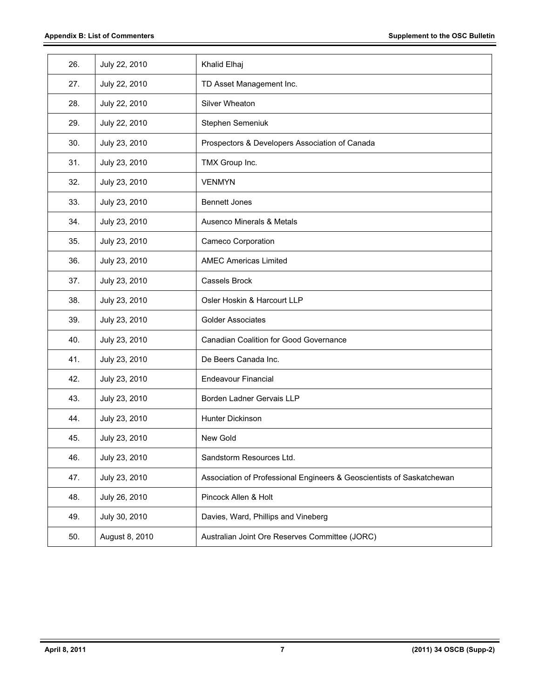| 26. | July 22, 2010  | Khalid Elhaj                                                          |
|-----|----------------|-----------------------------------------------------------------------|
| 27. | July 22, 2010  | TD Asset Management Inc.                                              |
| 28. | July 22, 2010  | Silver Wheaton                                                        |
| 29. | July 22, 2010  | Stephen Semeniuk                                                      |
| 30. | July 23, 2010  | Prospectors & Developers Association of Canada                        |
| 31. | July 23, 2010  | TMX Group Inc.                                                        |
| 32. | July 23, 2010  | <b>VENMYN</b>                                                         |
| 33. | July 23, 2010  | <b>Bennett Jones</b>                                                  |
| 34. | July 23, 2010  | Ausenco Minerals & Metals                                             |
| 35. | July 23, 2010  | Cameco Corporation                                                    |
| 36. | July 23, 2010  | <b>AMEC Americas Limited</b>                                          |
| 37. | July 23, 2010  | Cassels Brock                                                         |
| 38. | July 23, 2010  | Osler Hoskin & Harcourt LLP                                           |
| 39. | July 23, 2010  | <b>Golder Associates</b>                                              |
| 40. | July 23, 2010  | <b>Canadian Coalition for Good Governance</b>                         |
| 41. | July 23, 2010  | De Beers Canada Inc.                                                  |
| 42. | July 23, 2010  | <b>Endeavour Financial</b>                                            |
| 43. | July 23, 2010  | Borden Ladner Gervais LLP                                             |
| 44. | July 23, 2010  | Hunter Dickinson                                                      |
| 45. | July 23, 2010  | New Gold                                                              |
| 46. | July 23, 2010  | Sandstorm Resources Ltd.                                              |
| 47. | July 23, 2010  | Association of Professional Engineers & Geoscientists of Saskatchewan |
| 48. | July 26, 2010  | Pincock Allen & Holt                                                  |
| 49. | July 30, 2010  | Davies, Ward, Phillips and Vineberg                                   |
| 50. | August 8, 2010 | Australian Joint Ore Reserves Committee (JORC)                        |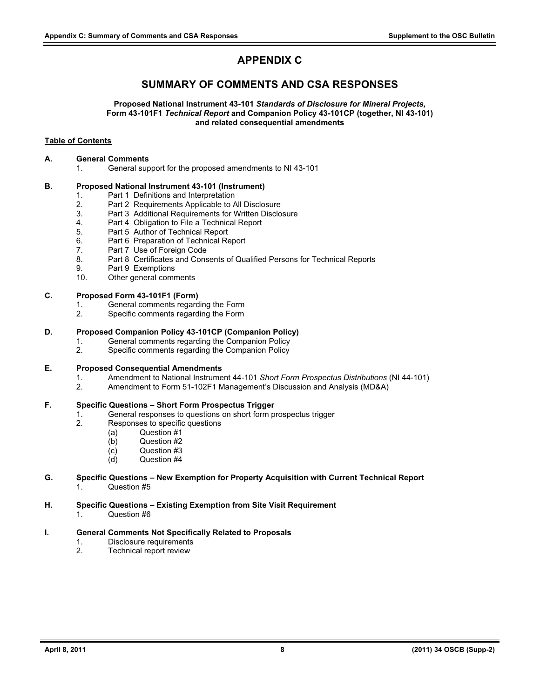# **APPENDIX C**

## **SUMMARY OF COMMENTS AND CSA RESPONSES**

#### **Proposed National Instrument 43-101** *Standards of Disclosure for Mineral Projects,*  **Form 43-101F1** *Technical Report* **and Companion Policy 43-101CP (together, NI 43-101) and related consequential amendments**

## **Table of Contents**

### **A. General Comments**

1. General support for the proposed amendments to NI 43-101

## **B. Proposed National Instrument 43-101 (Instrument)**

- 1. Part 1 Definitions and Interpretation
- 2. Part 2 Requirements Applicable to All Disclosure<br>3. Part 3 Additional Requirements for Written Disclo
- 3. Part 3 Additional Requirements for Written Disclosure<br>4. Part 4 Obligation to File a Technical Report
- 4. Part 4 Obligation to File a Technical Report
- 5. Part 5 Author of Technical Report
- 6. Part 6 Preparation of Technical Report
- 7. Part 7 Use of Foreign Code<br>8. Part 8 Certificates and Cons
- 8. Part 8 Certificates and Consents of Qualified Persons for Technical Reports<br>9. Part 9 Exemptions
- Part 9 Exemptions
- 10. Other general comments

### **C. Proposed Form 43-101F1 (Form)**

- 1. General comments regarding the Form<br>2. Specific comments regarding the Form
- Specific comments regarding the Form

### **D. Proposed Companion Policy 43-101CP (Companion Policy)**

- 1. General comments regarding the Companion Policy<br>2 Specific comments regarding the Companion Policy
- Specific comments regarding the Companion Policy

### **E. Proposed Consequential Amendments**

- 1. Amendment to National Instrument 44-101 *Short Form Prospectus Distributions* (NI 44-101)
- 2. Amendment to Form 51-102F1 Management's Discussion and Analysis (MD&A)

## **F. Specific Questions – Short Form Prospectus Trigger**

- 1. General responses to questions on short form prospectus trigger
- 2. Responses to specific questions
	- (a) Question #1<br>(b) Question #2
	- Question #2
	- (c) Question #3
	- (d) Question #4

#### **G. Specific Questions – New Exemption for Property Acquisition with Current Technical Report**  1. Question #5

**H. Specific Questions – Existing Exemption from Site Visit Requirement**  1. Question #6

## **I. General Comments Not Specifically Related to Proposals**

- 1. Disclosure requirements
- 2. Technical report review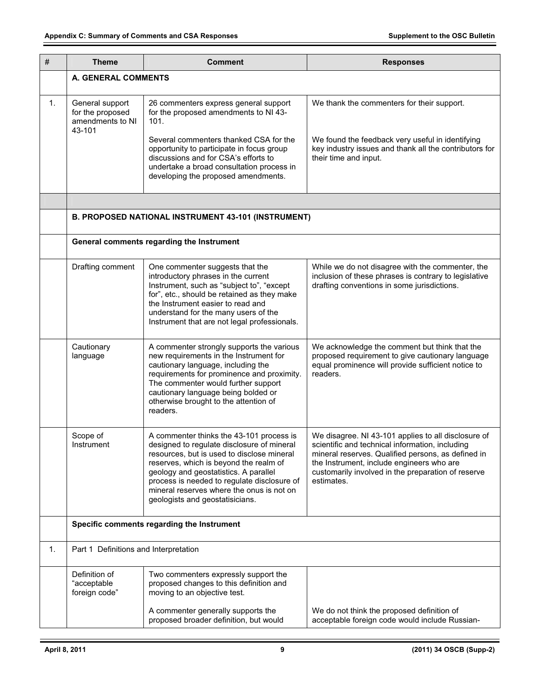| #  | <b>Theme</b>                                                      | <b>Comment</b>                                                                                                                                                                                                                                                                                                                                         | <b>Responses</b>                                                                                                                                                                                                                                                              |
|----|-------------------------------------------------------------------|--------------------------------------------------------------------------------------------------------------------------------------------------------------------------------------------------------------------------------------------------------------------------------------------------------------------------------------------------------|-------------------------------------------------------------------------------------------------------------------------------------------------------------------------------------------------------------------------------------------------------------------------------|
|    | <b>A. GENERAL COMMENTS</b>                                        |                                                                                                                                                                                                                                                                                                                                                        |                                                                                                                                                                                                                                                                               |
| 1. | General support<br>for the proposed<br>amendments to NI<br>43-101 | 26 commenters express general support<br>for the proposed amendments to NI 43-<br>101.                                                                                                                                                                                                                                                                 | We thank the commenters for their support.                                                                                                                                                                                                                                    |
|    |                                                                   | Several commenters thanked CSA for the<br>opportunity to participate in focus group<br>discussions and for CSA's efforts to<br>undertake a broad consultation process in<br>developing the proposed amendments.                                                                                                                                        | We found the feedback very useful in identifying<br>key industry issues and thank all the contributors for<br>their time and input.                                                                                                                                           |
|    |                                                                   |                                                                                                                                                                                                                                                                                                                                                        |                                                                                                                                                                                                                                                                               |
|    |                                                                   | B. PROPOSED NATIONAL INSTRUMENT 43-101 (INSTRUMENT)                                                                                                                                                                                                                                                                                                    |                                                                                                                                                                                                                                                                               |
|    |                                                                   | General comments regarding the Instrument                                                                                                                                                                                                                                                                                                              |                                                                                                                                                                                                                                                                               |
|    | Drafting comment                                                  | One commenter suggests that the<br>introductory phrases in the current<br>Instrument, such as "subject to", "except<br>for", etc., should be retained as they make<br>the Instrument easier to read and<br>understand for the many users of the<br>Instrument that are not legal professionals.                                                        | While we do not disagree with the commenter, the<br>inclusion of these phrases is contrary to legislative<br>drafting conventions in some jurisdictions.                                                                                                                      |
|    | Cautionary<br>language                                            | A commenter strongly supports the various<br>new requirements in the Instrument for<br>cautionary language, including the<br>requirements for prominence and proximity.<br>The commenter would further support<br>cautionary language being bolded or<br>otherwise brought to the attention of<br>readers.                                             | We acknowledge the comment but think that the<br>proposed requirement to give cautionary language<br>equal prominence will provide sufficient notice to<br>readers.                                                                                                           |
|    | Scope of<br>Instrument                                            | A commenter thinks the 43-101 process is<br>designed to regulate disclosure of mineral<br>resources, but is used to disclose mineral<br>reserves, which is beyond the realm of<br>geology and geostatistics. A parallel<br>process is needed to regulate disclosure of<br>mineral reserves where the onus is not on<br>geologists and geostatisicians. | We disagree. NI 43-101 applies to all disclosure of<br>scientific and technical information, including<br>mineral reserves. Qualified persons, as defined in<br>the Instrument, include engineers who are<br>customarily involved in the preparation of reserve<br>estimates. |
|    |                                                                   | Specific comments regarding the Instrument                                                                                                                                                                                                                                                                                                             |                                                                                                                                                                                                                                                                               |
| 1. | Part 1 Definitions and Interpretation                             |                                                                                                                                                                                                                                                                                                                                                        |                                                                                                                                                                                                                                                                               |
|    | Definition of<br>"acceptable<br>foreign code"                     | Two commenters expressly support the<br>proposed changes to this definition and<br>moving to an objective test.                                                                                                                                                                                                                                        |                                                                                                                                                                                                                                                                               |
|    |                                                                   | A commenter generally supports the<br>proposed broader definition, but would                                                                                                                                                                                                                                                                           | We do not think the proposed definition of<br>acceptable foreign code would include Russian-                                                                                                                                                                                  |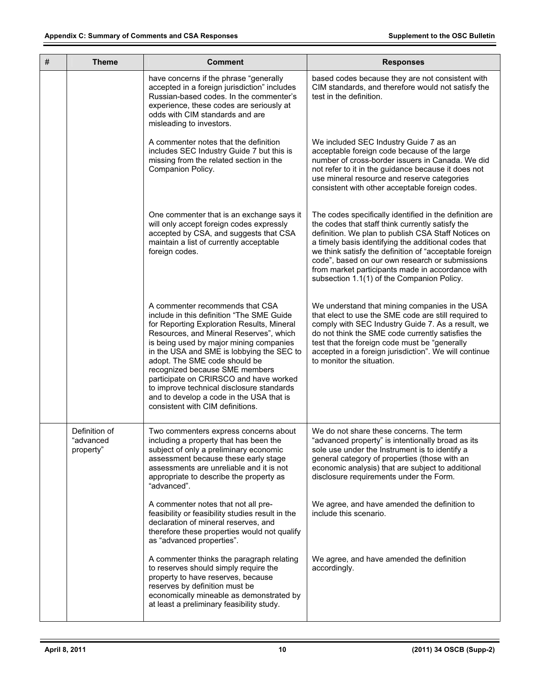| # | <b>Theme</b>                            | <b>Comment</b>                                                                                                                                                                                                                                                                                                                                                                                                                                                                                          | <b>Responses</b>                                                                                                                                                                                                                                                                                                                                                                                                                          |
|---|-----------------------------------------|---------------------------------------------------------------------------------------------------------------------------------------------------------------------------------------------------------------------------------------------------------------------------------------------------------------------------------------------------------------------------------------------------------------------------------------------------------------------------------------------------------|-------------------------------------------------------------------------------------------------------------------------------------------------------------------------------------------------------------------------------------------------------------------------------------------------------------------------------------------------------------------------------------------------------------------------------------------|
|   |                                         | have concerns if the phrase "generally<br>accepted in a foreign jurisdiction" includes<br>Russian-based codes. In the commenter's<br>experience, these codes are seriously at<br>odds with CIM standards and are<br>misleading to investors.                                                                                                                                                                                                                                                            | based codes because they are not consistent with<br>CIM standards, and therefore would not satisfy the<br>test in the definition.                                                                                                                                                                                                                                                                                                         |
|   |                                         | A commenter notes that the definition<br>includes SEC Industry Guide 7 but this is<br>missing from the related section in the<br>Companion Policy.                                                                                                                                                                                                                                                                                                                                                      | We included SEC Industry Guide 7 as an<br>acceptable foreign code because of the large<br>number of cross-border issuers in Canada. We did<br>not refer to it in the guidance because it does not<br>use mineral resource and reserve categories<br>consistent with other acceptable foreign codes.                                                                                                                                       |
|   |                                         | One commenter that is an exchange says it<br>will only accept foreign codes expressly<br>accepted by CSA, and suggests that CSA<br>maintain a list of currently acceptable<br>foreign codes.                                                                                                                                                                                                                                                                                                            | The codes specifically identified in the definition are<br>the codes that staff think currently satisfy the<br>definition. We plan to publish CSA Staff Notices on<br>a timely basis identifying the additional codes that<br>we think satisfy the definition of "acceptable foreign<br>code", based on our own research or submissions<br>from market participants made in accordance with<br>subsection 1.1(1) of the Companion Policy. |
|   |                                         | A commenter recommends that CSA<br>include in this definition "The SME Guide<br>for Reporting Exploration Results, Mineral<br>Resources, and Mineral Reserves", which<br>is being used by major mining companies<br>in the USA and SME is lobbying the SEC to<br>adopt. The SME code should be<br>recognized because SME members<br>participate on CRIRSCO and have worked<br>to improve technical disclosure standards<br>and to develop a code in the USA that is<br>consistent with CIM definitions. | We understand that mining companies in the USA<br>that elect to use the SME code are still required to<br>comply with SEC Industry Guide 7. As a result, we<br>do not think the SME code currently satisfies the<br>test that the foreign code must be "generally<br>accepted in a foreign jurisdiction". We will continue<br>to monitor the situation.                                                                                   |
|   | Definition of<br>"advanced<br>property" | Two commenters express concerns about<br>including a property that has been the<br>subject of only a preliminary economic<br>assessment because these early stage<br>assessments are unreliable and it is not<br>appropriate to describe the property as<br>"advanced".                                                                                                                                                                                                                                 | We do not share these concerns. The term<br>"advanced property" is intentionally broad as its<br>sole use under the Instrument is to identify a<br>general category of properties (those with an<br>economic analysis) that are subject to additional<br>disclosure requirements under the Form.                                                                                                                                          |
|   |                                         | A commenter notes that not all pre-<br>feasibility or feasibility studies result in the<br>declaration of mineral reserves, and<br>therefore these properties would not qualify<br>as "advanced properties".                                                                                                                                                                                                                                                                                            | We agree, and have amended the definition to<br>include this scenario.                                                                                                                                                                                                                                                                                                                                                                    |
|   |                                         | A commenter thinks the paragraph relating<br>to reserves should simply require the<br>property to have reserves, because<br>reserves by definition must be<br>economically mineable as demonstrated by<br>at least a preliminary feasibility study.                                                                                                                                                                                                                                                     | We agree, and have amended the definition<br>accordingly.                                                                                                                                                                                                                                                                                                                                                                                 |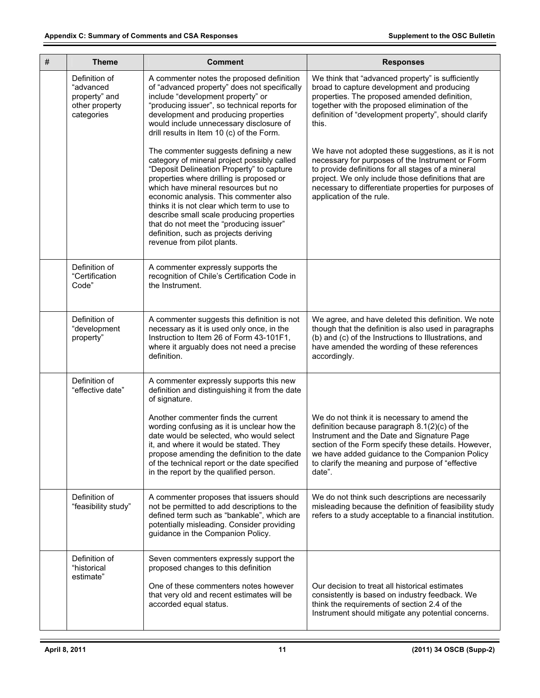| $\#$ | <b>Theme</b>                                                                | <b>Comment</b>                                                                                                                                                                                                                                                                                                                                                                                                                                                               | <b>Responses</b>                                                                                                                                                                                                                                                                                                   |
|------|-----------------------------------------------------------------------------|------------------------------------------------------------------------------------------------------------------------------------------------------------------------------------------------------------------------------------------------------------------------------------------------------------------------------------------------------------------------------------------------------------------------------------------------------------------------------|--------------------------------------------------------------------------------------------------------------------------------------------------------------------------------------------------------------------------------------------------------------------------------------------------------------------|
|      | Definition of<br>"advanced<br>property" and<br>other property<br>categories | A commenter notes the proposed definition<br>of "advanced property" does not specifically<br>include "development property" or<br>"producing issuer", so technical reports for<br>development and producing properties<br>would include unnecessary disclosure of<br>drill results in Item 10 (c) of the Form.                                                                                                                                                               | We think that "advanced property" is sufficiently<br>broad to capture development and producing<br>properties. The proposed amended definition,<br>together with the proposed elimination of the<br>definition of "development property", should clarify<br>this.                                                  |
|      |                                                                             | The commenter suggests defining a new<br>category of mineral project possibly called<br>"Deposit Delineation Property" to capture<br>properties where drilling is proposed or<br>which have mineral resources but no<br>economic analysis. This commenter also<br>thinks it is not clear which term to use to<br>describe small scale producing properties<br>that do not meet the "producing issuer"<br>definition, such as projects deriving<br>revenue from pilot plants. | We have not adopted these suggestions, as it is not<br>necessary for purposes of the Instrument or Form<br>to provide definitions for all stages of a mineral<br>project. We only include those definitions that are<br>necessary to differentiate properties for purposes of<br>application of the rule.          |
|      | Definition of<br>"Certification<br>Code"                                    | A commenter expressly supports the<br>recognition of Chile's Certification Code in<br>the Instrument.                                                                                                                                                                                                                                                                                                                                                                        |                                                                                                                                                                                                                                                                                                                    |
|      | Definition of<br>"development<br>property"                                  | A commenter suggests this definition is not<br>necessary as it is used only once, in the<br>Instruction to Item 26 of Form 43-101F1,<br>where it arguably does not need a precise<br>definition.                                                                                                                                                                                                                                                                             | We agree, and have deleted this definition. We note<br>though that the definition is also used in paragraphs<br>(b) and (c) of the Instructions to Illustrations, and<br>have amended the wording of these references<br>accordingly.                                                                              |
|      | Definition of<br>"effective date"                                           | A commenter expressly supports this new<br>definition and distinguishing it from the date<br>of signature.                                                                                                                                                                                                                                                                                                                                                                   |                                                                                                                                                                                                                                                                                                                    |
|      |                                                                             | Another commenter finds the current<br>wording confusing as it is unclear how the<br>date would be selected, who would select<br>it, and where it would be stated. They<br>propose amending the definition to the date<br>of the technical report or the date specified<br>in the report by the qualified person.                                                                                                                                                            | We do not think it is necessary to amend the<br>definition because paragraph 8.1(2)(c) of the<br>Instrument and the Date and Signature Page<br>section of the Form specify these details. However,<br>we have added guidance to the Companion Policy<br>to clarify the meaning and purpose of "effective<br>date". |
|      | Definition of<br>"feasibility study"                                        | A commenter proposes that issuers should<br>not be permitted to add descriptions to the<br>defined term such as "bankable", which are<br>potentially misleading. Consider providing<br>guidance in the Companion Policy.                                                                                                                                                                                                                                                     | We do not think such descriptions are necessarily<br>misleading because the definition of feasibility study<br>refers to a study acceptable to a financial institution.                                                                                                                                            |
|      | Definition of<br>"historical<br>estimate"                                   | Seven commenters expressly support the<br>proposed changes to this definition                                                                                                                                                                                                                                                                                                                                                                                                |                                                                                                                                                                                                                                                                                                                    |
|      |                                                                             | One of these commenters notes however<br>that very old and recent estimates will be<br>accorded equal status.                                                                                                                                                                                                                                                                                                                                                                | Our decision to treat all historical estimates<br>consistently is based on industry feedback. We<br>think the requirements of section 2.4 of the<br>Instrument should mitigate any potential concerns.                                                                                                             |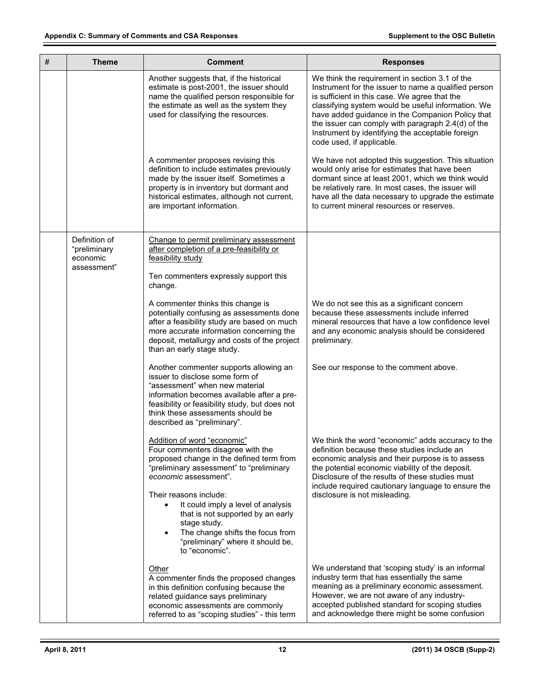| # | <b>Theme</b>                                             | <b>Comment</b>                                                                                                                                                                                                                                                                  | <b>Responses</b>                                                                                                                                                                                                                                                                                                                                                                                         |
|---|----------------------------------------------------------|---------------------------------------------------------------------------------------------------------------------------------------------------------------------------------------------------------------------------------------------------------------------------------|----------------------------------------------------------------------------------------------------------------------------------------------------------------------------------------------------------------------------------------------------------------------------------------------------------------------------------------------------------------------------------------------------------|
|   |                                                          | Another suggests that, if the historical<br>estimate is post-2001, the issuer should<br>name the qualified person responsible for<br>the estimate as well as the system they<br>used for classifying the resources.                                                             | We think the requirement in section 3.1 of the<br>Instrument for the issuer to name a qualified person<br>is sufficient in this case. We agree that the<br>classifying system would be useful information. We<br>have added guidance in the Companion Policy that<br>the issuer can comply with paragraph 2.4(d) of the<br>Instrument by identifying the acceptable foreign<br>code used, if applicable. |
|   |                                                          | A commenter proposes revising this<br>definition to include estimates previously<br>made by the issuer itself. Sometimes a<br>property is in inventory but dormant and<br>historical estimates, although not current,<br>are important information.                             | We have not adopted this suggestion. This situation<br>would only arise for estimates that have been<br>dormant since at least 2001, which we think would<br>be relatively rare. In most cases, the issuer will<br>have all the data necessary to upgrade the estimate<br>to current mineral resources or reserves.                                                                                      |
|   | Definition of<br>"preliminary<br>economic<br>assessment" | Change to permit preliminary assessment<br>after completion of a pre-feasibility or<br>feasibility study<br>Ten commenters expressly support this                                                                                                                               |                                                                                                                                                                                                                                                                                                                                                                                                          |
|   |                                                          | change.                                                                                                                                                                                                                                                                         |                                                                                                                                                                                                                                                                                                                                                                                                          |
|   |                                                          | A commenter thinks this change is<br>potentially confusing as assessments done<br>after a feasibility study are based on much<br>more accurate information concerning the<br>deposit, metallurgy and costs of the project<br>than an early stage study.                         | We do not see this as a significant concern<br>because these assessments include inferred<br>mineral resources that have a low confidence level<br>and any economic analysis should be considered<br>preliminary.                                                                                                                                                                                        |
|   |                                                          | Another commenter supports allowing an<br>issuer to disclose some form of<br>"assessment" when new material<br>information becomes available after a pre-<br>feasibility or feasibility study, but does not<br>think these assessments should be<br>described as "preliminary". | See our response to the comment above.                                                                                                                                                                                                                                                                                                                                                                   |
|   |                                                          | Addition of word "economic"<br>Four commenters disagree with the<br>proposed change in the defined term from<br>"preliminary assessment" to "preliminary<br>economic assessment".                                                                                               | We think the word "economic" adds accuracy to the<br>definition because these studies include an<br>economic analysis and their purpose is to assess<br>the potential economic viability of the deposit.<br>Disclosure of the results of these studies must<br>include required cautionary language to ensure the                                                                                        |
|   |                                                          | Their reasons include:<br>It could imply a level of analysis<br>$\bullet$<br>that is not supported by an early<br>stage study.<br>The change shifts the focus from<br>$\bullet$<br>"preliminary" where it should be,<br>to "economic".                                          | disclosure is not misleading.                                                                                                                                                                                                                                                                                                                                                                            |
|   |                                                          | Other<br>A commenter finds the proposed changes<br>in this definition confusing because the<br>related guidance says preliminary<br>economic assessments are commonly<br>referred to as "scoping studies" - this term                                                           | We understand that 'scoping study' is an informal<br>industry term that has essentially the same<br>meaning as a preliminary economic assessment.<br>However, we are not aware of any industry-<br>accepted published standard for scoping studies<br>and acknowledge there might be some confusion                                                                                                      |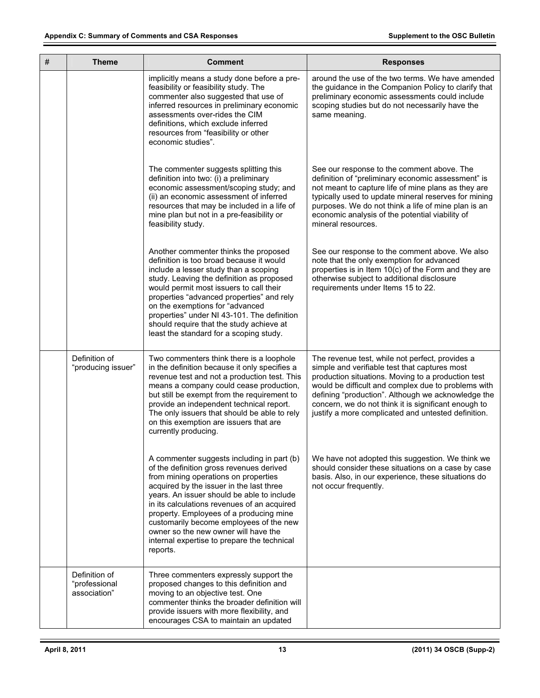| # | <b>Theme</b>                                   | <b>Comment</b>                                                                                                                                                                                                                                                                                                                                                                                                                                                   | <b>Responses</b>                                                                                                                                                                                                                                                                                                                                                                   |
|---|------------------------------------------------|------------------------------------------------------------------------------------------------------------------------------------------------------------------------------------------------------------------------------------------------------------------------------------------------------------------------------------------------------------------------------------------------------------------------------------------------------------------|------------------------------------------------------------------------------------------------------------------------------------------------------------------------------------------------------------------------------------------------------------------------------------------------------------------------------------------------------------------------------------|
|   |                                                | implicitly means a study done before a pre-<br>feasibility or feasibility study. The<br>commenter also suggested that use of<br>inferred resources in preliminary economic<br>assessments over-rides the CIM<br>definitions, which exclude inferred<br>resources from "feasibility or other<br>economic studies".                                                                                                                                                | around the use of the two terms. We have amended<br>the guidance in the Companion Policy to clarify that<br>preliminary economic assessments could include<br>scoping studies but do not necessarily have the<br>same meaning.                                                                                                                                                     |
|   |                                                | The commenter suggests splitting this<br>definition into two: (i) a preliminary<br>economic assessment/scoping study; and<br>(ii) an economic assessment of inferred<br>resources that may be included in a life of<br>mine plan but not in a pre-feasibility or<br>feasibility study.                                                                                                                                                                           | See our response to the comment above. The<br>definition of "preliminary economic assessment" is<br>not meant to capture life of mine plans as they are<br>typically used to update mineral reserves for mining<br>purposes. We do not think a life of mine plan is an<br>economic analysis of the potential viability of<br>mineral resources.                                    |
|   |                                                | Another commenter thinks the proposed<br>definition is too broad because it would<br>include a lesser study than a scoping<br>study. Leaving the definition as proposed<br>would permit most issuers to call their<br>properties "advanced properties" and rely<br>on the exemptions for "advanced<br>properties" under NI 43-101. The definition<br>should require that the study achieve at<br>least the standard for a scoping study.                         | See our response to the comment above. We also<br>note that the only exemption for advanced<br>properties is in Item 10(c) of the Form and they are<br>otherwise subject to additional disclosure<br>requirements under Items 15 to 22.                                                                                                                                            |
|   | Definition of<br>"producing issuer"            | Two commenters think there is a loophole<br>in the definition because it only specifies a<br>revenue test and not a production test. This<br>means a company could cease production,<br>but still be exempt from the requirement to<br>provide an independent technical report.<br>The only issuers that should be able to rely<br>on this exemption are issuers that are<br>currently producing.                                                                | The revenue test, while not perfect, provides a<br>simple and verifiable test that captures most<br>production situations. Moving to a production test<br>would be difficult and complex due to problems with<br>defining "production". Although we acknowledge the<br>concern, we do not think it is significant enough to<br>justify a more complicated and untested definition. |
|   |                                                | A commenter suggests including in part (b)<br>of the definition gross revenues derived<br>from mining operations on properties<br>acquired by the issuer in the last three<br>years. An issuer should be able to include<br>in its calculations revenues of an acquired<br>property. Employees of a producing mine<br>customarily become employees of the new<br>owner so the new owner will have the<br>internal expertise to prepare the technical<br>reports. | We have not adopted this suggestion. We think we<br>should consider these situations on a case by case<br>basis. Also, in our experience, these situations do<br>not occur frequently.                                                                                                                                                                                             |
|   | Definition of<br>"professional<br>association" | Three commenters expressly support the<br>proposed changes to this definition and<br>moving to an objective test. One<br>commenter thinks the broader definition will<br>provide issuers with more flexibility, and<br>encourages CSA to maintain an updated                                                                                                                                                                                                     |                                                                                                                                                                                                                                                                                                                                                                                    |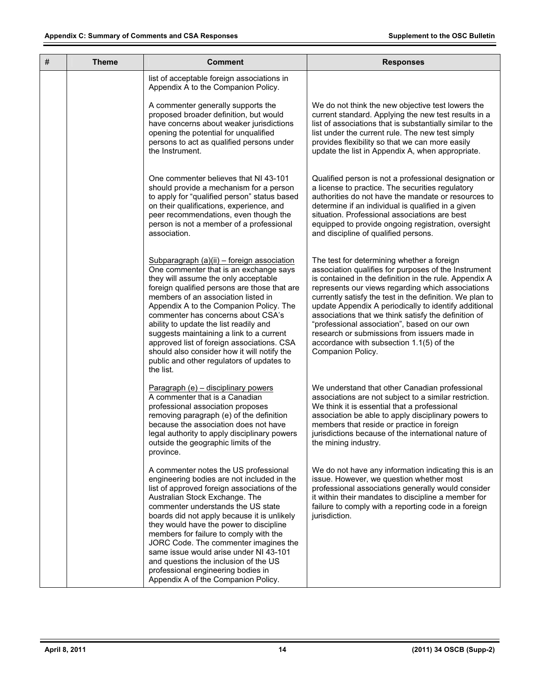| # | <b>Theme</b> | <b>Comment</b>                                                                                                                                                                                                                                                                                                                                                                                                                                                                                                                                           | <b>Responses</b>                                                                                                                                                                                                                                                                                                                                                                                                                                                                                                                                                |
|---|--------------|----------------------------------------------------------------------------------------------------------------------------------------------------------------------------------------------------------------------------------------------------------------------------------------------------------------------------------------------------------------------------------------------------------------------------------------------------------------------------------------------------------------------------------------------------------|-----------------------------------------------------------------------------------------------------------------------------------------------------------------------------------------------------------------------------------------------------------------------------------------------------------------------------------------------------------------------------------------------------------------------------------------------------------------------------------------------------------------------------------------------------------------|
|   |              | list of acceptable foreign associations in<br>Appendix A to the Companion Policy.                                                                                                                                                                                                                                                                                                                                                                                                                                                                        |                                                                                                                                                                                                                                                                                                                                                                                                                                                                                                                                                                 |
|   |              | A commenter generally supports the<br>proposed broader definition, but would<br>have concerns about weaker jurisdictions<br>opening the potential for unqualified<br>persons to act as qualified persons under<br>the Instrument.                                                                                                                                                                                                                                                                                                                        | We do not think the new objective test lowers the<br>current standard. Applying the new test results in a<br>list of associations that is substantially similar to the<br>list under the current rule. The new test simply<br>provides flexibility so that we can more easily<br>update the list in Appendix A, when appropriate.                                                                                                                                                                                                                               |
|   |              | One commenter believes that NJ 43-101<br>should provide a mechanism for a person<br>to apply for "qualified person" status based<br>on their qualifications, experience, and<br>peer recommendations, even though the<br>person is not a member of a professional<br>association.                                                                                                                                                                                                                                                                        | Qualified person is not a professional designation or<br>a license to practice. The securities regulatory<br>authorities do not have the mandate or resources to<br>determine if an individual is qualified in a given<br>situation. Professional associations are best<br>equipped to provide ongoing registration, oversight<br>and discipline of qualified persons.                                                                                                                                                                                          |
|   |              | Subparagraph (a)(ii) - foreign association<br>One commenter that is an exchange says<br>they will assume the only acceptable<br>foreign qualified persons are those that are<br>members of an association listed in<br>Appendix A to the Companion Policy. The<br>commenter has concerns about CSA's<br>ability to update the list readily and<br>suggests maintaining a link to a current<br>approved list of foreign associations. CSA<br>should also consider how it will notify the<br>public and other regulators of updates to<br>the list.        | The test for determining whether a foreign<br>association qualifies for purposes of the Instrument<br>is contained in the definition in the rule. Appendix A<br>represents our views regarding which associations<br>currently satisfy the test in the definition. We plan to<br>update Appendix A periodically to identify additional<br>associations that we think satisfy the definition of<br>"professional association", based on our own<br>research or submissions from issuers made in<br>accordance with subsection 1.1(5) of the<br>Companion Policy. |
|   |              | Paragraph (e) - disciplinary powers<br>A commenter that is a Canadian<br>professional association proposes<br>removing paragraph (e) of the definition<br>because the association does not have<br>legal authority to apply disciplinary powers<br>outside the geographic limits of the<br>province.                                                                                                                                                                                                                                                     | We understand that other Canadian professional<br>associations are not subject to a similar restriction.<br>We think it is essential that a professional<br>association be able to apply disciplinary powers to<br>members that reside or practice in foreign<br>jurisdictions because of the international nature of<br>the mining industry.                                                                                                                                                                                                                   |
|   |              | A commenter notes the US professional<br>engineering bodies are not included in the<br>list of approved foreign associations of the<br>Australian Stock Exchange. The<br>commenter understands the US state<br>boards did not apply because it is unlikely<br>they would have the power to discipline<br>members for failure to comply with the<br>JORC Code. The commenter imagines the<br>same issue would arise under NI 43-101<br>and questions the inclusion of the US<br>professional engineering bodies in<br>Appendix A of the Companion Policy. | We do not have any information indicating this is an<br>issue. However, we question whether most<br>professional associations generally would consider<br>it within their mandates to discipline a member for<br>failure to comply with a reporting code in a foreign<br>jurisdiction.                                                                                                                                                                                                                                                                          |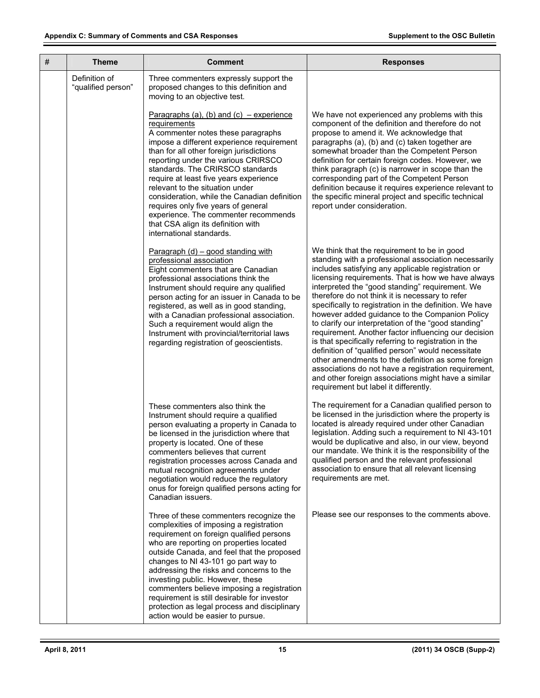| $\#$ | <b>Theme</b>                        | <b>Comment</b>                                                                                                                                                                                                                                                                                                                                                                                                                                                                                                                                     | <b>Responses</b>                                                                                                                                                                                                                                                                                                                                                                                                                                                                                                                                                                                                                                                                                                                                                                                                                                                                |
|------|-------------------------------------|----------------------------------------------------------------------------------------------------------------------------------------------------------------------------------------------------------------------------------------------------------------------------------------------------------------------------------------------------------------------------------------------------------------------------------------------------------------------------------------------------------------------------------------------------|---------------------------------------------------------------------------------------------------------------------------------------------------------------------------------------------------------------------------------------------------------------------------------------------------------------------------------------------------------------------------------------------------------------------------------------------------------------------------------------------------------------------------------------------------------------------------------------------------------------------------------------------------------------------------------------------------------------------------------------------------------------------------------------------------------------------------------------------------------------------------------|
|      | Definition of<br>"qualified person" | Three commenters expressly support the<br>proposed changes to this definition and<br>moving to an objective test.                                                                                                                                                                                                                                                                                                                                                                                                                                  |                                                                                                                                                                                                                                                                                                                                                                                                                                                                                                                                                                                                                                                                                                                                                                                                                                                                                 |
|      |                                     | Paragraphs (a), (b) and (c) $-$ experience<br>requirements<br>A commenter notes these paragraphs<br>impose a different experience requirement<br>than for all other foreign jurisdictions<br>reporting under the various CRIRSCO<br>standards. The CRIRSCO standards<br>require at least five years experience<br>relevant to the situation under<br>consideration, while the Canadian definition<br>requires only five years of general<br>experience. The commenter recommends<br>that CSA align its definition with<br>international standards. | We have not experienced any problems with this<br>component of the definition and therefore do not<br>propose to amend it. We acknowledge that<br>paragraphs (a), (b) and (c) taken together are<br>somewhat broader than the Competent Person<br>definition for certain foreign codes. However, we<br>think paragraph (c) is narrower in scope than the<br>corresponding part of the Competent Person<br>definition because it requires experience relevant to<br>the specific mineral project and specific technical<br>report under consideration.                                                                                                                                                                                                                                                                                                                           |
|      |                                     | Paragraph (d) - good standing with<br>professional association<br>Eight commenters that are Canadian<br>professional associations think the<br>Instrument should require any qualified<br>person acting for an issuer in Canada to be<br>registered, as well as in good standing,<br>with a Canadian professional association.<br>Such a requirement would align the<br>Instrument with provincial/territorial laws<br>regarding registration of geoscientists.                                                                                    | We think that the requirement to be in good<br>standing with a professional association necessarily<br>includes satisfying any applicable registration or<br>licensing requirements. That is how we have always<br>interpreted the "good standing" requirement. We<br>therefore do not think it is necessary to refer<br>specifically to registration in the definition. We have<br>however added guidance to the Companion Policy<br>to clarify our interpretation of the "good standing"<br>requirement. Another factor influencing our decision<br>is that specifically referring to registration in the<br>definition of "qualified person" would necessitate<br>other amendments to the definition as some foreign<br>associations do not have a registration requirement,<br>and other foreign associations might have a similar<br>requirement but label it differently. |
|      |                                     | These commenters also think the<br>Instrument should require a qualified<br>person evaluating a property in Canada to<br>be licensed in the jurisdiction where that<br>property is located. One of these<br>commenters believes that current<br>registration processes across Canada and<br>mutual recognition agreements under<br>negotiation would reduce the regulatory<br>onus for foreign qualified persons acting for<br>Canadian issuers.                                                                                                   | The requirement for a Canadian qualified person to<br>be licensed in the jurisdiction where the property is<br>located is already required under other Canadian<br>legislation. Adding such a requirement to NI 43-101<br>would be duplicative and also, in our view, beyond<br>our mandate. We think it is the responsibility of the<br>qualified person and the relevant professional<br>association to ensure that all relevant licensing<br>requirements are met.                                                                                                                                                                                                                                                                                                                                                                                                           |
|      |                                     | Three of these commenters recognize the<br>complexities of imposing a registration<br>requirement on foreign qualified persons<br>who are reporting on properties located<br>outside Canada, and feel that the proposed<br>changes to NI 43-101 go part way to<br>addressing the risks and concerns to the<br>investing public. However, these<br>commenters believe imposing a registration<br>requirement is still desirable for investor<br>protection as legal process and disciplinary<br>action would be easier to pursue.                   | Please see our responses to the comments above.                                                                                                                                                                                                                                                                                                                                                                                                                                                                                                                                                                                                                                                                                                                                                                                                                                 |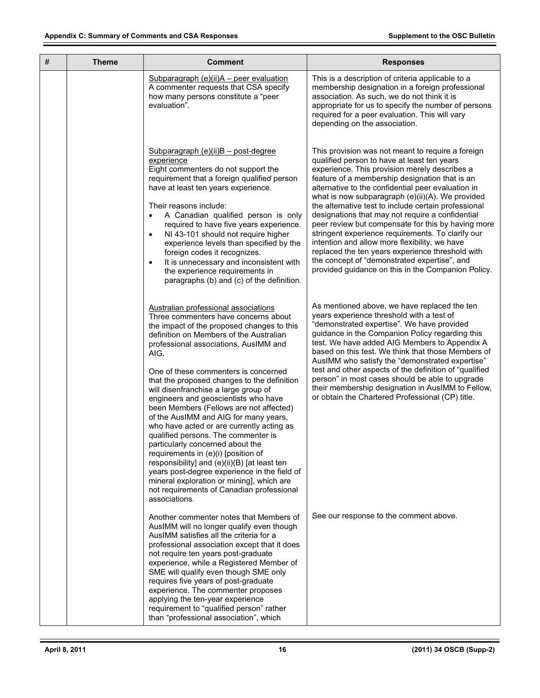| # | <b>Theme</b> | <b>Comment</b>                                                                                                                                                                                                                                                                                                                                                                                                                                                                                                                                                                                                                                                                                                                                                                                                                                              | <b>Responses</b>                                                                                                                                                                                                                                                                                                                                                                                                                                                                                                                                                                                                                                                                                                                                |
|---|--------------|-------------------------------------------------------------------------------------------------------------------------------------------------------------------------------------------------------------------------------------------------------------------------------------------------------------------------------------------------------------------------------------------------------------------------------------------------------------------------------------------------------------------------------------------------------------------------------------------------------------------------------------------------------------------------------------------------------------------------------------------------------------------------------------------------------------------------------------------------------------|-------------------------------------------------------------------------------------------------------------------------------------------------------------------------------------------------------------------------------------------------------------------------------------------------------------------------------------------------------------------------------------------------------------------------------------------------------------------------------------------------------------------------------------------------------------------------------------------------------------------------------------------------------------------------------------------------------------------------------------------------|
|   |              | Subparagraph (e)(ii)A - peer evaluation<br>A commenter requests that CSA specify<br>how many persons constitute a "peer<br>evaluation".                                                                                                                                                                                                                                                                                                                                                                                                                                                                                                                                                                                                                                                                                                                     | This is a description of criteria applicable to a<br>membership designation in a foreign professional<br>association. As such, we do not think it is<br>appropriate for us to specify the number of persons<br>required for a peer evaluation. This will vary<br>depending on the association.                                                                                                                                                                                                                                                                                                                                                                                                                                                  |
|   |              | Subparagraph (e)(ii)B - post-degree<br>experience<br>Eight commenters do not support the<br>requirement that a foreign qualified person<br>have at least ten years experience.<br>Their reasons include:<br>A Canadian qualified person is only<br>$\bullet$<br>required to have five years experience.<br>NI 43-101 should not require higher<br>$\bullet$<br>experience levels than specified by the<br>foreign codes it recognizes.<br>It is unnecessary and inconsistent with<br>$\bullet$<br>the experience requirements in<br>paragraphs (b) and (c) of the definition.                                                                                                                                                                                                                                                                               | This provision was not meant to require a foreign<br>qualified person to have at least ten years<br>experience. This provision merely describes a<br>feature of a membership designation that is an<br>alternative to the confidential peer evaluation in<br>what is now subparagraph (e)(ii)(A). We provided<br>the alternative test to include certain professional<br>designations that may not require a confidential<br>peer review but compensate for this by having more<br>stringent experience requirements. To clarify our<br>intention and allow more flexibility, we have<br>replaced the ten years experience threshold with<br>the concept of "demonstrated expertise", and<br>provided guidance on this in the Companion Policy. |
|   |              | Australian professional associations<br>Three commenters have concerns about<br>the impact of the proposed changes to this<br>definition on Members of the Australian<br>professional associations, AusIMM and<br>AIG.<br>One of these commenters is concerned<br>that the proposed changes to the definition<br>will disenfranchise a large group of<br>engineers and geoscientists who have<br>been Members (Fellows are not affected)<br>of the AusIMM and AIG for many years,<br>who have acted or are currently acting as<br>qualified persons. The commenter is<br>particularly concerned about the<br>requirements in (e)(i) [position of<br>responsibility] and (e)(ii)(B) [at least ten<br>years post-degree experience in the field of<br>mineral exploration or mining], which are<br>not requirements of Canadian professional<br>associations. | As mentioned above, we have replaced the ten<br>years experience threshold with a test of<br>"demonstrated expertise". We have provided<br>guidance in the Companion Policy regarding this<br>test. We have added AIG Members to Appendix A<br>based on this test. We think that those Members of<br>AusIMM who satisfy the "demonstrated expertise"<br>test and other aspects of the definition of "qualified<br>person" in most cases should be able to upgrade<br>their membership designation in AusIMM to Fellow,<br>or obtain the Chartered Professional (CP) title.                                                                                                                                                                      |
|   |              | Another commenter notes that Members of<br>AusIMM will no longer qualify even though<br>AusIMM satisfies all the criteria for a<br>professional association except that it does<br>not require ten years post-graduate<br>experience, while a Registered Member of<br>SME will qualify even though SME only<br>requires five years of post-graduate<br>experience. The commenter proposes<br>applying the ten-year experience<br>requirement to "qualified person" rather<br>than "professional association", which                                                                                                                                                                                                                                                                                                                                         | See our response to the comment above.                                                                                                                                                                                                                                                                                                                                                                                                                                                                                                                                                                                                                                                                                                          |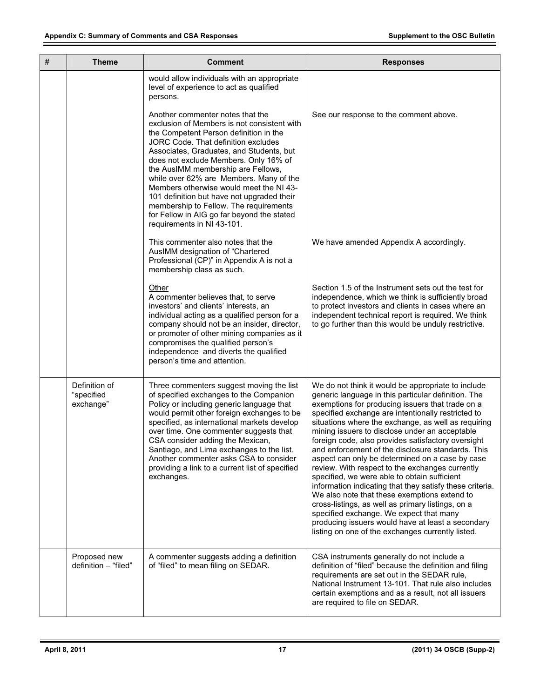| # | <b>Theme</b>                             | <b>Comment</b>                                                                                                                                                                                                                                                                                                                                                                                                                                                                                                                                        | <b>Responses</b>                                                                                                                                                                                                                                                                                                                                                                                                                                                                                                                                                                                                                                                                                                                                                                                                                                                                                                    |
|---|------------------------------------------|-------------------------------------------------------------------------------------------------------------------------------------------------------------------------------------------------------------------------------------------------------------------------------------------------------------------------------------------------------------------------------------------------------------------------------------------------------------------------------------------------------------------------------------------------------|---------------------------------------------------------------------------------------------------------------------------------------------------------------------------------------------------------------------------------------------------------------------------------------------------------------------------------------------------------------------------------------------------------------------------------------------------------------------------------------------------------------------------------------------------------------------------------------------------------------------------------------------------------------------------------------------------------------------------------------------------------------------------------------------------------------------------------------------------------------------------------------------------------------------|
|   |                                          | would allow individuals with an appropriate<br>level of experience to act as qualified<br>persons.                                                                                                                                                                                                                                                                                                                                                                                                                                                    |                                                                                                                                                                                                                                                                                                                                                                                                                                                                                                                                                                                                                                                                                                                                                                                                                                                                                                                     |
|   |                                          | Another commenter notes that the<br>exclusion of Members is not consistent with<br>the Competent Person definition in the<br>JORC Code. That definition excludes<br>Associates, Graduates, and Students, but<br>does not exclude Members. Only 16% of<br>the AusIMM membership are Fellows,<br>while over 62% are Members. Many of the<br>Members otherwise would meet the NI 43-<br>101 definition but have not upgraded their<br>membership to Fellow. The requirements<br>for Fellow in AIG go far beyond the stated<br>requirements in NI 43-101. | See our response to the comment above.                                                                                                                                                                                                                                                                                                                                                                                                                                                                                                                                                                                                                                                                                                                                                                                                                                                                              |
|   |                                          | This commenter also notes that the<br>AusIMM designation of "Chartered<br>Professional (CP)" in Appendix A is not a<br>membership class as such.                                                                                                                                                                                                                                                                                                                                                                                                      | We have amended Appendix A accordingly.                                                                                                                                                                                                                                                                                                                                                                                                                                                                                                                                                                                                                                                                                                                                                                                                                                                                             |
|   |                                          | Other<br>A commenter believes that, to serve<br>investors' and clients' interests, an<br>individual acting as a qualified person for a<br>company should not be an insider, director,<br>or promoter of other mining companies as it<br>compromises the qualified person's<br>independence and diverts the qualified<br>person's time and attention.                                                                                                                                                                                                  | Section 1.5 of the Instrument sets out the test for<br>independence, which we think is sufficiently broad<br>to protect investors and clients in cases where an<br>independent technical report is required. We think<br>to go further than this would be unduly restrictive.                                                                                                                                                                                                                                                                                                                                                                                                                                                                                                                                                                                                                                       |
|   | Definition of<br>"specified<br>exchange" | Three commenters suggest moving the list<br>of specified exchanges to the Companion<br>Policy or including generic language that<br>would permit other foreign exchanges to be<br>specified, as international markets develop<br>over time. One commenter suggests that<br>CSA consider adding the Mexican,<br>Santiago, and Lima exchanges to the list.<br>Another commenter asks CSA to consider<br>providing a link to a current list of specified<br>exchanges.                                                                                   | We do not think it would be appropriate to include<br>generic language in this particular definition. The<br>exemptions for producing issuers that trade on a<br>specified exchange are intentionally restricted to<br>situations where the exchange, as well as requiring<br>mining issuers to disclose under an acceptable<br>foreign code, also provides satisfactory oversight<br>and enforcement of the disclosure standards. This<br>aspect can only be determined on a case by case<br>review. With respect to the exchanges currently<br>specified, we were able to obtain sufficient<br>information indicating that they satisfy these criteria.<br>We also note that these exemptions extend to<br>cross-listings, as well as primary listings, on a<br>specified exchange. We expect that many<br>producing issuers would have at least a secondary<br>listing on one of the exchanges currently listed. |
|   | Proposed new<br>definition - "filed"     | A commenter suggests adding a definition<br>of "filed" to mean filing on SEDAR.                                                                                                                                                                                                                                                                                                                                                                                                                                                                       | CSA instruments generally do not include a<br>definition of "filed" because the definition and filing<br>requirements are set out in the SEDAR rule,<br>National Instrument 13-101. That rule also includes<br>certain exemptions and as a result, not all issuers<br>are required to file on SEDAR.                                                                                                                                                                                                                                                                                                                                                                                                                                                                                                                                                                                                                |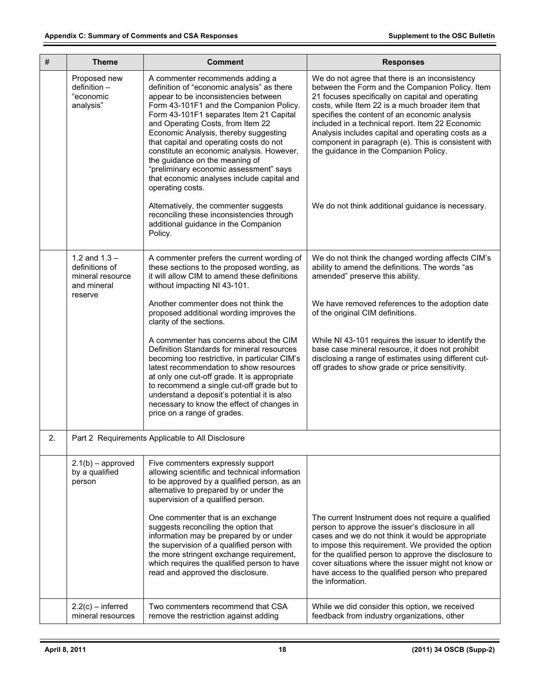| $\#$ | <b>Theme</b>                                                                    | <b>Comment</b>                                                                                                                                                                                                                                                                                                                                                                                                                                                                                                                  | <b>Responses</b>                                                                                                                                                                                                                                                                                                                                                                                                                                                     |
|------|---------------------------------------------------------------------------------|---------------------------------------------------------------------------------------------------------------------------------------------------------------------------------------------------------------------------------------------------------------------------------------------------------------------------------------------------------------------------------------------------------------------------------------------------------------------------------------------------------------------------------|----------------------------------------------------------------------------------------------------------------------------------------------------------------------------------------------------------------------------------------------------------------------------------------------------------------------------------------------------------------------------------------------------------------------------------------------------------------------|
|      | Proposed new<br>$definition -$<br>"economic<br>analysis"                        | A commenter recommends adding a<br>definition of "economic analysis" as there<br>appear to be inconsistencies between<br>Form 43-101F1 and the Companion Policy.<br>Form 43-101F1 separates Item 21 Capital<br>and Operating Costs, from Item 22<br>Economic Analysis, thereby suggesting<br>that capital and operating costs do not<br>constitute an economic analysis. However,<br>the guidance on the meaning of<br>"preliminary economic assessment" says<br>that economic analyses include capital and<br>operating costs. | We do not agree that there is an inconsistency<br>between the Form and the Companion Policy. Item<br>21 focuses specifically on capital and operating<br>costs, while Item 22 is a much broader item that<br>specifies the content of an economic analysis<br>included in a technical report. Item 22 Economic<br>Analysis includes capital and operating costs as a<br>component in paragraph (e). This is consistent with<br>the guidance in the Companion Policy. |
|      |                                                                                 | Alternatively, the commenter suggests<br>reconciling these inconsistencies through<br>additional guidance in the Companion<br>Policy.                                                                                                                                                                                                                                                                                                                                                                                           | We do not think additional guidance is necessary.                                                                                                                                                                                                                                                                                                                                                                                                                    |
|      | 1.2 and $1.3 -$<br>definitions of<br>mineral resource<br>and mineral<br>reserve | A commenter prefers the current wording of<br>these sections to the proposed wording, as<br>it will allow CIM to amend these definitions<br>without impacting NI 43-101.                                                                                                                                                                                                                                                                                                                                                        | We do not think the changed wording affects CIM's<br>ability to amend the definitions. The words "as<br>amended" preserve this ability.                                                                                                                                                                                                                                                                                                                              |
|      |                                                                                 | Another commenter does not think the<br>proposed additional wording improves the<br>clarity of the sections.                                                                                                                                                                                                                                                                                                                                                                                                                    | We have removed references to the adoption date<br>of the original CIM definitions.                                                                                                                                                                                                                                                                                                                                                                                  |
|      |                                                                                 | A commenter has concerns about the CIM<br>Definition Standards for mineral resources<br>becoming too restrictive, in particular CIM's<br>latest recommendation to show resources<br>at only one cut-off grade. It is appropriate<br>to recommend a single cut-off grade but to<br>understand a deposit's potential it is also<br>necessary to know the effect of changes in<br>price on a range of grades.                                                                                                                      | While NI 43-101 requires the issuer to identify the<br>base case mineral resource, it does not prohibit<br>disclosing a range of estimates using different cut-<br>off grades to show grade or price sensitivity.                                                                                                                                                                                                                                                    |
| 2.   |                                                                                 | Part 2 Requirements Applicable to All Disclosure                                                                                                                                                                                                                                                                                                                                                                                                                                                                                |                                                                                                                                                                                                                                                                                                                                                                                                                                                                      |
|      | $2.1(b)$ – approved<br>by a qualified<br>person                                 | Five commenters expressly support<br>allowing scientific and technical information<br>to be approved by a qualified person, as an<br>alternative to prepared by or under the<br>supervision of a qualified person.<br>One commenter that is an exchange                                                                                                                                                                                                                                                                         | The current Instrument does not require a qualified                                                                                                                                                                                                                                                                                                                                                                                                                  |
|      |                                                                                 | suggests reconciling the option that<br>information may be prepared by or under<br>the supervision of a qualified person with<br>the more stringent exchange requirement,<br>which requires the qualified person to have<br>read and approved the disclosure.                                                                                                                                                                                                                                                                   | person to approve the issuer's disclosure in all<br>cases and we do not think it would be appropriate<br>to impose this requirement. We provided the option<br>for the qualified person to approve the disclosure to<br>cover situations where the issuer might not know or<br>have access to the qualified person who prepared<br>the information.                                                                                                                  |
|      | $2.2(c)$ – inferred<br>mineral resources                                        | Two commenters recommend that CSA<br>remove the restriction against adding                                                                                                                                                                                                                                                                                                                                                                                                                                                      | While we did consider this option, we received<br>feedback from industry organizations, other                                                                                                                                                                                                                                                                                                                                                                        |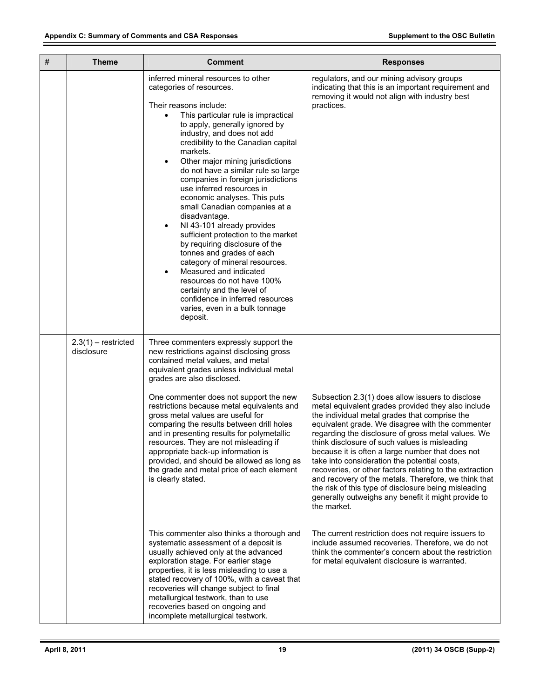| # | <b>Theme</b>                        | <b>Comment</b>                                                                                                                                                                                                                                                                                                                                                                                                                                                                                                                                                                                                                                                                                                                                                                                                                                                                                                                                                                                                       | <b>Responses</b>                                                                                                                                                                                                                                                                                                                                                                                                                                                                                                                                                                                                                                                                                                                                                                                                                                                                           |
|---|-------------------------------------|----------------------------------------------------------------------------------------------------------------------------------------------------------------------------------------------------------------------------------------------------------------------------------------------------------------------------------------------------------------------------------------------------------------------------------------------------------------------------------------------------------------------------------------------------------------------------------------------------------------------------------------------------------------------------------------------------------------------------------------------------------------------------------------------------------------------------------------------------------------------------------------------------------------------------------------------------------------------------------------------------------------------|--------------------------------------------------------------------------------------------------------------------------------------------------------------------------------------------------------------------------------------------------------------------------------------------------------------------------------------------------------------------------------------------------------------------------------------------------------------------------------------------------------------------------------------------------------------------------------------------------------------------------------------------------------------------------------------------------------------------------------------------------------------------------------------------------------------------------------------------------------------------------------------------|
|   |                                     | inferred mineral resources to other<br>categories of resources.<br>Their reasons include:<br>This particular rule is impractical<br>$\bullet$<br>to apply, generally ignored by<br>industry, and does not add<br>credibility to the Canadian capital<br>markets.<br>Other major mining jurisdictions<br>٠<br>do not have a similar rule so large<br>companies in foreign jurisdictions<br>use inferred resources in<br>economic analyses. This puts<br>small Canadian companies at a<br>disadvantage.<br>NI 43-101 already provides<br>$\bullet$<br>sufficient protection to the market<br>by requiring disclosure of the<br>tonnes and grades of each<br>category of mineral resources.<br>Measured and indicated<br>resources do not have 100%<br>certainty and the level of<br>confidence in inferred resources<br>varies, even in a bulk tonnage<br>deposit.                                                                                                                                                     | regulators, and our mining advisory groups<br>indicating that this is an important requirement and<br>removing it would not align with industry best<br>practices.                                                                                                                                                                                                                                                                                                                                                                                                                                                                                                                                                                                                                                                                                                                         |
|   | $2.3(1)$ – restricted<br>disclosure | Three commenters expressly support the<br>new restrictions against disclosing gross<br>contained metal values, and metal<br>equivalent grades unless individual metal<br>grades are also disclosed.<br>One commenter does not support the new<br>restrictions because metal equivalents and<br>gross metal values are useful for<br>comparing the results between drill holes<br>and in presenting results for polymetallic<br>resources. They are not misleading if<br>appropriate back-up information is<br>provided, and should be allowed as long as<br>the grade and metal price of each element<br>is clearly stated.<br>This commenter also thinks a thorough and<br>systematic assessment of a deposit is<br>usually achieved only at the advanced<br>exploration stage. For earlier stage<br>properties, it is less misleading to use a<br>stated recovery of 100%, with a caveat that<br>recoveries will change subject to final<br>metallurgical testwork, than to use<br>recoveries based on ongoing and | Subsection 2.3(1) does allow issuers to disclose<br>metal equivalent grades provided they also include<br>the individual metal grades that comprise the<br>equivalent grade. We disagree with the commenter<br>regarding the disclosure of gross metal values. We<br>think disclosure of such values is misleading<br>because it is often a large number that does not<br>take into consideration the potential costs,<br>recoveries, or other factors relating to the extraction<br>and recovery of the metals. Therefore, we think that<br>the risk of this type of disclosure being misleading<br>generally outweighs any benefit it might provide to<br>the market.<br>The current restriction does not require issuers to<br>include assumed recoveries. Therefore, we do not<br>think the commenter's concern about the restriction<br>for metal equivalent disclosure is warranted. |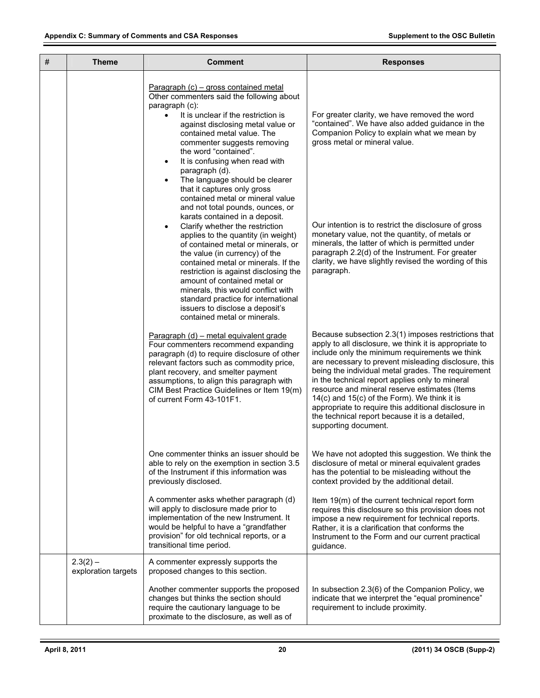| # | <b>Theme</b>                      | <b>Comment</b>                                                                                                                                                                                                                                                                                                                                                                                                                                                                                                                               | <b>Responses</b>                                                                                                                                                                                                                                                                                                                                                                                                                                                                                                                                                    |
|---|-----------------------------------|----------------------------------------------------------------------------------------------------------------------------------------------------------------------------------------------------------------------------------------------------------------------------------------------------------------------------------------------------------------------------------------------------------------------------------------------------------------------------------------------------------------------------------------------|---------------------------------------------------------------------------------------------------------------------------------------------------------------------------------------------------------------------------------------------------------------------------------------------------------------------------------------------------------------------------------------------------------------------------------------------------------------------------------------------------------------------------------------------------------------------|
|   |                                   | Paragraph (c) - gross contained metal<br>Other commenters said the following about<br>paragraph (c):<br>It is unclear if the restriction is<br>$\bullet$<br>against disclosing metal value or<br>contained metal value. The<br>commenter suggests removing<br>the word "contained".<br>It is confusing when read with<br>$\bullet$<br>paragraph (d).<br>The language should be clearer<br>$\bullet$<br>that it captures only gross<br>contained metal or mineral value<br>and not total pounds, ounces, or<br>karats contained in a deposit. | For greater clarity, we have removed the word<br>"contained". We have also added guidance in the<br>Companion Policy to explain what we mean by<br>gross metal or mineral value.                                                                                                                                                                                                                                                                                                                                                                                    |
|   |                                   | Clarify whether the restriction<br>$\bullet$<br>applies to the quantity (in weight)<br>of contained metal or minerals, or<br>the value (in currency) of the<br>contained metal or minerals. If the<br>restriction is against disclosing the<br>amount of contained metal or<br>minerals, this would conflict with<br>standard practice for international<br>issuers to disclose a deposit's<br>contained metal or minerals.                                                                                                                  | Our intention is to restrict the disclosure of gross<br>monetary value, not the quantity, of metals or<br>minerals, the latter of which is permitted under<br>paragraph 2.2(d) of the Instrument. For greater<br>clarity, we have slightly revised the wording of this<br>paragraph.                                                                                                                                                                                                                                                                                |
|   |                                   | Paragraph (d) - metal equivalent grade<br>Four commenters recommend expanding<br>paragraph (d) to require disclosure of other<br>relevant factors such as commodity price,<br>plant recovery, and smelter payment<br>assumptions, to align this paragraph with<br>CIM Best Practice Guidelines or Item 19(m)<br>of current Form 43-101F1.                                                                                                                                                                                                    | Because subsection 2.3(1) imposes restrictions that<br>apply to all disclosure, we think it is appropriate to<br>include only the minimum requirements we think<br>are necessary to prevent misleading disclosure, this<br>being the individual metal grades. The requirement<br>in the technical report applies only to mineral<br>resource and mineral reserve estimates (Items<br>14(c) and 15(c) of the Form). We think it is<br>appropriate to require this additional disclosure in<br>the technical report because it is a detailed,<br>supporting document. |
|   |                                   | One commenter thinks an issuer should be<br>able to rely on the exemption in section 3.5<br>of the Instrument if this information was<br>previously disclosed.                                                                                                                                                                                                                                                                                                                                                                               | We have not adopted this suggestion. We think the<br>disclosure of metal or mineral equivalent grades<br>has the potential to be misleading without the<br>context provided by the additional detail.                                                                                                                                                                                                                                                                                                                                                               |
|   |                                   | A commenter asks whether paragraph (d)<br>will apply to disclosure made prior to<br>implementation of the new Instrument. It<br>would be helpful to have a "grandfather<br>provision" for old technical reports, or a<br>transitional time period.                                                                                                                                                                                                                                                                                           | Item 19(m) of the current technical report form<br>requires this disclosure so this provision does not<br>impose a new requirement for technical reports.<br>Rather, it is a clarification that conforms the<br>Instrument to the Form and our current practical<br>guidance.                                                                                                                                                                                                                                                                                       |
|   | $2.3(2) -$<br>exploration targets | A commenter expressly supports the<br>proposed changes to this section.<br>Another commenter supports the proposed<br>changes but thinks the section should                                                                                                                                                                                                                                                                                                                                                                                  | In subsection 2.3(6) of the Companion Policy, we<br>indicate that we interpret the "equal prominence"                                                                                                                                                                                                                                                                                                                                                                                                                                                               |
|   |                                   | require the cautionary language to be<br>proximate to the disclosure, as well as of                                                                                                                                                                                                                                                                                                                                                                                                                                                          | requirement to include proximity.                                                                                                                                                                                                                                                                                                                                                                                                                                                                                                                                   |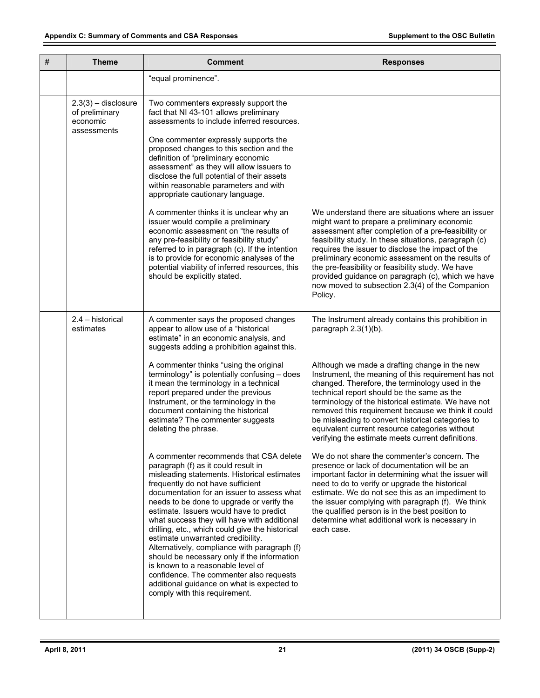| $\#$ | <b>Theme</b>                                                       | <b>Comment</b>                                                                                                                                                                                                                                                                                                                                                                                                                                                                                                                                                                                                                                                                                                                                                                                                                                                                                                                                                                                                                                                                                                                                                                                              | <b>Responses</b>                                                                                                                                                                                                                                                                                                                                                                                                                                                                                                                                                                                                                                                                                                                                                                                                                                                                                                                                                                                    |
|------|--------------------------------------------------------------------|-------------------------------------------------------------------------------------------------------------------------------------------------------------------------------------------------------------------------------------------------------------------------------------------------------------------------------------------------------------------------------------------------------------------------------------------------------------------------------------------------------------------------------------------------------------------------------------------------------------------------------------------------------------------------------------------------------------------------------------------------------------------------------------------------------------------------------------------------------------------------------------------------------------------------------------------------------------------------------------------------------------------------------------------------------------------------------------------------------------------------------------------------------------------------------------------------------------|-----------------------------------------------------------------------------------------------------------------------------------------------------------------------------------------------------------------------------------------------------------------------------------------------------------------------------------------------------------------------------------------------------------------------------------------------------------------------------------------------------------------------------------------------------------------------------------------------------------------------------------------------------------------------------------------------------------------------------------------------------------------------------------------------------------------------------------------------------------------------------------------------------------------------------------------------------------------------------------------------------|
|      |                                                                    | "equal prominence".                                                                                                                                                                                                                                                                                                                                                                                                                                                                                                                                                                                                                                                                                                                                                                                                                                                                                                                                                                                                                                                                                                                                                                                         |                                                                                                                                                                                                                                                                                                                                                                                                                                                                                                                                                                                                                                                                                                                                                                                                                                                                                                                                                                                                     |
|      | $2.3(3)$ - disclosure<br>of preliminary<br>economic<br>assessments | Two commenters expressly support the<br>fact that NI 43-101 allows preliminary<br>assessments to include inferred resources.<br>One commenter expressly supports the<br>proposed changes to this section and the<br>definition of "preliminary economic<br>assessment" as they will allow issuers to<br>disclose the full potential of their assets<br>within reasonable parameters and with<br>appropriate cautionary language.<br>A commenter thinks it is unclear why an<br>issuer would compile a preliminary<br>economic assessment on "the results of<br>any pre-feasibility or feasibility study"<br>referred to in paragraph (c). If the intention<br>is to provide for economic analyses of the<br>potential viability of inferred resources, this<br>should be explicitly stated.                                                                                                                                                                                                                                                                                                                                                                                                                 | We understand there are situations where an issuer<br>might want to prepare a preliminary economic<br>assessment after completion of a pre-feasibility or<br>feasibility study. In these situations, paragraph (c)<br>requires the issuer to disclose the impact of the<br>preliminary economic assessment on the results of<br>the pre-feasibility or feasibility study. We have<br>provided guidance on paragraph (c), which we have<br>now moved to subsection 2.3(4) of the Companion<br>Policy.                                                                                                                                                                                                                                                                                                                                                                                                                                                                                                |
|      | 2.4 - historical<br>estimates                                      | A commenter says the proposed changes<br>appear to allow use of a "historical<br>estimate" in an economic analysis, and<br>suggests adding a prohibition against this.<br>A commenter thinks "using the original<br>terminology" is potentially confusing - does<br>it mean the terminology in a technical<br>report prepared under the previous<br>Instrument, or the terminology in the<br>document containing the historical<br>estimate? The commenter suggests<br>deleting the phrase.<br>A commenter recommends that CSA delete<br>paragraph (f) as it could result in<br>misleading statements. Historical estimates<br>frequently do not have sufficient<br>documentation for an issuer to assess what<br>needs to be done to upgrade or verify the<br>estimate. Issuers would have to predict<br>what success they will have with additional<br>drilling, etc., which could give the historical<br>estimate unwarranted credibility.<br>Alternatively, compliance with paragraph (f)<br>should be necessary only if the information<br>is known to a reasonable level of<br>confidence. The commenter also requests<br>additional guidance on what is expected to<br>comply with this requirement. | The Instrument already contains this prohibition in<br>paragraph 2.3(1)(b).<br>Although we made a drafting change in the new<br>Instrument, the meaning of this requirement has not<br>changed. Therefore, the terminology used in the<br>technical report should be the same as the<br>terminology of the historical estimate. We have not<br>removed this requirement because we think it could<br>be misleading to convert historical categories to<br>equivalent current resource categories without<br>verifying the estimate meets current definitions.<br>We do not share the commenter's concern. The<br>presence or lack of documentation will be an<br>important factor in determining what the issuer will<br>need to do to verify or upgrade the historical<br>estimate. We do not see this as an impediment to<br>the issuer complying with paragraph (f). We think<br>the qualified person is in the best position to<br>determine what additional work is necessary in<br>each case. |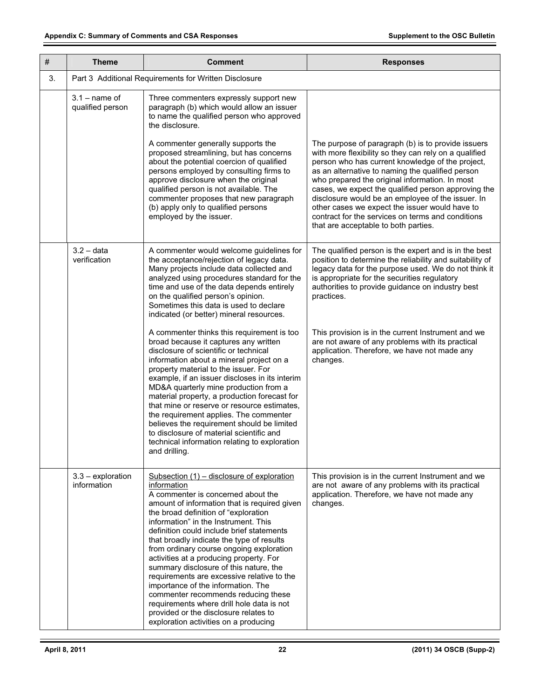| $\#$ | <b>Theme</b>                        | <b>Comment</b>                                                                                                                                                                                                                                                                                                                                                                                                                                                                                                                                                                                                                                                                                                         | <b>Responses</b>                                                                                                                                                                                                                                                                                                                                                                                                                                                                                                                 |
|------|-------------------------------------|------------------------------------------------------------------------------------------------------------------------------------------------------------------------------------------------------------------------------------------------------------------------------------------------------------------------------------------------------------------------------------------------------------------------------------------------------------------------------------------------------------------------------------------------------------------------------------------------------------------------------------------------------------------------------------------------------------------------|----------------------------------------------------------------------------------------------------------------------------------------------------------------------------------------------------------------------------------------------------------------------------------------------------------------------------------------------------------------------------------------------------------------------------------------------------------------------------------------------------------------------------------|
| 3.   |                                     | Part 3 Additional Requirements for Written Disclosure                                                                                                                                                                                                                                                                                                                                                                                                                                                                                                                                                                                                                                                                  |                                                                                                                                                                                                                                                                                                                                                                                                                                                                                                                                  |
|      | $3.1 - name of$<br>qualified person | Three commenters expressly support new<br>paragraph (b) which would allow an issuer<br>to name the qualified person who approved<br>the disclosure.                                                                                                                                                                                                                                                                                                                                                                                                                                                                                                                                                                    |                                                                                                                                                                                                                                                                                                                                                                                                                                                                                                                                  |
|      |                                     | A commenter generally supports the<br>proposed streamlining, but has concerns<br>about the potential coercion of qualified<br>persons employed by consulting firms to<br>approve disclosure when the original<br>qualified person is not available. The<br>commenter proposes that new paragraph<br>(b) apply only to qualified persons<br>employed by the issuer.                                                                                                                                                                                                                                                                                                                                                     | The purpose of paragraph (b) is to provide issuers<br>with more flexibility so they can rely on a qualified<br>person who has current knowledge of the project,<br>as an alternative to naming the qualified person<br>who prepared the original information. In most<br>cases, we expect the qualified person approving the<br>disclosure would be an employee of the issuer. In<br>other cases we expect the issuer would have to<br>contract for the services on terms and conditions<br>that are acceptable to both parties. |
|      | $3.2 - data$<br>verification        | A commenter would welcome guidelines for<br>the acceptance/rejection of legacy data.<br>Many projects include data collected and<br>analyzed using procedures standard for the<br>time and use of the data depends entirely<br>on the qualified person's opinion.<br>Sometimes this data is used to declare<br>indicated (or better) mineral resources.                                                                                                                                                                                                                                                                                                                                                                | The qualified person is the expert and is in the best<br>position to determine the reliability and suitability of<br>legacy data for the purpose used. We do not think it<br>is appropriate for the securities regulatory<br>authorities to provide guidance on industry best<br>practices.                                                                                                                                                                                                                                      |
|      |                                     | A commenter thinks this requirement is too<br>broad because it captures any written<br>disclosure of scientific or technical<br>information about a mineral project on a<br>property material to the issuer. For<br>example, if an issuer discloses in its interim<br>MD&A quarterly mine production from a<br>material property, a production forecast for<br>that mine or reserve or resource estimates,<br>the requirement applies. The commenter<br>believes the requirement should be limited<br>to disclosure of material scientific and<br>technical information relating to exploration<br>and drilling.                                                                                                       | This provision is in the current Instrument and we<br>are not aware of any problems with its practical<br>application. Therefore, we have not made any<br>changes.                                                                                                                                                                                                                                                                                                                                                               |
|      | $3.3$ – exploration<br>information  | Subsection $(1)$ – disclosure of exploration<br>information<br>A commenter is concerned about the<br>amount of information that is required given<br>the broad definition of "exploration<br>information" in the Instrument. This<br>definition could include brief statements<br>that broadly indicate the type of results<br>from ordinary course ongoing exploration<br>activities at a producing property. For<br>summary disclosure of this nature, the<br>requirements are excessive relative to the<br>importance of the information. The<br>commenter recommends reducing these<br>requirements where drill hole data is not<br>provided or the disclosure relates to<br>exploration activities on a producing | This provision is in the current Instrument and we<br>are not aware of any problems with its practical<br>application. Therefore, we have not made any<br>changes.                                                                                                                                                                                                                                                                                                                                                               |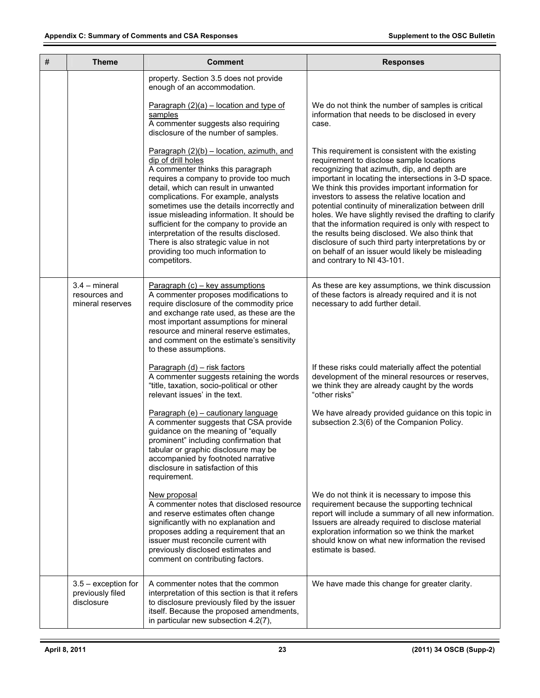| # | <b>Theme</b>                                            | <b>Comment</b>                                                                                                                                                                                                                                                                                                                                                                                                                                                                                                 | <b>Responses</b>                                                                                                                                                                                                                                                                                                                                                                                                                                                                                                                                                                                                                                                                     |
|---|---------------------------------------------------------|----------------------------------------------------------------------------------------------------------------------------------------------------------------------------------------------------------------------------------------------------------------------------------------------------------------------------------------------------------------------------------------------------------------------------------------------------------------------------------------------------------------|--------------------------------------------------------------------------------------------------------------------------------------------------------------------------------------------------------------------------------------------------------------------------------------------------------------------------------------------------------------------------------------------------------------------------------------------------------------------------------------------------------------------------------------------------------------------------------------------------------------------------------------------------------------------------------------|
|   |                                                         | property. Section 3.5 does not provide<br>enough of an accommodation.                                                                                                                                                                                                                                                                                                                                                                                                                                          |                                                                                                                                                                                                                                                                                                                                                                                                                                                                                                                                                                                                                                                                                      |
|   |                                                         | Paragraph $(2)(a)$ – location and type of<br>samples<br>A commenter suggests also requiring<br>disclosure of the number of samples.                                                                                                                                                                                                                                                                                                                                                                            | We do not think the number of samples is critical<br>information that needs to be disclosed in every<br>case.                                                                                                                                                                                                                                                                                                                                                                                                                                                                                                                                                                        |
|   |                                                         | Paragraph (2)(b) - location, azimuth, and<br>dip of drill holes<br>A commenter thinks this paragraph<br>requires a company to provide too much<br>detail, which can result in unwanted<br>complications. For example, analysts<br>sometimes use the details incorrectly and<br>issue misleading information. It should be<br>sufficient for the company to provide an<br>interpretation of the results disclosed.<br>There is also strategic value in not<br>providing too much information to<br>competitors. | This requirement is consistent with the existing<br>requirement to disclose sample locations<br>recognizing that azimuth, dip, and depth are<br>important in locating the intersections in 3-D space.<br>We think this provides important information for<br>investors to assess the relative location and<br>potential continuity of mineralization between drill<br>holes. We have slightly revised the drafting to clarify<br>that the information required is only with respect to<br>the results being disclosed. We also think that<br>disclosure of such third party interpretations by or<br>on behalf of an issuer would likely be misleading<br>and contrary to NI 43-101. |
|   | $3.4$ – mineral<br>resources and<br>mineral reserves    | Paragraph $(c)$ – key assumptions<br>A commenter proposes modifications to<br>require disclosure of the commodity price<br>and exchange rate used, as these are the<br>most important assumptions for mineral<br>resource and mineral reserve estimates,<br>and comment on the estimate's sensitivity<br>to these assumptions.                                                                                                                                                                                 | As these are key assumptions, we think discussion<br>of these factors is already required and it is not<br>necessary to add further detail.                                                                                                                                                                                                                                                                                                                                                                                                                                                                                                                                          |
|   |                                                         | Paragraph (d) - risk factors<br>A commenter suggests retaining the words<br>"title, taxation, socio-political or other<br>relevant issues' in the text.                                                                                                                                                                                                                                                                                                                                                        | If these risks could materially affect the potential<br>development of the mineral resources or reserves,<br>we think they are already caught by the words<br>"other risks"                                                                                                                                                                                                                                                                                                                                                                                                                                                                                                          |
|   |                                                         | Paragraph (e) - cautionary language<br>A commenter suggests that CSA provide<br>guidance on the meaning of "equally<br>prominent" including confirmation that<br>tabular or graphic disclosure may be<br>accompanied by footnoted narrative<br>disclosure in satisfaction of this<br>requirement.                                                                                                                                                                                                              | We have already provided guidance on this topic in<br>subsection 2.3(6) of the Companion Policy.                                                                                                                                                                                                                                                                                                                                                                                                                                                                                                                                                                                     |
|   |                                                         | New proposal<br>A commenter notes that disclosed resource<br>and reserve estimates often change<br>significantly with no explanation and<br>proposes adding a requirement that an<br>issuer must reconcile current with<br>previously disclosed estimates and<br>comment on contributing factors.                                                                                                                                                                                                              | We do not think it is necessary to impose this<br>requirement because the supporting technical<br>report will include a summary of all new information.<br>Issuers are already required to disclose material<br>exploration information so we think the market<br>should know on what new information the revised<br>estimate is based.                                                                                                                                                                                                                                                                                                                                              |
|   | $3.5$ – exception for<br>previously filed<br>disclosure | A commenter notes that the common<br>interpretation of this section is that it refers<br>to disclosure previously filed by the issuer<br>itself. Because the proposed amendments,<br>in particular new subsection 4.2(7),                                                                                                                                                                                                                                                                                      | We have made this change for greater clarity.                                                                                                                                                                                                                                                                                                                                                                                                                                                                                                                                                                                                                                        |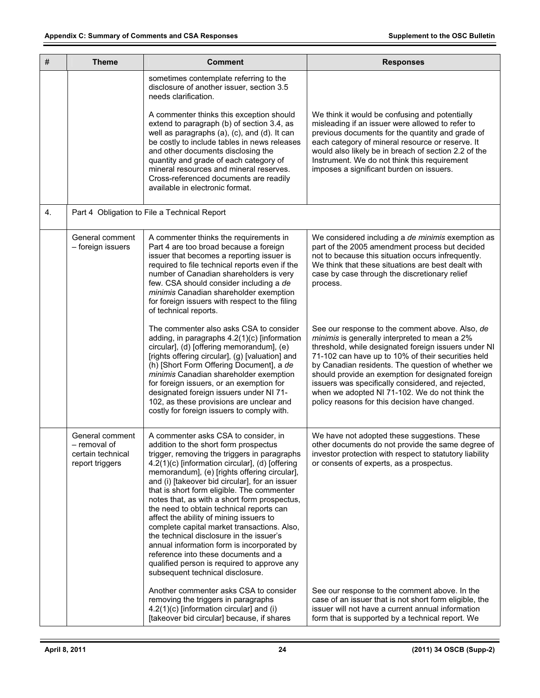| $\#$ | <b>Theme</b>                                                            | <b>Comment</b>                                                                                                                                                                                                                                                                                                                                                                                                                                                                                                                                                                                                                                                                                                                              | <b>Responses</b>                                                                                                                                                                                                                                                                                                                                                                                                                                                                    |
|------|-------------------------------------------------------------------------|---------------------------------------------------------------------------------------------------------------------------------------------------------------------------------------------------------------------------------------------------------------------------------------------------------------------------------------------------------------------------------------------------------------------------------------------------------------------------------------------------------------------------------------------------------------------------------------------------------------------------------------------------------------------------------------------------------------------------------------------|-------------------------------------------------------------------------------------------------------------------------------------------------------------------------------------------------------------------------------------------------------------------------------------------------------------------------------------------------------------------------------------------------------------------------------------------------------------------------------------|
|      |                                                                         | sometimes contemplate referring to the<br>disclosure of another issuer, section 3.5<br>needs clarification.<br>A commenter thinks this exception should<br>extend to paragraph (b) of section 3.4, as                                                                                                                                                                                                                                                                                                                                                                                                                                                                                                                                       | We think it would be confusing and potentially<br>misleading if an issuer were allowed to refer to                                                                                                                                                                                                                                                                                                                                                                                  |
|      |                                                                         | well as paragraphs (a), (c), and (d). It can<br>be costly to include tables in news releases<br>and other documents disclosing the<br>quantity and grade of each category of<br>mineral resources and mineral reserves.<br>Cross-referenced documents are readily<br>available in electronic format.                                                                                                                                                                                                                                                                                                                                                                                                                                        | previous documents for the quantity and grade of<br>each category of mineral resource or reserve. It<br>would also likely be in breach of section 2.2 of the<br>Instrument. We do not think this requirement<br>imposes a significant burden on issuers.                                                                                                                                                                                                                            |
| 4.   |                                                                         | Part 4 Obligation to File a Technical Report                                                                                                                                                                                                                                                                                                                                                                                                                                                                                                                                                                                                                                                                                                |                                                                                                                                                                                                                                                                                                                                                                                                                                                                                     |
|      | General comment<br>- foreign issuers                                    | A commenter thinks the requirements in<br>Part 4 are too broad because a foreign<br>issuer that becomes a reporting issuer is<br>required to file technical reports even if the<br>number of Canadian shareholders is very<br>few. CSA should consider including a de<br>minimis Canadian shareholder exemption<br>for foreign issuers with respect to the filing<br>of technical reports.                                                                                                                                                                                                                                                                                                                                                  | We considered including a de minimis exemption as<br>part of the 2005 amendment process but decided<br>not to because this situation occurs infrequently.<br>We think that these situations are best dealt with<br>case by case through the discretionary relief<br>process.                                                                                                                                                                                                        |
|      |                                                                         | The commenter also asks CSA to consider<br>adding, in paragraphs 4.2(1)(c) [information<br>circular], (d) [offering memorandum], (e)<br>[rights offering circular], (g) [valuation] and<br>(h) [Short Form Offering Document], a de<br>minimis Canadian shareholder exemption<br>for foreign issuers, or an exemption for<br>designated foreign issuers under NI 71-<br>102, as these provisions are unclear and<br>costly for foreign issuers to comply with.                                                                                                                                                                                                                                                                              | See our response to the comment above. Also, de<br>minimis is generally interpreted to mean a 2%<br>threshold, while designated foreign issuers under NI<br>71-102 can have up to 10% of their securities held<br>by Canadian residents. The question of whether we<br>should provide an exemption for designated foreign<br>issuers was specifically considered, and rejected,<br>when we adopted NI 71-102. We do not think the<br>policy reasons for this decision have changed. |
|      | General comment<br>- removal of<br>certain technical<br>report triggers | A commenter asks CSA to consider, in<br>addition to the short form prospectus<br>trigger, removing the triggers in paragraphs<br>4.2(1)(c) [information circular], (d) [offering<br>memorandum], (e) [rights offering circular],<br>and (i) [takeover bid circular], for an issuer<br>that is short form eligible. The commenter<br>notes that, as with a short form prospectus,<br>the need to obtain technical reports can<br>affect the ability of mining issuers to<br>complete capital market transactions. Also,<br>the technical disclosure in the issuer's<br>annual information form is incorporated by<br>reference into these documents and a<br>qualified person is required to approve any<br>subsequent technical disclosure. | We have not adopted these suggestions. These<br>other documents do not provide the same degree of<br>investor protection with respect to statutory liability<br>or consents of experts, as a prospectus.                                                                                                                                                                                                                                                                            |
|      |                                                                         | Another commenter asks CSA to consider<br>removing the triggers in paragraphs<br>4.2(1)(c) [information circular] and (i)<br>[takeover bid circular] because, if shares                                                                                                                                                                                                                                                                                                                                                                                                                                                                                                                                                                     | See our response to the comment above. In the<br>case of an issuer that is not short form eligible, the<br>issuer will not have a current annual information<br>form that is supported by a technical report. We                                                                                                                                                                                                                                                                    |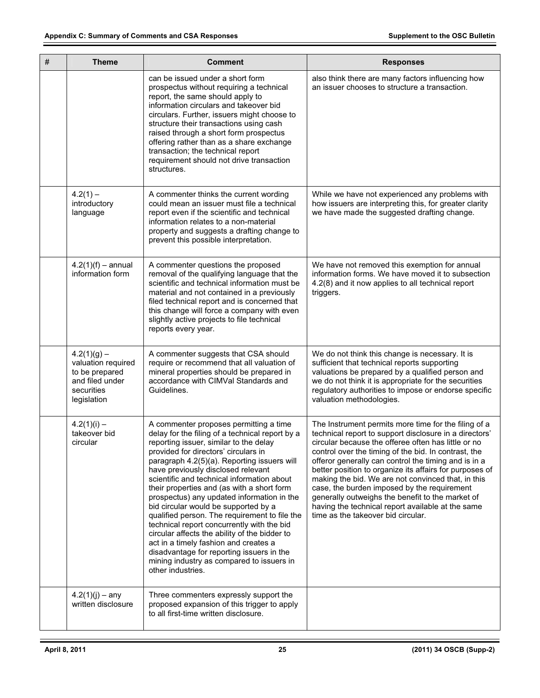| $\#$ | <b>Theme</b>                                                                                          | <b>Comment</b>                                                                                                                                                                                                                                                                                                                                                                                                                                                                                                                                                                                                                                                                                                                                             | <b>Responses</b>                                                                                                                                                                                                                                                                                                                                                                                                                                                                                                                                                                                     |
|------|-------------------------------------------------------------------------------------------------------|------------------------------------------------------------------------------------------------------------------------------------------------------------------------------------------------------------------------------------------------------------------------------------------------------------------------------------------------------------------------------------------------------------------------------------------------------------------------------------------------------------------------------------------------------------------------------------------------------------------------------------------------------------------------------------------------------------------------------------------------------------|------------------------------------------------------------------------------------------------------------------------------------------------------------------------------------------------------------------------------------------------------------------------------------------------------------------------------------------------------------------------------------------------------------------------------------------------------------------------------------------------------------------------------------------------------------------------------------------------------|
|      |                                                                                                       | can be issued under a short form<br>prospectus without requiring a technical<br>report, the same should apply to<br>information circulars and takeover bid<br>circulars. Further, issuers might choose to<br>structure their transactions using cash<br>raised through a short form prospectus<br>offering rather than as a share exchange<br>transaction; the technical report<br>requirement should not drive transaction<br>structures.                                                                                                                                                                                                                                                                                                                 | also think there are many factors influencing how<br>an issuer chooses to structure a transaction.                                                                                                                                                                                                                                                                                                                                                                                                                                                                                                   |
|      | $4.2(1) -$<br>introductory<br>language                                                                | A commenter thinks the current wording<br>could mean an issuer must file a technical<br>report even if the scientific and technical<br>information relates to a non-material<br>property and suggests a drafting change to<br>prevent this possible interpretation.                                                                                                                                                                                                                                                                                                                                                                                                                                                                                        | While we have not experienced any problems with<br>how issuers are interpreting this, for greater clarity<br>we have made the suggested drafting change.                                                                                                                                                                                                                                                                                                                                                                                                                                             |
|      | $4.2(1)(f) - annual$<br>information form                                                              | A commenter questions the proposed<br>removal of the qualifying language that the<br>scientific and technical information must be<br>material and not contained in a previously<br>filed technical report and is concerned that<br>this change will force a company with even<br>slightly active projects to file technical<br>reports every year.                                                                                                                                                                                                                                                                                                                                                                                                         | We have not removed this exemption for annual<br>information forms. We have moved it to subsection<br>4.2(8) and it now applies to all technical report<br>triggers.                                                                                                                                                                                                                                                                                                                                                                                                                                 |
|      | $4.2(1)(g) -$<br>valuation required<br>to be prepared<br>and filed under<br>securities<br>legislation | A commenter suggests that CSA should<br>require or recommend that all valuation of<br>mineral properties should be prepared in<br>accordance with CIMVal Standards and<br>Guidelines.                                                                                                                                                                                                                                                                                                                                                                                                                                                                                                                                                                      | We do not think this change is necessary. It is<br>sufficient that technical reports supporting<br>valuations be prepared by a qualified person and<br>we do not think it is appropriate for the securities<br>regulatory authorities to impose or endorse specific<br>valuation methodologies.                                                                                                                                                                                                                                                                                                      |
|      | $4.2(1)(i) -$<br>takeover bid<br>circular                                                             | A commenter proposes permitting a time<br>delay for the filing of a technical report by a<br>reporting issuer, similar to the delay<br>provided for directors' circulars in<br>paragraph 4.2(5)(a). Reporting issuers will<br>have previously disclosed relevant<br>scientific and technical information about<br>their properties and (as with a short form<br>prospectus) any updated information in the<br>bid circular would be supported by a<br>qualified person. The requirement to file the<br>technical report concurrently with the bid<br>circular affects the ability of the bidder to<br>act in a timely fashion and creates a<br>disadvantage for reporting issuers in the<br>mining industry as compared to issuers in<br>other industries. | The Instrument permits more time for the filing of a<br>technical report to support disclosure in a directors'<br>circular because the offeree often has little or no<br>control over the timing of the bid. In contrast, the<br>offeror generally can control the timing and is in a<br>better position to organize its affairs for purposes of<br>making the bid. We are not convinced that, in this<br>case, the burden imposed by the requirement<br>generally outweighs the benefit to the market of<br>having the technical report available at the same<br>time as the takeover bid circular. |
|      | $4.2(1)(j) - any$<br>written disclosure                                                               | Three commenters expressly support the<br>proposed expansion of this trigger to apply<br>to all first-time written disclosure.                                                                                                                                                                                                                                                                                                                                                                                                                                                                                                                                                                                                                             |                                                                                                                                                                                                                                                                                                                                                                                                                                                                                                                                                                                                      |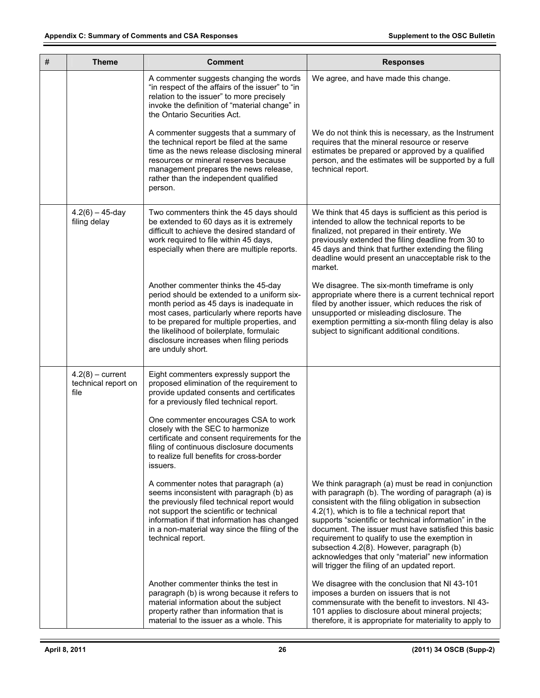| # | <b>Theme</b>                                      | <b>Comment</b>                                                                                                                                                                                                                                                                                                                            | <b>Responses</b>                                                                                                                                                                                                                                                                                                                                                                                                                                                                                                                          |
|---|---------------------------------------------------|-------------------------------------------------------------------------------------------------------------------------------------------------------------------------------------------------------------------------------------------------------------------------------------------------------------------------------------------|-------------------------------------------------------------------------------------------------------------------------------------------------------------------------------------------------------------------------------------------------------------------------------------------------------------------------------------------------------------------------------------------------------------------------------------------------------------------------------------------------------------------------------------------|
|   |                                                   | A commenter suggests changing the words<br>"in respect of the affairs of the issuer" to "in<br>relation to the issuer" to more precisely<br>invoke the definition of "material change" in<br>the Ontario Securities Act.                                                                                                                  | We agree, and have made this change.                                                                                                                                                                                                                                                                                                                                                                                                                                                                                                      |
|   |                                                   | A commenter suggests that a summary of<br>the technical report be filed at the same<br>time as the news release disclosing mineral<br>resources or mineral reserves because<br>management prepares the news release,<br>rather than the independent qualified<br>person.                                                                  | We do not think this is necessary, as the Instrument<br>requires that the mineral resource or reserve<br>estimates be prepared or approved by a qualified<br>person, and the estimates will be supported by a full<br>technical report.                                                                                                                                                                                                                                                                                                   |
|   | $4.2(6) - 45$ -day<br>filing delay                | Two commenters think the 45 days should<br>be extended to 60 days as it is extremely<br>difficult to achieve the desired standard of<br>work required to file within 45 days,<br>especially when there are multiple reports.                                                                                                              | We think that 45 days is sufficient as this period is<br>intended to allow the technical reports to be<br>finalized, not prepared in their entirety. We<br>previously extended the filing deadline from 30 to<br>45 days and think that further extending the filing<br>deadline would present an unacceptable risk to the<br>market.                                                                                                                                                                                                     |
|   |                                                   | Another commenter thinks the 45-day<br>period should be extended to a uniform six-<br>month period as 45 days is inadequate in<br>most cases, particularly where reports have<br>to be prepared for multiple properties, and<br>the likelihood of boilerplate, formulaic<br>disclosure increases when filing periods<br>are unduly short. | We disagree. The six-month timeframe is only<br>appropriate where there is a current technical report<br>filed by another issuer, which reduces the risk of<br>unsupported or misleading disclosure. The<br>exemption permitting a six-month filing delay is also<br>subject to significant additional conditions.                                                                                                                                                                                                                        |
|   | $4.2(8)$ – current<br>technical report on<br>file | Eight commenters expressly support the<br>proposed elimination of the requirement to<br>provide updated consents and certificates<br>for a previously filed technical report.                                                                                                                                                             |                                                                                                                                                                                                                                                                                                                                                                                                                                                                                                                                           |
|   |                                                   | One commenter encourages CSA to work<br>closely with the SEC to harmonize<br>certificate and consent requirements for the<br>filing of continuous disclosure documents<br>to realize full benefits for cross-border<br>issuers.                                                                                                           |                                                                                                                                                                                                                                                                                                                                                                                                                                                                                                                                           |
|   |                                                   | A commenter notes that paragraph (a)<br>seems inconsistent with paragraph (b) as<br>the previously filed technical report would<br>not support the scientific or technical<br>information if that information has changed<br>in a non-material way since the filing of the<br>technical report.                                           | We think paragraph (a) must be read in conjunction<br>with paragraph (b). The wording of paragraph (a) is<br>consistent with the filing obligation in subsection<br>4.2(1), which is to file a technical report that<br>supports "scientific or technical information" in the<br>document. The issuer must have satisfied this basic<br>requirement to qualify to use the exemption in<br>subsection 4.2(8). However, paragraph (b)<br>acknowledges that only "material" new information<br>will trigger the filing of an updated report. |
|   |                                                   | Another commenter thinks the test in<br>paragraph (b) is wrong because it refers to<br>material information about the subject<br>property rather than information that is<br>material to the issuer as a whole. This                                                                                                                      | We disagree with the conclusion that NI 43-101<br>imposes a burden on issuers that is not<br>commensurate with the benefit to investors. NI 43-<br>101 applies to disclosure about mineral projects;<br>therefore, it is appropriate for materiality to apply to                                                                                                                                                                                                                                                                          |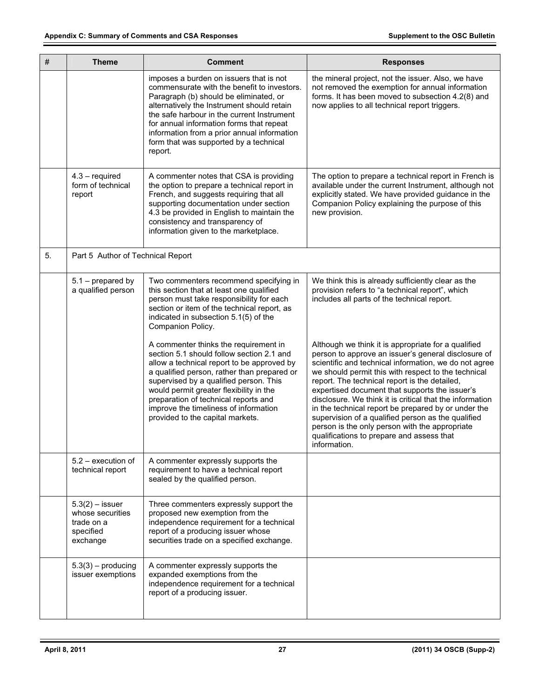| $\#$ | <b>Theme</b>                                                                 | <b>Comment</b>                                                                                                                                                                                                                                                                                                                                                                            | <b>Responses</b>                                                                                                                                                                                                                                                                                                                                                                                                                                                                                                                                                                                                      |
|------|------------------------------------------------------------------------------|-------------------------------------------------------------------------------------------------------------------------------------------------------------------------------------------------------------------------------------------------------------------------------------------------------------------------------------------------------------------------------------------|-----------------------------------------------------------------------------------------------------------------------------------------------------------------------------------------------------------------------------------------------------------------------------------------------------------------------------------------------------------------------------------------------------------------------------------------------------------------------------------------------------------------------------------------------------------------------------------------------------------------------|
|      |                                                                              | imposes a burden on issuers that is not<br>commensurate with the benefit to investors.<br>Paragraph (b) should be eliminated, or<br>alternatively the Instrument should retain<br>the safe harbour in the current Instrument<br>for annual information forms that repeat<br>information from a prior annual information<br>form that was supported by a technical<br>report.              | the mineral project, not the issuer. Also, we have<br>not removed the exemption for annual information<br>forms. It has been moved to subsection 4.2(8) and<br>now applies to all technical report triggers.                                                                                                                                                                                                                                                                                                                                                                                                          |
|      | $4.3$ – required<br>form of technical<br>report                              | A commenter notes that CSA is providing<br>the option to prepare a technical report in<br>French, and suggests requiring that all<br>supporting documentation under section<br>4.3 be provided in English to maintain the<br>consistency and transparency of<br>information given to the marketplace.                                                                                     | The option to prepare a technical report in French is<br>available under the current Instrument, although not<br>explicitly stated. We have provided guidance in the<br>Companion Policy explaining the purpose of this<br>new provision.                                                                                                                                                                                                                                                                                                                                                                             |
| 5.   | Part 5 Author of Technical Report                                            |                                                                                                                                                                                                                                                                                                                                                                                           |                                                                                                                                                                                                                                                                                                                                                                                                                                                                                                                                                                                                                       |
|      | 5.1 - prepared by<br>a qualified person                                      | Two commenters recommend specifying in<br>this section that at least one qualified<br>person must take responsibility for each<br>section or item of the technical report, as<br>indicated in subsection 5.1(5) of the<br>Companion Policy.                                                                                                                                               | We think this is already sufficiently clear as the<br>provision refers to "a technical report", which<br>includes all parts of the technical report.                                                                                                                                                                                                                                                                                                                                                                                                                                                                  |
|      |                                                                              | A commenter thinks the requirement in<br>section 5.1 should follow section 2.1 and<br>allow a technical report to be approved by<br>a qualified person, rather than prepared or<br>supervised by a qualified person. This<br>would permit greater flexibility in the<br>preparation of technical reports and<br>improve the timeliness of information<br>provided to the capital markets. | Although we think it is appropriate for a qualified<br>person to approve an issuer's general disclosure of<br>scientific and technical information, we do not agree<br>we should permit this with respect to the technical<br>report. The technical report is the detailed,<br>expertised document that supports the issuer's<br>disclosure. We think it is critical that the information<br>in the technical report be prepared by or under the<br>supervision of a qualified person as the qualified<br>person is the only person with the appropriate<br>qualifications to prepare and assess that<br>information. |
|      | $5.2$ – execution of<br>technical report                                     | A commenter expressly supports the<br>requirement to have a technical report<br>sealed by the qualified person.                                                                                                                                                                                                                                                                           |                                                                                                                                                                                                                                                                                                                                                                                                                                                                                                                                                                                                                       |
|      | $5.3(2)$ – issuer<br>whose securities<br>trade on a<br>specified<br>exchange | Three commenters expressly support the<br>proposed new exemption from the<br>independence requirement for a technical<br>report of a producing issuer whose<br>securities trade on a specified exchange.                                                                                                                                                                                  |                                                                                                                                                                                                                                                                                                                                                                                                                                                                                                                                                                                                                       |
|      | $5.3(3)$ - producing<br>issuer exemptions                                    | A commenter expressly supports the<br>expanded exemptions from the<br>independence requirement for a technical<br>report of a producing issuer.                                                                                                                                                                                                                                           |                                                                                                                                                                                                                                                                                                                                                                                                                                                                                                                                                                                                                       |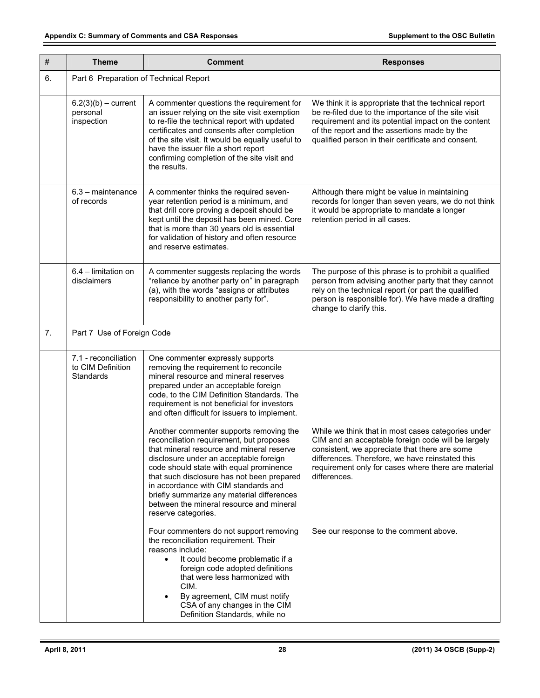| $\#$ | <b>Theme</b>                                           | <b>Comment</b>                                                                                                                                                                                                                                                                                                                                                                                                                                                                                                                                                                  | <b>Responses</b>                                                                                                                                                                                                                                                                    |
|------|--------------------------------------------------------|---------------------------------------------------------------------------------------------------------------------------------------------------------------------------------------------------------------------------------------------------------------------------------------------------------------------------------------------------------------------------------------------------------------------------------------------------------------------------------------------------------------------------------------------------------------------------------|-------------------------------------------------------------------------------------------------------------------------------------------------------------------------------------------------------------------------------------------------------------------------------------|
| 6.   | Part 6 Preparation of Technical Report                 |                                                                                                                                                                                                                                                                                                                                                                                                                                                                                                                                                                                 |                                                                                                                                                                                                                                                                                     |
|      | $6.2(3)(b)$ – current<br>personal<br>inspection        | A commenter questions the requirement for<br>an issuer relying on the site visit exemption<br>to re-file the technical report with updated<br>certificates and consents after completion<br>of the site visit. It would be equally useful to<br>have the issuer file a short report<br>confirming completion of the site visit and<br>the results.                                                                                                                                                                                                                              | We think it is appropriate that the technical report<br>be re-filed due to the importance of the site visit<br>requirement and its potential impact on the content<br>of the report and the assertions made by the<br>qualified person in their certificate and consent.            |
|      | 6.3 - maintenance<br>of records                        | A commenter thinks the required seven-<br>year retention period is a minimum, and<br>that drill core proving a deposit should be<br>kept until the deposit has been mined. Core<br>that is more than 30 years old is essential<br>for validation of history and often resource<br>and reserve estimates.                                                                                                                                                                                                                                                                        | Although there might be value in maintaining<br>records for longer than seven years, we do not think<br>it would be appropriate to mandate a longer<br>retention period in all cases.                                                                                               |
|      | 6.4 - limitation on<br>disclaimers                     | A commenter suggests replacing the words<br>"reliance by another party on" in paragraph<br>(a), with the words "assigns or attributes<br>responsibility to another party for".                                                                                                                                                                                                                                                                                                                                                                                                  | The purpose of this phrase is to prohibit a qualified<br>person from advising another party that they cannot<br>rely on the technical report (or part the qualified<br>person is responsible for). We have made a drafting<br>change to clarify this.                               |
| 7.   | Part 7 Use of Foreign Code                             |                                                                                                                                                                                                                                                                                                                                                                                                                                                                                                                                                                                 |                                                                                                                                                                                                                                                                                     |
|      | 7.1 - reconciliation<br>to CIM Definition<br>Standards | One commenter expressly supports<br>removing the requirement to reconcile<br>mineral resource and mineral reserves<br>prepared under an acceptable foreign<br>code, to the CIM Definition Standards. The<br>requirement is not beneficial for investors<br>and often difficult for issuers to implement.<br>Another commenter supports removing the<br>reconciliation requirement, but proposes<br>that mineral resource and mineral reserve<br>disclosure under an acceptable foreign<br>code should state with equal prominence<br>that such disclosure has not been prepared | While we think that in most cases categories under<br>CIM and an acceptable foreign code will be largely<br>consistent, we appreciate that there are some<br>differences. Therefore, we have reinstated this<br>requirement only for cases where there are material<br>differences. |
|      |                                                        | in accordance with CIM standards and<br>briefly summarize any material differences<br>between the mineral resource and mineral<br>reserve categories.                                                                                                                                                                                                                                                                                                                                                                                                                           |                                                                                                                                                                                                                                                                                     |
|      |                                                        | Four commenters do not support removing<br>the reconciliation requirement. Their<br>reasons include:<br>It could become problematic if a<br>$\bullet$<br>foreign code adopted definitions<br>that were less harmonized with<br>CIM.                                                                                                                                                                                                                                                                                                                                             | See our response to the comment above.                                                                                                                                                                                                                                              |
|      |                                                        | By agreement, CIM must notify<br>$\bullet$<br>CSA of any changes in the CIM<br>Definition Standards, while no                                                                                                                                                                                                                                                                                                                                                                                                                                                                   |                                                                                                                                                                                                                                                                                     |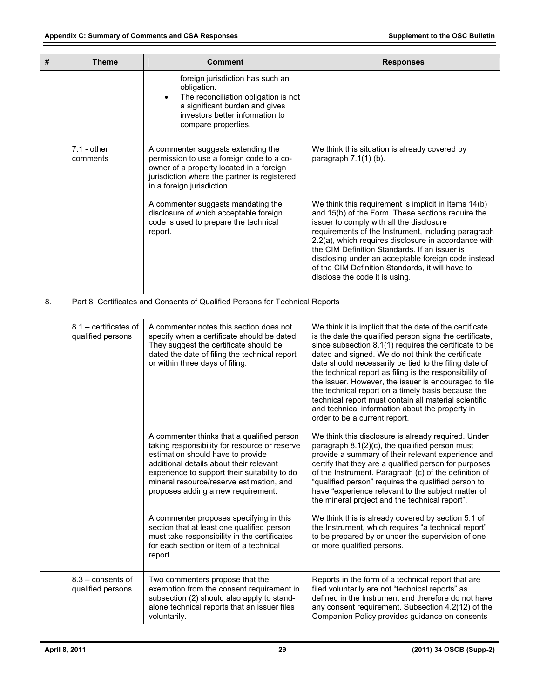| #  | <b>Theme</b>                                 | <b>Comment</b>                                                                                                                                                                                                                                                                                                 | <b>Responses</b>                                                                                                                                                                                                                                                                                                                                                                                                                                                                                                                                                                                                   |
|----|----------------------------------------------|----------------------------------------------------------------------------------------------------------------------------------------------------------------------------------------------------------------------------------------------------------------------------------------------------------------|--------------------------------------------------------------------------------------------------------------------------------------------------------------------------------------------------------------------------------------------------------------------------------------------------------------------------------------------------------------------------------------------------------------------------------------------------------------------------------------------------------------------------------------------------------------------------------------------------------------------|
|    |                                              | foreign jurisdiction has such an<br>obligation.<br>The reconciliation obligation is not<br>$\bullet$<br>a significant burden and gives<br>investors better information to<br>compare properties.                                                                                                               |                                                                                                                                                                                                                                                                                                                                                                                                                                                                                                                                                                                                                    |
|    | $7.1 - other$<br>comments                    | A commenter suggests extending the<br>permission to use a foreign code to a co-<br>owner of a property located in a foreign<br>jurisdiction where the partner is registered<br>in a foreign jurisdiction.                                                                                                      | We think this situation is already covered by<br>paragraph $7.1(1)$ (b).                                                                                                                                                                                                                                                                                                                                                                                                                                                                                                                                           |
|    |                                              | A commenter suggests mandating the<br>disclosure of which acceptable foreign<br>code is used to prepare the technical<br>report.                                                                                                                                                                               | We think this requirement is implicit in Items 14(b)<br>and 15(b) of the Form. These sections require the<br>issuer to comply with all the disclosure<br>requirements of the Instrument, including paragraph<br>2.2(a), which requires disclosure in accordance with<br>the CIM Definition Standards. If an issuer is<br>disclosing under an acceptable foreign code instead<br>of the CIM Definition Standards, it will have to<br>disclose the code it is using.                                                                                                                                                 |
| 8. |                                              | Part 8 Certificates and Consents of Qualified Persons for Technical Reports                                                                                                                                                                                                                                    |                                                                                                                                                                                                                                                                                                                                                                                                                                                                                                                                                                                                                    |
|    | $8.1$ - certificates of<br>qualified persons | A commenter notes this section does not<br>specify when a certificate should be dated.<br>They suggest the certificate should be<br>dated the date of filing the technical report<br>or within three days of filing.                                                                                           | We think it is implicit that the date of the certificate<br>is the date the qualified person signs the certificate,<br>since subsection 8.1(1) requires the certificate to be<br>dated and signed. We do not think the certificate<br>date should necessarily be tied to the filing date of<br>the technical report as filing is the responsibility of<br>the issuer. However, the issuer is encouraged to file<br>the technical report on a timely basis because the<br>technical report must contain all material scientific<br>and technical information about the property in<br>order to be a current report. |
|    |                                              | A commenter thinks that a qualified person<br>taking responsibility for resource or reserve<br>estimation should have to provide<br>additional details about their relevant<br>experience to support their suitability to do<br>mineral resource/reserve estimation, and<br>proposes adding a new requirement. | We think this disclosure is already required. Under<br>paragraph 8.1(2)(c), the qualified person must<br>provide a summary of their relevant experience and<br>certify that they are a qualified person for purposes<br>of the Instrument. Paragraph (c) of the definition of<br>"qualified person" requires the qualified person to<br>have "experience relevant to the subject matter of<br>the mineral project and the technical report".                                                                                                                                                                       |
|    |                                              | A commenter proposes specifying in this<br>section that at least one qualified person<br>must take responsibility in the certificates<br>for each section or item of a technical<br>report.                                                                                                                    | We think this is already covered by section 5.1 of<br>the Instrument, which requires "a technical report"<br>to be prepared by or under the supervision of one<br>or more qualified persons.                                                                                                                                                                                                                                                                                                                                                                                                                       |
|    | 8.3 - consents of<br>qualified persons       | Two commenters propose that the<br>exemption from the consent requirement in<br>subsection (2) should also apply to stand-<br>alone technical reports that an issuer files<br>voluntarily.                                                                                                                     | Reports in the form of a technical report that are<br>filed voluntarily are not "technical reports" as<br>defined in the Instrument and therefore do not have<br>any consent requirement. Subsection 4.2(12) of the<br>Companion Policy provides guidance on consents                                                                                                                                                                                                                                                                                                                                              |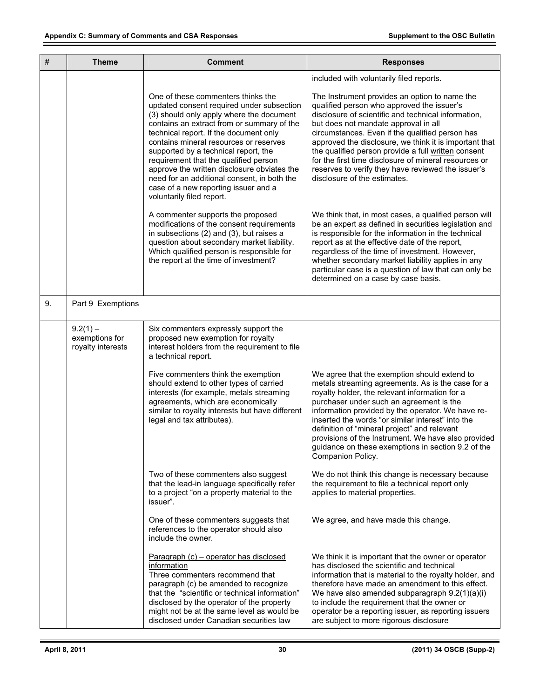| $\#$ | <b>Theme</b>                                      | <b>Comment</b>                                                                                                                                                                                                                                                                                                                                                                                                                                                                                                    | <b>Responses</b>                                                                                                                                                                                                                                                                                                                                                                                                                                                                                              |
|------|---------------------------------------------------|-------------------------------------------------------------------------------------------------------------------------------------------------------------------------------------------------------------------------------------------------------------------------------------------------------------------------------------------------------------------------------------------------------------------------------------------------------------------------------------------------------------------|---------------------------------------------------------------------------------------------------------------------------------------------------------------------------------------------------------------------------------------------------------------------------------------------------------------------------------------------------------------------------------------------------------------------------------------------------------------------------------------------------------------|
|      |                                                   |                                                                                                                                                                                                                                                                                                                                                                                                                                                                                                                   | included with voluntarily filed reports.                                                                                                                                                                                                                                                                                                                                                                                                                                                                      |
|      |                                                   | One of these commenters thinks the<br>updated consent required under subsection<br>(3) should only apply where the document<br>contains an extract from or summary of the<br>technical report. If the document only<br>contains mineral resources or reserves<br>supported by a technical report, the<br>requirement that the qualified person<br>approve the written disclosure obviates the<br>need for an additional consent, in both the<br>case of a new reporting issuer and a<br>voluntarily filed report. | The Instrument provides an option to name the<br>qualified person who approved the issuer's<br>disclosure of scientific and technical information,<br>but does not mandate approval in all<br>circumstances. Even if the qualified person has<br>approved the disclosure, we think it is important that<br>the qualified person provide a full written consent<br>for the first time disclosure of mineral resources or<br>reserves to verify they have reviewed the issuer's<br>disclosure of the estimates. |
|      |                                                   | A commenter supports the proposed<br>modifications of the consent requirements<br>in subsections (2) and (3), but raises a<br>question about secondary market liability.<br>Which qualified person is responsible for<br>the report at the time of investment?                                                                                                                                                                                                                                                    | We think that, in most cases, a qualified person will<br>be an expert as defined in securities legislation and<br>is responsible for the information in the technical<br>report as at the effective date of the report,<br>regardless of the time of investment. However,<br>whether secondary market liability applies in any<br>particular case is a question of law that can only be<br>determined on a case by case basis.                                                                                |
| 9.   | Part 9 Exemptions                                 |                                                                                                                                                                                                                                                                                                                                                                                                                                                                                                                   |                                                                                                                                                                                                                                                                                                                                                                                                                                                                                                               |
|      | $9.2(1) -$<br>exemptions for<br>royalty interests | Six commenters expressly support the<br>proposed new exemption for royalty<br>interest holders from the requirement to file<br>a technical report.                                                                                                                                                                                                                                                                                                                                                                |                                                                                                                                                                                                                                                                                                                                                                                                                                                                                                               |
|      |                                                   | Five commenters think the exemption<br>should extend to other types of carried<br>interests (for example, metals streaming<br>agreements, which are economically<br>similar to royalty interests but have different<br>legal and tax attributes).                                                                                                                                                                                                                                                                 | We agree that the exemption should extend to<br>metals streaming agreements. As is the case for a<br>royalty holder, the relevant information for a<br>purchaser under such an agreement is the<br>information provided by the operator. We have re-<br>inserted the words "or similar interest" into the<br>definition of "mineral project" and relevant<br>provisions of the Instrument. We have also provided<br>quidance on these exemptions in section 9.2 of the<br>Companion Policy.                   |
|      |                                                   | Two of these commenters also suggest<br>that the lead-in language specifically refer<br>to a project "on a property material to the<br>issuer".                                                                                                                                                                                                                                                                                                                                                                   | We do not think this change is necessary because<br>the requirement to file a technical report only<br>applies to material properties.                                                                                                                                                                                                                                                                                                                                                                        |
|      |                                                   | One of these commenters suggests that<br>references to the operator should also<br>include the owner.                                                                                                                                                                                                                                                                                                                                                                                                             | We agree, and have made this change.                                                                                                                                                                                                                                                                                                                                                                                                                                                                          |
|      |                                                   | Paragraph (c) - operator has disclosed<br>information<br>Three commenters recommend that<br>paragraph (c) be amended to recognize<br>that the "scientific or technical information"<br>disclosed by the operator of the property<br>might not be at the same level as would be<br>disclosed under Canadian securities law                                                                                                                                                                                         | We think it is important that the owner or operator<br>has disclosed the scientific and technical<br>information that is material to the royalty holder, and<br>therefore have made an amendment to this effect.<br>We have also amended subparagraph 9.2(1)(a)(i)<br>to include the requirement that the owner or<br>operator be a reporting issuer, as reporting issuers<br>are subject to more rigorous disclosure                                                                                         |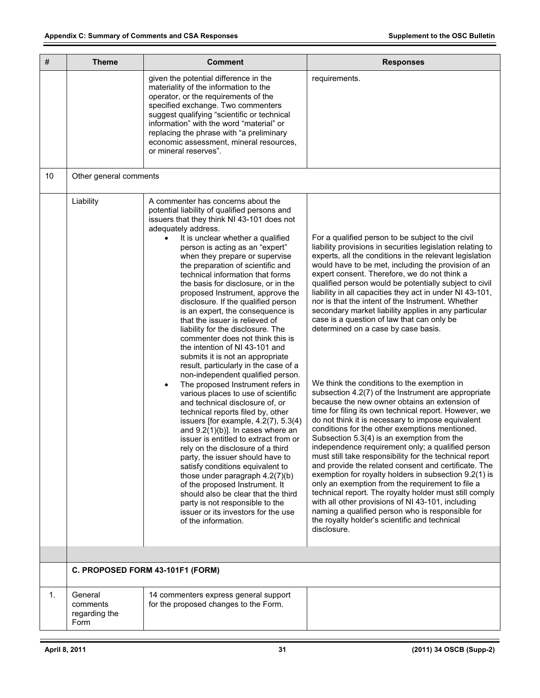| #  | <b>Theme</b>                                 | <b>Comment</b>                                                                                                                                                                                                                                                                                                                                                                                                                                                                                                                                                                                                                                                                                                                                                                                                                                                                                                                                                                                                                                                                                                                                                                                                                                                                                                                                                                                        | <b>Responses</b>                                                                                                                                                                                                                                                                                                                                                                                                                                                                                                                                                                                                                                                                                                                                                                                                                                                                                                                                                                                                                                                                                                                                                                                                                                                                                                                                                                                                                                                                                       |
|----|----------------------------------------------|-------------------------------------------------------------------------------------------------------------------------------------------------------------------------------------------------------------------------------------------------------------------------------------------------------------------------------------------------------------------------------------------------------------------------------------------------------------------------------------------------------------------------------------------------------------------------------------------------------------------------------------------------------------------------------------------------------------------------------------------------------------------------------------------------------------------------------------------------------------------------------------------------------------------------------------------------------------------------------------------------------------------------------------------------------------------------------------------------------------------------------------------------------------------------------------------------------------------------------------------------------------------------------------------------------------------------------------------------------------------------------------------------------|--------------------------------------------------------------------------------------------------------------------------------------------------------------------------------------------------------------------------------------------------------------------------------------------------------------------------------------------------------------------------------------------------------------------------------------------------------------------------------------------------------------------------------------------------------------------------------------------------------------------------------------------------------------------------------------------------------------------------------------------------------------------------------------------------------------------------------------------------------------------------------------------------------------------------------------------------------------------------------------------------------------------------------------------------------------------------------------------------------------------------------------------------------------------------------------------------------------------------------------------------------------------------------------------------------------------------------------------------------------------------------------------------------------------------------------------------------------------------------------------------------|
|    |                                              | given the potential difference in the<br>materiality of the information to the<br>operator, or the requirements of the<br>specified exchange. Two commenters<br>suggest qualifying "scientific or technical<br>information" with the word "material" or<br>replacing the phrase with "a preliminary<br>economic assessment, mineral resources,<br>or mineral reserves".                                                                                                                                                                                                                                                                                                                                                                                                                                                                                                                                                                                                                                                                                                                                                                                                                                                                                                                                                                                                                               | requirements.                                                                                                                                                                                                                                                                                                                                                                                                                                                                                                                                                                                                                                                                                                                                                                                                                                                                                                                                                                                                                                                                                                                                                                                                                                                                                                                                                                                                                                                                                          |
| 10 | Other general comments                       |                                                                                                                                                                                                                                                                                                                                                                                                                                                                                                                                                                                                                                                                                                                                                                                                                                                                                                                                                                                                                                                                                                                                                                                                                                                                                                                                                                                                       |                                                                                                                                                                                                                                                                                                                                                                                                                                                                                                                                                                                                                                                                                                                                                                                                                                                                                                                                                                                                                                                                                                                                                                                                                                                                                                                                                                                                                                                                                                        |
|    | Liability                                    | A commenter has concerns about the<br>potential liability of qualified persons and<br>issuers that they think NI 43-101 does not<br>adequately address.<br>It is unclear whether a qualified<br>$\bullet$<br>person is acting as an "expert"<br>when they prepare or supervise<br>the preparation of scientific and<br>technical information that forms<br>the basis for disclosure, or in the<br>proposed Instrument, approve the<br>disclosure. If the qualified person<br>is an expert, the consequence is<br>that the issuer is relieved of<br>liability for the disclosure. The<br>commenter does not think this is<br>the intention of NI 43-101 and<br>submits it is not an appropriate<br>result, particularly in the case of a<br>non-independent qualified person.<br>The proposed Instrument refers in<br>$\bullet$<br>various places to use of scientific<br>and technical disclosure of, or<br>technical reports filed by, other<br>issuers [for example, $4.2(7)$ , $5.3(4)$<br>and $9.2(1)(b)$ ]. In cases where an<br>issuer is entitled to extract from or<br>rely on the disclosure of a third<br>party, the issuer should have to<br>satisfy conditions equivalent to<br>those under paragraph 4.2(7)(b)<br>of the proposed Instrument. It<br>should also be clear that the third<br>party is not responsible to the<br>issuer or its investors for the use<br>of the information. | For a qualified person to be subject to the civil<br>liability provisions in securities legislation relating to<br>experts, all the conditions in the relevant legislation<br>would have to be met, including the provision of an<br>expert consent. Therefore, we do not think a<br>qualified person would be potentially subject to civil<br>liability in all capacities they act in under NI 43-101,<br>nor is that the intent of the Instrument. Whether<br>secondary market liability applies in any particular<br>case is a question of law that can only be<br>determined on a case by case basis.<br>We think the conditions to the exemption in<br>subsection 4.2(7) of the Instrument are appropriate<br>because the new owner obtains an extension of<br>time for filing its own technical report. However, we<br>do not think it is necessary to impose equivalent<br>conditions for the other exemptions mentioned.<br>Subsection 5.3(4) is an exemption from the<br>independence requirement only; a qualified person<br>must still take responsibility for the technical report<br>and provide the related consent and certificate. The<br>exemption for royalty holders in subsection 9.2(1) is<br>only an exemption from the requirement to file a<br>technical report. The royalty holder must still comply<br>with all other provisions of NI 43-101, including<br>naming a qualified person who is responsible for<br>the royalty holder's scientific and technical<br>disclosure. |
|    |                                              |                                                                                                                                                                                                                                                                                                                                                                                                                                                                                                                                                                                                                                                                                                                                                                                                                                                                                                                                                                                                                                                                                                                                                                                                                                                                                                                                                                                                       |                                                                                                                                                                                                                                                                                                                                                                                                                                                                                                                                                                                                                                                                                                                                                                                                                                                                                                                                                                                                                                                                                                                                                                                                                                                                                                                                                                                                                                                                                                        |
|    | C. PROPOSED FORM 43-101F1 (FORM)             |                                                                                                                                                                                                                                                                                                                                                                                                                                                                                                                                                                                                                                                                                                                                                                                                                                                                                                                                                                                                                                                                                                                                                                                                                                                                                                                                                                                                       |                                                                                                                                                                                                                                                                                                                                                                                                                                                                                                                                                                                                                                                                                                                                                                                                                                                                                                                                                                                                                                                                                                                                                                                                                                                                                                                                                                                                                                                                                                        |
| 1. | General<br>comments<br>regarding the<br>Form | 14 commenters express general support<br>for the proposed changes to the Form.                                                                                                                                                                                                                                                                                                                                                                                                                                                                                                                                                                                                                                                                                                                                                                                                                                                                                                                                                                                                                                                                                                                                                                                                                                                                                                                        |                                                                                                                                                                                                                                                                                                                                                                                                                                                                                                                                                                                                                                                                                                                                                                                                                                                                                                                                                                                                                                                                                                                                                                                                                                                                                                                                                                                                                                                                                                        |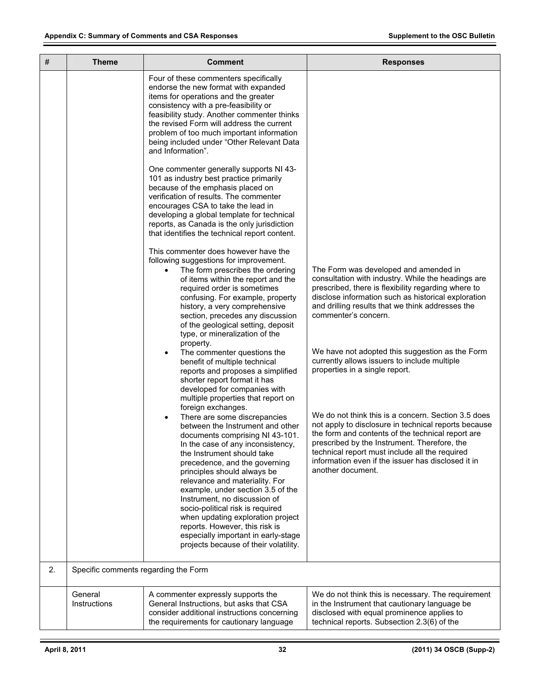| #  | <b>Theme</b>                         | <b>Comment</b>                                                                                                                                                                                                                                                                                                                                                                                                                                                                                                                                        | <b>Responses</b>                                                                                                                                                                                                                                                                                                                              |
|----|--------------------------------------|-------------------------------------------------------------------------------------------------------------------------------------------------------------------------------------------------------------------------------------------------------------------------------------------------------------------------------------------------------------------------------------------------------------------------------------------------------------------------------------------------------------------------------------------------------|-----------------------------------------------------------------------------------------------------------------------------------------------------------------------------------------------------------------------------------------------------------------------------------------------------------------------------------------------|
|    |                                      | Four of these commenters specifically<br>endorse the new format with expanded<br>items for operations and the greater<br>consistency with a pre-feasibility or<br>feasibility study. Another commenter thinks<br>the revised Form will address the current<br>problem of too much important information<br>being included under "Other Relevant Data<br>and Information".                                                                                                                                                                             |                                                                                                                                                                                                                                                                                                                                               |
|    |                                      | One commenter generally supports NI 43-<br>101 as industry best practice primarily<br>because of the emphasis placed on<br>verification of results. The commenter<br>encourages CSA to take the lead in<br>developing a global template for technical<br>reports, as Canada is the only jurisdiction<br>that identifies the technical report content.                                                                                                                                                                                                 |                                                                                                                                                                                                                                                                                                                                               |
|    |                                      | This commenter does however have the<br>following suggestions for improvement.<br>The form prescribes the ordering<br>$\bullet$<br>of items within the report and the<br>required order is sometimes<br>confusing. For example, property<br>history, a very comprehensive<br>section, precedes any discussion<br>of the geological setting, deposit<br>type, or mineralization of the<br>property.                                                                                                                                                    | The Form was developed and amended in<br>consultation with industry. While the headings are<br>prescribed, there is flexibility regarding where to<br>disclose information such as historical exploration<br>and drilling results that we think addresses the<br>commenter's concern.                                                         |
|    |                                      | The commenter questions the<br>$\bullet$<br>benefit of multiple technical<br>reports and proposes a simplified<br>shorter report format it has<br>developed for companies with<br>multiple properties that report on<br>foreign exchanges.                                                                                                                                                                                                                                                                                                            | We have not adopted this suggestion as the Form<br>currently allows issuers to include multiple<br>properties in a single report.                                                                                                                                                                                                             |
|    |                                      | There are some discrepancies<br>$\bullet$<br>between the Instrument and other<br>documents comprising NI 43-101.<br>In the case of any inconsistency,<br>the Instrument should take<br>precedence, and the governing<br>principles should always be<br>relevance and materiality. For<br>example, under section 3.5 of the<br>Instrument, no discussion of<br>socio-political risk is required<br>when updating exploration project<br>reports. However, this risk is<br>especially important in early-stage<br>projects because of their volatility. | We do not think this is a concern. Section 3.5 does<br>not apply to disclosure in technical reports because<br>the form and contents of the technical report are<br>prescribed by the Instrument. Therefore, the<br>technical report must include all the required<br>information even if the issuer has disclosed it in<br>another document. |
| 2. | Specific comments regarding the Form |                                                                                                                                                                                                                                                                                                                                                                                                                                                                                                                                                       |                                                                                                                                                                                                                                                                                                                                               |
|    | General<br>Instructions              | A commenter expressly supports the<br>General Instructions, but asks that CSA<br>consider additional instructions concerning<br>the requirements for cautionary language                                                                                                                                                                                                                                                                                                                                                                              | We do not think this is necessary. The requirement<br>in the Instrument that cautionary language be<br>disclosed with equal prominence applies to<br>technical reports. Subsection 2.3(6) of the                                                                                                                                              |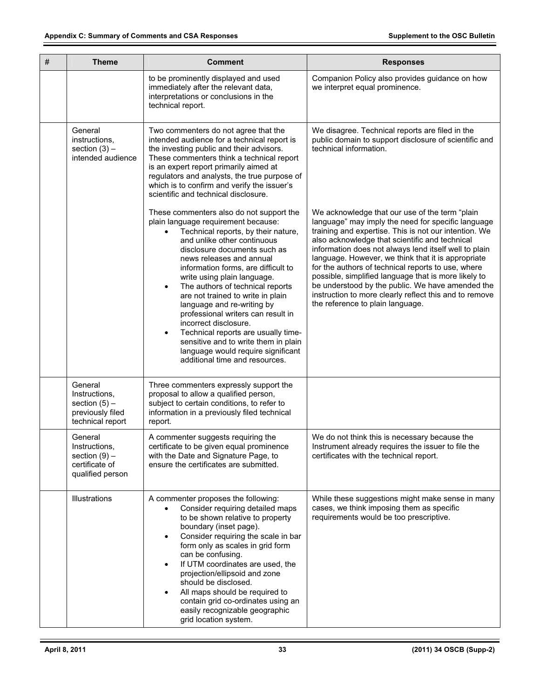| # | <b>Theme</b>                                                                        | <b>Comment</b>                                                                                                                                                                                                                                                                                                                                                                                                                                                                                                                                                                                                                                              | <b>Responses</b>                                                                                                                                                                                                                                                                                                                                                                                                                                                                                                                                                                               |
|---|-------------------------------------------------------------------------------------|-------------------------------------------------------------------------------------------------------------------------------------------------------------------------------------------------------------------------------------------------------------------------------------------------------------------------------------------------------------------------------------------------------------------------------------------------------------------------------------------------------------------------------------------------------------------------------------------------------------------------------------------------------------|------------------------------------------------------------------------------------------------------------------------------------------------------------------------------------------------------------------------------------------------------------------------------------------------------------------------------------------------------------------------------------------------------------------------------------------------------------------------------------------------------------------------------------------------------------------------------------------------|
|   |                                                                                     | to be prominently displayed and used<br>immediately after the relevant data,<br>interpretations or conclusions in the<br>technical report.                                                                                                                                                                                                                                                                                                                                                                                                                                                                                                                  | Companion Policy also provides guidance on how<br>we interpret equal prominence.                                                                                                                                                                                                                                                                                                                                                                                                                                                                                                               |
|   | General<br>instructions,<br>section $(3)$ –<br>intended audience                    | Two commenters do not agree that the<br>intended audience for a technical report is<br>the investing public and their advisors.<br>These commenters think a technical report<br>is an expert report primarily aimed at<br>regulators and analysts, the true purpose of<br>which is to confirm and verify the issuer's<br>scientific and technical disclosure.                                                                                                                                                                                                                                                                                               | We disagree. Technical reports are filed in the<br>public domain to support disclosure of scientific and<br>technical information.                                                                                                                                                                                                                                                                                                                                                                                                                                                             |
|   |                                                                                     | These commenters also do not support the<br>plain language requirement because:<br>Technical reports, by their nature,<br>$\bullet$<br>and unlike other continuous<br>disclosure documents such as<br>news releases and annual<br>information forms, are difficult to<br>write using plain language.<br>The authors of technical reports<br>$\bullet$<br>are not trained to write in plain<br>language and re-writing by<br>professional writers can result in<br>incorrect disclosure.<br>Technical reports are usually time-<br>$\bullet$<br>sensitive and to write them in plain<br>language would require significant<br>additional time and resources. | We acknowledge that our use of the term "plain<br>language" may imply the need for specific language<br>training and expertise. This is not our intention. We<br>also acknowledge that scientific and technical<br>information does not always lend itself well to plain<br>language. However, we think that it is appropriate<br>for the authors of technical reports to use, where<br>possible, simplified language that is more likely to<br>be understood by the public. We have amended the<br>instruction to more clearly reflect this and to remove<br>the reference to plain language. |
|   | General<br>Instructions,<br>section $(5)$ –<br>previously filed<br>technical report | Three commenters expressly support the<br>proposal to allow a qualified person,<br>subject to certain conditions, to refer to<br>information in a previously filed technical<br>report.                                                                                                                                                                                                                                                                                                                                                                                                                                                                     |                                                                                                                                                                                                                                                                                                                                                                                                                                                                                                                                                                                                |
|   | General<br>Instructions,<br>section $(9)$ –<br>certificate of<br>qualified person   | A commenter suggests requiring the<br>certificate to be given equal prominence<br>with the Date and Signature Page, to<br>ensure the certificates are submitted.                                                                                                                                                                                                                                                                                                                                                                                                                                                                                            | We do not think this is necessary because the<br>Instrument already requires the issuer to file the<br>certificates with the technical report.                                                                                                                                                                                                                                                                                                                                                                                                                                                 |
|   | Illustrations                                                                       | A commenter proposes the following:<br>Consider requiring detailed maps<br>$\bullet$<br>to be shown relative to property<br>boundary (inset page).<br>Consider requiring the scale in bar<br>$\bullet$<br>form only as scales in grid form<br>can be confusing.<br>If UTM coordinates are used, the<br>$\bullet$<br>projection/ellipsoid and zone<br>should be disclosed.<br>All maps should be required to<br>contain grid co-ordinates using an<br>easily recognizable geographic<br>grid location system.                                                                                                                                                | While these suggestions might make sense in many<br>cases, we think imposing them as specific<br>requirements would be too prescriptive.                                                                                                                                                                                                                                                                                                                                                                                                                                                       |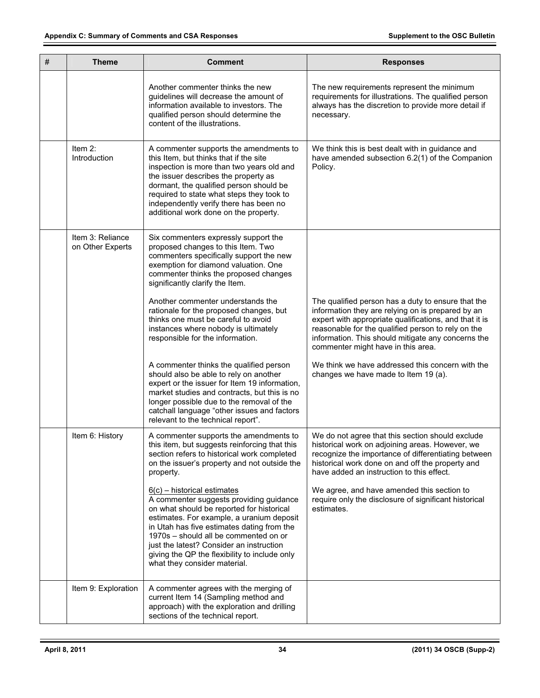| # | <b>Theme</b>                         | <b>Comment</b>                                                                                                                                                                                                                                                                                                                                                                         | <b>Responses</b>                                                                                                                                                                                                                                                                                                    |
|---|--------------------------------------|----------------------------------------------------------------------------------------------------------------------------------------------------------------------------------------------------------------------------------------------------------------------------------------------------------------------------------------------------------------------------------------|---------------------------------------------------------------------------------------------------------------------------------------------------------------------------------------------------------------------------------------------------------------------------------------------------------------------|
|   |                                      | Another commenter thinks the new<br>guidelines will decrease the amount of<br>information available to investors. The<br>qualified person should determine the<br>content of the illustrations.                                                                                                                                                                                        | The new requirements represent the minimum<br>requirements for illustrations. The qualified person<br>always has the discretion to provide more detail if<br>necessary.                                                                                                                                             |
|   | Item 2:<br>Introduction              | A commenter supports the amendments to<br>this Item, but thinks that if the site<br>inspection is more than two years old and<br>the issuer describes the property as<br>dormant, the qualified person should be<br>required to state what steps they took to<br>independently verify there has been no<br>additional work done on the property.                                       | We think this is best dealt with in guidance and<br>have amended subsection 6.2(1) of the Companion<br>Policy.                                                                                                                                                                                                      |
|   | Item 3: Reliance<br>on Other Experts | Six commenters expressly support the<br>proposed changes to this Item. Two<br>commenters specifically support the new<br>exemption for diamond valuation. One<br>commenter thinks the proposed changes<br>significantly clarify the Item.                                                                                                                                              |                                                                                                                                                                                                                                                                                                                     |
|   |                                      | Another commenter understands the<br>rationale for the proposed changes, but<br>thinks one must be careful to avoid<br>instances where nobody is ultimately<br>responsible for the information.                                                                                                                                                                                        | The qualified person has a duty to ensure that the<br>information they are relying on is prepared by an<br>expert with appropriate qualifications, and that it is<br>reasonable for the qualified person to rely on the<br>information. This should mitigate any concerns the<br>commenter might have in this area. |
|   |                                      | A commenter thinks the qualified person<br>should also be able to rely on another<br>expert or the issuer for Item 19 information,<br>market studies and contracts, but this is no<br>longer possible due to the removal of the<br>catchall language "other issues and factors<br>relevant to the technical report".                                                                   | We think we have addressed this concern with the<br>changes we have made to Item 19 (a).                                                                                                                                                                                                                            |
|   | Item 6: History                      | A commenter supports the amendments to<br>this item, but suggests reinforcing that this<br>section refers to historical work completed<br>on the issuer's property and not outside the<br>property.                                                                                                                                                                                    | We do not agree that this section should exclude<br>historical work on adjoining areas. However, we<br>recognize the importance of differentiating between<br>historical work done on and off the property and<br>have added an instruction to this effect.                                                         |
|   |                                      | $6(c)$ – historical estimates<br>A commenter suggests providing guidance<br>on what should be reported for historical<br>estimates. For example, a uranium deposit<br>in Utah has five estimates dating from the<br>1970s - should all be commented on or<br>just the latest? Consider an instruction<br>giving the QP the flexibility to include only<br>what they consider material. | We agree, and have amended this section to<br>require only the disclosure of significant historical<br>estimates.                                                                                                                                                                                                   |
|   | Item 9: Exploration                  | A commenter agrees with the merging of<br>current Item 14 (Sampling method and<br>approach) with the exploration and drilling<br>sections of the technical report.                                                                                                                                                                                                                     |                                                                                                                                                                                                                                                                                                                     |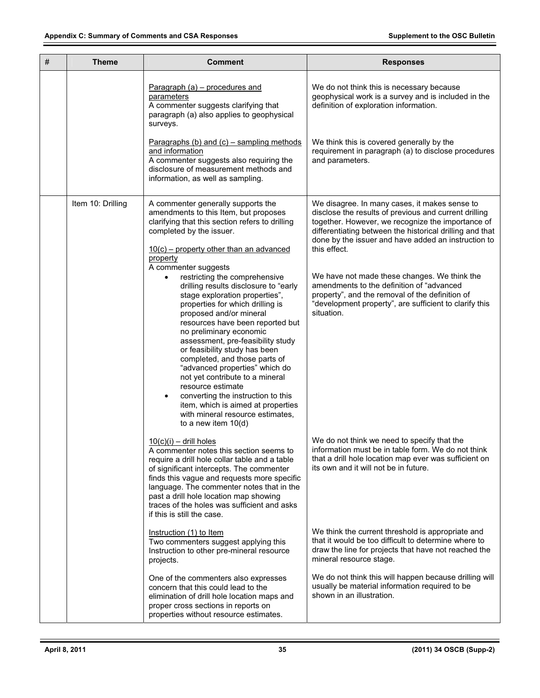| # | <b>Theme</b>      | <b>Comment</b>                                                                                                                                                                                                                                                                                                                                                                                                                                                                                                                                                                                                        | <b>Responses</b>                                                                                                                                                                                                                                                                               |
|---|-------------------|-----------------------------------------------------------------------------------------------------------------------------------------------------------------------------------------------------------------------------------------------------------------------------------------------------------------------------------------------------------------------------------------------------------------------------------------------------------------------------------------------------------------------------------------------------------------------------------------------------------------------|------------------------------------------------------------------------------------------------------------------------------------------------------------------------------------------------------------------------------------------------------------------------------------------------|
|   |                   | Paragraph (a) - procedures and<br>parameters<br>A commenter suggests clarifying that<br>paragraph (a) also applies to geophysical<br>surveys.                                                                                                                                                                                                                                                                                                                                                                                                                                                                         | We do not think this is necessary because<br>geophysical work is a survey and is included in the<br>definition of exploration information.                                                                                                                                                     |
|   |                   | Paragraphs (b) and $(c)$ – sampling methods<br>and information<br>A commenter suggests also requiring the<br>disclosure of measurement methods and<br>information, as well as sampling.                                                                                                                                                                                                                                                                                                                                                                                                                               | We think this is covered generally by the<br>requirement in paragraph (a) to disclose procedures<br>and parameters.                                                                                                                                                                            |
|   | Item 10: Drilling | A commenter generally supports the<br>amendments to this Item, but proposes<br>clarifying that this section refers to drilling<br>completed by the issuer.<br>$10(c)$ – property other than an advanced<br>property                                                                                                                                                                                                                                                                                                                                                                                                   | We disagree. In many cases, it makes sense to<br>disclose the results of previous and current drilling<br>together. However, we recognize the importance of<br>differentiating between the historical drilling and that<br>done by the issuer and have added an instruction to<br>this effect. |
|   |                   | A commenter suggests<br>restricting the comprehensive<br>drilling results disclosure to "early<br>stage exploration properties",<br>properties for which drilling is<br>proposed and/or mineral<br>resources have been reported but<br>no preliminary economic<br>assessment, pre-feasibility study<br>or feasibility study has been<br>completed, and those parts of<br>"advanced properties" which do<br>not yet contribute to a mineral<br>resource estimate<br>converting the instruction to this<br>$\bullet$<br>item, which is aimed at properties<br>with mineral resource estimates,<br>to a new item $10(d)$ | We have not made these changes. We think the<br>amendments to the definition of "advanced<br>property", and the removal of the definition of<br>"development property", are sufficient to clarify this<br>situation.                                                                           |
|   |                   | $10(c)(i) - dr$ ill holes<br>A commenter notes this section seems to<br>require a drill hole collar table and a table<br>of significant intercepts. The commenter<br>finds this vague and requests more specific<br>language. The commenter notes that in the<br>past a drill hole location map showing<br>traces of the holes was sufficient and asks<br>if this is still the case.                                                                                                                                                                                                                                  | We do not think we need to specify that the<br>information must be in table form. We do not think<br>that a drill hole location map ever was sufficient on<br>its own and it will not be in future.                                                                                            |
|   |                   | Instruction (1) to Item<br>Two commenters suggest applying this<br>Instruction to other pre-mineral resource<br>projects.                                                                                                                                                                                                                                                                                                                                                                                                                                                                                             | We think the current threshold is appropriate and<br>that it would be too difficult to determine where to<br>draw the line for projects that have not reached the<br>mineral resource stage.                                                                                                   |
|   |                   | One of the commenters also expresses<br>concern that this could lead to the<br>elimination of drill hole location maps and<br>proper cross sections in reports on<br>properties without resource estimates.                                                                                                                                                                                                                                                                                                                                                                                                           | We do not think this will happen because drilling will<br>usually be material information required to be<br>shown in an illustration.                                                                                                                                                          |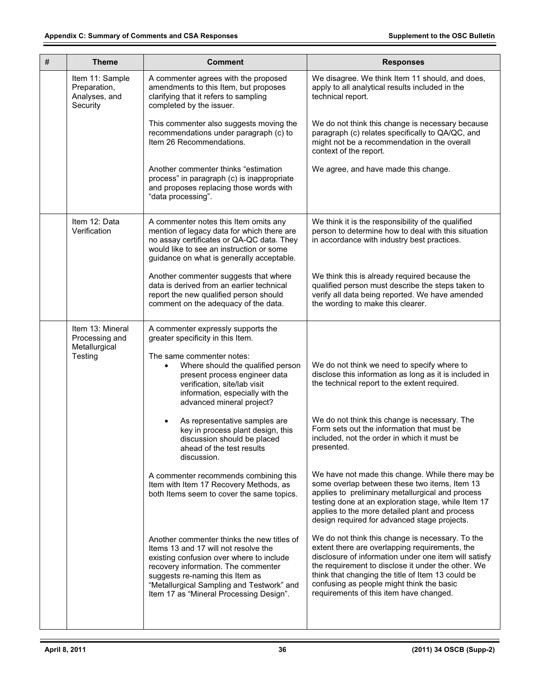| $\#$ | <b>Theme</b>                                                 | <b>Comment</b>                                                                                                                                                                                                                                                                                   | <b>Responses</b>                                                                                                                                                                                                                                                                                                                                               |
|------|--------------------------------------------------------------|--------------------------------------------------------------------------------------------------------------------------------------------------------------------------------------------------------------------------------------------------------------------------------------------------|----------------------------------------------------------------------------------------------------------------------------------------------------------------------------------------------------------------------------------------------------------------------------------------------------------------------------------------------------------------|
|      | Item 11: Sample<br>Preparation,<br>Analyses, and<br>Security | A commenter agrees with the proposed<br>amendments to this Item, but proposes<br>clarifying that it refers to sampling<br>completed by the issuer.                                                                                                                                               | We disagree. We think Item 11 should, and does,<br>apply to all analytical results included in the<br>technical report.                                                                                                                                                                                                                                        |
|      |                                                              | This commenter also suggests moving the<br>recommendations under paragraph (c) to<br>Item 26 Recommendations.                                                                                                                                                                                    | We do not think this change is necessary because<br>paragraph (c) relates specifically to QA/QC, and<br>might not be a recommendation in the overall<br>context of the report.                                                                                                                                                                                 |
|      |                                                              | Another commenter thinks "estimation<br>process" in paragraph (c) is inappropriate<br>and proposes replacing those words with<br>"data processing".                                                                                                                                              | We agree, and have made this change.                                                                                                                                                                                                                                                                                                                           |
|      | Item 12: Data<br>Verification                                | A commenter notes this Item omits any<br>mention of legacy data for which there are<br>no assay certificates or QA-QC data. They<br>would like to see an instruction or some<br>guidance on what is generally acceptable.                                                                        | We think it is the responsibility of the qualified<br>person to determine how to deal with this situation<br>in accordance with industry best practices.                                                                                                                                                                                                       |
|      |                                                              | Another commenter suggests that where<br>data is derived from an earlier technical<br>report the new qualified person should<br>comment on the adequacy of the data.                                                                                                                             | We think this is already required because the<br>qualified person must describe the steps taken to<br>verify all data being reported. We have amended<br>the wording to make this clearer.                                                                                                                                                                     |
|      | Item 13: Mineral<br>Processing and<br>Metallurgical          | A commenter expressly supports the<br>greater specificity in this Item.                                                                                                                                                                                                                          |                                                                                                                                                                                                                                                                                                                                                                |
|      | Testing                                                      | The same commenter notes:<br>Where should the qualified person<br>$\bullet$<br>present process engineer data<br>verification, site/lab visit<br>information, especially with the<br>advanced mineral project?                                                                                    | We do not think we need to specify where to<br>disclose this information as long as it is included in<br>the technical report to the extent required.                                                                                                                                                                                                          |
|      |                                                              | As representative samples are<br>key in process plant design, this<br>discussion should be placed<br>ahead of the test results<br>discussion.                                                                                                                                                    | We do not think this change is necessary. The<br>Form sets out the information that must be<br>included, not the order in which it must be<br>presented.                                                                                                                                                                                                       |
|      |                                                              | A commenter recommends combining this<br>Item with Item 17 Recovery Methods, as<br>both Items seem to cover the same topics.                                                                                                                                                                     | We have not made this change. While there may be<br>some overlap between these two items, Item 13<br>applies to preliminary metallurgical and process<br>testing done at an exploration stage, while Item 17<br>applies to the more detailed plant and process<br>design required for advanced stage projects.                                                 |
|      |                                                              | Another commenter thinks the new titles of<br>Items 13 and 17 will not resolve the<br>existing confusion over where to include<br>recovery information. The commenter<br>suggests re-naming this Item as<br>"Metallurgical Sampling and Testwork" and<br>Item 17 as "Mineral Processing Design". | We do not think this change is necessary. To the<br>extent there are overlapping requirements, the<br>disclosure of information under one item will satisfy<br>the requirement to disclose it under the other. We<br>think that changing the title of Item 13 could be<br>confusing as people might think the basic<br>requirements of this item have changed. |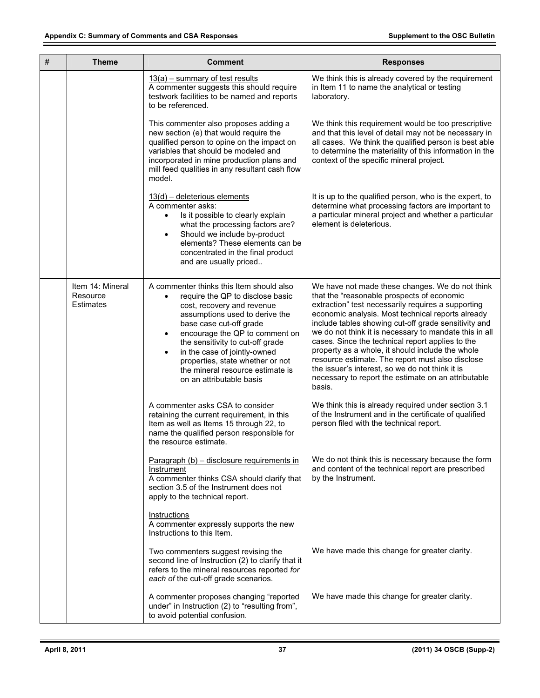| # | <b>Theme</b>                                     | <b>Comment</b>                                                                                                                                                                                                                                                                                                                                                                                                           | <b>Responses</b>                                                                                                                                                                                                                                                                                                                                                                                                                                                                                                                                                                                           |
|---|--------------------------------------------------|--------------------------------------------------------------------------------------------------------------------------------------------------------------------------------------------------------------------------------------------------------------------------------------------------------------------------------------------------------------------------------------------------------------------------|------------------------------------------------------------------------------------------------------------------------------------------------------------------------------------------------------------------------------------------------------------------------------------------------------------------------------------------------------------------------------------------------------------------------------------------------------------------------------------------------------------------------------------------------------------------------------------------------------------|
|   |                                                  | $13(a)$ – summary of test results<br>A commenter suggests this should require<br>testwork facilities to be named and reports<br>to be referenced.                                                                                                                                                                                                                                                                        | We think this is already covered by the requirement<br>in Item 11 to name the analytical or testing<br>laboratory.                                                                                                                                                                                                                                                                                                                                                                                                                                                                                         |
|   |                                                  | This commenter also proposes adding a<br>new section (e) that would require the<br>qualified person to opine on the impact on<br>variables that should be modeled and<br>incorporated in mine production plans and<br>mill feed qualities in any resultant cash flow<br>model.                                                                                                                                           | We think this requirement would be too prescriptive<br>and that this level of detail may not be necessary in<br>all cases. We think the qualified person is best able<br>to determine the materiality of this information in the<br>context of the specific mineral project.                                                                                                                                                                                                                                                                                                                               |
|   |                                                  | $13(d)$ – deleterious elements<br>A commenter asks:<br>Is it possible to clearly explain<br>$\bullet$<br>what the processing factors are?<br>Should we include by-product<br>$\bullet$<br>elements? These elements can be<br>concentrated in the final product<br>and are usually priced                                                                                                                                 | It is up to the qualified person, who is the expert, to<br>determine what processing factors are important to<br>a particular mineral project and whether a particular<br>element is deleterious.                                                                                                                                                                                                                                                                                                                                                                                                          |
|   | Item 14: Mineral<br>Resource<br><b>Estimates</b> | A commenter thinks this Item should also<br>require the QP to disclose basic<br>$\bullet$<br>cost, recovery and revenue<br>assumptions used to derive the<br>base case cut-off grade<br>encourage the QP to comment on<br>$\bullet$<br>the sensitivity to cut-off grade<br>in the case of jointly-owned<br>$\bullet$<br>properties, state whether or not<br>the mineral resource estimate is<br>on an attributable basis | We have not made these changes. We do not think<br>that the "reasonable prospects of economic<br>extraction" test necessarily requires a supporting<br>economic analysis. Most technical reports already<br>include tables showing cut-off grade sensitivity and<br>we do not think it is necessary to mandate this in all<br>cases. Since the technical report applies to the<br>property as a whole, it should include the whole<br>resource estimate. The report must also disclose<br>the issuer's interest, so we do not think it is<br>necessary to report the estimate on an attributable<br>basis. |
|   |                                                  | A commenter asks CSA to consider<br>retaining the current requirement, in this<br>Item as well as Items 15 through 22, to<br>name the qualified person responsible for<br>the resource estimate.                                                                                                                                                                                                                         | We think this is already required under section 3.1<br>of the Instrument and in the certificate of qualified<br>person filed with the technical report.                                                                                                                                                                                                                                                                                                                                                                                                                                                    |
|   |                                                  | Paragraph (b) - disclosure requirements in<br><b>Instrument</b><br>A commenter thinks CSA should clarify that<br>section 3.5 of the Instrument does not<br>apply to the technical report.                                                                                                                                                                                                                                | We do not think this is necessary because the form<br>and content of the technical report are prescribed<br>by the Instrument.                                                                                                                                                                                                                                                                                                                                                                                                                                                                             |
|   |                                                  | Instructions<br>A commenter expressly supports the new<br>Instructions to this Item.                                                                                                                                                                                                                                                                                                                                     |                                                                                                                                                                                                                                                                                                                                                                                                                                                                                                                                                                                                            |
|   |                                                  | Two commenters suggest revising the<br>second line of Instruction (2) to clarify that it<br>refers to the mineral resources reported for<br>each of the cut-off grade scenarios.                                                                                                                                                                                                                                         | We have made this change for greater clarity.                                                                                                                                                                                                                                                                                                                                                                                                                                                                                                                                                              |
|   |                                                  | A commenter proposes changing "reported<br>under" in Instruction (2) to "resulting from",<br>to avoid potential confusion.                                                                                                                                                                                                                                                                                               | We have made this change for greater clarity.                                                                                                                                                                                                                                                                                                                                                                                                                                                                                                                                                              |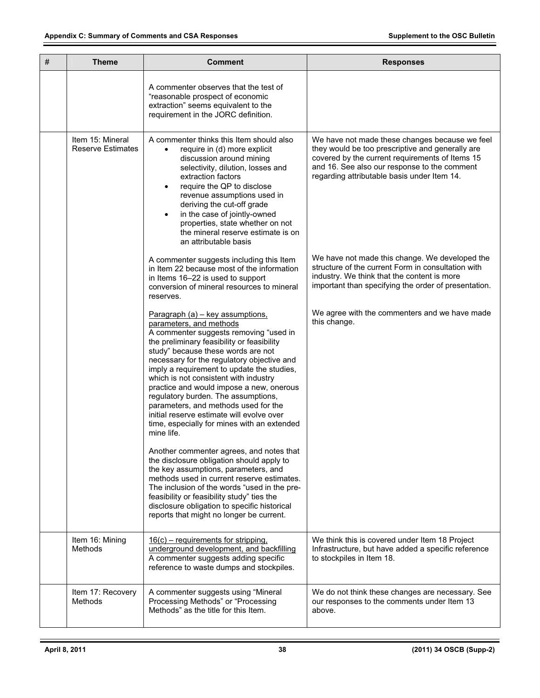| # | <b>Theme</b>                                 | <b>Comment</b>                                                                                                                                                                                                                                                                                                                                                                                                                                                                                                                                                      | <b>Responses</b>                                                                                                                                                                                                                                     |
|---|----------------------------------------------|---------------------------------------------------------------------------------------------------------------------------------------------------------------------------------------------------------------------------------------------------------------------------------------------------------------------------------------------------------------------------------------------------------------------------------------------------------------------------------------------------------------------------------------------------------------------|------------------------------------------------------------------------------------------------------------------------------------------------------------------------------------------------------------------------------------------------------|
|   |                                              | A commenter observes that the test of<br>"reasonable prospect of economic<br>extraction" seems equivalent to the<br>requirement in the JORC definition.                                                                                                                                                                                                                                                                                                                                                                                                             |                                                                                                                                                                                                                                                      |
|   | Item 15: Mineral<br><b>Reserve Estimates</b> | A commenter thinks this Item should also<br>require in (d) more explicit<br>$\bullet$<br>discussion around mining<br>selectivity, dilution, losses and<br>extraction factors<br>require the QP to disclose<br>$\bullet$<br>revenue assumptions used in<br>deriving the cut-off grade<br>in the case of jointly-owned<br>$\bullet$<br>properties, state whether on not<br>the mineral reserve estimate is on<br>an attributable basis                                                                                                                                | We have not made these changes because we feel<br>they would be too prescriptive and generally are<br>covered by the current requirements of Items 15<br>and 16. See also our response to the comment<br>regarding attributable basis under Item 14. |
|   |                                              | A commenter suggests including this Item<br>in Item 22 because most of the information<br>in Items 16-22 is used to support<br>conversion of mineral resources to mineral<br>reserves.                                                                                                                                                                                                                                                                                                                                                                              | We have not made this change. We developed the<br>structure of the current Form in consultation with<br>industry. We think that the content is more<br>important than specifying the order of presentation.                                          |
|   |                                              | Paragraph (a) - key assumptions,<br>parameters, and methods<br>A commenter suggests removing "used in<br>the preliminary feasibility or feasibility<br>study" because these words are not<br>necessary for the regulatory objective and<br>imply a requirement to update the studies,<br>which is not consistent with industry<br>practice and would impose a new, onerous<br>regulatory burden. The assumptions,<br>parameters, and methods used for the<br>initial reserve estimate will evolve over<br>time, especially for mines with an extended<br>mine life. | We agree with the commenters and we have made<br>this change.                                                                                                                                                                                        |
|   |                                              | Another commenter agrees, and notes that<br>the disclosure obligation should apply to<br>the key assumptions, parameters, and<br>methods used in current reserve estimates.<br>The inclusion of the words "used in the pre-<br>feasibility or feasibility study" ties the<br>disclosure obligation to specific historical<br>reports that might no longer be current.                                                                                                                                                                                               |                                                                                                                                                                                                                                                      |
|   | Item 16: Mining<br>Methods                   | $16(c)$ – requirements for stripping,<br>underground development, and backfilling<br>A commenter suggests adding specific<br>reference to waste dumps and stockpiles.                                                                                                                                                                                                                                                                                                                                                                                               | We think this is covered under Item 18 Project<br>Infrastructure, but have added a specific reference<br>to stockpiles in Item 18.                                                                                                                   |
|   | Item 17: Recovery<br>Methods                 | A commenter suggests using "Mineral<br>Processing Methods" or "Processing<br>Methods" as the title for this Item.                                                                                                                                                                                                                                                                                                                                                                                                                                                   | We do not think these changes are necessary. See<br>our responses to the comments under Item 13<br>above.                                                                                                                                            |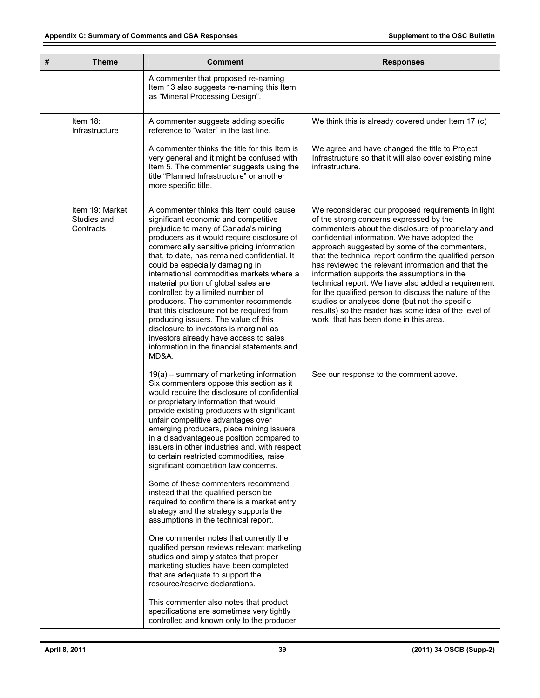| $\#$ | <b>Theme</b>                                | <b>Comment</b>                                                                                                                                                                                                                                                                                                                                                                                                                                                                                                                                                                                                                                                                                             | <b>Responses</b>                                                                                                                                                                                                                                                                                                                                                                                                                                                                                                                                                                                                                                                                       |
|------|---------------------------------------------|------------------------------------------------------------------------------------------------------------------------------------------------------------------------------------------------------------------------------------------------------------------------------------------------------------------------------------------------------------------------------------------------------------------------------------------------------------------------------------------------------------------------------------------------------------------------------------------------------------------------------------------------------------------------------------------------------------|----------------------------------------------------------------------------------------------------------------------------------------------------------------------------------------------------------------------------------------------------------------------------------------------------------------------------------------------------------------------------------------------------------------------------------------------------------------------------------------------------------------------------------------------------------------------------------------------------------------------------------------------------------------------------------------|
|      |                                             | A commenter that proposed re-naming<br>Item 13 also suggests re-naming this Item<br>as "Mineral Processing Design".                                                                                                                                                                                                                                                                                                                                                                                                                                                                                                                                                                                        |                                                                                                                                                                                                                                                                                                                                                                                                                                                                                                                                                                                                                                                                                        |
|      | Item 18:<br>Infrastructure                  | A commenter suggests adding specific<br>reference to "water" in the last line.                                                                                                                                                                                                                                                                                                                                                                                                                                                                                                                                                                                                                             | We think this is already covered under Item 17 (c)                                                                                                                                                                                                                                                                                                                                                                                                                                                                                                                                                                                                                                     |
|      |                                             | A commenter thinks the title for this Item is<br>very general and it might be confused with<br>Item 5. The commenter suggests using the<br>title "Planned Infrastructure" or another<br>more specific title.                                                                                                                                                                                                                                                                                                                                                                                                                                                                                               | We agree and have changed the title to Project<br>Infrastructure so that it will also cover existing mine<br>infrastructure.                                                                                                                                                                                                                                                                                                                                                                                                                                                                                                                                                           |
|      | Item 19: Market<br>Studies and<br>Contracts | A commenter thinks this Item could cause<br>significant economic and competitive<br>prejudice to many of Canada's mining<br>producers as it would require disclosure of<br>commercially sensitive pricing information<br>that, to date, has remained confidential. It<br>could be especially damaging in<br>international commodities markets where a<br>material portion of global sales are<br>controlled by a limited number of<br>producers. The commenter recommends<br>that this disclosure not be required from<br>producing issuers. The value of this<br>disclosure to investors is marginal as<br>investors already have access to sales<br>information in the financial statements and<br>MD&A. | We reconsidered our proposed requirements in light<br>of the strong concerns expressed by the<br>commenters about the disclosure of proprietary and<br>confidential information. We have adopted the<br>approach suggested by some of the commenters,<br>that the technical report confirm the qualified person<br>has reviewed the relevant information and that the<br>information supports the assumptions in the<br>technical report. We have also added a requirement<br>for the qualified person to discuss the nature of the<br>studies or analyses done (but not the specific<br>results) so the reader has some idea of the level of<br>work that has been done in this area. |
|      |                                             | $19(a)$ – summary of marketing information<br>Six commenters oppose this section as it<br>would require the disclosure of confidential<br>or proprietary information that would<br>provide existing producers with significant<br>unfair competitive advantages over<br>emerging producers, place mining issuers<br>in a disadvantageous position compared to<br>issuers in other industries and, with respect<br>to certain restricted commodities, raise<br>significant competition law concerns.                                                                                                                                                                                                        | See our response to the comment above.                                                                                                                                                                                                                                                                                                                                                                                                                                                                                                                                                                                                                                                 |
|      |                                             | Some of these commenters recommend<br>instead that the qualified person be<br>required to confirm there is a market entry<br>strategy and the strategy supports the<br>assumptions in the technical report.                                                                                                                                                                                                                                                                                                                                                                                                                                                                                                |                                                                                                                                                                                                                                                                                                                                                                                                                                                                                                                                                                                                                                                                                        |
|      |                                             | One commenter notes that currently the<br>qualified person reviews relevant marketing<br>studies and simply states that proper<br>marketing studies have been completed<br>that are adequate to support the<br>resource/reserve declarations.                                                                                                                                                                                                                                                                                                                                                                                                                                                              |                                                                                                                                                                                                                                                                                                                                                                                                                                                                                                                                                                                                                                                                                        |
|      |                                             | This commenter also notes that product<br>specifications are sometimes very tightly<br>controlled and known only to the producer                                                                                                                                                                                                                                                                                                                                                                                                                                                                                                                                                                           |                                                                                                                                                                                                                                                                                                                                                                                                                                                                                                                                                                                                                                                                                        |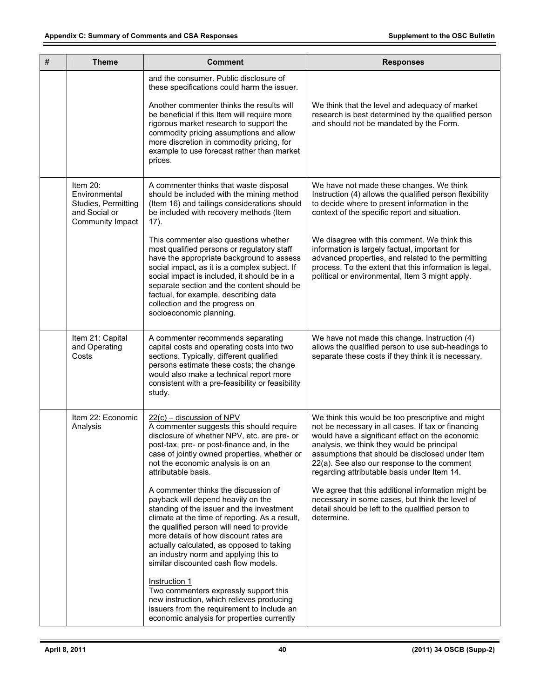| $\#$ | <b>Theme</b>                                                                             | <b>Comment</b>                                                                                                                                                                                                                                                                                                                                                                                 | <b>Responses</b>                                                                                                                                                                                                                                                                                                                                          |
|------|------------------------------------------------------------------------------------------|------------------------------------------------------------------------------------------------------------------------------------------------------------------------------------------------------------------------------------------------------------------------------------------------------------------------------------------------------------------------------------------------|-----------------------------------------------------------------------------------------------------------------------------------------------------------------------------------------------------------------------------------------------------------------------------------------------------------------------------------------------------------|
|      |                                                                                          | and the consumer. Public disclosure of<br>these specifications could harm the issuer.                                                                                                                                                                                                                                                                                                          |                                                                                                                                                                                                                                                                                                                                                           |
|      |                                                                                          | Another commenter thinks the results will<br>be beneficial if this Item will require more<br>rigorous market research to support the<br>commodity pricing assumptions and allow<br>more discretion in commodity pricing, for<br>example to use forecast rather than market<br>prices.                                                                                                          | We think that the level and adequacy of market<br>research is best determined by the qualified person<br>and should not be mandated by the Form.                                                                                                                                                                                                          |
|      | Item $20$ :<br>Environmental<br>Studies, Permitting<br>and Social or<br>Community Impact | A commenter thinks that waste disposal<br>should be included with the mining method<br>(Item 16) and tailings considerations should<br>be included with recovery methods (Item<br>17).                                                                                                                                                                                                         | We have not made these changes. We think<br>Instruction (4) allows the qualified person flexibility<br>to decide where to present information in the<br>context of the specific report and situation.                                                                                                                                                     |
|      |                                                                                          | This commenter also questions whether<br>most qualified persons or regulatory staff<br>have the appropriate background to assess<br>social impact, as it is a complex subject. If<br>social impact is included, it should be in a<br>separate section and the content should be<br>factual, for example, describing data<br>collection and the progress on<br>socioeconomic planning.          | We disagree with this comment. We think this<br>information is largely factual, important for<br>advanced properties, and related to the permitting<br>process. To the extent that this information is legal,<br>political or environmental, Item 3 might apply.                                                                                          |
|      | Item 21: Capital<br>and Operating<br>Costs                                               | A commenter recommends separating<br>capital costs and operating costs into two<br>sections. Typically, different qualified<br>persons estimate these costs; the change<br>would also make a technical report more<br>consistent with a pre-feasibility or feasibility<br>study.                                                                                                               | We have not made this change. Instruction (4)<br>allows the qualified person to use sub-headings to<br>separate these costs if they think it is necessary.                                                                                                                                                                                                |
|      | Item 22: Economic<br>Analysis                                                            | $22(c)$ – discussion of NPV<br>A commenter suggests this should require<br>disclosure of whether NPV, etc. are pre- or<br>post-tax, pre- or post-finance and, in the<br>case of jointly owned properties, whether or<br>not the economic analysis is on an<br>attributable basis.                                                                                                              | We think this would be too prescriptive and might<br>not be necessary in all cases. If tax or financing<br>would have a significant effect on the economic<br>analysis, we think they would be principal<br>assumptions that should be disclosed under Item<br>22(a). See also our response to the comment<br>regarding attributable basis under Item 14. |
|      |                                                                                          | A commenter thinks the discussion of<br>payback will depend heavily on the<br>standing of the issuer and the investment<br>climate at the time of reporting. As a result,<br>the qualified person will need to provide<br>more details of how discount rates are<br>actually calculated, as opposed to taking<br>an industry norm and applying this to<br>similar discounted cash flow models. | We agree that this additional information might be<br>necessary in some cases, but think the level of<br>detail should be left to the qualified person to<br>determine.                                                                                                                                                                                   |
|      |                                                                                          | Instruction 1<br>Two commenters expressly support this<br>new instruction, which relieves producing<br>issuers from the requirement to include an<br>economic analysis for properties currently                                                                                                                                                                                                |                                                                                                                                                                                                                                                                                                                                                           |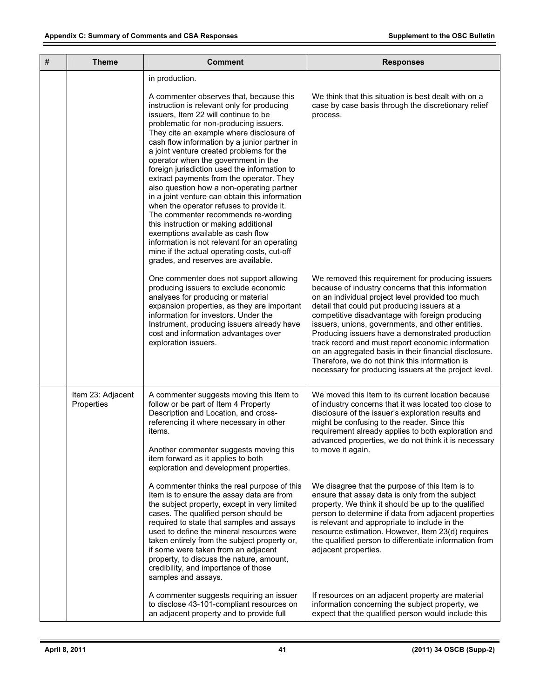| # | <b>Theme</b>                    | <b>Comment</b>                                                                                                                                                                                                                                                                                                                                                                                                                                                                                                                                                                                                                                                                                                                                                                                                                                                                                                                                                                                                                                                                                                                                                                          | <b>Responses</b>                                                                                                                                                                                                                                                                                                                                                                                                                                                                                                                                                                                                                                                                                                            |
|---|---------------------------------|-----------------------------------------------------------------------------------------------------------------------------------------------------------------------------------------------------------------------------------------------------------------------------------------------------------------------------------------------------------------------------------------------------------------------------------------------------------------------------------------------------------------------------------------------------------------------------------------------------------------------------------------------------------------------------------------------------------------------------------------------------------------------------------------------------------------------------------------------------------------------------------------------------------------------------------------------------------------------------------------------------------------------------------------------------------------------------------------------------------------------------------------------------------------------------------------|-----------------------------------------------------------------------------------------------------------------------------------------------------------------------------------------------------------------------------------------------------------------------------------------------------------------------------------------------------------------------------------------------------------------------------------------------------------------------------------------------------------------------------------------------------------------------------------------------------------------------------------------------------------------------------------------------------------------------------|
|   |                                 | in production.                                                                                                                                                                                                                                                                                                                                                                                                                                                                                                                                                                                                                                                                                                                                                                                                                                                                                                                                                                                                                                                                                                                                                                          |                                                                                                                                                                                                                                                                                                                                                                                                                                                                                                                                                                                                                                                                                                                             |
|   |                                 | A commenter observes that, because this<br>instruction is relevant only for producing<br>issuers, Item 22 will continue to be<br>problematic for non-producing issuers.<br>They cite an example where disclosure of<br>cash flow information by a junior partner in<br>a joint venture created problems for the<br>operator when the government in the<br>foreign jurisdiction used the information to<br>extract payments from the operator. They<br>also question how a non-operating partner<br>in a joint venture can obtain this information<br>when the operator refuses to provide it.<br>The commenter recommends re-wording<br>this instruction or making additional<br>exemptions available as cash flow<br>information is not relevant for an operating<br>mine if the actual operating costs, cut-off<br>grades, and reserves are available.<br>One commenter does not support allowing<br>producing issuers to exclude economic<br>analyses for producing or material<br>expansion properties, as they are important<br>information for investors. Under the<br>Instrument, producing issuers already have<br>cost and information advantages over<br>exploration issuers. | We think that this situation is best dealt with on a<br>case by case basis through the discretionary relief<br>process.<br>We removed this requirement for producing issuers<br>because of industry concerns that this information<br>on an individual project level provided too much<br>detail that could put producing issuers at a<br>competitive disadvantage with foreign producing<br>issuers, unions, governments, and other entities.<br>Producing issuers have a demonstrated production<br>track record and must report economic information<br>on an aggregated basis in their financial disclosure.<br>Therefore, we do not think this information is<br>necessary for producing issuers at the project level. |
|   | Item 23: Adjacent<br>Properties | A commenter suggests moving this Item to<br>follow or be part of Item 4 Property<br>Description and Location, and cross-<br>referencing it where necessary in other<br>items.<br>Another commenter suggests moving this<br>item forward as it applies to both<br>exploration and development properties.                                                                                                                                                                                                                                                                                                                                                                                                                                                                                                                                                                                                                                                                                                                                                                                                                                                                                | We moved this Item to its current location because<br>of industry concerns that it was located too close to<br>disclosure of the issuer's exploration results and<br>might be confusing to the reader. Since this<br>requirement already applies to both exploration and<br>advanced properties, we do not think it is necessary<br>to move it again.                                                                                                                                                                                                                                                                                                                                                                       |
|   |                                 | A commenter thinks the real purpose of this<br>Item is to ensure the assay data are from<br>the subject property, except in very limited<br>cases. The qualified person should be<br>required to state that samples and assays<br>used to define the mineral resources were<br>taken entirely from the subject property or,<br>if some were taken from an adjacent<br>property, to discuss the nature, amount,<br>credibility, and importance of those<br>samples and assays.                                                                                                                                                                                                                                                                                                                                                                                                                                                                                                                                                                                                                                                                                                           | We disagree that the purpose of this Item is to<br>ensure that assay data is only from the subject<br>property. We think it should be up to the qualified<br>person to determine if data from adjacent properties<br>is relevant and appropriate to include in the<br>resource estimation. However, Item 23(d) requires<br>the qualified person to differentiate information from<br>adjacent properties.                                                                                                                                                                                                                                                                                                                   |
|   |                                 | A commenter suggests requiring an issuer<br>to disclose 43-101-compliant resources on<br>an adjacent property and to provide full                                                                                                                                                                                                                                                                                                                                                                                                                                                                                                                                                                                                                                                                                                                                                                                                                                                                                                                                                                                                                                                       | If resources on an adjacent property are material<br>information concerning the subject property, we<br>expect that the qualified person would include this                                                                                                                                                                                                                                                                                                                                                                                                                                                                                                                                                                 |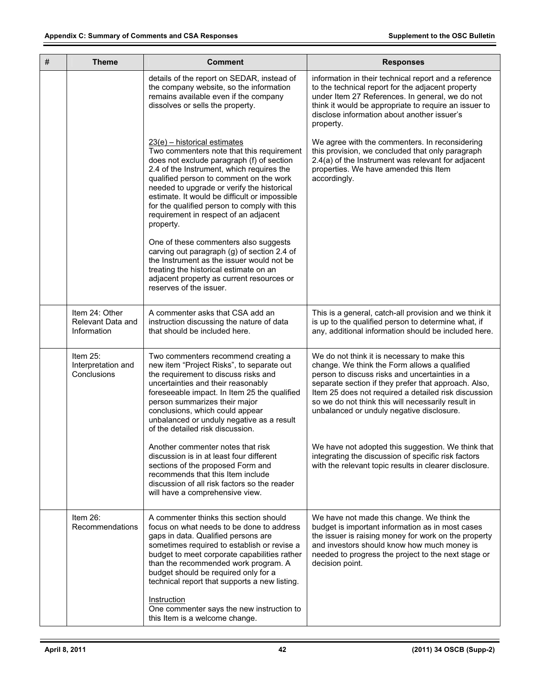| $\#$ | <b>Theme</b>                                       | <b>Comment</b>                                                                                                                                                                                                                                                                                                                                                                                                        | <b>Responses</b>                                                                                                                                                                                                                                                                                                                                                  |
|------|----------------------------------------------------|-----------------------------------------------------------------------------------------------------------------------------------------------------------------------------------------------------------------------------------------------------------------------------------------------------------------------------------------------------------------------------------------------------------------------|-------------------------------------------------------------------------------------------------------------------------------------------------------------------------------------------------------------------------------------------------------------------------------------------------------------------------------------------------------------------|
|      |                                                    | details of the report on SEDAR, instead of<br>the company website, so the information<br>remains available even if the company<br>dissolves or sells the property.                                                                                                                                                                                                                                                    | information in their technical report and a reference<br>to the technical report for the adjacent property<br>under Item 27 References. In general, we do not<br>think it would be appropriate to require an issuer to<br>disclose information about another issuer's<br>property.                                                                                |
|      |                                                    | $23(e)$ – historical estimates<br>Two commenters note that this requirement<br>does not exclude paragraph (f) of section<br>2.4 of the Instrument, which requires the<br>qualified person to comment on the work<br>needed to upgrade or verify the historical<br>estimate. It would be difficult or impossible<br>for the qualified person to comply with this<br>requirement in respect of an adjacent<br>property. | We agree with the commenters. In reconsidering<br>this provision, we concluded that only paragraph<br>2.4(a) of the Instrument was relevant for adjacent<br>properties. We have amended this Item<br>accordingly.                                                                                                                                                 |
|      |                                                    | One of these commenters also suggests<br>carving out paragraph (g) of section 2.4 of<br>the Instrument as the issuer would not be<br>treating the historical estimate on an<br>adjacent property as current resources or<br>reserves of the issuer.                                                                                                                                                                   |                                                                                                                                                                                                                                                                                                                                                                   |
|      | Item 24: Other<br>Relevant Data and<br>Information | A commenter asks that CSA add an<br>instruction discussing the nature of data<br>that should be included here.                                                                                                                                                                                                                                                                                                        | This is a general, catch-all provision and we think it<br>is up to the qualified person to determine what, if<br>any, additional information should be included here.                                                                                                                                                                                             |
|      | Item 25:<br>Interpretation and<br>Conclusions      | Two commenters recommend creating a<br>new item "Project Risks", to separate out<br>the requirement to discuss risks and<br>uncertainties and their reasonably<br>foreseeable impact. In Item 25 the qualified<br>person summarizes their major<br>conclusions, which could appear<br>unbalanced or unduly negative as a result<br>of the detailed risk discussion.                                                   | We do not think it is necessary to make this<br>change. We think the Form allows a qualified<br>person to discuss risks and uncertainties in a<br>separate section if they prefer that approach. Also,<br>Item 25 does not required a detailed risk discussion<br>so we do not think this will necessarily result in<br>unbalanced or unduly negative disclosure. |
|      |                                                    | Another commenter notes that risk<br>discussion is in at least four different<br>sections of the proposed Form and<br>recommends that this Item include<br>discussion of all risk factors so the reader<br>will have a comprehensive view.                                                                                                                                                                            | We have not adopted this suggestion. We think that<br>integrating the discussion of specific risk factors<br>with the relevant topic results in clearer disclosure.                                                                                                                                                                                               |
|      | Item 26:<br>Recommendations                        | A commenter thinks this section should<br>focus on what needs to be done to address<br>gaps in data. Qualified persons are<br>sometimes required to establish or revise a<br>budget to meet corporate capabilities rather<br>than the recommended work program. A<br>budget should be required only for a<br>technical report that supports a new listing.                                                            | We have not made this change. We think the<br>budget is important information as in most cases<br>the issuer is raising money for work on the property<br>and investors should know how much money is<br>needed to progress the project to the next stage or<br>decision point.                                                                                   |
|      |                                                    | Instruction<br>One commenter says the new instruction to<br>this Item is a welcome change.                                                                                                                                                                                                                                                                                                                            |                                                                                                                                                                                                                                                                                                                                                                   |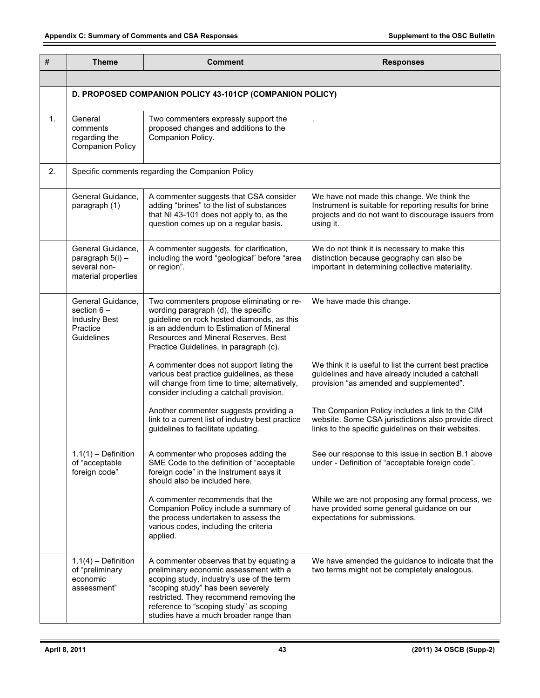| #              | <b>Theme</b>                                                                        | <b>Comment</b>                                                                                                                                                                                                                                                                                      | <b>Responses</b>                                                                                                                                                         |
|----------------|-------------------------------------------------------------------------------------|-----------------------------------------------------------------------------------------------------------------------------------------------------------------------------------------------------------------------------------------------------------------------------------------------------|--------------------------------------------------------------------------------------------------------------------------------------------------------------------------|
|                |                                                                                     |                                                                                                                                                                                                                                                                                                     |                                                                                                                                                                          |
|                | D. PROPOSED COMPANION POLICY 43-101CP (COMPANION POLICY)                            |                                                                                                                                                                                                                                                                                                     |                                                                                                                                                                          |
| 1 <sub>1</sub> | General<br>comments<br>regarding the<br><b>Companion Policy</b>                     | Two commenters expressly support the<br>proposed changes and additions to the<br>Companion Policy.                                                                                                                                                                                                  |                                                                                                                                                                          |
| 2.             |                                                                                     | Specific comments regarding the Companion Policy                                                                                                                                                                                                                                                    |                                                                                                                                                                          |
|                | General Guidance,<br>paragraph (1)                                                  | A commenter suggests that CSA consider<br>adding "brines" to the list of substances<br>that NI 43-101 does not apply to, as the<br>question comes up on a regular basis.                                                                                                                            | We have not made this change. We think the<br>Instrument is suitable for reporting results for brine<br>projects and do not want to discourage issuers from<br>using it. |
|                | General Guidance,<br>paragraph 5(i) -<br>several non-<br>material properties        | A commenter suggests, for clarification,<br>including the word "geological" before "area<br>or region".                                                                                                                                                                                             | We do not think it is necessary to make this<br>distinction because geography can also be<br>important in determining collective materiality.                            |
|                | General Guidance,<br>section $6-$<br><b>Industry Best</b><br>Practice<br>Guidelines | Two commenters propose eliminating or re-<br>wording paragraph (d), the specific<br>guideline on rock hosted diamonds, as this<br>is an addendum to Estimation of Mineral<br>Resources and Mineral Reserves, Best<br>Practice Guidelines, in paragraph (c).                                         | We have made this change.                                                                                                                                                |
|                |                                                                                     | A commenter does not support listing the<br>various best practice guidelines, as these<br>will change from time to time; alternatively,<br>consider including a catchall provision.                                                                                                                 | We think it is useful to list the current best practice<br>guidelines and have already included a catchall<br>provision "as amended and supplemented".                   |
|                |                                                                                     | Another commenter suggests providing a<br>link to a current list of industry best practice<br>guidelines to facilitate updating.                                                                                                                                                                    | The Companion Policy includes a link to the CIM<br>website. Some CSA jurisdictions also provide direct<br>links to the specific guidelines on their websites.            |
|                | $1.1(1)$ – Definition<br>of "acceptable<br>foreign code"                            | A commenter who proposes adding the<br>SME Code to the definition of "acceptable<br>foreign code" in the Instrument says it<br>should also be included here.                                                                                                                                        | See our response to this issue in section B.1 above<br>under - Definition of "acceptable foreign code".                                                                  |
|                |                                                                                     | A commenter recommends that the<br>Companion Policy include a summary of<br>the process undertaken to assess the<br>various codes, including the criteria<br>applied.                                                                                                                               | While we are not proposing any formal process, we<br>have provided some general guidance on our<br>expectations for submissions.                                         |
|                | $1.1(4)$ – Definition<br>of "preliminary<br>economic<br>assessment"                 | A commenter observes that by equating a<br>preliminary economic assessment with a<br>scoping study, industry's use of the term<br>"scoping study" has been severely<br>restricted. They recommend removing the<br>reference to "scoping study" as scoping<br>studies have a much broader range than | We have amended the guidance to indicate that the<br>two terms might not be completely analogous.                                                                        |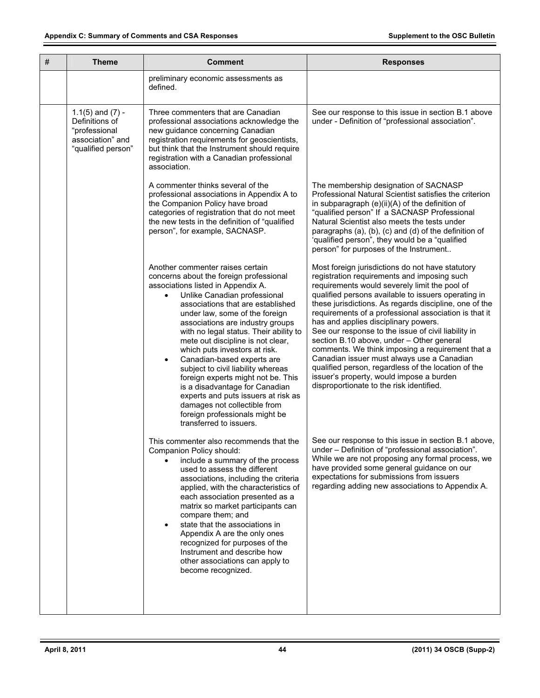| $\#$ | <b>Theme</b>                                                                                      | <b>Comment</b>                                                                                                                                                                                                                                                                                                                                                                                                                                                                                                                                                                                                                                                                         | <b>Responses</b>                                                                                                                                                                                                                                                                                                                                                                                                                                                                                                                                                                                                                                                                                                        |
|------|---------------------------------------------------------------------------------------------------|----------------------------------------------------------------------------------------------------------------------------------------------------------------------------------------------------------------------------------------------------------------------------------------------------------------------------------------------------------------------------------------------------------------------------------------------------------------------------------------------------------------------------------------------------------------------------------------------------------------------------------------------------------------------------------------|-------------------------------------------------------------------------------------------------------------------------------------------------------------------------------------------------------------------------------------------------------------------------------------------------------------------------------------------------------------------------------------------------------------------------------------------------------------------------------------------------------------------------------------------------------------------------------------------------------------------------------------------------------------------------------------------------------------------------|
|      |                                                                                                   | preliminary economic assessments as<br>defined.                                                                                                                                                                                                                                                                                                                                                                                                                                                                                                                                                                                                                                        |                                                                                                                                                                                                                                                                                                                                                                                                                                                                                                                                                                                                                                                                                                                         |
|      | $1.1(5)$ and $(7)$ -<br>Definitions of<br>"professional<br>association" and<br>"qualified person" | Three commenters that are Canadian<br>professional associations acknowledge the<br>new guidance concerning Canadian<br>registration requirements for geoscientists,<br>but think that the Instrument should require<br>registration with a Canadian professional<br>association.                                                                                                                                                                                                                                                                                                                                                                                                       | See our response to this issue in section B.1 above<br>under - Definition of "professional association".                                                                                                                                                                                                                                                                                                                                                                                                                                                                                                                                                                                                                |
|      |                                                                                                   | A commenter thinks several of the<br>professional associations in Appendix A to<br>the Companion Policy have broad<br>categories of registration that do not meet<br>the new tests in the definition of "qualified<br>person", for example, SACNASP.                                                                                                                                                                                                                                                                                                                                                                                                                                   | The membership designation of SACNASP<br>Professional Natural Scientist satisfies the criterion<br>in subparagraph (e)(ii)(A) of the definition of<br>"qualified person" If a SACNASP Professional<br>Natural Scientist also meets the tests under<br>paragraphs (a), (b), (c) and (d) of the definition of<br>'qualified person", they would be a "qualified<br>person" for purposes of the Instrument                                                                                                                                                                                                                                                                                                                 |
|      |                                                                                                   | Another commenter raises certain<br>concerns about the foreign professional<br>associations listed in Appendix A.<br>Unlike Canadian professional<br>$\bullet$<br>associations that are established<br>under law, some of the foreign<br>associations are industry groups<br>with no legal status. Their ability to<br>mete out discipline is not clear,<br>which puts investors at risk.<br>Canadian-based experts are<br>$\bullet$<br>subject to civil liability whereas<br>foreign experts might not be. This<br>is a disadvantage for Canadian<br>experts and puts issuers at risk as<br>damages not collectible from<br>foreign professionals might be<br>transferred to issuers. | Most foreign jurisdictions do not have statutory<br>registration requirements and imposing such<br>requirements would severely limit the pool of<br>qualified persons available to issuers operating in<br>these jurisdictions. As regards discipline, one of the<br>requirements of a professional association is that it<br>has and applies disciplinary powers.<br>See our response to the issue of civil liability in<br>section B.10 above, under - Other general<br>comments. We think imposing a requirement that a<br>Canadian issuer must always use a Canadian<br>qualified person, regardless of the location of the<br>issuer's property, would impose a burden<br>disproportionate to the risk identified. |
|      |                                                                                                   | This commenter also recommends that the<br>Companion Policy should:<br>include a summary of the process<br>used to assess the different<br>associations, including the criteria<br>applied, with the characteristics of<br>each association presented as a<br>matrix so market participants can<br>compare them; and<br>state that the associations in<br>$\bullet$<br>Appendix A are the only ones<br>recognized for purposes of the<br>Instrument and describe how<br>other associations can apply to<br>become recognized.                                                                                                                                                          | See our response to this issue in section B.1 above,<br>under - Definition of "professional association".<br>While we are not proposing any formal process, we<br>have provided some general guidance on our<br>expectations for submissions from issuers<br>regarding adding new associations to Appendix A.                                                                                                                                                                                                                                                                                                                                                                                                           |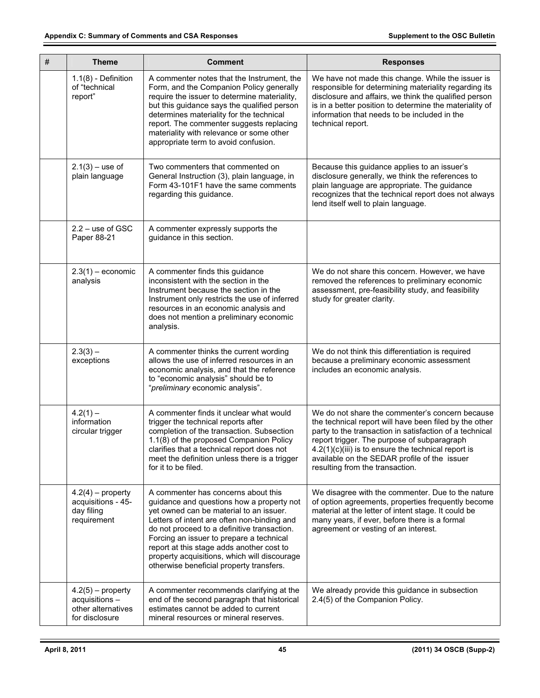| # | <b>Theme</b>                                                                 | <b>Comment</b>                                                                                                                                                                                                                                                                                                                                                                                                 | <b>Responses</b>                                                                                                                                                                                                                                                                                                                                                |
|---|------------------------------------------------------------------------------|----------------------------------------------------------------------------------------------------------------------------------------------------------------------------------------------------------------------------------------------------------------------------------------------------------------------------------------------------------------------------------------------------------------|-----------------------------------------------------------------------------------------------------------------------------------------------------------------------------------------------------------------------------------------------------------------------------------------------------------------------------------------------------------------|
|   | 1.1(8) - Definition<br>of "technical<br>report"                              | A commenter notes that the Instrument, the<br>Form, and the Companion Policy generally<br>require the issuer to determine materiality,<br>but this guidance says the qualified person<br>determines materiality for the technical<br>report. The commenter suggests replacing<br>materiality with relevance or some other<br>appropriate term to avoid confusion.                                              | We have not made this change. While the issuer is<br>responsible for determining materiality regarding its<br>disclosure and affairs, we think the qualified person<br>is in a better position to determine the materiality of<br>information that needs to be included in the<br>technical report.                                                             |
|   | $2.1(3) -$ use of<br>plain language                                          | Two commenters that commented on<br>General Instruction (3), plain language, in<br>Form 43-101F1 have the same comments<br>regarding this guidance.                                                                                                                                                                                                                                                            | Because this guidance applies to an issuer's<br>disclosure generally, we think the references to<br>plain language are appropriate. The guidance<br>recognizes that the technical report does not always<br>lend itself well to plain language.                                                                                                                 |
|   | $2.2 -$ use of GSC<br>Paper 88-21                                            | A commenter expressly supports the<br>guidance in this section.                                                                                                                                                                                                                                                                                                                                                |                                                                                                                                                                                                                                                                                                                                                                 |
|   | $2.3(1)$ – economic<br>analysis                                              | A commenter finds this guidance<br>inconsistent with the section in the<br>Instrument because the section in the<br>Instrument only restricts the use of inferred<br>resources in an economic analysis and<br>does not mention a preliminary economic<br>analysis.                                                                                                                                             | We do not share this concern. However, we have<br>removed the references to preliminary economic<br>assessment, pre-feasibility study, and feasibility<br>study for greater clarity.                                                                                                                                                                            |
|   | $2.3(3) -$<br>exceptions                                                     | A commenter thinks the current wording<br>allows the use of inferred resources in an<br>economic analysis, and that the reference<br>to "economic analysis" should be to<br>"preliminary economic analysis".                                                                                                                                                                                                   | We do not think this differentiation is required<br>because a preliminary economic assessment<br>includes an economic analysis.                                                                                                                                                                                                                                 |
|   | $4.2(1) -$<br>information<br>circular trigger                                | A commenter finds it unclear what would<br>trigger the technical reports after<br>completion of the transaction. Subsection<br>1.1(8) of the proposed Companion Policy<br>clarifies that a technical report does not<br>meet the definition unless there is a trigger<br>for it to be filed.                                                                                                                   | We do not share the commenter's concern because<br>the technical report will have been filed by the other<br>party to the transaction in satisfaction of a technical<br>report trigger. The purpose of subparagraph<br>$4.2(1)(c)(iii)$ is to ensure the technical report is<br>available on the SEDAR profile of the issuer<br>resulting from the transaction. |
|   | $4.2(4)$ – property<br>acquisitions - 45-<br>day filing<br>requirement       | A commenter has concerns about this<br>guidance and questions how a property not<br>yet owned can be material to an issuer.<br>Letters of intent are often non-binding and<br>do not proceed to a definitive transaction.<br>Forcing an issuer to prepare a technical<br>report at this stage adds another cost to<br>property acquisitions, which will discourage<br>otherwise beneficial property transfers. | We disagree with the commenter. Due to the nature<br>of option agreements, properties frequently become<br>material at the letter of intent stage. It could be<br>many years, if ever, before there is a formal<br>agreement or vesting of an interest.                                                                                                         |
|   | $4.2(5)$ – property<br>acquisitions-<br>other alternatives<br>for disclosure | A commenter recommends clarifying at the<br>end of the second paragraph that historical<br>estimates cannot be added to current<br>mineral resources or mineral reserves.                                                                                                                                                                                                                                      | We already provide this guidance in subsection<br>2.4(5) of the Companion Policy.                                                                                                                                                                                                                                                                               |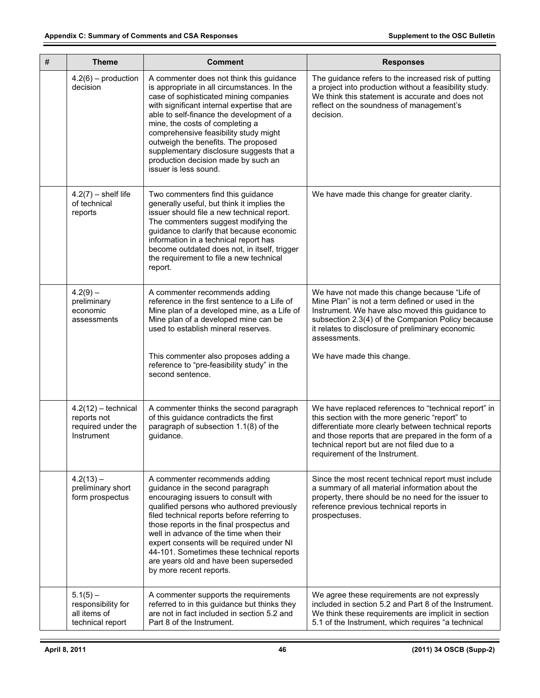| $\#$ | <b>Theme</b>                                                             | <b>Comment</b>                                                                                                                                                                                                                                                                                                                                                                                                                                                | <b>Responses</b>                                                                                                                                                                                                                                                                                          |
|------|--------------------------------------------------------------------------|---------------------------------------------------------------------------------------------------------------------------------------------------------------------------------------------------------------------------------------------------------------------------------------------------------------------------------------------------------------------------------------------------------------------------------------------------------------|-----------------------------------------------------------------------------------------------------------------------------------------------------------------------------------------------------------------------------------------------------------------------------------------------------------|
|      | $4.2(6)$ – production<br>decision                                        | A commenter does not think this guidance<br>is appropriate in all circumstances. In the<br>case of sophisticated mining companies<br>with significant internal expertise that are<br>able to self-finance the development of a<br>mine, the costs of completing a<br>comprehensive feasibility study might<br>outweigh the benefits. The proposed<br>supplementary disclosure suggests that a<br>production decision made by such an<br>issuer is less sound. | The guidance refers to the increased risk of putting<br>a project into production without a feasibility study.<br>We think this statement is accurate and does not<br>reflect on the soundness of management's<br>decision.                                                                               |
|      | $4.2(7)$ – shelf life<br>of technical<br>reports                         | Two commenters find this guidance<br>generally useful, but think it implies the<br>issuer should file a new technical report.<br>The commenters suggest modifying the<br>guidance to clarify that because economic<br>information in a technical report has<br>become outdated does not, in itself, trigger<br>the requirement to file a new technical<br>report.                                                                                             | We have made this change for greater clarity.                                                                                                                                                                                                                                                             |
|      | $4.2(9) -$<br>preliminary<br>economic<br>assessments                     | A commenter recommends adding<br>reference in the first sentence to a Life of<br>Mine plan of a developed mine, as a Life of<br>Mine plan of a developed mine can be<br>used to establish mineral reserves.<br>This commenter also proposes adding a<br>reference to "pre-feasibility study" in the<br>second sentence.                                                                                                                                       | We have not made this change because "Life of<br>Mine Plan" is not a term defined or used in the<br>Instrument. We have also moved this guidance to<br>subsection 2.3(4) of the Companion Policy because<br>it relates to disclosure of preliminary economic<br>assessments.<br>We have made this change. |
|      | $4.2(12)$ - technical<br>reports not<br>required under the<br>Instrument | A commenter thinks the second paragraph<br>of this guidance contradicts the first<br>paragraph of subsection 1.1(8) of the<br>guidance.                                                                                                                                                                                                                                                                                                                       | We have replaced references to "technical report" in<br>this section with the more generic "report" to<br>differentiate more clearly between technical reports<br>and those reports that are prepared in the form of a<br>technical report but are not filed due to a<br>requirement of the Instrument.   |
|      | $4.2(13) -$<br>preliminary short<br>form prospectus                      | A commenter recommends adding<br>guidance in the second paragraph<br>encouraging issuers to consult with<br>qualified persons who authored previously<br>filed technical reports before referring to<br>those reports in the final prospectus and<br>well in advance of the time when their<br>expert consents will be required under NI<br>44-101. Sometimes these technical reports<br>are years old and have been superseded<br>by more recent reports.    | Since the most recent technical report must include<br>a summary of all material information about the<br>property, there should be no need for the issuer to<br>reference previous technical reports in<br>prospectuses.                                                                                 |
|      | $5.1(5) -$<br>responsibility for<br>all items of<br>technical report     | A commenter supports the requirements<br>referred to in this guidance but thinks they<br>are not in fact included in section 5.2 and<br>Part 8 of the Instrument.                                                                                                                                                                                                                                                                                             | We agree these requirements are not expressly<br>included in section 5.2 and Part 8 of the Instrument.<br>We think these requirements are implicit in section<br>5.1 of the Instrument, which requires "a technical                                                                                       |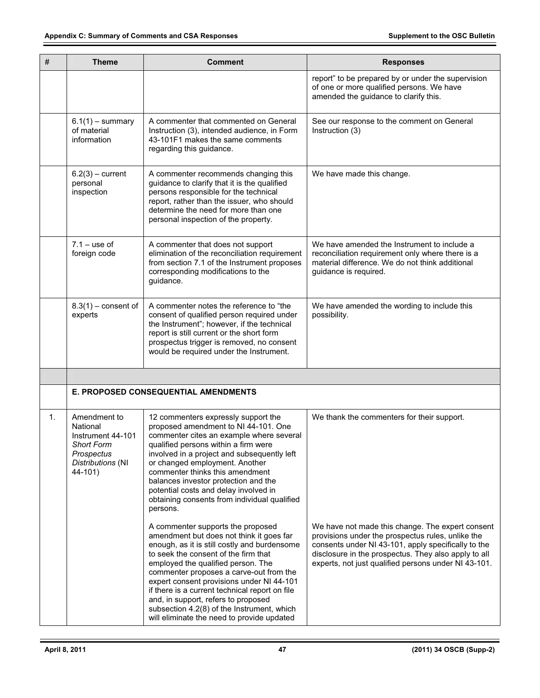| #  | <b>Theme</b>                                                                                              | <b>Comment</b>                                                                                                                                                                                                                                                                                                                                                                                                                                                                           | <b>Responses</b>                                                                                                                                                                                                                                                             |
|----|-----------------------------------------------------------------------------------------------------------|------------------------------------------------------------------------------------------------------------------------------------------------------------------------------------------------------------------------------------------------------------------------------------------------------------------------------------------------------------------------------------------------------------------------------------------------------------------------------------------|------------------------------------------------------------------------------------------------------------------------------------------------------------------------------------------------------------------------------------------------------------------------------|
|    |                                                                                                           |                                                                                                                                                                                                                                                                                                                                                                                                                                                                                          | report" to be prepared by or under the supervision<br>of one or more qualified persons. We have<br>amended the guidance to clarify this.                                                                                                                                     |
|    | $6.1(1)$ – summary<br>of material<br>information                                                          | A commenter that commented on General<br>Instruction (3), intended audience, in Form<br>43-101F1 makes the same comments<br>regarding this guidance.                                                                                                                                                                                                                                                                                                                                     | See our response to the comment on General<br>Instruction (3)                                                                                                                                                                                                                |
|    | $6.2(3)$ – current<br>personal<br>inspection                                                              | A commenter recommends changing this<br>guidance to clarify that it is the qualified<br>persons responsible for the technical<br>report, rather than the issuer, who should<br>determine the need for more than one<br>personal inspection of the property.                                                                                                                                                                                                                              | We have made this change.                                                                                                                                                                                                                                                    |
|    | $7.1 -$ use of<br>foreign code                                                                            | A commenter that does not support<br>elimination of the reconciliation requirement<br>from section 7.1 of the Instrument proposes<br>corresponding modifications to the<br>guidance.                                                                                                                                                                                                                                                                                                     | We have amended the Instrument to include a<br>reconciliation requirement only where there is a<br>material difference. We do not think additional<br>guidance is required.                                                                                                  |
|    | $8.3(1)$ – consent of<br>experts                                                                          | A commenter notes the reference to "the<br>consent of qualified person required under<br>the Instrument"; however, if the technical<br>report is still current or the short form<br>prospectus trigger is removed, no consent<br>would be required under the Instrument.                                                                                                                                                                                                                 | We have amended the wording to include this<br>possibility.                                                                                                                                                                                                                  |
|    |                                                                                                           |                                                                                                                                                                                                                                                                                                                                                                                                                                                                                          |                                                                                                                                                                                                                                                                              |
|    |                                                                                                           | E. PROPOSED CONSEQUENTIAL AMENDMENTS                                                                                                                                                                                                                                                                                                                                                                                                                                                     |                                                                                                                                                                                                                                                                              |
| 1. | Amendment to<br>National<br>Instrument 44-101<br>Short Form<br>Prospectus<br>Distributions (NI<br>44-101) | 12 commenters expressly support the<br>proposed amendment to NI 44-101. One<br>commenter cites an example where several<br>qualified persons within a firm were<br>involved in a project and subsequently left<br>or changed employment. Another<br>commenter thinks this amendment<br>balances investor protection and the<br>potential costs and delay involved in<br>obtaining consents from individual qualified<br>persons.                                                         | We thank the commenters for their support.                                                                                                                                                                                                                                   |
|    |                                                                                                           | A commenter supports the proposed<br>amendment but does not think it goes far<br>enough, as it is still costly and burdensome<br>to seek the consent of the firm that<br>employed the qualified person. The<br>commenter proposes a carve-out from the<br>expert consent provisions under NI 44-101<br>if there is a current technical report on file<br>and, in support, refers to proposed<br>subsection 4.2(8) of the Instrument, which<br>will eliminate the need to provide updated | We have not made this change. The expert consent<br>provisions under the prospectus rules, unlike the<br>consents under NI 43-101, apply specifically to the<br>disclosure in the prospectus. They also apply to all<br>experts, not just qualified persons under NI 43-101. |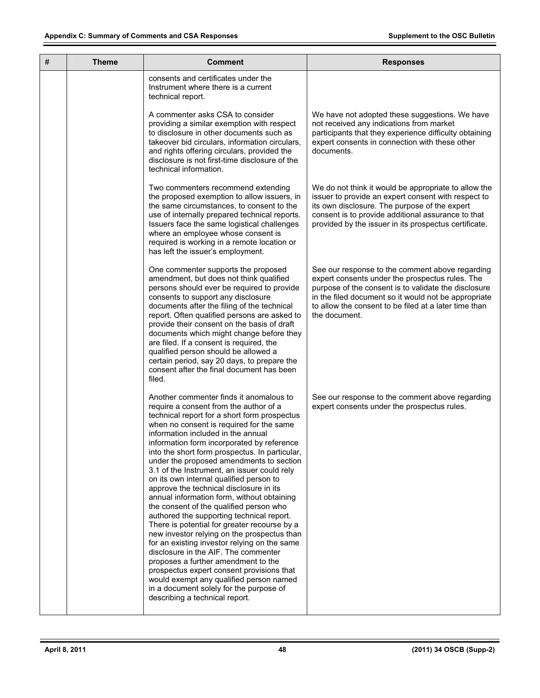| $\#$ | <b>Theme</b> | <b>Comment</b>                                                                                                                                                                                                                                                                                                                                                                                                                                                                                                                                                                                                                                                                                                                                                                                                                                                                                                                                                                                                                                | <b>Responses</b>                                                                                                                                                                                                                                                                             |
|------|--------------|-----------------------------------------------------------------------------------------------------------------------------------------------------------------------------------------------------------------------------------------------------------------------------------------------------------------------------------------------------------------------------------------------------------------------------------------------------------------------------------------------------------------------------------------------------------------------------------------------------------------------------------------------------------------------------------------------------------------------------------------------------------------------------------------------------------------------------------------------------------------------------------------------------------------------------------------------------------------------------------------------------------------------------------------------|----------------------------------------------------------------------------------------------------------------------------------------------------------------------------------------------------------------------------------------------------------------------------------------------|
|      |              | consents and certificates under the<br>Instrument where there is a current<br>technical report.                                                                                                                                                                                                                                                                                                                                                                                                                                                                                                                                                                                                                                                                                                                                                                                                                                                                                                                                               |                                                                                                                                                                                                                                                                                              |
|      |              | A commenter asks CSA to consider<br>providing a similar exemption with respect<br>to disclosure in other documents such as<br>takeover bid circulars, information circulars,<br>and rights offering circulars, provided the<br>disclosure is not first-time disclosure of the<br>technical information.                                                                                                                                                                                                                                                                                                                                                                                                                                                                                                                                                                                                                                                                                                                                       | We have not adopted these suggestions. We have<br>not received any indications from market<br>participants that they experience difficulty obtaining<br>expert consents in connection with these other<br>documents.                                                                         |
|      |              | Two commenters recommend extending<br>the proposed exemption to allow issuers, in<br>the same circumstances, to consent to the<br>use of internally prepared technical reports.<br>Issuers face the same logistical challenges<br>where an employee whose consent is<br>required is working in a remote location or<br>has left the issuer's employment.                                                                                                                                                                                                                                                                                                                                                                                                                                                                                                                                                                                                                                                                                      | We do not think it would be appropriate to allow the<br>issuer to provide an expert consent with respect to<br>its own disclosure. The purpose of the expert<br>consent is to provide additional assurance to that<br>provided by the issuer in its prospectus certificate.                  |
|      |              | One commenter supports the proposed<br>amendment, but does not think qualified<br>persons should ever be required to provide<br>consents to support any disclosure<br>documents after the filing of the technical<br>report. Often qualified persons are asked to<br>provide their consent on the basis of draft<br>documents which might change before they<br>are filed. If a consent is required, the<br>qualified person should be allowed a<br>certain period, say 20 days, to prepare the<br>consent after the final document has been<br>filed.                                                                                                                                                                                                                                                                                                                                                                                                                                                                                        | See our response to the comment above regarding<br>expert consents under the prospectus rules. The<br>purpose of the consent is to validate the disclosure<br>in the filed document so it would not be appropriate<br>to allow the consent to be filed at a later time than<br>the document. |
|      |              | Another commenter finds it anomalous to<br>require a consent from the author of a<br>technical report for a short form prospectus<br>when no consent is required for the same<br>information included in the annual<br>information form incorporated by reference<br>into the short form prospectus. In particular,<br>under the proposed amendments to section<br>3.1 of the Instrument, an issuer could rely<br>on its own internal qualified person to<br>approve the technical disclosure in its<br>annual information form, without obtaining<br>the consent of the qualified person who<br>authored the supporting technical report.<br>There is potential for greater recourse by a<br>new investor relying on the prospectus than<br>for an existing investor relying on the same<br>disclosure in the AIF. The commenter<br>proposes a further amendment to the<br>prospectus expert consent provisions that<br>would exempt any qualified person named<br>in a document solely for the purpose of<br>describing a technical report. | See our response to the comment above regarding<br>expert consents under the prospectus rules.                                                                                                                                                                                               |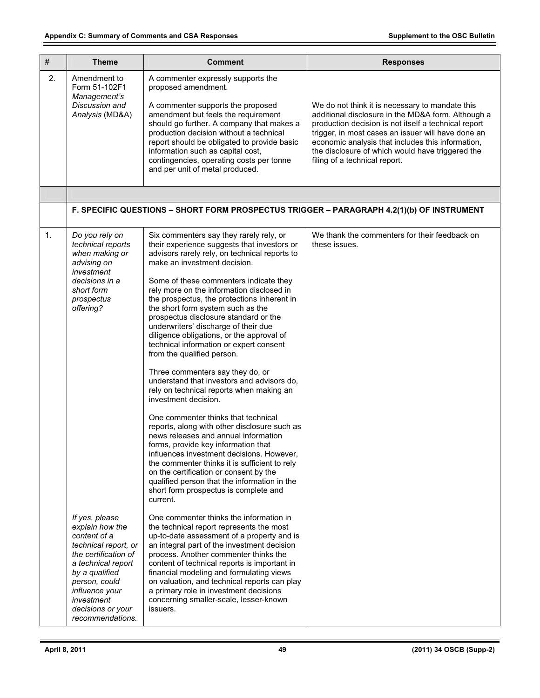| $\#$ | <b>Theme</b>                                                                                                                                                                                                                        | <b>Comment</b>                                                                                                                                                                                                                                                                                                                                                                                                                                                                                                                                                                                                                                                                                                                                                                                                                                                                                                                                                                                                                                                                                                                     | <b>Responses</b>                                                                                                                                                                                                                                                                                                                                              |
|------|-------------------------------------------------------------------------------------------------------------------------------------------------------------------------------------------------------------------------------------|------------------------------------------------------------------------------------------------------------------------------------------------------------------------------------------------------------------------------------------------------------------------------------------------------------------------------------------------------------------------------------------------------------------------------------------------------------------------------------------------------------------------------------------------------------------------------------------------------------------------------------------------------------------------------------------------------------------------------------------------------------------------------------------------------------------------------------------------------------------------------------------------------------------------------------------------------------------------------------------------------------------------------------------------------------------------------------------------------------------------------------|---------------------------------------------------------------------------------------------------------------------------------------------------------------------------------------------------------------------------------------------------------------------------------------------------------------------------------------------------------------|
| 2.   | Amendment to<br>Form 51-102F1<br>Management's<br>Discussion and<br>Analysis (MD&A)                                                                                                                                                  | A commenter expressly supports the<br>proposed amendment.<br>A commenter supports the proposed<br>amendment but feels the requirement<br>should go further. A company that makes a<br>production decision without a technical<br>report should be obligated to provide basic<br>information such as capital cost,<br>contingencies, operating costs per tonne<br>and per unit of metal produced.                                                                                                                                                                                                                                                                                                                                                                                                                                                                                                                                                                                                                                                                                                                                   | We do not think it is necessary to mandate this<br>additional disclosure in the MD&A form. Although a<br>production decision is not itself a technical report<br>trigger, in most cases an issuer will have done an<br>economic analysis that includes this information,<br>the disclosure of which would have triggered the<br>filing of a technical report. |
|      |                                                                                                                                                                                                                                     |                                                                                                                                                                                                                                                                                                                                                                                                                                                                                                                                                                                                                                                                                                                                                                                                                                                                                                                                                                                                                                                                                                                                    |                                                                                                                                                                                                                                                                                                                                                               |
|      |                                                                                                                                                                                                                                     |                                                                                                                                                                                                                                                                                                                                                                                                                                                                                                                                                                                                                                                                                                                                                                                                                                                                                                                                                                                                                                                                                                                                    | F. SPECIFIC QUESTIONS - SHORT FORM PROSPECTUS TRIGGER - PARAGRAPH 4.2(1)(b) OF INSTRUMENT                                                                                                                                                                                                                                                                     |
| 1.   | Do you rely on<br>technical reports<br>when making or<br>advising on<br>investment<br>decisions in a<br>short form<br>prospectus<br>offering?                                                                                       | Six commenters say they rarely rely, or<br>their experience suggests that investors or<br>advisors rarely rely, on technical reports to<br>make an investment decision.<br>Some of these commenters indicate they<br>rely more on the information disclosed in<br>the prospectus, the protections inherent in<br>the short form system such as the<br>prospectus disclosure standard or the<br>underwriters' discharge of their due<br>diligence obligations, or the approval of<br>technical information or expert consent<br>from the qualified person.<br>Three commenters say they do, or<br>understand that investors and advisors do,<br>rely on technical reports when making an<br>investment decision.<br>One commenter thinks that technical<br>reports, along with other disclosure such as<br>news releases and annual information<br>forms, provide key information that<br>influences investment decisions. However,<br>the commenter thinks it is sufficient to rely<br>on the certification or consent by the<br>qualified person that the information in the<br>short form prospectus is complete and<br>current. | We thank the commenters for their feedback on<br>these issues.                                                                                                                                                                                                                                                                                                |
|      | If yes, please<br>explain how the<br>content of a<br>technical report, or<br>the certification of<br>a technical report<br>by a qualified<br>person, could<br>influence your<br>investment<br>decisions or your<br>recommendations. | One commenter thinks the information in<br>the technical report represents the most<br>up-to-date assessment of a property and is<br>an integral part of the investment decision<br>process. Another commenter thinks the<br>content of technical reports is important in<br>financial modeling and formulating views<br>on valuation, and technical reports can play<br>a primary role in investment decisions<br>concerning smaller-scale, lesser-known<br>issuers.                                                                                                                                                                                                                                                                                                                                                                                                                                                                                                                                                                                                                                                              |                                                                                                                                                                                                                                                                                                                                                               |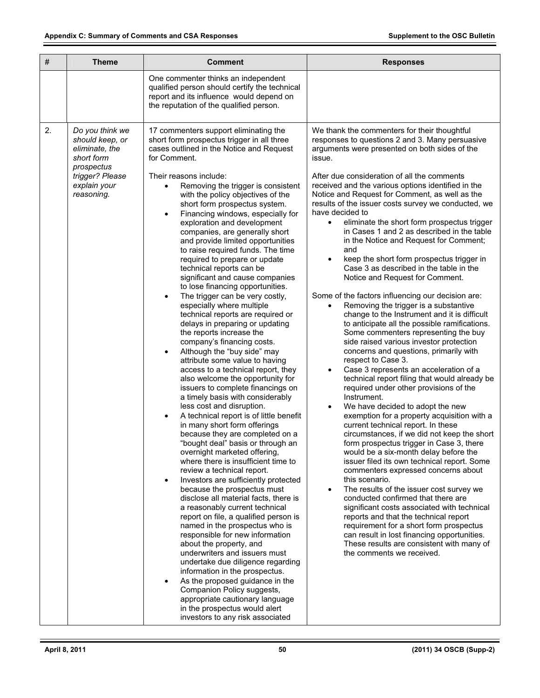| #  | <b>Theme</b>                                                                                                                      | <b>Comment</b>                                                                                                                                                                                                                                                                                                                                                                                                                                                                                                                                                                                                                                                                                                                                                                                                                                                                                                                                                                                                                                                                                                                                                                                                                                                                                                                                                                                                                                                                                                                                                                                                                                                                                                                                                                                                                                                                                                                                                                              | <b>Responses</b>                                                                                                                                                                                                                                                                                                                                                                                                                                                                                                                                                                                                                                                                                                                                                                                                                                                                                                                                                                                                                                                                                                                                                                                                                                                                                                                                                                                                                                                                                                                                                                                                                                                                                                                                                                                                                                                                                                        |
|----|-----------------------------------------------------------------------------------------------------------------------------------|---------------------------------------------------------------------------------------------------------------------------------------------------------------------------------------------------------------------------------------------------------------------------------------------------------------------------------------------------------------------------------------------------------------------------------------------------------------------------------------------------------------------------------------------------------------------------------------------------------------------------------------------------------------------------------------------------------------------------------------------------------------------------------------------------------------------------------------------------------------------------------------------------------------------------------------------------------------------------------------------------------------------------------------------------------------------------------------------------------------------------------------------------------------------------------------------------------------------------------------------------------------------------------------------------------------------------------------------------------------------------------------------------------------------------------------------------------------------------------------------------------------------------------------------------------------------------------------------------------------------------------------------------------------------------------------------------------------------------------------------------------------------------------------------------------------------------------------------------------------------------------------------------------------------------------------------------------------------------------------------|-------------------------------------------------------------------------------------------------------------------------------------------------------------------------------------------------------------------------------------------------------------------------------------------------------------------------------------------------------------------------------------------------------------------------------------------------------------------------------------------------------------------------------------------------------------------------------------------------------------------------------------------------------------------------------------------------------------------------------------------------------------------------------------------------------------------------------------------------------------------------------------------------------------------------------------------------------------------------------------------------------------------------------------------------------------------------------------------------------------------------------------------------------------------------------------------------------------------------------------------------------------------------------------------------------------------------------------------------------------------------------------------------------------------------------------------------------------------------------------------------------------------------------------------------------------------------------------------------------------------------------------------------------------------------------------------------------------------------------------------------------------------------------------------------------------------------------------------------------------------------------------------------------------------------|
|    |                                                                                                                                   | One commenter thinks an independent<br>qualified person should certify the technical<br>report and its influence would depend on<br>the reputation of the qualified person.                                                                                                                                                                                                                                                                                                                                                                                                                                                                                                                                                                                                                                                                                                                                                                                                                                                                                                                                                                                                                                                                                                                                                                                                                                                                                                                                                                                                                                                                                                                                                                                                                                                                                                                                                                                                                 |                                                                                                                                                                                                                                                                                                                                                                                                                                                                                                                                                                                                                                                                                                                                                                                                                                                                                                                                                                                                                                                                                                                                                                                                                                                                                                                                                                                                                                                                                                                                                                                                                                                                                                                                                                                                                                                                                                                         |
| 2. | Do you think we<br>should keep, or<br>eliminate, the<br>short form<br>prospectus<br>trigger? Please<br>explain your<br>reasoning. | 17 commenters support eliminating the<br>short form prospectus trigger in all three<br>cases outlined in the Notice and Request<br>for Comment.<br>Their reasons include:<br>Removing the trigger is consistent<br>$\bullet$<br>with the policy objectives of the<br>short form prospectus system.<br>Financing windows, especially for<br>$\bullet$<br>exploration and development<br>companies, are generally short<br>and provide limited opportunities<br>to raise required funds. The time<br>required to prepare or update<br>technical reports can be<br>significant and cause companies<br>to lose financing opportunities.<br>The trigger can be very costly,<br>$\bullet$<br>especially where multiple<br>technical reports are required or<br>delays in preparing or updating<br>the reports increase the<br>company's financing costs.<br>Although the "buy side" may<br>$\bullet$<br>attribute some value to having<br>access to a technical report, they<br>also welcome the opportunity for<br>issuers to complete financings on<br>a timely basis with considerably<br>less cost and disruption.<br>A technical report is of little benefit<br>$\bullet$<br>in many short form offerings<br>because they are completed on a<br>"bought deal" basis or through an<br>overnight marketed offering,<br>where there is insufficient time to<br>review a technical report.<br>Investors are sufficiently protected<br>$\bullet$<br>because the prospectus must<br>disclose all material facts, there is<br>a reasonably current technical<br>report on file, a qualified person is<br>named in the prospectus who is<br>responsible for new information<br>about the property, and<br>underwriters and issuers must<br>undertake due diligence regarding<br>information in the prospectus.<br>As the proposed guidance in the<br>$\bullet$<br>Companion Policy suggests,<br>appropriate cautionary language<br>in the prospectus would alert<br>investors to any risk associated | We thank the commenters for their thoughtful<br>responses to questions 2 and 3. Many persuasive<br>arguments were presented on both sides of the<br>issue.<br>After due consideration of all the comments<br>received and the various options identified in the<br>Notice and Request for Comment, as well as the<br>results of the issuer costs survey we conducted, we<br>have decided to<br>eliminate the short form prospectus trigger<br>$\bullet$<br>in Cases 1 and 2 as described in the table<br>in the Notice and Request for Comment;<br>and<br>keep the short form prospectus trigger in<br>$\bullet$<br>Case 3 as described in the table in the<br>Notice and Request for Comment.<br>Some of the factors influencing our decision are:<br>Removing the trigger is a substantive<br>change to the Instrument and it is difficult<br>to anticipate all the possible ramifications.<br>Some commenters representing the buy<br>side raised various investor protection<br>concerns and questions, primarily with<br>respect to Case 3.<br>Case 3 represents an acceleration of a<br>technical report filing that would already be<br>required under other provisions of the<br>Instrument.<br>We have decided to adopt the new<br>exemption for a property acquisition with a<br>current technical report. In these<br>circumstances, if we did not keep the short<br>form prospectus trigger in Case 3, there<br>would be a six-month delay before the<br>issuer filed its own technical report. Some<br>commenters expressed concerns about<br>this scenario.<br>The results of the issuer cost survey we<br>conducted confirmed that there are<br>significant costs associated with technical<br>reports and that the technical report<br>requirement for a short form prospectus<br>can result in lost financing opportunities.<br>These results are consistent with many of<br>the comments we received. |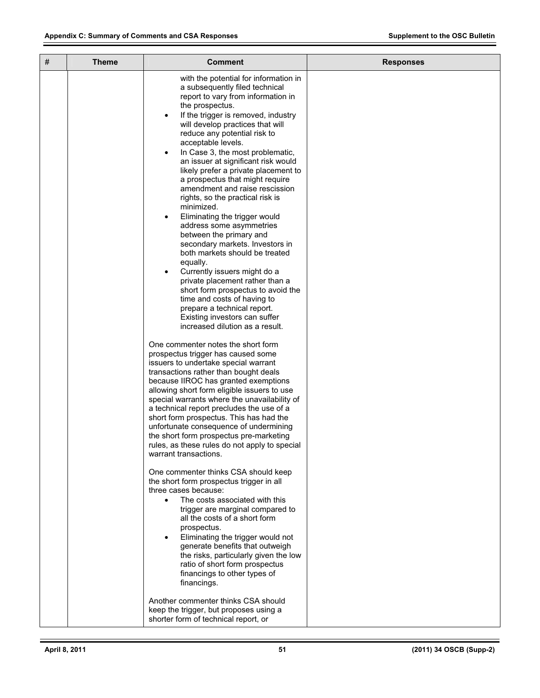| # | <b>Theme</b> | <b>Comment</b>                                                                                                                                                                                                                                                                                                                                                                                                                                                                                                                                                                                                                                                                                                                                                                                                                                                                                                                                                                                                                                                                                                                                                                                                                                                                                                                                                                                                                                                                                                            | <b>Responses</b> |
|---|--------------|---------------------------------------------------------------------------------------------------------------------------------------------------------------------------------------------------------------------------------------------------------------------------------------------------------------------------------------------------------------------------------------------------------------------------------------------------------------------------------------------------------------------------------------------------------------------------------------------------------------------------------------------------------------------------------------------------------------------------------------------------------------------------------------------------------------------------------------------------------------------------------------------------------------------------------------------------------------------------------------------------------------------------------------------------------------------------------------------------------------------------------------------------------------------------------------------------------------------------------------------------------------------------------------------------------------------------------------------------------------------------------------------------------------------------------------------------------------------------------------------------------------------------|------------------|
|   |              | with the potential for information in<br>a subsequently filed technical<br>report to vary from information in<br>the prospectus.<br>If the trigger is removed, industry<br>$\bullet$<br>will develop practices that will<br>reduce any potential risk to<br>acceptable levels.<br>In Case 3, the most problematic,<br>$\bullet$<br>an issuer at significant risk would<br>likely prefer a private placement to<br>a prospectus that might require<br>amendment and raise rescission<br>rights, so the practical risk is<br>minimized.<br>Eliminating the trigger would<br>٠<br>address some asymmetries<br>between the primary and<br>secondary markets. Investors in<br>both markets should be treated<br>equally.<br>Currently issuers might do a<br>private placement rather than a<br>short form prospectus to avoid the<br>time and costs of having to<br>prepare a technical report.<br>Existing investors can suffer<br>increased dilution as a result.<br>One commenter notes the short form<br>prospectus trigger has caused some<br>issuers to undertake special warrant<br>transactions rather than bought deals<br>because IIROC has granted exemptions<br>allowing short form eligible issuers to use<br>special warrants where the unavailability of<br>a technical report precludes the use of a<br>short form prospectus. This has had the<br>unfortunate consequence of undermining<br>the short form prospectus pre-marketing<br>rules, as these rules do not apply to special<br>warrant transactions. |                  |
|   |              | One commenter thinks CSA should keep<br>the short form prospectus trigger in all<br>three cases because:<br>The costs associated with this<br>$\bullet$<br>trigger are marginal compared to<br>all the costs of a short form<br>prospectus.<br>Eliminating the trigger would not<br>generate benefits that outweigh<br>the risks, particularly given the low<br>ratio of short form prospectus<br>financings to other types of<br>financings.<br>Another commenter thinks CSA should                                                                                                                                                                                                                                                                                                                                                                                                                                                                                                                                                                                                                                                                                                                                                                                                                                                                                                                                                                                                                                      |                  |
|   |              | keep the trigger, but proposes using a<br>shorter form of technical report, or                                                                                                                                                                                                                                                                                                                                                                                                                                                                                                                                                                                                                                                                                                                                                                                                                                                                                                                                                                                                                                                                                                                                                                                                                                                                                                                                                                                                                                            |                  |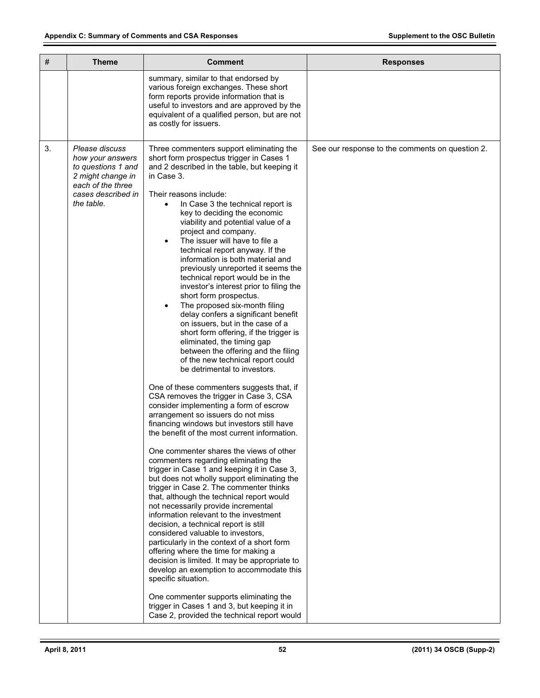| #  | <b>Theme</b>                                                                                                                           | <b>Comment</b>                                                                                                                                                                                                                                                                                                                                                                                                                                                                                                                                                                                                                                                                                                                                                                                                                                                                                                                                                                                                                                                                                                                                                                                                                                                                                                                                                                                                                                                                                                                                                                                                                                                                                                                                                                                                                                                                                                                                                    | <b>Responses</b>                                |
|----|----------------------------------------------------------------------------------------------------------------------------------------|-------------------------------------------------------------------------------------------------------------------------------------------------------------------------------------------------------------------------------------------------------------------------------------------------------------------------------------------------------------------------------------------------------------------------------------------------------------------------------------------------------------------------------------------------------------------------------------------------------------------------------------------------------------------------------------------------------------------------------------------------------------------------------------------------------------------------------------------------------------------------------------------------------------------------------------------------------------------------------------------------------------------------------------------------------------------------------------------------------------------------------------------------------------------------------------------------------------------------------------------------------------------------------------------------------------------------------------------------------------------------------------------------------------------------------------------------------------------------------------------------------------------------------------------------------------------------------------------------------------------------------------------------------------------------------------------------------------------------------------------------------------------------------------------------------------------------------------------------------------------------------------------------------------------------------------------------------------------|-------------------------------------------------|
|    |                                                                                                                                        | summary, similar to that endorsed by<br>various foreign exchanges. These short<br>form reports provide information that is<br>useful to investors and are approved by the<br>equivalent of a qualified person, but are not<br>as costly for issuers.                                                                                                                                                                                                                                                                                                                                                                                                                                                                                                                                                                                                                                                                                                                                                                                                                                                                                                                                                                                                                                                                                                                                                                                                                                                                                                                                                                                                                                                                                                                                                                                                                                                                                                              |                                                 |
| 3. | Please discuss<br>how your answers<br>to questions 1 and<br>2 might change in<br>each of the three<br>cases described in<br>the table. | Three commenters support eliminating the<br>short form prospectus trigger in Cases 1<br>and 2 described in the table, but keeping it<br>in Case 3.<br>Their reasons include:<br>In Case 3 the technical report is<br>$\bullet$<br>key to deciding the economic<br>viability and potential value of a<br>project and company.<br>The issuer will have to file a<br>technical report anyway. If the<br>information is both material and<br>previously unreported it seems the<br>technical report would be in the<br>investor's interest prior to filing the<br>short form prospectus.<br>The proposed six-month filing<br>$\bullet$<br>delay confers a significant benefit<br>on issuers, but in the case of a<br>short form offering, if the trigger is<br>eliminated, the timing gap<br>between the offering and the filing<br>of the new technical report could<br>be detrimental to investors.<br>One of these commenters suggests that, if<br>CSA removes the trigger in Case 3, CSA<br>consider implementing a form of escrow<br>arrangement so issuers do not miss<br>financing windows but investors still have<br>the benefit of the most current information.<br>One commenter shares the views of other<br>commenters regarding eliminating the<br>trigger in Case 1 and keeping it in Case 3,<br>but does not wholly support eliminating the<br>trigger in Case 2. The commenter thinks<br>that, although the technical report would<br>not necessarily provide incremental<br>information relevant to the investment<br>decision, a technical report is still<br>considered valuable to investors,<br>particularly in the context of a short form<br>offering where the time for making a<br>decision is limited. It may be appropriate to<br>develop an exemption to accommodate this<br>specific situation.<br>One commenter supports eliminating the<br>trigger in Cases 1 and 3, but keeping it in<br>Case 2, provided the technical report would | See our response to the comments on question 2. |
|    |                                                                                                                                        |                                                                                                                                                                                                                                                                                                                                                                                                                                                                                                                                                                                                                                                                                                                                                                                                                                                                                                                                                                                                                                                                                                                                                                                                                                                                                                                                                                                                                                                                                                                                                                                                                                                                                                                                                                                                                                                                                                                                                                   |                                                 |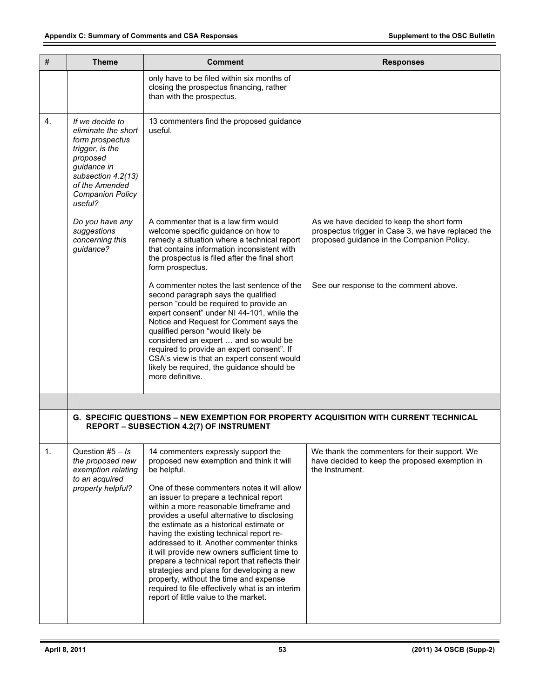| #  | <b>Theme</b>                                                                                                                                                                          | <b>Comment</b>                                                                                                                                                                                                                                                                                                                                                                                                                                                                                                                                                                                                                                                                                               | <b>Responses</b>                                                                                                                              |
|----|---------------------------------------------------------------------------------------------------------------------------------------------------------------------------------------|--------------------------------------------------------------------------------------------------------------------------------------------------------------------------------------------------------------------------------------------------------------------------------------------------------------------------------------------------------------------------------------------------------------------------------------------------------------------------------------------------------------------------------------------------------------------------------------------------------------------------------------------------------------------------------------------------------------|-----------------------------------------------------------------------------------------------------------------------------------------------|
|    |                                                                                                                                                                                       | only have to be filed within six months of<br>closing the prospectus financing, rather<br>than with the prospectus.                                                                                                                                                                                                                                                                                                                                                                                                                                                                                                                                                                                          |                                                                                                                                               |
| 4. | If we decide to<br>eliminate the short<br>form prospectus<br>trigger, is the<br>proposed<br>quidance in<br>subsection 4.2(13)<br>of the Amended<br><b>Companion Policy</b><br>useful? | 13 commenters find the proposed guidance<br>useful.                                                                                                                                                                                                                                                                                                                                                                                                                                                                                                                                                                                                                                                          |                                                                                                                                               |
|    | Do you have any<br>suggestions<br>concerning this<br>guidance?                                                                                                                        | A commenter that is a law firm would<br>welcome specific guidance on how to<br>remedy a situation where a technical report<br>that contains information inconsistent with<br>the prospectus is filed after the final short<br>form prospectus.                                                                                                                                                                                                                                                                                                                                                                                                                                                               | As we have decided to keep the short form<br>prospectus trigger in Case 3, we have replaced the<br>proposed guidance in the Companion Policy. |
|    |                                                                                                                                                                                       | A commenter notes the last sentence of the<br>second paragraph says the qualified<br>person "could be required to provide an<br>expert consent" under NI 44-101, while the<br>Notice and Request for Comment says the<br>qualified person "would likely be<br>considered an expert  and so would be<br>required to provide an expert consent". If<br>CSA's view is that an expert consent would<br>likely be required, the guidance should be<br>more definitive.                                                                                                                                                                                                                                            | See our response to the comment above.                                                                                                        |
|    |                                                                                                                                                                                       |                                                                                                                                                                                                                                                                                                                                                                                                                                                                                                                                                                                                                                                                                                              |                                                                                                                                               |
|    |                                                                                                                                                                                       | <b>REPORT - SUBSECTION 4.2(7) OF INSTRUMENT</b>                                                                                                                                                                                                                                                                                                                                                                                                                                                                                                                                                                                                                                                              | G. SPECIFIC QUESTIONS - NEW EXEMPTION FOR PROPERTY ACQUISITION WITH CURRENT TECHNICAL                                                         |
| 1. | Question $#5 - Is$<br>the proposed new<br>exemption relating<br>to an acquired<br>property helpful?                                                                                   | 14 commenters expressly support the<br>proposed new exemption and think it will<br>be helpful.<br>One of these commenters notes it will allow<br>an issuer to prepare a technical report<br>within a more reasonable timeframe and<br>provides a useful alternative to disclosing<br>the estimate as a historical estimate or<br>having the existing technical report re-<br>addressed to it. Another commenter thinks<br>it will provide new owners sufficient time to<br>prepare a technical report that reflects their<br>strategies and plans for developing a new<br>property, without the time and expense<br>required to file effectively what is an interim<br>report of little value to the market. | We thank the commenters for their support. We<br>have decided to keep the proposed exemption in<br>the Instrument.                            |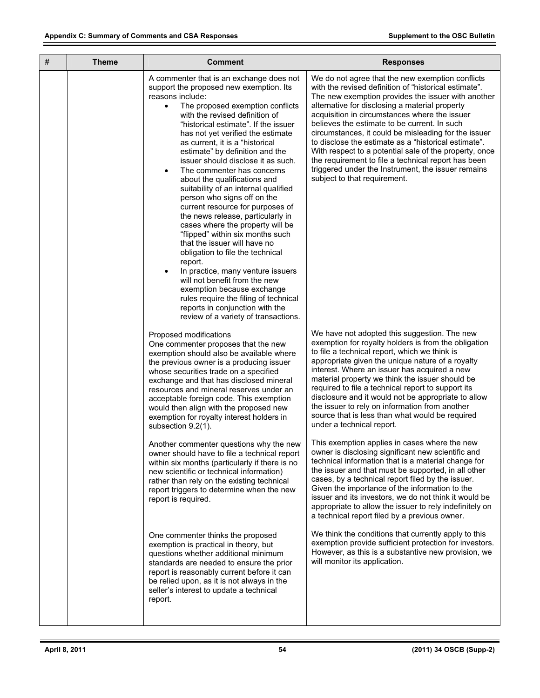| # | <b>Theme</b> | <b>Comment</b>                                                                                                                                                                                                                                                                                                                                                                                                                                                                                                                                                                                                                                                                                                                                                                                                                                                                                                                                                                                             | <b>Responses</b>                                                                                                                                                                                                                                                                                                                                                                                                                                                                                                                                                                                                                          |
|---|--------------|------------------------------------------------------------------------------------------------------------------------------------------------------------------------------------------------------------------------------------------------------------------------------------------------------------------------------------------------------------------------------------------------------------------------------------------------------------------------------------------------------------------------------------------------------------------------------------------------------------------------------------------------------------------------------------------------------------------------------------------------------------------------------------------------------------------------------------------------------------------------------------------------------------------------------------------------------------------------------------------------------------|-------------------------------------------------------------------------------------------------------------------------------------------------------------------------------------------------------------------------------------------------------------------------------------------------------------------------------------------------------------------------------------------------------------------------------------------------------------------------------------------------------------------------------------------------------------------------------------------------------------------------------------------|
|   |              | A commenter that is an exchange does not<br>support the proposed new exemption. Its<br>reasons include:<br>The proposed exemption conflicts<br>$\bullet$<br>with the revised definition of<br>"historical estimate". If the issuer<br>has not yet verified the estimate<br>as current, it is a "historical<br>estimate" by definition and the<br>issuer should disclose it as such.<br>The commenter has concerns<br>$\bullet$<br>about the qualifications and<br>suitability of an internal qualified<br>person who signs off on the<br>current resource for purposes of<br>the news release, particularly in<br>cases where the property will be<br>"flipped" within six months such<br>that the issuer will have no<br>obligation to file the technical<br>report.<br>In practice, many venture issuers<br>$\bullet$<br>will not benefit from the new<br>exemption because exchange<br>rules require the filing of technical<br>reports in conjunction with the<br>review of a variety of transactions. | We do not agree that the new exemption conflicts<br>with the revised definition of "historical estimate".<br>The new exemption provides the issuer with another<br>alternative for disclosing a material property<br>acquisition in circumstances where the issuer<br>believes the estimate to be current. In such<br>circumstances, it could be misleading for the issuer<br>to disclose the estimate as a "historical estimate".<br>With respect to a potential sale of the property, once<br>the requirement to file a technical report has been<br>triggered under the Instrument, the issuer remains<br>subject to that requirement. |
|   |              | Proposed modifications<br>One commenter proposes that the new<br>exemption should also be available where<br>the previous owner is a producing issuer<br>whose securities trade on a specified<br>exchange and that has disclosed mineral<br>resources and mineral reserves under an<br>acceptable foreign code. This exemption<br>would then align with the proposed new<br>exemption for royalty interest holders in<br>subsection 9.2(1).                                                                                                                                                                                                                                                                                                                                                                                                                                                                                                                                                               | We have not adopted this suggestion. The new<br>exemption for royalty holders is from the obligation<br>to file a technical report, which we think is<br>appropriate given the unique nature of a royalty<br>interest. Where an issuer has acquired a new<br>material property we think the issuer should be<br>required to file a technical report to support its<br>disclosure and it would not be appropriate to allow<br>the issuer to rely on information from another<br>source that is less than what would be required<br>under a technical report.                                                                               |
|   |              | Another commenter questions why the new<br>owner should have to file a technical report<br>within six months (particularly if there is no<br>new scientific or technical information)<br>rather than rely on the existing technical<br>report triggers to determine when the new<br>report is required.                                                                                                                                                                                                                                                                                                                                                                                                                                                                                                                                                                                                                                                                                                    | This exemption applies in cases where the new<br>owner is disclosing significant new scientific and<br>technical information that is a material change for<br>the issuer and that must be supported, in all other<br>cases, by a technical report filed by the issuer.<br>Given the importance of the information to the<br>issuer and its investors, we do not think it would be<br>appropriate to allow the issuer to rely indefinitely on<br>a technical report filed by a previous owner.                                                                                                                                             |
|   |              | One commenter thinks the proposed<br>exemption is practical in theory, but<br>questions whether additional minimum<br>standards are needed to ensure the prior<br>report is reasonably current before it can<br>be relied upon, as it is not always in the<br>seller's interest to update a technical<br>report.                                                                                                                                                                                                                                                                                                                                                                                                                                                                                                                                                                                                                                                                                           | We think the conditions that currently apply to this<br>exemption provide sufficient protection for investors.<br>However, as this is a substantive new provision, we<br>will monitor its application.                                                                                                                                                                                                                                                                                                                                                                                                                                    |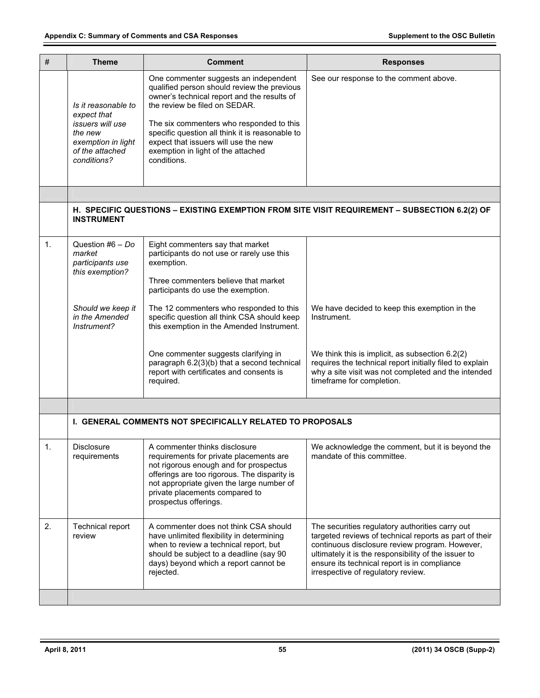| #  | <b>Theme</b>                                                                                                              | <b>Comment</b>                                                                                                                                                                                                                                                                                                                                                   | <b>Responses</b>                                                                                                                                                                                                                                                                                          |
|----|---------------------------------------------------------------------------------------------------------------------------|------------------------------------------------------------------------------------------------------------------------------------------------------------------------------------------------------------------------------------------------------------------------------------------------------------------------------------------------------------------|-----------------------------------------------------------------------------------------------------------------------------------------------------------------------------------------------------------------------------------------------------------------------------------------------------------|
|    | Is it reasonable to<br>expect that<br>issuers will use<br>the new<br>exemption in light<br>of the attached<br>conditions? | One commenter suggests an independent<br>qualified person should review the previous<br>owner's technical report and the results of<br>the review be filed on SEDAR.<br>The six commenters who responded to this<br>specific question all think it is reasonable to<br>expect that issuers will use the new<br>exemption in light of the attached<br>conditions. | See our response to the comment above.                                                                                                                                                                                                                                                                    |
|    |                                                                                                                           |                                                                                                                                                                                                                                                                                                                                                                  |                                                                                                                                                                                                                                                                                                           |
|    | <b>INSTRUMENT</b>                                                                                                         |                                                                                                                                                                                                                                                                                                                                                                  | H. SPECIFIC QUESTIONS - EXISTING EXEMPTION FROM SITE VISIT REQUIREMENT - SUBSECTION 6.2(2) OF                                                                                                                                                                                                             |
| 1. | Question $#6 - Do$<br>market<br>participants use<br>this exemption?                                                       | Eight commenters say that market<br>participants do not use or rarely use this<br>exemption.<br>Three commenters believe that market<br>participants do use the exemption.                                                                                                                                                                                       |                                                                                                                                                                                                                                                                                                           |
|    | Should we keep it<br>in the Amended<br>Instrument?                                                                        | The 12 commenters who responded to this<br>specific question all think CSA should keep<br>this exemption in the Amended Instrument.                                                                                                                                                                                                                              | We have decided to keep this exemption in the<br>Instrument.                                                                                                                                                                                                                                              |
|    |                                                                                                                           | One commenter suggests clarifying in<br>paragraph 6.2(3)(b) that a second technical<br>report with certificates and consents is<br>required.                                                                                                                                                                                                                     | We think this is implicit, as subsection 6.2(2)<br>requires the technical report initially filed to explain<br>why a site visit was not completed and the intended<br>timeframe for completion.                                                                                                           |
|    |                                                                                                                           |                                                                                                                                                                                                                                                                                                                                                                  |                                                                                                                                                                                                                                                                                                           |
|    |                                                                                                                           | <b>I. GENERAL COMMENTS NOT SPECIFICALLY RELATED TO PROPOSALS</b>                                                                                                                                                                                                                                                                                                 |                                                                                                                                                                                                                                                                                                           |
| 1. | <b>Disclosure</b><br>requirements                                                                                         | A commenter thinks disclosure<br>requirements for private placements are<br>not rigorous enough and for prospectus<br>offerings are too rigorous. The disparity is<br>not appropriate given the large number of<br>private placements compared to<br>prospectus offerings.                                                                                       | We acknowledge the comment, but it is beyond the<br>mandate of this committee.                                                                                                                                                                                                                            |
| 2. | Technical report<br>review                                                                                                | A commenter does not think CSA should<br>have unlimited flexibility in determining<br>when to review a technical report, but<br>should be subject to a deadline (say 90<br>days) beyond which a report cannot be<br>rejected.                                                                                                                                    | The securities regulatory authorities carry out<br>targeted reviews of technical reports as part of their<br>continuous disclosure review program. However,<br>ultimately it is the responsibility of the issuer to<br>ensure its technical report is in compliance<br>irrespective of regulatory review. |
|    |                                                                                                                           |                                                                                                                                                                                                                                                                                                                                                                  |                                                                                                                                                                                                                                                                                                           |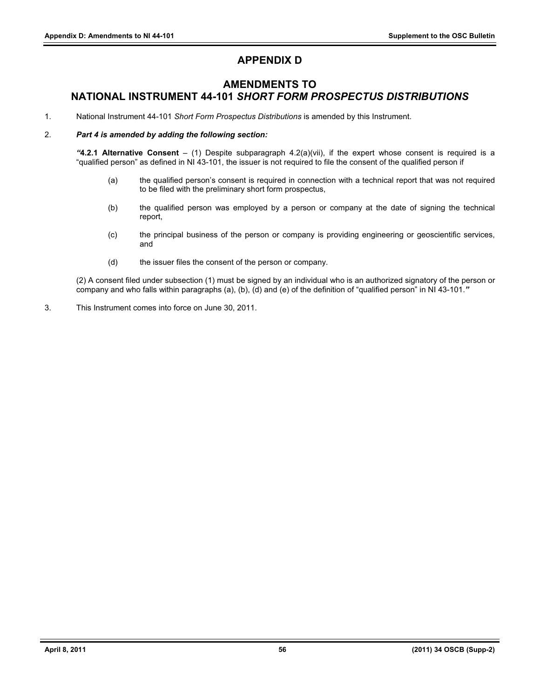# **APPENDIX D**

# **AMENDMENTS TO NATIONAL INSTRUMENT 44-101** *SHORT FORM PROSPECTUS DISTRIBUTIONS*

1. National Instrument 44-101 *Short Form Prospectus Distributions* is amended by this Instrument.

### 2. *Part 4 is amended by adding the following section:*

*"***4.2.1 Alternative Consent** – (1) Despite subparagraph 4.2(a)(vii), if the expert whose consent is required is a "qualified person" as defined in NI 43-101, the issuer is not required to file the consent of the qualified person if

- (a) the qualified person's consent is required in connection with a technical report that was not required to be filed with the preliminary short form prospectus,
- (b) the qualified person was employed by a person or company at the date of signing the technical report,
- (c) the principal business of the person or company is providing engineering or geoscientific services, and
- (d) the issuer files the consent of the person or company.

(2) A consent filed under subsection (1) must be signed by an individual who is an authorized signatory of the person or company and who falls within paragraphs (a), (b), (d) and (e) of the definition of "qualified person" in NI 43-101.*"*

3. This Instrument comes into force on June 30, 2011.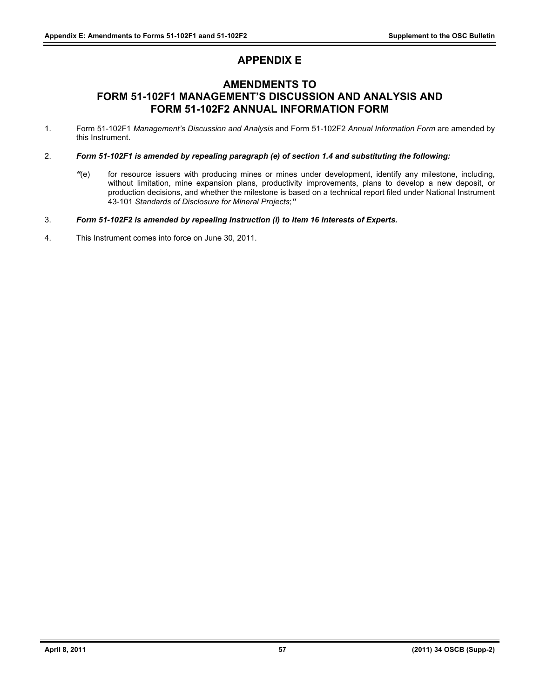# **APPENDIX E**

# **AMENDMENTS TO FORM 51-102F1 MANAGEMENT'S DISCUSSION AND ANALYSIS AND FORM 51-102F2 ANNUAL INFORMATION FORM**

- 1. Form 51-102F1 *Management's Discussion and Analysis* and Form 51-102F2 *Annual Information Form* are amended by this Instrument.
- 2. *Form 51-102F1 is amended by repealing paragraph (e) of section 1.4 and substituting the following:* 
	- *"*(e) for resource issuers with producing mines or mines under development, identify any milestone, including, without limitation, mine expansion plans, productivity improvements, plans to develop a new deposit, or production decisions, and whether the milestone is based on a technical report filed under National Instrument 43-101 *Standards of Disclosure for Mineral Projects*;*"*
- 3. *Form 51-102F2 is amended by repealing Instruction (i) to Item 16 Interests of Experts.*
- 4. This Instrument comes into force on June 30, 2011.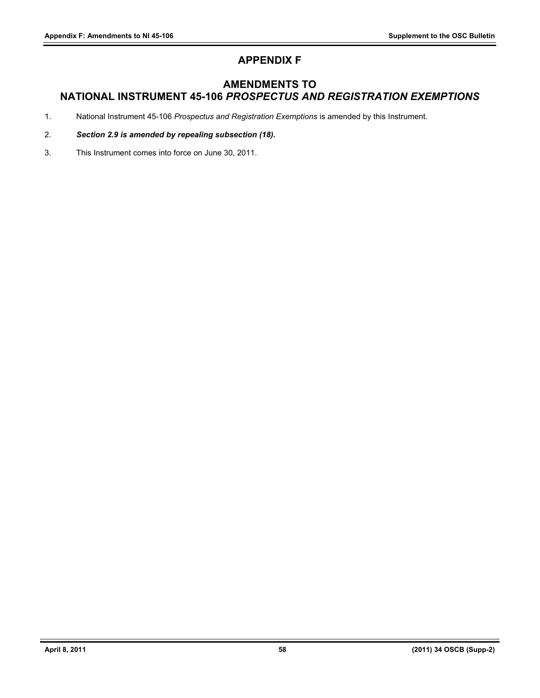# **APPENDIX F**

# **AMENDMENTS TO NATIONAL INSTRUMENT 45-106** *PROSPECTUS AND REGISTRATION EXEMPTIONS*

- 1. National Instrument 45-106 *Prospectus and Registration Exemptions* is amended by this Instrument.
- 2. *Section 2.9 is amended by repealing subsection (18).*
- 3. This Instrument comes into force on June 30, 2011.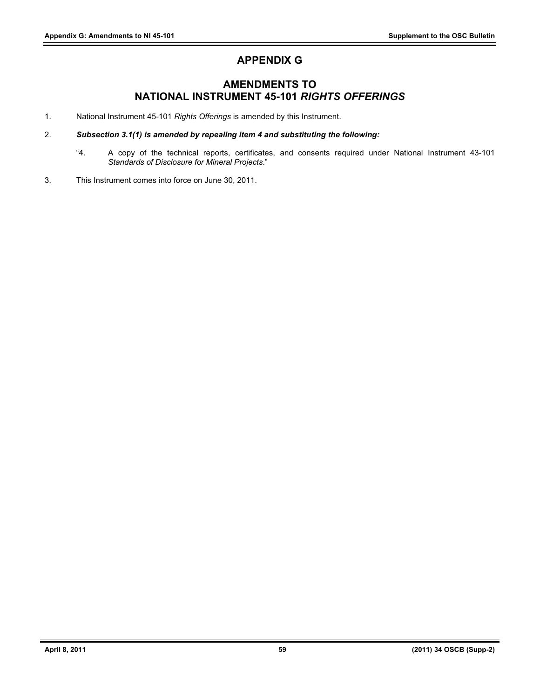# **APPENDIX G**

# **AMENDMENTS TO NATIONAL INSTRUMENT 45-101** *RIGHTS OFFERINGS*

- 1. National Instrument 45-101 *Rights Offerings* is amended by this Instrument.
- 2. *Subsection 3.1(1) is amended by repealing item 4 and substituting the following:* 
	- "4. A copy of the technical reports, certificates, and consents required under National Instrument 43-101 *Standards of Disclosure for Mineral Projects*."
- 3. This Instrument comes into force on June 30, 2011.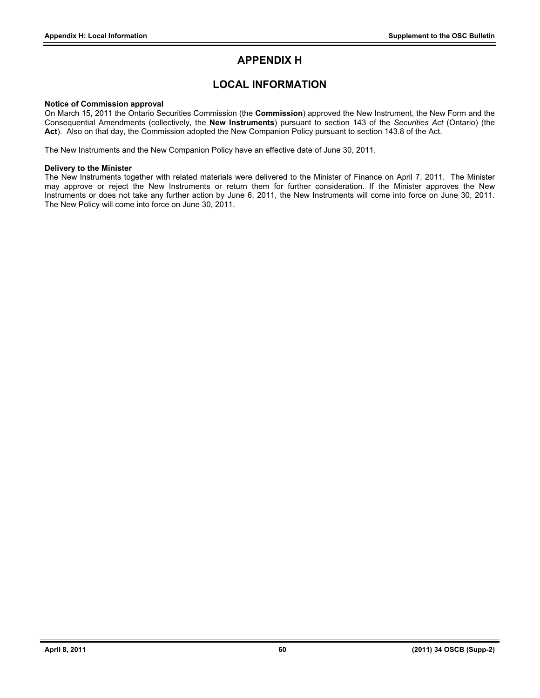# **APPENDIX H**

# **LOCAL INFORMATION**

# **Notice of Commission approval**

On March 15, 2011 the Ontario Securities Commission (the **Commission**) approved the New Instrument, the New Form and the Consequential Amendments (collectively, the **New Instruments**) pursuant to section 143 of the *Securities Act* (Ontario) (the **Act**). Also on that day, the Commission adopted the New Companion Policy pursuant to section 143.8 of the Act.

The New Instruments and the New Companion Policy have an effective date of June 30, 2011.

# **Delivery to the Minister**

The New Instruments together with related materials were delivered to the Minister of Finance on April 7, 2011. The Minister may approve or reject the New Instruments or return them for further consideration. If the Minister approves the New Instruments or does not take any further action by June 6, 2011, the New Instruments will come into force on June 30, 2011. The New Policy will come into force on June 30, 2011.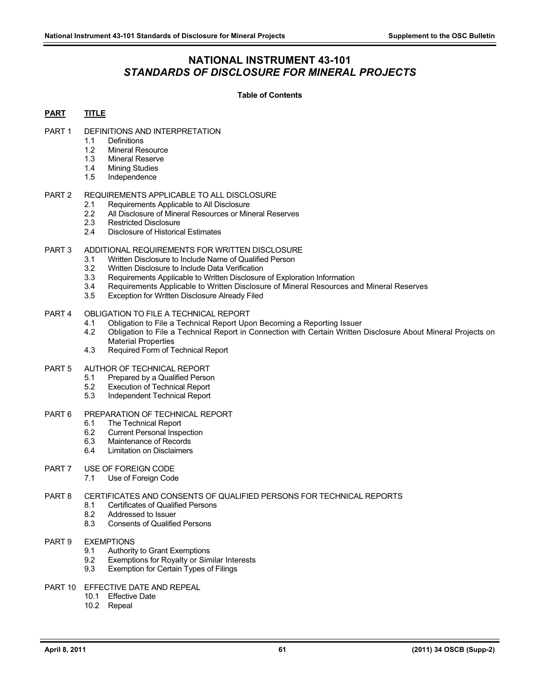# **NATIONAL INSTRUMENT 43-101**  *STANDARDS OF DISCLOSURE FOR MINERAL PROJECTS*

# **Table of Contents**

# **PART TITLE**

# PART 1 DEFINITIONS AND INTERPRETATION

- 1.1 Definitions
- 1.2 Mineral Resource<br>1.3 Mineral Reserve
- **Mineral Reserve**
- 1.4 Mining Studies<br>1.5 Independence
- **Independence**

## PART 2 REQUIREMENTS APPLICABLE TO ALL DISCLOSURE

- 2.1 Requirements Applicable to All Disclosure<br>2.2 All Disclosure of Mineral Resources or Min
- 2.2 All Disclosure of Mineral Resources or Mineral Reserves<br>2.3 Restricted Disclosure
- 2.3 Restricted Disclosure<br>2.4 Disclosure of Historica
- 2.4 Disclosure of Historical Estimates

# PART 3 ADDITIONAL REQUIREMENTS FOR WRITTEN DISCLOSURE<br>3.1 Written Disclosure to Include Name of Qualified Person

- 3.1 Written Disclosure to Include Name of Qualified Person
- Written Disclosure to Include Data Verification
- 3.3 Requirements Applicable to Written Disclosure of Exploration Information
- 3.4 Requirements Applicable to Written Disclosure of Mineral Resources and Mineral Reserves
- Exception for Written Disclosure Already Filed

## PART 4 OBLIGATION TO FILE A TECHNICAL REPORT

- 4.1 Obligation to File a Technical Report Upon Becoming a Reporting Issuer
- 4.2 Obligation to File a Technical Report in Connection with Certain Written Disclosure About Mineral Projects on Material Properties
- 4.3 Required Form of Technical Report

# PART 5 AUTHOR OF TECHNICAL REPORT

- 5.1 Prepared by a Qualified Person<br>5.2 Execution of Technical Report
- 5.2 Execution of Technical Report<br>5.3 Independent Technical Report
- 5.3 Independent Technical Report

## PART 6 PREPARATION OF TECHNICAL REPORT

- 
- 6.1 The Technical Report<br>6.2 Current Personal Inspe 6.2 Current Personal Inspection<br>6.3 Maintenance of Records
- 6.3 Maintenance of Records<br>6.4 I imitation on Disclaimers
- **Limitation on Disclaimers**

# PART 7 USE OF FOREIGN CODE<br>7.1 Use of Foreign Code

- Use of Foreign Code
- PART 8 CERTIFICATES AND CONSENTS OF QUALIFIED PERSONS FOR TECHNICAL REPORTS
	- 8.1 Certificates of Qualified Persons<br>8.2 Addressed to Issuer
	- 8.2 Addressed to Issuer<br>8.3 Consents of Qualifie
	- 8.3 Consents of Qualified Persons

## PART 9 EXEMPTIONS

- 9.1 Authority to Grant Exemptions<br>9.2 Exemptions for Royalty or Sim
- 9.2 Exemptions for Royalty or Similar Interests<br>9.3 Exemption for Certain Types of Filings
- Exemption for Certain Types of Filings
- PART 10 EFFECTIVE DATE AND REPEAL
	- 10.1 Effective Date
	- 10.2 Repeal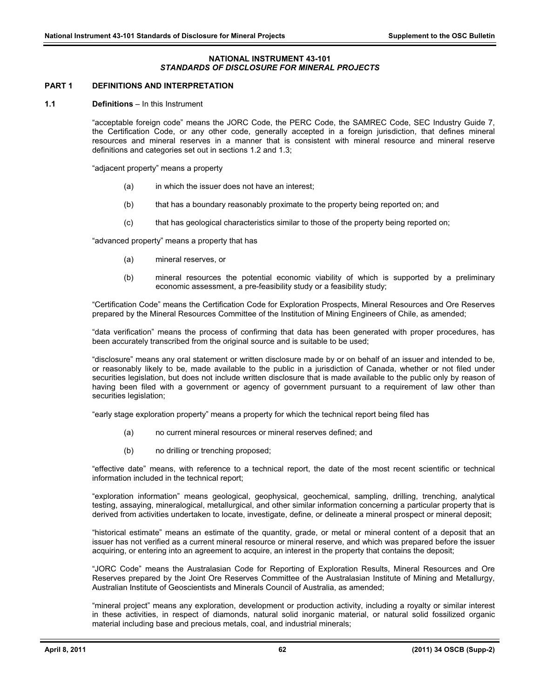# **NATIONAL INSTRUMENT 43-101**  *STANDARDS OF DISCLOSURE FOR MINERAL PROJECTS*

## **PART 1 DEFINITIONS AND INTERPRETATION**

#### **1.1 Definitions** – In this Instrument

"acceptable foreign code" means the JORC Code, the PERC Code, the SAMREC Code, SEC Industry Guide 7, the Certification Code, or any other code, generally accepted in a foreign jurisdiction, that defines mineral resources and mineral reserves in a manner that is consistent with mineral resource and mineral reserve definitions and categories set out in sections 1.2 and 1.3;

"adjacent property" means a property

- (a) in which the issuer does not have an interest:
- (b) that has a boundary reasonably proximate to the property being reported on; and
- (c) that has geological characteristics similar to those of the property being reported on;

"advanced property" means a property that has

- (a) mineral reserves, or
- (b) mineral resources the potential economic viability of which is supported by a preliminary economic assessment, a pre-feasibility study or a feasibility study;

"Certification Code" means the Certification Code for Exploration Prospects, Mineral Resources and Ore Reserves prepared by the Mineral Resources Committee of the Institution of Mining Engineers of Chile, as amended;

"data verification" means the process of confirming that data has been generated with proper procedures, has been accurately transcribed from the original source and is suitable to be used;

"disclosure" means any oral statement or written disclosure made by or on behalf of an issuer and intended to be, or reasonably likely to be, made available to the public in a jurisdiction of Canada, whether or not filed under securities legislation, but does not include written disclosure that is made available to the public only by reason of having been filed with a government or agency of government pursuant to a requirement of law other than securities legislation;

"early stage exploration property" means a property for which the technical report being filed has

- (a) no current mineral resources or mineral reserves defined; and
- (b) no drilling or trenching proposed;

"effective date" means, with reference to a technical report, the date of the most recent scientific or technical information included in the technical report;

"exploration information" means geological, geophysical, geochemical, sampling, drilling, trenching, analytical testing, assaying, mineralogical, metallurgical, and other similar information concerning a particular property that is derived from activities undertaken to locate, investigate, define, or delineate a mineral prospect or mineral deposit;

"historical estimate" means an estimate of the quantity, grade, or metal or mineral content of a deposit that an issuer has not verified as a current mineral resource or mineral reserve, and which was prepared before the issuer acquiring, or entering into an agreement to acquire, an interest in the property that contains the deposit;

"JORC Code" means the Australasian Code for Reporting of Exploration Results, Mineral Resources and Ore Reserves prepared by the Joint Ore Reserves Committee of the Australasian Institute of Mining and Metallurgy, Australian Institute of Geoscientists and Minerals Council of Australia, as amended;

"mineral project" means any exploration, development or production activity, including a royalty or similar interest in these activities, in respect of diamonds, natural solid inorganic material, or natural solid fossilized organic material including base and precious metals, coal, and industrial minerals;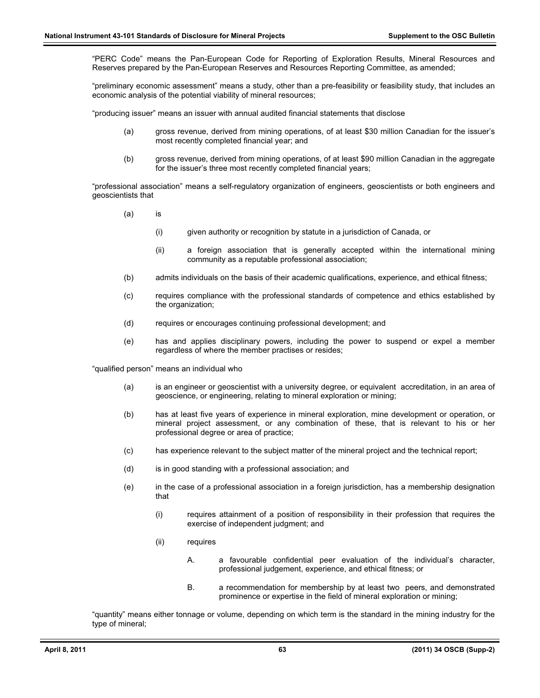"PERC Code" means the Pan-European Code for Reporting of Exploration Results, Mineral Resources and Reserves prepared by the Pan-European Reserves and Resources Reporting Committee, as amended;

"preliminary economic assessment" means a study, other than a pre-feasibility or feasibility study, that includes an economic analysis of the potential viability of mineral resources;

"producing issuer" means an issuer with annual audited financial statements that disclose

- (a) gross revenue, derived from mining operations, of at least \$30 million Canadian for the issuer's most recently completed financial year; and
- (b) gross revenue, derived from mining operations, of at least \$90 million Canadian in the aggregate for the issuer's three most recently completed financial years;

"professional association" means a self-regulatory organization of engineers, geoscientists or both engineers and geoscientists that

- (a) is
	- (i) given authority or recognition by statute in a jurisdiction of Canada, or
	- (ii) a foreign association that is generally accepted within the international mining community as a reputable professional association;
- (b) admits individuals on the basis of their academic qualifications, experience, and ethical fitness;
- (c) requires compliance with the professional standards of competence and ethics established by the organization;
- (d) requires or encourages continuing professional development; and
- (e) has and applies disciplinary powers, including the power to suspend or expel a member regardless of where the member practises or resides;

"qualified person" means an individual who

- (a) is an engineer or geoscientist with a university degree, or equivalent accreditation, in an area of geoscience, or engineering, relating to mineral exploration or mining;
- (b) has at least five years of experience in mineral exploration, mine development or operation, or mineral project assessment, or any combination of these, that is relevant to his or her professional degree or area of practice;
- (c) has experience relevant to the subject matter of the mineral project and the technical report;
- (d) is in good standing with a professional association; and
- (e) in the case of a professional association in a foreign jurisdiction, has a membership designation that
	- (i) requires attainment of a position of responsibility in their profession that requires the exercise of independent judgment; and
	- (ii) requires
		- A. a favourable confidential peer evaluation of the individual's character, professional judgement, experience, and ethical fitness; or
		- B. a recommendation for membership by at least two peers, and demonstrated prominence or expertise in the field of mineral exploration or mining;

"quantity" means either tonnage or volume, depending on which term is the standard in the mining industry for the type of mineral;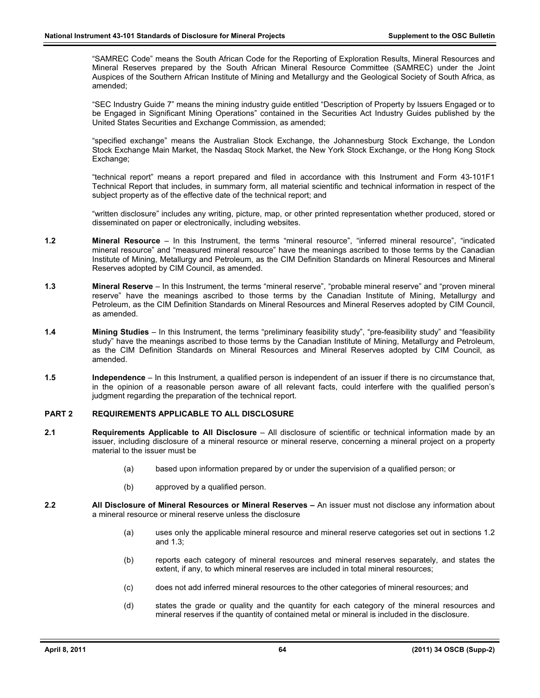"SAMREC Code" means the South African Code for the Reporting of Exploration Results, Mineral Resources and Mineral Reserves prepared by the South African Mineral Resource Committee (SAMREC) under the Joint Auspices of the Southern African Institute of Mining and Metallurgy and the Geological Society of South Africa, as amended;

"SEC Industry Guide 7" means the mining industry guide entitled "Description of Property by Issuers Engaged or to be Engaged in Significant Mining Operations" contained in the Securities Act Industry Guides published by the United States Securities and Exchange Commission, as amended;

"specified exchange" means the Australian Stock Exchange, the Johannesburg Stock Exchange, the London Stock Exchange Main Market, the Nasdaq Stock Market, the New York Stock Exchange, or the Hong Kong Stock Exchange;

"technical report" means a report prepared and filed in accordance with this Instrument and Form 43-101F1 Technical Report that includes, in summary form, all material scientific and technical information in respect of the subject property as of the effective date of the technical report; and

"written disclosure" includes any writing, picture, map, or other printed representation whether produced, stored or disseminated on paper or electronically, including websites.

- **1.2 Mineral Resource** In this Instrument, the terms "mineral resource", "inferred mineral resource", "indicated mineral resource" and "measured mineral resource" have the meanings ascribed to those terms by the Canadian Institute of Mining, Metallurgy and Petroleum, as the CIM Definition Standards on Mineral Resources and Mineral Reserves adopted by CIM Council, as amended.
- **1.3 Mineral Reserve** In this Instrument, the terms "mineral reserve", "probable mineral reserve" and "proven mineral reserve" have the meanings ascribed to those terms by the Canadian Institute of Mining, Metallurgy and Petroleum, as the CIM Definition Standards on Mineral Resources and Mineral Reserves adopted by CIM Council, as amended.
- **1.4 Mining Studies**  In this Instrument, the terms "preliminary feasibility study", "pre-feasibility study" and "feasibility study" have the meanings ascribed to those terms by the Canadian Institute of Mining, Metallurgy and Petroleum, as the CIM Definition Standards on Mineral Resources and Mineral Reserves adopted by CIM Council, as amended.
- **1.5 Independence** In this Instrument, a qualified person is independent of an issuer if there is no circumstance that, in the opinion of a reasonable person aware of all relevant facts, could interfere with the qualified person's judgment regarding the preparation of the technical report.

## **PART 2 REQUIREMENTS APPLICABLE TO ALL DISCLOSURE**

- **2.1 Requirements Applicable to All Disclosure** All disclosure of scientific or technical information made by an issuer, including disclosure of a mineral resource or mineral reserve, concerning a mineral project on a property material to the issuer must be
	- (a) based upon information prepared by or under the supervision of a qualified person; or
	- (b) approved by a qualified person.
- **2.2 All Disclosure of Mineral Resources or Mineral Reserves** An issuer must not disclose any information about a mineral resource or mineral reserve unless the disclosure
	- (a) uses only the applicable mineral resource and mineral reserve categories set out in sections 1.2 and 1.3;
	- (b) reports each category of mineral resources and mineral reserves separately, and states the extent, if any, to which mineral reserves are included in total mineral resources;
	- (c) does not add inferred mineral resources to the other categories of mineral resources; and
	- (d) states the grade or quality and the quantity for each category of the mineral resources and mineral reserves if the quantity of contained metal or mineral is included in the disclosure.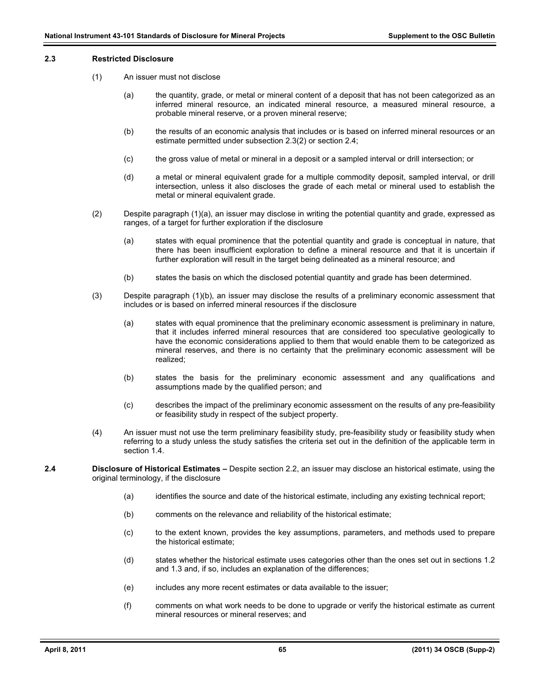#### **2.3 Restricted Disclosure**

- (1) An issuer must not disclose
	- (a) the quantity, grade, or metal or mineral content of a deposit that has not been categorized as an inferred mineral resource, an indicated mineral resource, a measured mineral resource, a probable mineral reserve, or a proven mineral reserve;
	- (b) the results of an economic analysis that includes or is based on inferred mineral resources or an estimate permitted under subsection 2.3(2) or section 2.4;
	- (c) the gross value of metal or mineral in a deposit or a sampled interval or drill intersection; or
	- (d) a metal or mineral equivalent grade for a multiple commodity deposit, sampled interval, or drill intersection, unless it also discloses the grade of each metal or mineral used to establish the metal or mineral equivalent grade.
- (2) Despite paragraph (1)(a), an issuer may disclose in writing the potential quantity and grade, expressed as ranges, of a target for further exploration if the disclosure
	- (a) states with equal prominence that the potential quantity and grade is conceptual in nature, that there has been insufficient exploration to define a mineral resource and that it is uncertain if further exploration will result in the target being delineated as a mineral resource; and
	- (b) states the basis on which the disclosed potential quantity and grade has been determined.
- (3) Despite paragraph (1)(b), an issuer may disclose the results of a preliminary economic assessment that includes or is based on inferred mineral resources if the disclosure
	- (a) states with equal prominence that the preliminary economic assessment is preliminary in nature, that it includes inferred mineral resources that are considered too speculative geologically to have the economic considerations applied to them that would enable them to be categorized as mineral reserves, and there is no certainty that the preliminary economic assessment will be realized;
	- (b) states the basis for the preliminary economic assessment and any qualifications and assumptions made by the qualified person; and
	- (c) describes the impact of the preliminary economic assessment on the results of any pre-feasibility or feasibility study in respect of the subject property.
- (4) An issuer must not use the term preliminary feasibility study, pre-feasibility study or feasibility study when referring to a study unless the study satisfies the criteria set out in the definition of the applicable term in section 1.4.
- **2.4 Disclosure of Historical Estimates –** Despite section 2.2, an issuer may disclose an historical estimate, using the original terminology, if the disclosure
	- (a) identifies the source and date of the historical estimate, including any existing technical report;
	- (b) comments on the relevance and reliability of the historical estimate;
	- (c) to the extent known, provides the key assumptions, parameters, and methods used to prepare the historical estimate;
	- (d) states whether the historical estimate uses categories other than the ones set out in sections 1.2 and 1.3 and, if so, includes an explanation of the differences;
	- (e) includes any more recent estimates or data available to the issuer;
	- (f) comments on what work needs to be done to upgrade or verify the historical estimate as current mineral resources or mineral reserves; and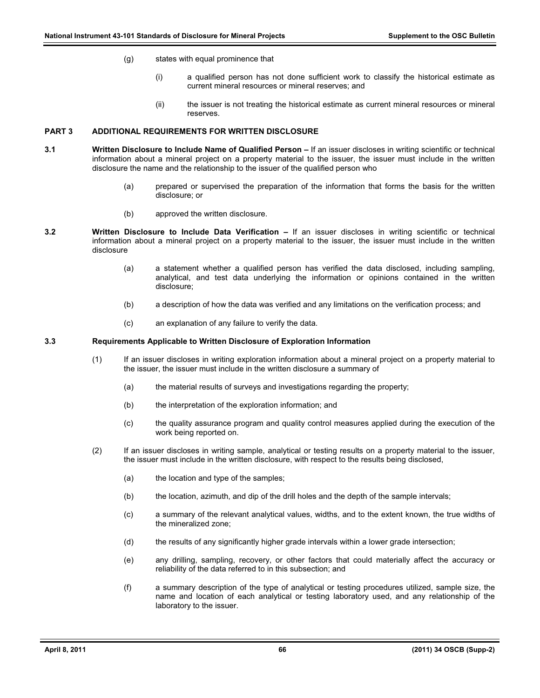- (g) states with equal prominence that
	- (i) a qualified person has not done sufficient work to classify the historical estimate as current mineral resources or mineral reserves; and
	- (ii) the issuer is not treating the historical estimate as current mineral resources or mineral reserves.

# **PART 3 ADDITIONAL REQUIREMENTS FOR WRITTEN DISCLOSURE**

- **3.1 Written Disclosure to Include Name of Qualified Person** If an issuer discloses in writing scientific or technical information about a mineral project on a property material to the issuer, the issuer must include in the written disclosure the name and the relationship to the issuer of the qualified person who
	- (a) prepared or supervised the preparation of the information that forms the basis for the written disclosure; or
	- (b) approved the written disclosure.
- **3.2 Written Disclosure to Include Data Verification** If an issuer discloses in writing scientific or technical information about a mineral project on a property material to the issuer, the issuer must include in the written disclosure
	- (a) a statement whether a qualified person has verified the data disclosed, including sampling, analytical, and test data underlying the information or opinions contained in the written disclosure;
	- (b) a description of how the data was verified and any limitations on the verification process; and
	- (c) an explanation of any failure to verify the data.

#### **3.3 Requirements Applicable to Written Disclosure of Exploration Information**

- (1) If an issuer discloses in writing exploration information about a mineral project on a property material to the issuer, the issuer must include in the written disclosure a summary of
	- (a) the material results of surveys and investigations regarding the property;
	- (b) the interpretation of the exploration information; and
	- (c) the quality assurance program and quality control measures applied during the execution of the work being reported on.
- (2) If an issuer discloses in writing sample, analytical or testing results on a property material to the issuer, the issuer must include in the written disclosure, with respect to the results being disclosed,
	- (a) the location and type of the samples;
	- (b) the location, azimuth, and dip of the drill holes and the depth of the sample intervals;
	- (c) a summary of the relevant analytical values, widths, and to the extent known, the true widths of the mineralized zone;
	- (d) the results of any significantly higher grade intervals within a lower grade intersection;
	- (e) any drilling, sampling, recovery, or other factors that could materially affect the accuracy or reliability of the data referred to in this subsection; and
	- (f) a summary description of the type of analytical or testing procedures utilized, sample size, the name and location of each analytical or testing laboratory used, and any relationship of the laboratory to the issuer.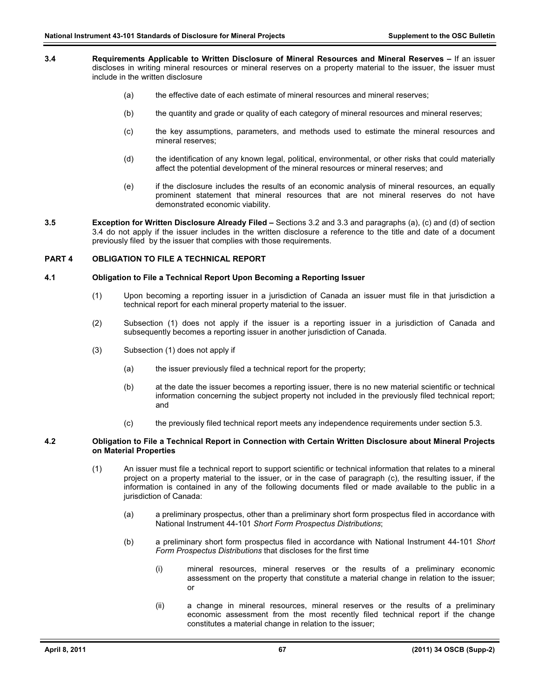- **3.4 Requirements Applicable to Written Disclosure of Mineral Resources and Mineral Reserves** If an issuer discloses in writing mineral resources or mineral reserves on a property material to the issuer, the issuer must include in the written disclosure
	- (a) the effective date of each estimate of mineral resources and mineral reserves;
	- (b) the quantity and grade or quality of each category of mineral resources and mineral reserves;
	- (c) the key assumptions, parameters, and methods used to estimate the mineral resources and mineral reserves;
	- (d) the identification of any known legal, political, environmental, or other risks that could materially affect the potential development of the mineral resources or mineral reserves; and
	- (e) if the disclosure includes the results of an economic analysis of mineral resources, an equally prominent statement that mineral resources that are not mineral reserves do not have demonstrated economic viability.
- **3.5 Exception for Written Disclosure Already Filed** Sections 3.2 and 3.3 and paragraphs (a), (c) and (d) of section 3.4 do not apply if the issuer includes in the written disclosure a reference to the title and date of a document previously filed by the issuer that complies with those requirements.

# **PART 4 OBLIGATION TO FILE A TECHNICAL REPORT**

## **4.1 Obligation to File a Technical Report Upon Becoming a Reporting Issuer**

- (1) Upon becoming a reporting issuer in a jurisdiction of Canada an issuer must file in that jurisdiction a technical report for each mineral property material to the issuer.
- (2) Subsection (1) does not apply if the issuer is a reporting issuer in a jurisdiction of Canada and subsequently becomes a reporting issuer in another jurisdiction of Canada.
- (3) Subsection (1) does not apply if
	- (a) the issuer previously filed a technical report for the property;
	- (b) at the date the issuer becomes a reporting issuer, there is no new material scientific or technical information concerning the subject property not included in the previously filed technical report; and
	- (c) the previously filed technical report meets any independence requirements under section 5.3.

# **4.2 Obligation to File a Technical Report in Connection with Certain Written Disclosure about Mineral Projects on Material Properties**

- (1) An issuer must file a technical report to support scientific or technical information that relates to a mineral project on a property material to the issuer, or in the case of paragraph (c), the resulting issuer, if the information is contained in any of the following documents filed or made available to the public in a jurisdiction of Canada:
	- (a) a preliminary prospectus, other than a preliminary short form prospectus filed in accordance with National Instrument 44-101 *Short Form Prospectus Distributions*;
	- (b) a preliminary short form prospectus filed in accordance with National Instrument 44-101 *Short Form Prospectus Distributions* that discloses for the first time
		- (i) mineral resources, mineral reserves or the results of a preliminary economic assessment on the property that constitute a material change in relation to the issuer; or
		- (ii) a change in mineral resources, mineral reserves or the results of a preliminary economic assessment from the most recently filed technical report if the change constitutes a material change in relation to the issuer;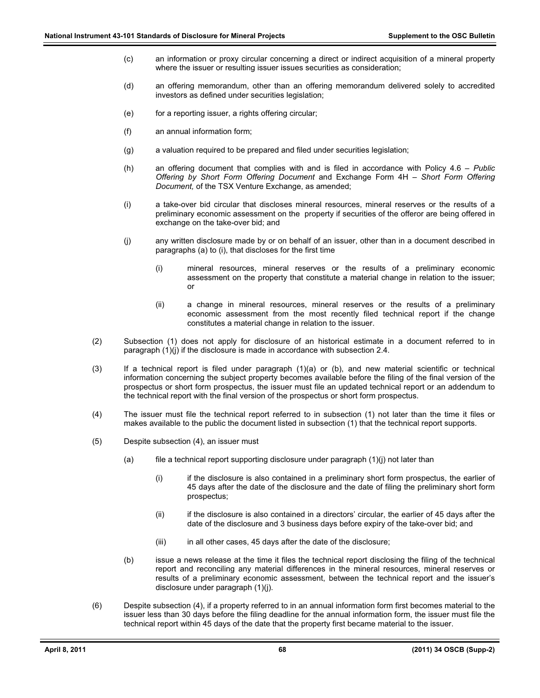- (c) an information or proxy circular concerning a direct or indirect acquisition of a mineral property where the issuer or resulting issuer issues securities as consideration;
- (d) an offering memorandum, other than an offering memorandum delivered solely to accredited investors as defined under securities legislation;
- (e) for a reporting issuer, a rights offering circular;
- (f) an annual information form;
- (g) a valuation required to be prepared and filed under securities legislation;
- (h) an offering document that complies with and is filed in accordance with Policy 4.6 *Public Offering by Short Form Offering Document* and Exchange Form 4H – *Short Form Offering Document,* of the TSX Venture Exchange, as amended;
- (i) a take-over bid circular that discloses mineral resources, mineral reserves or the results of a preliminary economic assessment on the property if securities of the offeror are being offered in exchange on the take-over bid; and
- (j) any written disclosure made by or on behalf of an issuer, other than in a document described in paragraphs (a) to (i), that discloses for the first time
	- (i) mineral resources, mineral reserves or the results of a preliminary economic assessment on the property that constitute a material change in relation to the issuer; or
	- (ii) a change in mineral resources, mineral reserves or the results of a preliminary economic assessment from the most recently filed technical report if the change constitutes a material change in relation to the issuer.
- (2) Subsection (1) does not apply for disclosure of an historical estimate in a document referred to in paragraph (1)(j) if the disclosure is made in accordance with subsection 2.4.
- (3) If a technical report is filed under paragraph (1)(a) or (b), and new material scientific or technical information concerning the subject property becomes available before the filing of the final version of the prospectus or short form prospectus, the issuer must file an updated technical report or an addendum to the technical report with the final version of the prospectus or short form prospectus.
- (4) The issuer must file the technical report referred to in subsection (1) not later than the time it files or makes available to the public the document listed in subsection (1) that the technical report supports.
- (5) Despite subsection (4), an issuer must
	- (a) file a technical report supporting disclosure under paragraph (1)(j) not later than
		- (i) if the disclosure is also contained in a preliminary short form prospectus, the earlier of 45 days after the date of the disclosure and the date of filing the preliminary short form prospectus;
		- (ii) if the disclosure is also contained in a directors' circular, the earlier of 45 days after the date of the disclosure and 3 business days before expiry of the take-over bid; and
		- (iii) in all other cases, 45 days after the date of the disclosure;
	- (b) issue a news release at the time it files the technical report disclosing the filing of the technical report and reconciling any material differences in the mineral resources, mineral reserves or results of a preliminary economic assessment, between the technical report and the issuer's disclosure under paragraph (1)(j).
- (6) Despite subsection (4), if a property referred to in an annual information form first becomes material to the issuer less than 30 days before the filing deadline for the annual information form, the issuer must file the technical report within 45 days of the date that the property first became material to the issuer.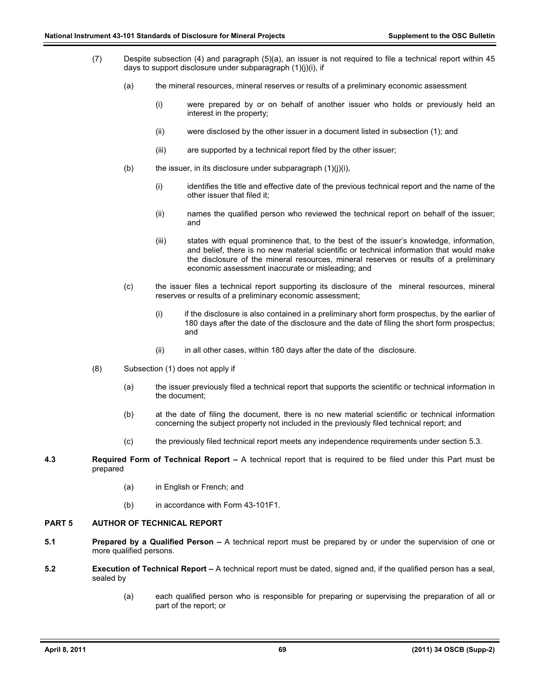- (7) Despite subsection (4) and paragraph (5)(a), an issuer is not required to file a technical report within 45 days to support disclosure under subparagraph (1)(j)(i), if
	- (a) the mineral resources, mineral reserves or results of a preliminary economic assessment
		- (i) were prepared by or on behalf of another issuer who holds or previously held an interest in the property;
		- (ii) were disclosed by the other issuer in a document listed in subsection (1); and
		- (iii) are supported by a technical report filed by the other issuer;
	- (b) the issuer, in its disclosure under subparagraph  $(1)(j)(i)$ ,
		- (i) identifies the title and effective date of the previous technical report and the name of the other issuer that filed it;
		- (ii) names the qualified person who reviewed the technical report on behalf of the issuer; and
		- (iii) states with equal prominence that, to the best of the issuer's knowledge, information, and belief, there is no new material scientific or technical information that would make the disclosure of the mineral resources, mineral reserves or results of a preliminary economic assessment inaccurate or misleading; and
	- (c) the issuer files a technical report supporting its disclosure of the mineral resources, mineral reserves or results of a preliminary economic assessment;
		- (i) if the disclosure is also contained in a preliminary short form prospectus, by the earlier of 180 days after the date of the disclosure and the date of filing the short form prospectus; and
		- (ii) in all other cases, within 180 days after the date of the disclosure.
- (8) Subsection (1) does not apply if
	- (a) the issuer previously filed a technical report that supports the scientific or technical information in the document;
	- (b) at the date of filing the document, there is no new material scientific or technical information concerning the subject property not included in the previously filed technical report; and
	- (c) the previously filed technical report meets any independence requirements under section 5.3.
- **4.3 Required Form of Technical Report** A technical report that is required to be filed under this Part must be prepared
	- (a) in English or French; and
	- (b) in accordance with Form 43-101F1.

#### **PART 5 AUTHOR OF TECHNICAL REPORT**

- **5.1 Prepared by a Qualified Person** A technical report must be prepared by or under the supervision of one or more qualified persons.
- **5.2 Execution of Technical Report** A technical report must be dated, signed and, if the qualified person has a seal, sealed by
	- (a) each qualified person who is responsible for preparing or supervising the preparation of all or part of the report; or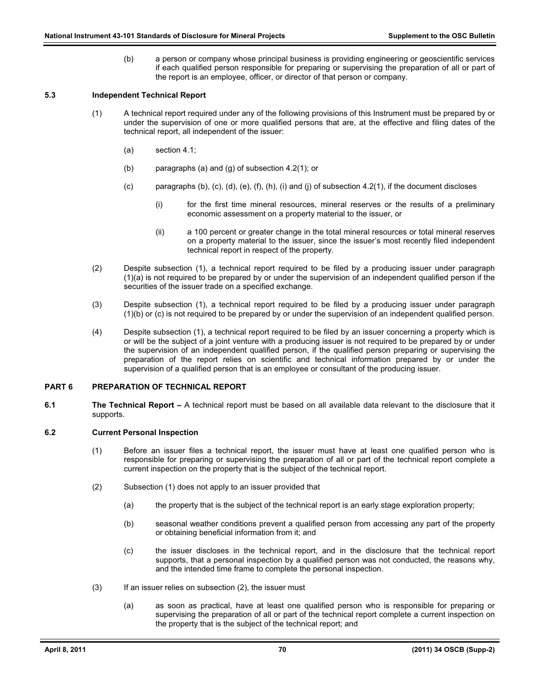(b) a person or company whose principal business is providing engineering or geoscientific services if each qualified person responsible for preparing or supervising the preparation of all or part of the report is an employee, officer, or director of that person or company.

#### **5.3 Independent Technical Report**

- (1) A technical report required under any of the following provisions of this Instrument must be prepared by or under the supervision of one or more qualified persons that are, at the effective and filing dates of the technical report, all independent of the issuer:
	- (a) section 4.1;
	- (b) paragraphs (a) and (g) of subsection 4.2(1); or
	- $(c)$  paragraphs  $(b)$ ,  $(c)$ ,  $(d)$ ,  $(e)$ ,  $(f)$ ,  $(h)$ ,  $(i)$  and  $(i)$  of subsection 4.2(1), if the document discloses
		- (i) for the first time mineral resources, mineral reserves or the results of a preliminary economic assessment on a property material to the issuer, or
		- (ii) a 100 percent or greater change in the total mineral resources or total mineral reserves on a property material to the issuer, since the issuer's most recently filed independent technical report in respect of the property.
- (2) Despite subsection (1), a technical report required to be filed by a producing issuer under paragraph (1)(a) is not required to be prepared by or under the supervision of an independent qualified person if the securities of the issuer trade on a specified exchange.
- (3) Despite subsection (1), a technical report required to be filed by a producing issuer under paragraph (1)(b) or (c) is not required to be prepared by or under the supervision of an independent qualified person.
- (4) Despite subsection (1), a technical report required to be filed by an issuer concerning a property which is or will be the subject of a joint venture with a producing issuer is not required to be prepared by or under the supervision of an independent qualified person, if the qualified person preparing or supervising the preparation of the report relies on scientific and technical information prepared by or under the supervision of a qualified person that is an employee or consultant of the producing issuer.

#### **PART 6 PREPARATION OF TECHNICAL REPORT**

**6.1 The Technical Report –** A technical report must be based on all available data relevant to the disclosure that it supports.

# **6.2 Current Personal Inspection**

- (1) Before an issuer files a technical report, the issuer must have at least one qualified person who is responsible for preparing or supervising the preparation of all or part of the technical report complete a current inspection on the property that is the subject of the technical report.
- (2) Subsection (1) does not apply to an issuer provided that
	- (a) the property that is the subject of the technical report is an early stage exploration property;
	- (b) seasonal weather conditions prevent a qualified person from accessing any part of the property or obtaining beneficial information from it; and
	- (c) the issuer discloses in the technical report, and in the disclosure that the technical report supports, that a personal inspection by a qualified person was not conducted, the reasons why, and the intended time frame to complete the personal inspection.
- (3) If an issuer relies on subsection (2), the issuer must
	- (a) as soon as practical, have at least one qualified person who is responsible for preparing or supervising the preparation of all or part of the technical report complete a current inspection on the property that is the subject of the technical report; and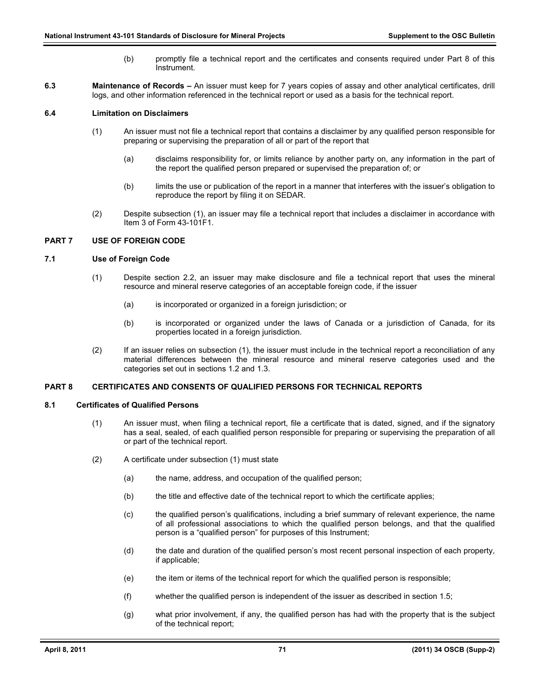- (b) promptly file a technical report and the certificates and consents required under Part 8 of this Instrument.
- **6.3 Maintenance of Records** An issuer must keep for 7 years copies of assay and other analytical certificates, drill logs, and other information referenced in the technical report or used as a basis for the technical report.

#### **6.4 Limitation on Disclaimers**

- (1) An issuer must not file a technical report that contains a disclaimer by any qualified person responsible for preparing or supervising the preparation of all or part of the report that
	- (a) disclaims responsibility for, or limits reliance by another party on, any information in the part of the report the qualified person prepared or supervised the preparation of; or
	- (b) limits the use or publication of the report in a manner that interferes with the issuer's obligation to reproduce the report by filing it on SEDAR.
- (2) Despite subsection (1), an issuer may file a technical report that includes a disclaimer in accordance with Item 3 of Form 43-101F1.

#### **PART 7 USE OF FOREIGN CODE**

#### **7.1 Use of Foreign Code**

- (1) Despite section 2.2, an issuer may make disclosure and file a technical report that uses the mineral resource and mineral reserve categories of an acceptable foreign code, if the issuer
	- (a) is incorporated or organized in a foreign jurisdiction; or
	- (b) is incorporated or organized under the laws of Canada or a jurisdiction of Canada, for its properties located in a foreign jurisdiction.
- (2) If an issuer relies on subsection (1), the issuer must include in the technical report a reconciliation of any material differences between the mineral resource and mineral reserve categories used and the categories set out in sections 1.2 and 1.3.

#### **PART 8 CERTIFICATES AND CONSENTS OF QUALIFIED PERSONS FOR TECHNICAL REPORTS**

#### **8.1 Certificates of Qualified Persons**

- (1) An issuer must, when filing a technical report, file a certificate that is dated, signed, and if the signatory has a seal, sealed, of each qualified person responsible for preparing or supervising the preparation of all or part of the technical report.
- (2) A certificate under subsection (1) must state
	- (a) the name, address, and occupation of the qualified person;
	- (b) the title and effective date of the technical report to which the certificate applies;
	- (c) the qualified person's qualifications, including a brief summary of relevant experience, the name of all professional associations to which the qualified person belongs, and that the qualified person is a "qualified person" for purposes of this Instrument;
	- (d) the date and duration of the qualified person's most recent personal inspection of each property, if applicable;
	- (e) the item or items of the technical report for which the qualified person is responsible;
	- (f) whether the qualified person is independent of the issuer as described in section 1.5;
	- (g) what prior involvement, if any, the qualified person has had with the property that is the subject of the technical report;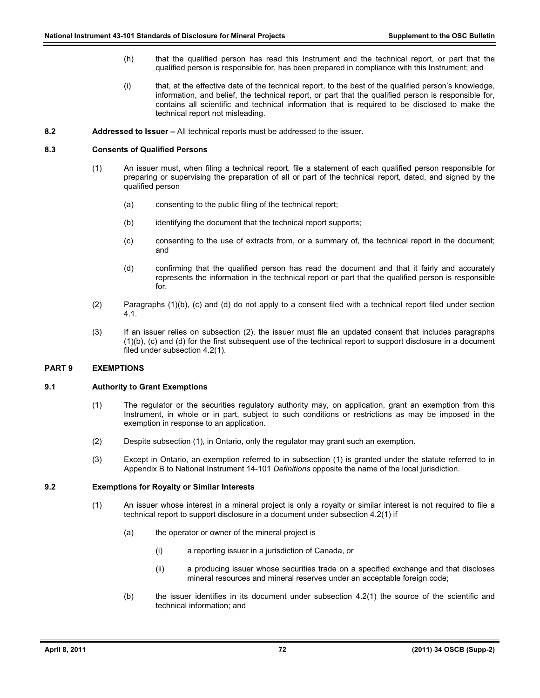- (h) that the qualified person has read this Instrument and the technical report, or part that the qualified person is responsible for, has been prepared in compliance with this Instrument; and
- (i) that, at the effective date of the technical report, to the best of the qualified person's knowledge, information, and belief, the technical report, or part that the qualified person is responsible for, contains all scientific and technical information that is required to be disclosed to make the technical report not misleading.
- **8.2 Addressed to Issuer** All technical reports must be addressed to the issuer.

#### **8.3 Consents of Qualified Persons**

- (1) An issuer must, when filing a technical report, file a statement of each qualified person responsible for preparing or supervising the preparation of all or part of the technical report, dated, and signed by the qualified person
	- (a) consenting to the public filing of the technical report;
	- (b) identifying the document that the technical report supports;
	- (c) consenting to the use of extracts from, or a summary of, the technical report in the document; and
	- (d) confirming that the qualified person has read the document and that it fairly and accurately represents the information in the technical report or part that the qualified person is responsible for.
- (2) Paragraphs (1)(b), (c) and (d) do not apply to a consent filed with a technical report filed under section 4.1.
- (3) If an issuer relies on subsection (2), the issuer must file an updated consent that includes paragraphs (1)(b), (c) and (d) for the first subsequent use of the technical report to support disclosure in a document filed under subsection 4.2(1).

# **PART 9 EXEMPTIONS**

#### **9.1 Authority to Grant Exemptions**

- (1) The regulator or the securities regulatory authority may, on application, grant an exemption from this Instrument, in whole or in part, subject to such conditions or restrictions as may be imposed in the exemption in response to an application.
- (2) Despite subsection (1), in Ontario, only the regulator may grant such an exemption.
- (3) Except in Ontario, an exemption referred to in subsection (1) is granted under the statute referred to in Appendix B to National Instrument 14-101 *Definitions* opposite the name of the local jurisdiction.

#### **9.2 Exemptions for Royalty or Similar Interests**

- (1) An issuer whose interest in a mineral project is only a royalty or similar interest is not required to file a technical report to support disclosure in a document under subsection 4.2(1) if
	- (a) the operator or owner of the mineral project is
		- (i) a reporting issuer in a jurisdiction of Canada, or
		- (ii) a producing issuer whose securities trade on a specified exchange and that discloses mineral resources and mineral reserves under an acceptable foreign code;
	- (b) the issuer identifies in its document under subsection 4.2(1) the source of the scientific and technical information; and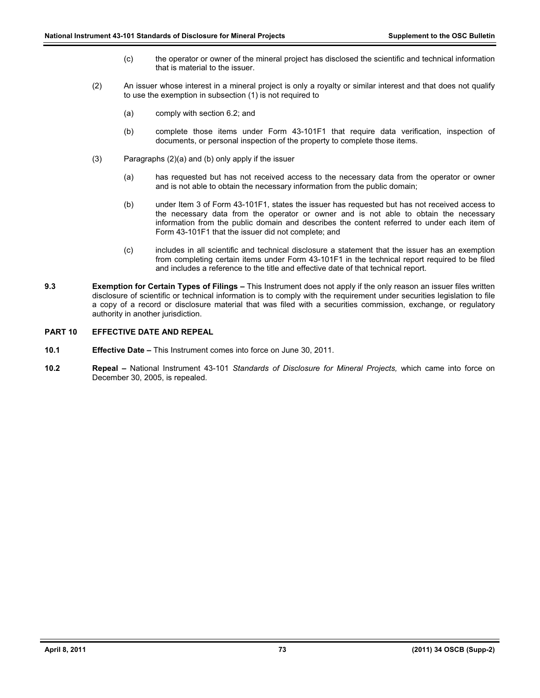- (c) the operator or owner of the mineral project has disclosed the scientific and technical information that is material to the issuer.
- (2) An issuer whose interest in a mineral project is only a royalty or similar interest and that does not qualify to use the exemption in subsection (1) is not required to
	- (a) comply with section 6.2; and
	- (b) complete those items under Form 43-101F1 that require data verification, inspection of documents, or personal inspection of the property to complete those items.
- (3) Paragraphs (2)(a) and (b) only apply if the issuer
	- (a) has requested but has not received access to the necessary data from the operator or owner and is not able to obtain the necessary information from the public domain;
	- (b) under Item 3 of Form 43-101F1, states the issuer has requested but has not received access to the necessary data from the operator or owner and is not able to obtain the necessary information from the public domain and describes the content referred to under each item of Form 43-101F1 that the issuer did not complete; and
	- (c) includes in all scientific and technical disclosure a statement that the issuer has an exemption from completing certain items under Form 43-101F1 in the technical report required to be filed and includes a reference to the title and effective date of that technical report.
- **9.3 Exemption for Certain Types of Filings** This Instrument does not apply if the only reason an issuer files written disclosure of scientific or technical information is to comply with the requirement under securities legislation to file a copy of a record or disclosure material that was filed with a securities commission, exchange, or regulatory authority in another jurisdiction.

#### **PART 10 EFFECTIVE DATE AND REPEAL**

- **10.1 Effective Date** This Instrument comes into force on June 30, 2011.
- **10.2 Repeal** National Instrument 43-101 *Standards of Disclosure for Mineral Projects,* which came into force on December 30, 2005, is repealed.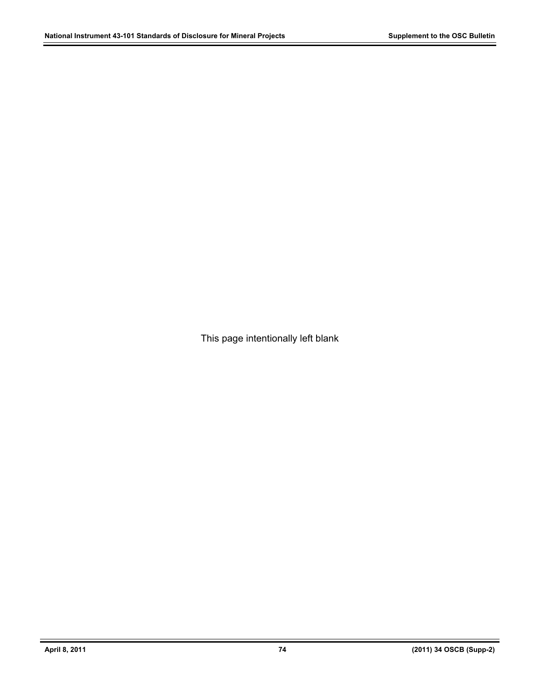This page intentionally left blank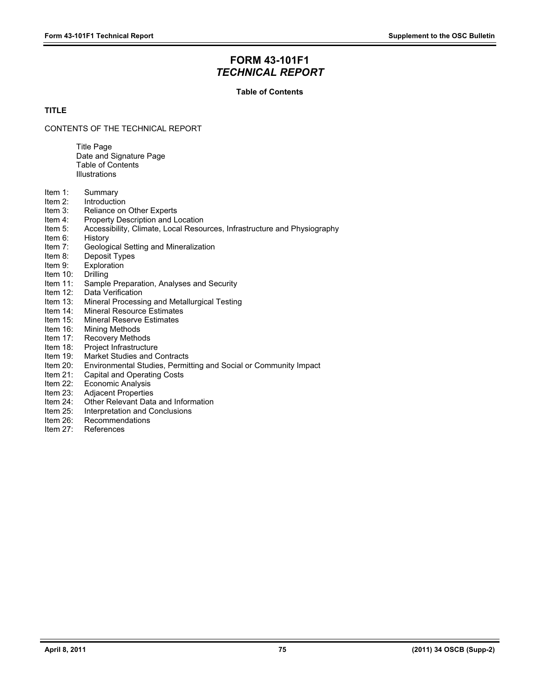# **FORM 43-101F1**  *TECHNICAL REPORT*

**Table of Contents** 

**TITLE**

CONTENTS OF THE TECHNICAL REPORT

 Title Page Date and Signature Page Table of Contents Illustrations

- Item 1: Summary<br>Item 2: Introduction
- Item 2: Introduction<br>Item 3: Reliance on
- Item 3: Reliance on Other Experts<br>Item 4: Property Description and L
- Item 4: Property Description and Location<br>Item 5: Accessibility. Climate. Local Resou
- Item 5: Accessibility, Climate, Local Resources, Infrastructure and Physiography
- Item 6: History<br>Item 7: Geolog
- Item 7: Geological Setting and Mineralization<br>Item 8: Deposit Types
- Deposit Types
- Item 9: Exploration<br>Item 10: Drilling
- Item  $10:$  Item  $11:$
- Item 11: Sample Preparation, Analyses and Security<br>Item 12: Data Verification
- Item 12: Data Verification<br>Item 13: Mineral Processi
- Item 13: Mineral Processing and Metallurgical Testing<br>Item 14: Mineral Resource Estimates
- Item 14: Mineral Resource Estimates<br>Item 15: Mineral Reserve Estimates
- Item 15: Mineral Reserve Estimates<br>Item 16: Mining Methods
- Item 16: Mining Methods<br>Item 17: Recovery Metho
- Item 17: Recovery Methods<br>Item 18: Project Infrastructu
- Item 18: Project Infrastructure<br>Item 19: Market Studies and C
- Item 19: Market Studies and Contracts<br>Item 20: Environmental Studies. Permi
- Environmental Studies, Permitting and Social or Community Impact
- Item 21: Capital and Operating Costs
- Item 22: Economic Analysis
- Item 23: Adjacent Properties<br>Item 24: Other Relevant Data
- Item 24: Other Relevant Data and Information<br>Item 25: Interpretation and Conclusions
- Item 25: Interpretation and Conclusions<br>Item 26: Recommendations
- Item 26: Recommendations<br>Item 27: References
- References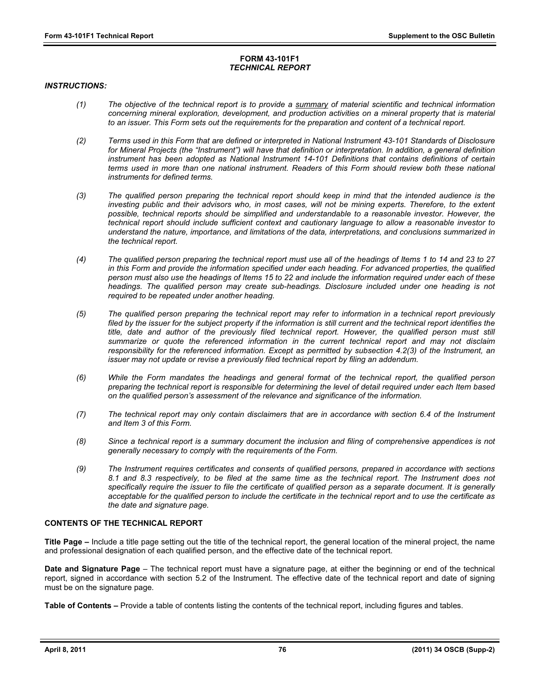# **FORM 43-101F1**  *TECHNICAL REPORT*

#### *INSTRUCTIONS:*

- *(1) The objective of the technical report is to provide a summary of material scientific and technical information concerning mineral exploration, development, and production activities on a mineral property that is material to an issuer. This Form sets out the requirements for the preparation and content of a technical report.*
- *(2) Terms used in this Form that are defined or interpreted in National Instrument 43-101 Standards of Disclosure*  for Mineral Projects (the "Instrument") will have that definition or interpretation. In addition, a general definition *instrument has been adopted as National Instrument 14-101 Definitions that contains definitions of certain terms used in more than one national instrument. Readers of this Form should review both these national instruments for defined terms.*
- *(3) The qualified person preparing the technical report should keep in mind that the intended audience is the investing public and their advisors who, in most cases, will not be mining experts. Therefore, to the extent possible, technical reports should be simplified and understandable to a reasonable investor. However, the technical report should include sufficient context and cautionary language to allow a reasonable investor to understand the nature, importance, and limitations of the data, interpretations, and conclusions summarized in the technical report.*
- *(4) The qualified person preparing the technical report must use all of the headings of Items 1 to 14 and 23 to 27 in this Form and provide the information specified under each heading. For advanced properties, the qualified person must also use the headings of Items 15 to 22 and include the information required under each of these*  headings. The qualified person may create sub-headings. Disclosure included under one heading is not *required to be repeated under another heading.*
- *(5) The qualified person preparing the technical report may refer to information in a technical report previously*  filed by the issuer for the subject property if the information is still current and the technical report identifies the *title, date and author of the previously filed technical report. However, the qualified person must still summarize or quote the referenced information in the current technical report and may not disclaim responsibility for the referenced information. Except as permitted by subsection 4.2(3) of the Instrument, an issuer may not update or revise a previously filed technical report by filing an addendum.*
- *(6) While the Form mandates the headings and general format of the technical report, the qualified person preparing the technical report is responsible for determining the level of detail required under each Item based on the qualified person's assessment of the relevance and significance of the information.*
- *(7) The technical report may only contain disclaimers that are in accordance with section 6.4 of the Instrument and Item 3 of this Form.*
- *(8) Since a technical report is a summary document the inclusion and filing of comprehensive appendices is not generally necessary to comply with the requirements of the Form.*
- *(9) The Instrument requires certificates and consents of qualified persons, prepared in accordance with sections 8.1 and 8.3 respectively, to be filed at the same time as the technical report. The Instrument does not*  specifically require the issuer to file the certificate of qualified person as a separate document. It is generally *acceptable for the qualified person to include the certificate in the technical report and to use the certificate as the date and signature page.*

#### **CONTENTS OF THE TECHNICAL REPORT**

**Title Page –** Include a title page setting out the title of the technical report, the general location of the mineral project, the name and professional designation of each qualified person, and the effective date of the technical report.

**Date and Signature Page** – The technical report must have a signature page, at either the beginning or end of the technical report, signed in accordance with section 5.2 of the Instrument. The effective date of the technical report and date of signing must be on the signature page.

**Table of Contents –** Provide a table of contents listing the contents of the technical report, including figures and tables.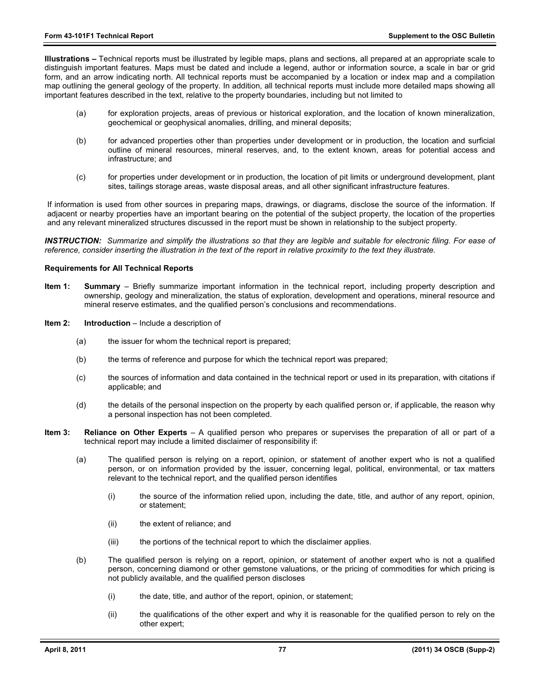**Illustrations –** Technical reports must be illustrated by legible maps, plans and sections, all prepared at an appropriate scale to distinguish important features. Maps must be dated and include a legend, author or information source, a scale in bar or grid form, and an arrow indicating north. All technical reports must be accompanied by a location or index map and a compilation map outlining the general geology of the property. In addition, all technical reports must include more detailed maps showing all important features described in the text, relative to the property boundaries, including but not limited to

- (a) for exploration projects, areas of previous or historical exploration, and the location of known mineralization, geochemical or geophysical anomalies, drilling, and mineral deposits;
- (b) for advanced properties other than properties under development or in production, the location and surficial outline of mineral resources, mineral reserves, and, to the extent known, areas for potential access and infrastructure; and
- (c) for properties under development or in production, the location of pit limits or underground development, plant sites, tailings storage areas, waste disposal areas, and all other significant infrastructure features.

If information is used from other sources in preparing maps, drawings, or diagrams, disclose the source of the information. If adjacent or nearby properties have an important bearing on the potential of the subject property, the location of the properties and any relevant mineralized structures discussed in the report must be shown in relationship to the subject property.

*INSTRUCTION: Summarize and simplify the illustrations so that they are legible and suitable for electronic filing. For ease of reference, consider inserting the illustration in the text of the report in relative proximity to the text they illustrate.* 

#### **Requirements for All Technical Reports**

- **Item 1: Summary**  Briefly summarize important information in the technical report, including property description and ownership, geology and mineralization, the status of exploration, development and operations, mineral resource and mineral reserve estimates, and the qualified person's conclusions and recommendations.
- **Item 2:** Introduction Include a description of
	- (a) the issuer for whom the technical report is prepared;
	- (b) the terms of reference and purpose for which the technical report was prepared;
	- (c) the sources of information and data contained in the technical report or used in its preparation, with citations if applicable; and
	- (d) the details of the personal inspection on the property by each qualified person or, if applicable, the reason why a personal inspection has not been completed.
- **Item 3: Reliance on Other Experts** A qualified person who prepares or supervises the preparation of all or part of a technical report may include a limited disclaimer of responsibility if:
	- (a) The qualified person is relying on a report, opinion, or statement of another expert who is not a qualified person, or on information provided by the issuer, concerning legal, political, environmental, or tax matters relevant to the technical report, and the qualified person identifies
		- (i) the source of the information relied upon, including the date, title, and author of any report, opinion, or statement;
		- (ii) the extent of reliance; and
		- (iii) the portions of the technical report to which the disclaimer applies.
	- (b) The qualified person is relying on a report, opinion, or statement of another expert who is not a qualified person, concerning diamond or other gemstone valuations, or the pricing of commodities for which pricing is not publicly available, and the qualified person discloses
		- (i) the date, title, and author of the report, opinion, or statement;
		- (ii) the qualifications of the other expert and why it is reasonable for the qualified person to rely on the other expert;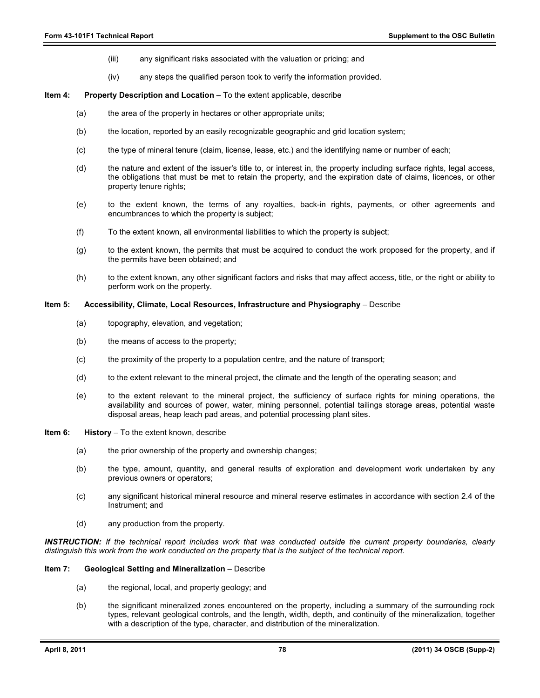- (iii) any significant risks associated with the valuation or pricing; and
- (iv) any steps the qualified person took to verify the information provided.

#### **Item 4: Property Description and Location** – To the extent applicable, describe

- (a) the area of the property in hectares or other appropriate units;
- (b) the location, reported by an easily recognizable geographic and grid location system;
- (c) the type of mineral tenure (claim, license, lease, etc.) and the identifying name or number of each;
- (d) the nature and extent of the issuer's title to, or interest in, the property including surface rights, legal access, the obligations that must be met to retain the property, and the expiration date of claims, licences, or other property tenure rights;
- (e) to the extent known, the terms of any royalties, back-in rights, payments, or other agreements and encumbrances to which the property is subject;
- (f) To the extent known, all environmental liabilities to which the property is subject;
- (g) to the extent known, the permits that must be acquired to conduct the work proposed for the property, and if the permits have been obtained; and
- (h) to the extent known, any other significant factors and risks that may affect access, title, or the right or ability to perform work on the property.

#### **Item 5: Accessibility, Climate, Local Resources, Infrastructure and Physiography** – Describe

- (a) topography, elevation, and vegetation;
- (b) the means of access to the property;
- (c) the proximity of the property to a population centre, and the nature of transport;
- (d) to the extent relevant to the mineral project, the climate and the length of the operating season; and
- (e) to the extent relevant to the mineral project, the sufficiency of surface rights for mining operations, the availability and sources of power, water, mining personnel, potential tailings storage areas, potential waste disposal areas, heap leach pad areas, and potential processing plant sites.
- **Item 6:** History To the extent known, describe
	- (a) the prior ownership of the property and ownership changes;
	- (b) the type, amount, quantity, and general results of exploration and development work undertaken by any previous owners or operators;
	- (c) any significant historical mineral resource and mineral reserve estimates in accordance with section 2.4 of the Instrument; and
	- (d) any production from the property.

*INSTRUCTION: If the technical report includes work that was conducted outside the current property boundaries, clearly distinguish this work from the work conducted on the property that is the subject of the technical report.* 

#### **Item 7: Geological Setting and Mineralization** – Describe

- (a) the regional, local, and property geology; and
- (b) the significant mineralized zones encountered on the property, including a summary of the surrounding rock types, relevant geological controls, and the length, width, depth, and continuity of the mineralization, together with a description of the type, character, and distribution of the mineralization.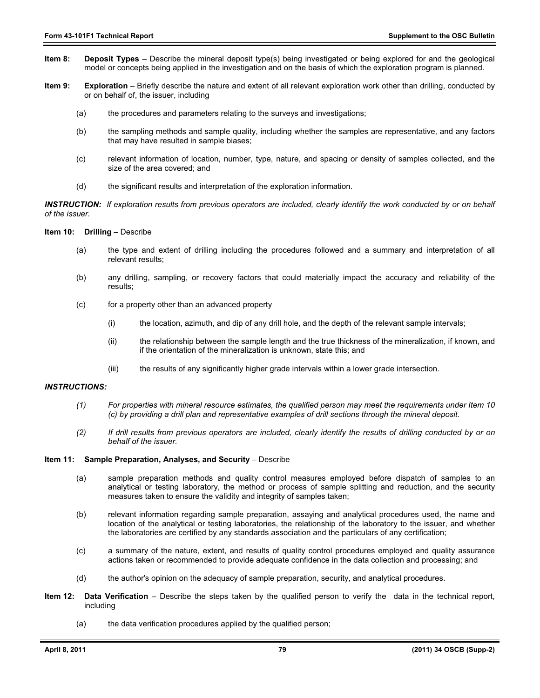- **Item 8: Deposit Types** Describe the mineral deposit type(s) being investigated or being explored for and the geological model or concepts being applied in the investigation and on the basis of which the exploration program is planned.
- **Item 9: Exploration**  Briefly describe the nature and extent of all relevant exploration work other than drilling, conducted by or on behalf of, the issuer, including
	- (a) the procedures and parameters relating to the surveys and investigations;
	- (b) the sampling methods and sample quality, including whether the samples are representative, and any factors that may have resulted in sample biases;
	- (c) relevant information of location, number, type, nature, and spacing or density of samples collected, and the size of the area covered; and
	- (d) the significant results and interpretation of the exploration information.

*INSTRUCTION: If exploration results from previous operators are included, clearly identify the work conducted by or on behalf of the issuer.* 

- **Item 10: Drilling** Describe
	- (a) the type and extent of drilling including the procedures followed and a summary and interpretation of all relevant results;
	- (b) any drilling, sampling, or recovery factors that could materially impact the accuracy and reliability of the results;
	- (c) for a property other than an advanced property
		- (i) the location, azimuth, and dip of any drill hole, and the depth of the relevant sample intervals;
		- (ii) the relationship between the sample length and the true thickness of the mineralization, if known, and if the orientation of the mineralization is unknown, state this; and
		- (iii) the results of any significantly higher grade intervals within a lower grade intersection.

#### *INSTRUCTIONS:*

- *(1) For properties with mineral resource estimates, the qualified person may meet the requirements under Item 10 (c) by providing a drill plan and representative examples of drill sections through the mineral deposit.*
- *(2) If drill results from previous operators are included, clearly identify the results of drilling conducted by or on behalf of the issuer.*

### **Item 11: Sample Preparation, Analyses, and Security - Describe**

- (a) sample preparation methods and quality control measures employed before dispatch of samples to an analytical or testing laboratory, the method or process of sample splitting and reduction, and the security measures taken to ensure the validity and integrity of samples taken;
- (b) relevant information regarding sample preparation, assaying and analytical procedures used, the name and location of the analytical or testing laboratories, the relationship of the laboratory to the issuer, and whether the laboratories are certified by any standards association and the particulars of any certification;
- (c) a summary of the nature, extent, and results of quality control procedures employed and quality assurance actions taken or recommended to provide adequate confidence in the data collection and processing; and
- (d) the author's opinion on the adequacy of sample preparation, security, and analytical procedures.
- **Item 12: Data Verification** Describe the steps taken by the qualified person to verify the data in the technical report, including
	- (a) the data verification procedures applied by the qualified person;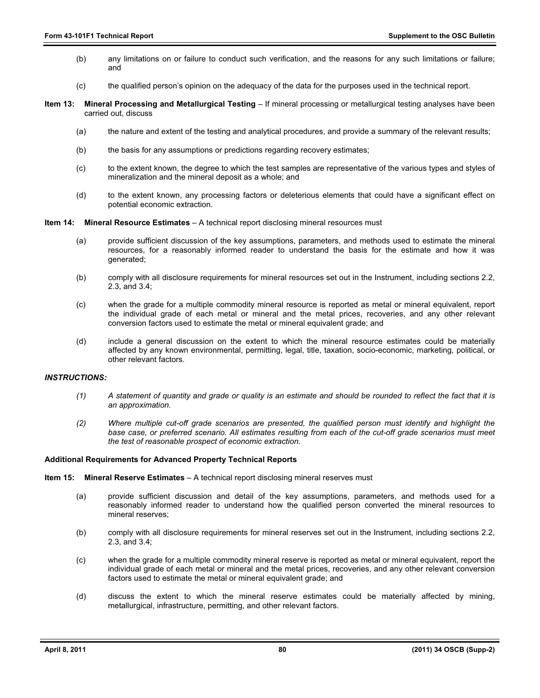- (b) any limitations on or failure to conduct such verification, and the reasons for any such limitations or failure; and
- (c) the qualified person's opinion on the adequacy of the data for the purposes used in the technical report.
- **Item 13: Mineral Processing and Metallurgical Testing** If mineral processing or metallurgical testing analyses have been carried out, discuss
	- (a) the nature and extent of the testing and analytical procedures, and provide a summary of the relevant results;
	- (b) the basis for any assumptions or predictions regarding recovery estimates;
	- (c) to the extent known, the degree to which the test samples are representative of the various types and styles of mineralization and the mineral deposit as a whole; and
	- (d) to the extent known, any processing factors or deleterious elements that could have a significant effect on potential economic extraction.

**Item 14: Mineral Resource Estimates** – A technical report disclosing mineral resources must

- (a) provide sufficient discussion of the key assumptions, parameters, and methods used to estimate the mineral resources, for a reasonably informed reader to understand the basis for the estimate and how it was generated;
- (b) comply with all disclosure requirements for mineral resources set out in the Instrument, including sections 2.2, 2.3, and 3.4;
- (c) when the grade for a multiple commodity mineral resource is reported as metal or mineral equivalent, report the individual grade of each metal or mineral and the metal prices, recoveries, and any other relevant conversion factors used to estimate the metal or mineral equivalent grade; and
- (d) include a general discussion on the extent to which the mineral resource estimates could be materially affected by any known environmental, permitting, legal, title, taxation, socio-economic, marketing, political, or other relevant factors.

#### *INSTRUCTIONS:*

- *(1) A statement of quantity and grade or quality is an estimate and should be rounded to reflect the fact that it is an approximation.*
- *(2) Where multiple cut-off grade scenarios are presented, the qualified person must identify and highlight the*  base case, or preferred scenario. All estimates resulting from each of the cut-off grade scenarios must meet *the test of reasonable prospect of economic extraction.*

#### **Additional Requirements for Advanced Property Technical Reports**

- **Item 15: Mineral Reserve Estimates** A technical report disclosing mineral reserves must
	- (a) provide sufficient discussion and detail of the key assumptions, parameters, and methods used for a reasonably informed reader to understand how the qualified person converted the mineral resources to mineral reserves;
	- (b) comply with all disclosure requirements for mineral reserves set out in the Instrument, including sections 2.2, 2.3, and 3.4;
	- (c) when the grade for a multiple commodity mineral reserve is reported as metal or mineral equivalent, report the individual grade of each metal or mineral and the metal prices, recoveries, and any other relevant conversion factors used to estimate the metal or mineral equivalent grade; and
	- (d) discuss the extent to which the mineral reserve estimates could be materially affected by mining, metallurgical, infrastructure, permitting, and other relevant factors.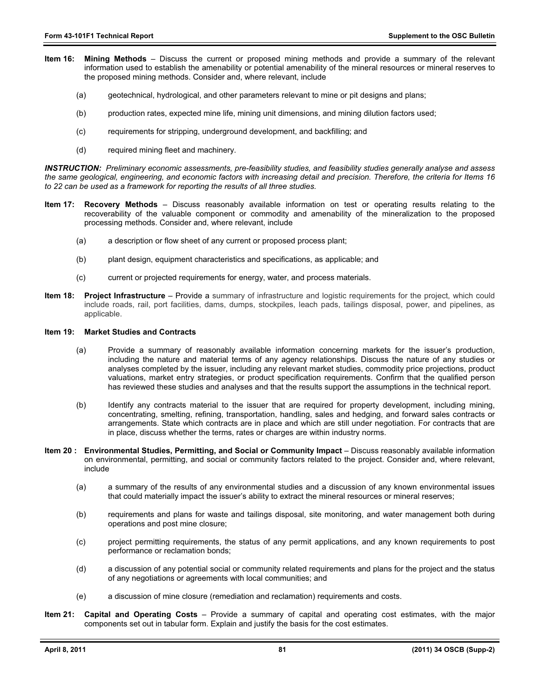- **Item 16: Mining Methods**  Discuss the current or proposed mining methods and provide a summary of the relevant information used to establish the amenability or potential amenability of the mineral resources or mineral reserves to the proposed mining methods. Consider and, where relevant, include
	- (a) geotechnical, hydrological, and other parameters relevant to mine or pit designs and plans;
	- (b) production rates, expected mine life, mining unit dimensions, and mining dilution factors used;
	- (c) requirements for stripping, underground development, and backfilling; and
	- (d) required mining fleet and machinery.

*INSTRUCTION: Preliminary economic assessments, pre-feasibility studies, and feasibility studies generally analyse and assess the same geological, engineering, and economic factors with increasing detail and precision. Therefore, the criteria for Items 16 to 22 can be used as a framework for reporting the results of all three studies.* 

- **Item 17: Recovery Methods**  Discuss reasonably available information on test or operating results relating to the recoverability of the valuable component or commodity and amenability of the mineralization to the proposed processing methods. Consider and, where relevant, include
	- (a) a description or flow sheet of any current or proposed process plant;
	- (b) plant design, equipment characteristics and specifications, as applicable; and
	- (c) current or projected requirements for energy, water, and process materials.
- **Item 18: Project Infrastructure**  Provide a summary of infrastructure and logistic requirements for the project, which could include roads, rail, port facilities, dams, dumps, stockpiles, leach pads, tailings disposal, power, and pipelines, as applicable.

#### **Item 19: Market Studies and Contracts**

- (a) Provide a summary of reasonably available information concerning markets for the issuer's production, including the nature and material terms of any agency relationships. Discuss the nature of any studies or analyses completed by the issuer, including any relevant market studies, commodity price projections, product valuations, market entry strategies, or product specification requirements. Confirm that the qualified person has reviewed these studies and analyses and that the results support the assumptions in the technical report.
- (b) Identify any contracts material to the issuer that are required for property development, including mining, concentrating, smelting, refining, transportation, handling, sales and hedging, and forward sales contracts or arrangements. State which contracts are in place and which are still under negotiation. For contracts that are in place, discuss whether the terms, rates or charges are within industry norms.
- **Item 20 : Environmental Studies, Permitting, and Social or Community Impact** Discuss reasonably available information on environmental, permitting, and social or community factors related to the project. Consider and, where relevant, include
	- (a) a summary of the results of any environmental studies and a discussion of any known environmental issues that could materially impact the issuer's ability to extract the mineral resources or mineral reserves;
	- (b) requirements and plans for waste and tailings disposal, site monitoring, and water management both during operations and post mine closure;
	- (c) project permitting requirements, the status of any permit applications, and any known requirements to post performance or reclamation bonds;
	- (d) a discussion of any potential social or community related requirements and plans for the project and the status of any negotiations or agreements with local communities; and
	- (e) a discussion of mine closure (remediation and reclamation) requirements and costs.
- **Item 21: Capital and Operating Costs**  Provide a summary of capital and operating cost estimates, with the major components set out in tabular form. Explain and justify the basis for the cost estimates.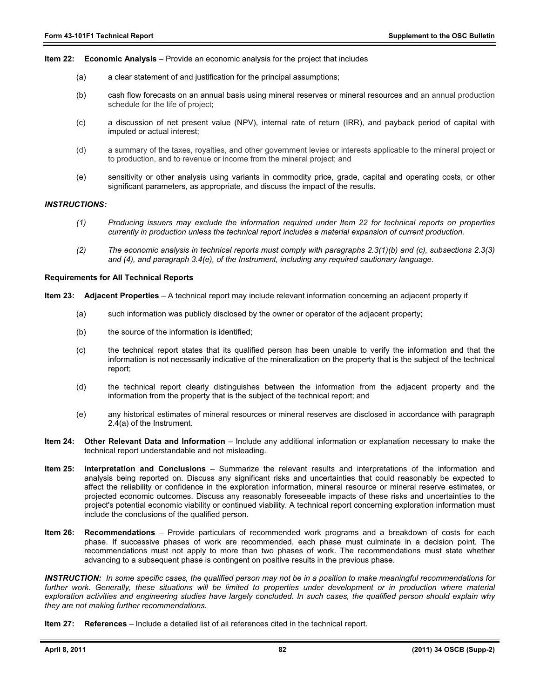**Item 22:** Economic Analysis – Provide an economic analysis for the project that includes

- (a) a clear statement of and justification for the principal assumptions;
- (b) cash flow forecasts on an annual basis using mineral reserves or mineral resources and an annual production schedule for the life of project;
- (c) a discussion of net present value (NPV), internal rate of return (IRR), and payback period of capital with imputed or actual interest;
- (d) a summary of the taxes, royalties, and other government levies or interests applicable to the mineral project or to production, and to revenue or income from the mineral project; and
- (e) sensitivity or other analysis using variants in commodity price, grade, capital and operating costs, or other significant parameters, as appropriate, and discuss the impact of the results.

#### *INSTRUCTIONS:*

- *(1) Producing issuers may exclude the information required under Item 22 for technical reports on properties currently in production unless the technical report includes a material expansion of current production.*
- *(2) The economic analysis in technical reports must comply with paragraphs 2.3(1)(b) and (c), subsections 2.3(3) and (4), and paragraph 3.4(e), of the Instrument, including any required cautionary language.*

#### **Requirements for All Technical Reports**

**Item 23: Adjacent Properties** – A technical report may include relevant information concerning an adjacent property if

- (a) such information was publicly disclosed by the owner or operator of the adjacent property;
- (b) the source of the information is identified;
- (c) the technical report states that its qualified person has been unable to verify the information and that the information is not necessarily indicative of the mineralization on the property that is the subject of the technical report;
- (d) the technical report clearly distinguishes between the information from the adjacent property and the information from the property that is the subject of the technical report; and
- (e) any historical estimates of mineral resources or mineral reserves are disclosed in accordance with paragraph 2.4(a) of the Instrument.
- **Item 24: Other Relevant Data and Information** Include any additional information or explanation necessary to make the technical report understandable and not misleading.
- **Item 25: Interpretation and Conclusions** Summarize the relevant results and interpretations of the information and analysis being reported on. Discuss any significant risks and uncertainties that could reasonably be expected to affect the reliability or confidence in the exploration information, mineral resource or mineral reserve estimates, or projected economic outcomes. Discuss any reasonably foreseeable impacts of these risks and uncertainties to the project's potential economic viability or continued viability. A technical report concerning exploration information must include the conclusions of the qualified person.
- **Item 26: Recommendations** Provide particulars of recommended work programs and a breakdown of costs for each phase. If successive phases of work are recommended, each phase must culminate in a decision point. The recommendations must not apply to more than two phases of work. The recommendations must state whether advancing to a subsequent phase is contingent on positive results in the previous phase.

*INSTRUCTION: In some specific cases, the qualified person may not be in a position to make meaningful recommendations for*  further work. Generally, these situations will be limited to properties under development or in production where material *exploration activities and engineering studies have largely concluded. In such cases, the qualified person should explain why they are not making further recommendations.* 

**Item 27: References** – Include a detailed list of all references cited in the technical report.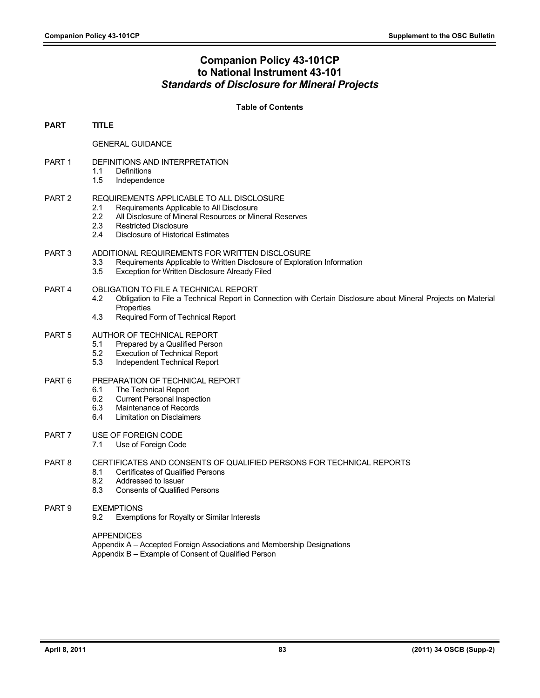# **Companion Policy 43-101CP to National Instrument 43-101** *Standards of Disclosure for Mineral Projects*

# **Table of Contents**

**PART TITLE** 

#### GENERAL GUIDANCE

# PART 1 DEFINITIONS AND INTERPRETATION<br>1.1 Definitions

- 1.1 Definitions<br>1.5 Independe
- **Independence**

# PART 2 REQUIREMENTS APPLICABLE TO ALL DISCLOSURE<br>2.1 Requirements Applicable to All Disclosure

- Requirements Applicable to All Disclosure
- 2.2 All Disclosure of Mineral Resources or Mineral Reserves
- 2.3 Restricted Disclosure
- 2.4 Disclosure of Historical Estimates

# PART 3 ADDITIONAL REQUIREMENTS FOR WRITTEN DISCLOSURE

- 3.3 Requirements Applicable to Written Disclosure of Exploration Information
- 3.5 Exception for Written Disclosure Already Filed
- PART 4 OBLIGATION TO FILE A TECHNICAL REPORT<br>4.2 Obligation to File a Technical Report in C
	- 4.2 Obligation to File a Technical Report in Connection with Certain Disclosure about Mineral Projects on Material **Properties**
	- 4.3 Required Form of Technical Report

# PART 5 AUTHOR OF TECHNICAL REPORT

- 5.1 Prepared by a Qualified Person
- 5.2 Execution of Technical Report
- 5.3 Independent Technical Report

# PART 6 PREPARATION OF TECHNICAL REPORT

- 6.1 The Technical Report<br>6.2 Current Personal Inspe
- 6.2 Current Personal Inspection<br>6.3 Maintenance of Records
- 6.3 Maintenance of Records<br>6.4 Limitation on Disclaimers
- **Limitation on Disclaimers**

#### PART 7 USE OF FOREIGN CODE

7.1 Use of Foreign Code

# PART 8 CERTIFICATES AND CONSENTS OF QUALIFIED PERSONS FOR TECHNICAL REPORTS

- 8.1 Certificates of Qualified Persons
- 8.2 Addressed to Issuer
- 8.3 Consents of Qualified Persons

# PART 9 EXEMPTIONS

9.2 Exemptions for Royalty or Similar Interests

# APPENDICES

Appendix A – Accepted Foreign Associations and Membership Designations Appendix B – Example of Consent of Qualified Person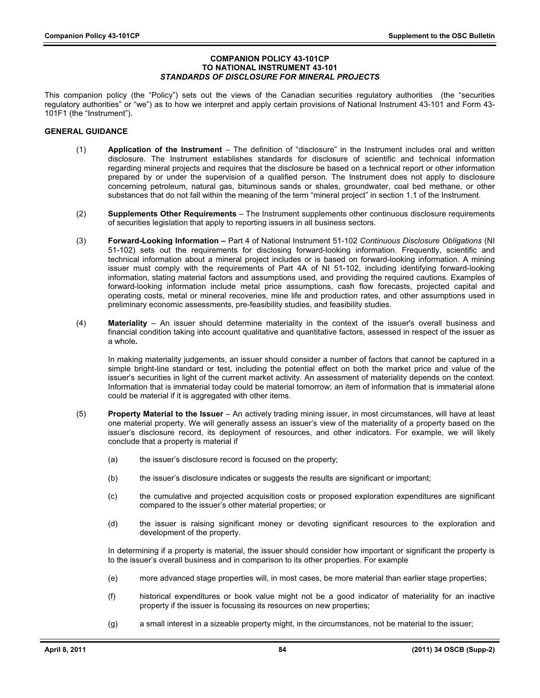#### **COMPANION POLICY 43-101CP TO NATIONAL INSTRUMENT 43-101**  *STANDARDS OF DISCLOSURE FOR MINERAL PROJECTS*

This companion policy (the "Policy") sets out the views of the Canadian securities regulatory authorities (the "securities regulatory authorities" or "we") as to how we interpret and apply certain provisions of National Instrument 43-101 and Form 43- 101F1 (the "Instrument").

### **GENERAL GUIDANCE**

- (1) **Application of the Instrument** The definition of "disclosure" in the Instrument includes oral and written disclosure. The Instrument establishes standards for disclosure of scientific and technical information regarding mineral projects and requires that the disclosure be based on a technical report or other information prepared by or under the supervision of a qualified person. The Instrument does not apply to disclosure concerning petroleum, natural gas, bituminous sands or shales, groundwater, coal bed methane, or other substances that do not fall within the meaning of the term "mineral project" in section 1.1 of the Instrument.
- (2) **Supplements Other Requirements** The Instrument supplements other continuous disclosure requirements of securities legislation that apply to reporting issuers in all business sectors.
- (3) **Forward-Looking Information** Part 4 of National Instrument 51-102 *Continuous Disclosure Obligations* (NI 51-102) sets out the requirements for disclosing forward-looking information. Frequently, scientific and technical information about a mineral project includes or is based on forward-looking information. A mining issuer must comply with the requirements of Part 4A of NI 51-102, including identifying forward-looking information, stating material factors and assumptions used, and providing the required cautions. Examples of forward-looking information include metal price assumptions, cash flow forecasts, projected capital and operating costs, metal or mineral recoveries, mine life and production rates, and other assumptions used in preliminary economic assessments, pre-feasibility studies, and feasibility studies.
- (4) **Materiality** An issuer should determine materiality in the context of the issuer's overall business and financial condition taking into account qualitative and quantitative factors, assessed in respect of the issuer as a whole**.**

In making materiality judgements, an issuer should consider a number of factors that cannot be captured in a simple bright-line standard or test, including the potential effect on both the market price and value of the issuer's securities in light of the current market activity. An assessment of materiality depends on the context. Information that is immaterial today could be material tomorrow; an item of information that is immaterial alone could be material if it is aggregated with other items.

- (5) **Property Material to the Issuer** An actively trading mining issuer, in most circumstances, will have at least one material property. We will generally assess an issuer's view of the materiality of a property based on the issuer's disclosure record, its deployment of resources, and other indicators. For example, we will likely conclude that a property is material if
	- (a) the issuer's disclosure record is focused on the property;
	- (b) the issuer's disclosure indicates or suggests the results are significant or important;
	- (c) the cumulative and projected acquisition costs or proposed exploration expenditures are significant compared to the issuer's other material properties; or
	- (d) the issuer is raising significant money or devoting significant resources to the exploration and development of the property.

In determining if a property is material, the issuer should consider how important or significant the property is to the issuer's overall business and in comparison to its other properties. For example

- (e) more advanced stage properties will, in most cases, be more material than earlier stage properties;
- (f) historical expenditures or book value might not be a good indicator of materiality for an inactive property if the issuer is focussing its resources on new properties;
- (g) a small interest in a sizeable property might, in the circumstances, not be material to the issuer;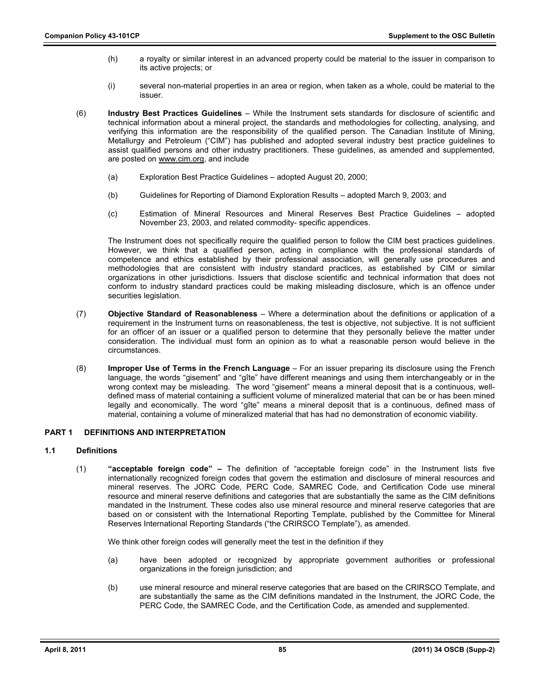- (h) a royalty or similar interest in an advanced property could be material to the issuer in comparison to its active projects; or
- (i) several non-material properties in an area or region, when taken as a whole, could be material to the issuer.
- (6) **Industry Best Practices Guidelines**  While the Instrument sets standards for disclosure of scientific and technical information about a mineral project, the standards and methodologies for collecting, analysing, and verifying this information are the responsibility of the qualified person. The Canadian Institute of Mining, Metallurgy and Petroleum ("CIM") has published and adopted several industry best practice guidelines to assist qualified persons and other industry practitioners. These guidelines, as amended and supplemented, are posted on www.cim.org, and include
	- (a) Exploration Best Practice Guidelines adopted August 20, 2000;
	- (b) Guidelines for Reporting of Diamond Exploration Results adopted March 9, 2003; and
	- (c) Estimation of Mineral Resources and Mineral Reserves Best Practice Guidelines adopted November 23, 2003, and related commodity- specific appendices.

The Instrument does not specifically require the qualified person to follow the CIM best practices guidelines. However, we think that a qualified person, acting in compliance with the professional standards of competence and ethics established by their professional association, will generally use procedures and methodologies that are consistent with industry standard practices, as established by CIM or similar organizations in other jurisdictions. Issuers that disclose scientific and technical information that does not conform to industry standard practices could be making misleading disclosure, which is an offence under securities legislation.

- (7) **Objective Standard of Reasonableness** Where a determination about the definitions or application of a requirement in the Instrument turns on reasonableness, the test is objective, not subjective. It is not sufficient for an officer of an issuer or a qualified person to determine that they personally believe the matter under consideration. The individual must form an opinion as to what a reasonable person would believe in the circumstances.
- (8) **Improper Use of Terms in the French Language**  For an issuer preparing its disclosure using the French language, the words "gisement" and "gîte" have different meanings and using them interchangeably or in the wrong context may be misleading. The word "gisement" means a mineral deposit that is a continuous, welldefined mass of material containing a sufficient volume of mineralized material that can be or has been mined legally and economically. The word "gîte" means a mineral deposit that is a continuous, defined mass of material, containing a volume of mineralized material that has had no demonstration of economic viability.

#### **PART 1 DEFINITIONS AND INTERPRETATION**

## **1.1 Definitions**

(1) **"acceptable foreign code" –** The definition of "acceptable foreign code" in the Instrument lists five internationally recognized foreign codes that govern the estimation and disclosure of mineral resources and mineral reserves. The JORC Code, PERC Code, SAMREC Code, and Certification Code use mineral resource and mineral reserve definitions and categories that are substantially the same as the CIM definitions mandated in the Instrument. These codes also use mineral resource and mineral reserve categories that are based on or consistent with the International Reporting Template, published by the Committee for Mineral Reserves International Reporting Standards ("the CRIRSCO Template"), as amended.

We think other foreign codes will generally meet the test in the definition if they

- (a) have been adopted or recognized by appropriate government authorities or professional organizations in the foreign jurisdiction; and
- (b) use mineral resource and mineral reserve categories that are based on the CRIRSCO Template, and are substantially the same as the CIM definitions mandated in the Instrument, the JORC Code, the PERC Code, the SAMREC Code, and the Certification Code, as amended and supplemented.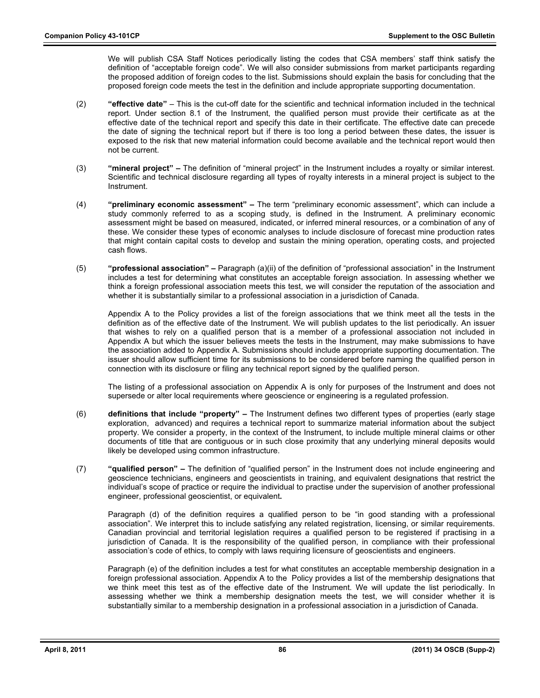We will publish CSA Staff Notices periodically listing the codes that CSA members' staff think satisfy the definition of "acceptable foreign code". We will also consider submissions from market participants regarding the proposed addition of foreign codes to the list. Submissions should explain the basis for concluding that the proposed foreign code meets the test in the definition and include appropriate supporting documentation.

- (2) **"effective date"**  This is the cut-off date for the scientific and technical information included in the technical report. Under section 8.1 of the Instrument, the qualified person must provide their certificate as at the effective date of the technical report and specify this date in their certificate. The effective date can precede the date of signing the technical report but if there is too long a period between these dates, the issuer is exposed to the risk that new material information could become available and the technical report would then not be current.
- (3) **"mineral project" –** The definition of "mineral project" in the Instrument includes a royalty or similar interest. Scientific and technical disclosure regarding all types of royalty interests in a mineral project is subject to the Instrument.
- (4) **"preliminary economic assessment" –** The term "preliminary economic assessment", which can include a study commonly referred to as a scoping study, is defined in the Instrument. A preliminary economic assessment might be based on measured, indicated, or inferred mineral resources, or a combination of any of these. We consider these types of economic analyses to include disclosure of forecast mine production rates that might contain capital costs to develop and sustain the mining operation, operating costs, and projected cash flows.
- (5) **"professional association"** Paragraph (a)(ii) of the definition of "professional association" in the Instrument includes a test for determining what constitutes an acceptable foreign association. In assessing whether we think a foreign professional association meets this test, we will consider the reputation of the association and whether it is substantially similar to a professional association in a jurisdiction of Canada.

Appendix A to the Policy provides a list of the foreign associations that we think meet all the tests in the definition as of the effective date of the Instrument. We will publish updates to the list periodically. An issuer that wishes to rely on a qualified person that is a member of a professional association not included in Appendix A but which the issuer believes meets the tests in the Instrument, may make submissions to have the association added to Appendix A. Submissions should include appropriate supporting documentation. The issuer should allow sufficient time for its submissions to be considered before naming the qualified person in connection with its disclosure or filing any technical report signed by the qualified person.

The listing of a professional association on Appendix A is only for purposes of the Instrument and does not supersede or alter local requirements where geoscience or engineering is a regulated profession.

- (6) **definitions that include "property" –** The Instrument defines two different types of properties (early stage exploration, advanced) and requires a technical report to summarize material information about the subject property. We consider a property, in the context of the Instrument, to include multiple mineral claims or other documents of title that are contiguous or in such close proximity that any underlying mineral deposits would likely be developed using common infrastructure.
- (7) **"qualified person"** The definition of "qualified person" in the Instrument does not include engineering and geoscience technicians, engineers and geoscientists in training, and equivalent designations that restrict the individual's scope of practice or require the individual to practise under the supervision of another professional engineer, professional geoscientist, or equivalent**.**

Paragraph (d) of the definition requires a qualified person to be "in good standing with a professional association". We interpret this to include satisfying any related registration, licensing, or similar requirements. Canadian provincial and territorial legislation requires a qualified person to be registered if practising in a jurisdiction of Canada. It is the responsibility of the qualified person, in compliance with their professional association's code of ethics, to comply with laws requiring licensure of geoscientists and engineers.

Paragraph (e) of the definition includes a test for what constitutes an acceptable membership designation in a foreign professional association. Appendix A to the Policy provides a list of the membership designations that we think meet this test as of the effective date of the Instrument. We will update the list periodically. In assessing whether we think a membership designation meets the test, we will consider whether it is substantially similar to a membership designation in a professional association in a jurisdiction of Canada.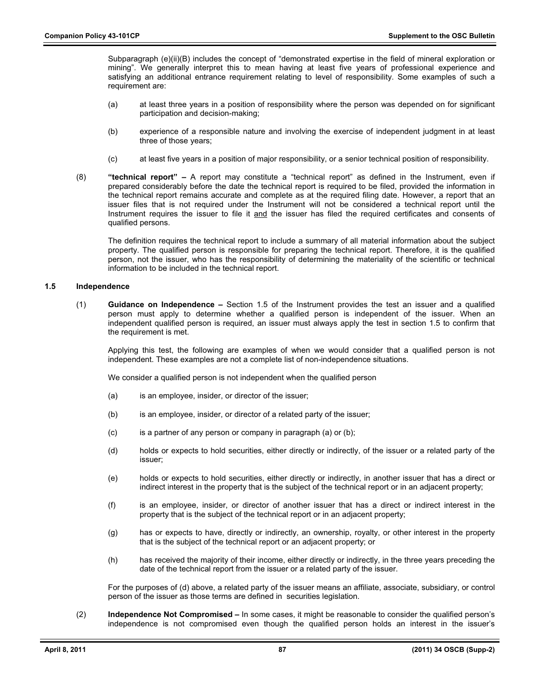Subparagraph (e)(ii)(B) includes the concept of "demonstrated expertise in the field of mineral exploration or mining". We generally interpret this to mean having at least five years of professional experience and satisfying an additional entrance requirement relating to level of responsibility. Some examples of such a requirement are:

- (a) at least three years in a position of responsibility where the person was depended on for significant participation and decision-making;
- (b) experience of a responsible nature and involving the exercise of independent judgment in at least three of those years;
- (c) at least five years in a position of major responsibility, or a senior technical position of responsibility.
- (8) **"technical report" –** A report may constitute a "technical report" as defined in the Instrument, even if prepared considerably before the date the technical report is required to be filed, provided the information in the technical report remains accurate and complete as at the required filing date. However, a report that an issuer files that is not required under the Instrument will not be considered a technical report until the Instrument requires the issuer to file it and the issuer has filed the required certificates and consents of qualified persons.

The definition requires the technical report to include a summary of all material information about the subject property. The qualified person is responsible for preparing the technical report. Therefore, it is the qualified person, not the issuer, who has the responsibility of determining the materiality of the scientific or technical information to be included in the technical report.

#### **1.5 Independence**

(1) **Guidance on Independence –** Section 1.5 of the Instrument provides the test an issuer and a qualified person must apply to determine whether a qualified person is independent of the issuer. When an independent qualified person is required, an issuer must always apply the test in section 1.5 to confirm that the requirement is met.

Applying this test, the following are examples of when we would consider that a qualified person is not independent. These examples are not a complete list of non-independence situations.

We consider a qualified person is not independent when the qualified person

- (a) is an employee, insider, or director of the issuer;
- (b) is an employee, insider, or director of a related party of the issuer;
- $(c)$  is a partner of any person or company in paragraph  $(a)$  or  $(b)$ ;
- (d) holds or expects to hold securities, either directly or indirectly, of the issuer or a related party of the issuer;
- (e) holds or expects to hold securities, either directly or indirectly, in another issuer that has a direct or indirect interest in the property that is the subject of the technical report or in an adjacent property;
- (f) is an employee, insider, or director of another issuer that has a direct or indirect interest in the property that is the subject of the technical report or in an adjacent property;
- (g) has or expects to have, directly or indirectly, an ownership, royalty, or other interest in the property that is the subject of the technical report or an adjacent property; or
- (h) has received the majority of their income, either directly or indirectly, in the three years preceding the date of the technical report from the issuer or a related party of the issuer.

For the purposes of (d) above, a related party of the issuer means an affiliate, associate, subsidiary, or control person of the issuer as those terms are defined in securities legislation.

(2) **Independence Not Compromised –** In some cases, it might be reasonable to consider the qualified person's independence is not compromised even though the qualified person holds an interest in the issuer's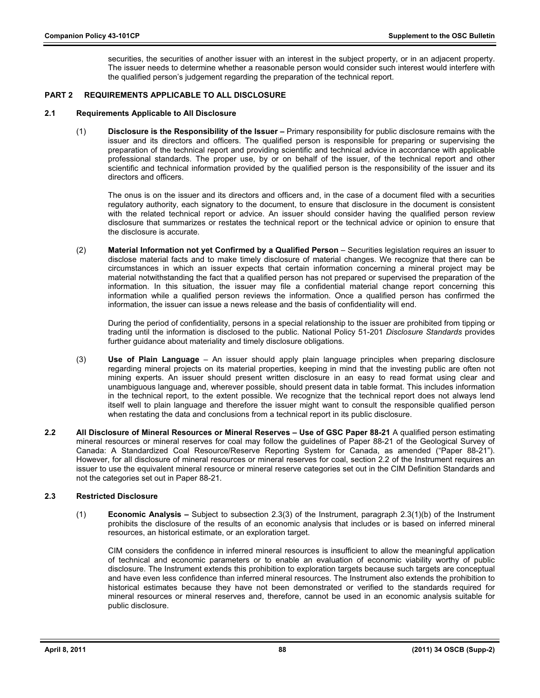securities, the securities of another issuer with an interest in the subject property, or in an adjacent property. The issuer needs to determine whether a reasonable person would consider such interest would interfere with the qualified person's judgement regarding the preparation of the technical report.

# **PART 2 REQUIREMENTS APPLICABLE TO ALL DISCLOSURE**

#### **2.1 Requirements Applicable to All Disclosure**

(1) **Disclosure is the Responsibility of the Issuer –** Primary responsibility for public disclosure remains with the issuer and its directors and officers. The qualified person is responsible for preparing or supervising the preparation of the technical report and providing scientific and technical advice in accordance with applicable professional standards. The proper use, by or on behalf of the issuer, of the technical report and other scientific and technical information provided by the qualified person is the responsibility of the issuer and its directors and officers.

The onus is on the issuer and its directors and officers and, in the case of a document filed with a securities regulatory authority, each signatory to the document, to ensure that disclosure in the document is consistent with the related technical report or advice. An issuer should consider having the qualified person review disclosure that summarizes or restates the technical report or the technical advice or opinion to ensure that the disclosure is accurate.

(2) **Material Information not yet Confirmed by a Qualified Person** – Securities legislation requires an issuer to disclose material facts and to make timely disclosure of material changes. We recognize that there can be circumstances in which an issuer expects that certain information concerning a mineral project may be material notwithstanding the fact that a qualified person has not prepared or supervised the preparation of the information. In this situation, the issuer may file a confidential material change report concerning this information while a qualified person reviews the information. Once a qualified person has confirmed the information, the issuer can issue a news release and the basis of confidentiality will end.

During the period of confidentiality, persons in a special relationship to the issuer are prohibited from tipping or trading until the information is disclosed to the public. National Policy 51-201 *Disclosure Standards* provides further guidance about materiality and timely disclosure obligations.

- (3) **Use of Plain Language** An issuer should apply plain language principles when preparing disclosure regarding mineral projects on its material properties, keeping in mind that the investing public are often not mining experts. An issuer should present written disclosure in an easy to read format using clear and unambiguous language and, wherever possible, should present data in table format. This includes information in the technical report, to the extent possible. We recognize that the technical report does not always lend itself well to plain language and therefore the issuer might want to consult the responsible qualified person when restating the data and conclusions from a technical report in its public disclosure.
- **2.2 All Disclosure of Mineral Resources or Mineral Reserves Use of GSC Paper 88-21** A qualified person estimating mineral resources or mineral reserves for coal may follow the guidelines of Paper 88-21 of the Geological Survey of Canada: A Standardized Coal Resource/Reserve Reporting System for Canada, as amended ("Paper 88-21"). However, for all disclosure of mineral resources or mineral reserves for coal, section 2.2 of the Instrument requires an issuer to use the equivalent mineral resource or mineral reserve categories set out in the CIM Definition Standards and not the categories set out in Paper 88-21.

#### **2.3 Restricted Disclosure**

(1) **Economic Analysis –** Subject to subsection 2.3(3) of the Instrument, paragraph 2.3(1)(b) of the Instrument prohibits the disclosure of the results of an economic analysis that includes or is based on inferred mineral resources, an historical estimate, or an exploration target.

CIM considers the confidence in inferred mineral resources is insufficient to allow the meaningful application of technical and economic parameters or to enable an evaluation of economic viability worthy of public disclosure. The Instrument extends this prohibition to exploration targets because such targets are conceptual and have even less confidence than inferred mineral resources. The Instrument also extends the prohibition to historical estimates because they have not been demonstrated or verified to the standards required for mineral resources or mineral reserves and, therefore, cannot be used in an economic analysis suitable for public disclosure.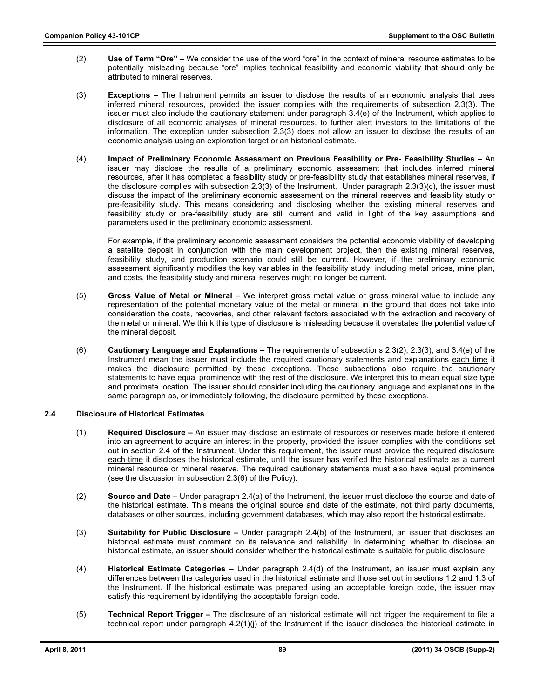- (2) **Use of Term "Ore"** We consider the use of the word "ore" in the context of mineral resource estimates to be potentially misleading because "ore" implies technical feasibility and economic viability that should only be attributed to mineral reserves.
- (3) **Exceptions** The Instrument permits an issuer to disclose the results of an economic analysis that uses inferred mineral resources, provided the issuer complies with the requirements of subsection 2.3(3). The issuer must also include the cautionary statement under paragraph 3.4(e) of the Instrument, which applies to disclosure of all economic analyses of mineral resources, to further alert investors to the limitations of the information. The exception under subsection 2.3(3) does not allow an issuer to disclose the results of an economic analysis using an exploration target or an historical estimate.
- (4) **Impact of Preliminary Economic Assessment on Previous Feasibility or Pre- Feasibility Studies** An issuer may disclose the results of a preliminary economic assessment that includes inferred mineral resources, after it has completed a feasibility study or pre-feasibility study that establishes mineral reserves, if the disclosure complies with subsection 2.3(3) of the Instrument. Under paragraph 2.3(3)(c), the issuer must discuss the impact of the preliminary economic assessment on the mineral reserves and feasibility study or pre-feasibility study. This means considering and disclosing whether the existing mineral reserves and feasibility study or pre-feasibility study are still current and valid in light of the key assumptions and parameters used in the preliminary economic assessment.

For example, if the preliminary economic assessment considers the potential economic viability of developing a satellite deposit in conjunction with the main development project, then the existing mineral reserves, feasibility study, and production scenario could still be current. However, if the preliminary economic assessment significantly modifies the key variables in the feasibility study, including metal prices, mine plan, and costs, the feasibility study and mineral reserves might no longer be current.

- (5) **Gross Value of Metal or Mineral**  We interpret gross metal value or gross mineral value to include any representation of the potential monetary value of the metal or mineral in the ground that does not take into consideration the costs, recoveries, and other relevant factors associated with the extraction and recovery of the metal or mineral. We think this type of disclosure is misleading because it overstates the potential value of the mineral deposit.
- (6) **Cautionary Language and Explanations** The requirements of subsections 2.3(2), 2.3(3), and 3.4(e) of the Instrument mean the issuer must include the required cautionary statements and explanations each time it makes the disclosure permitted by these exceptions. These subsections also require the cautionary statements to have equal prominence with the rest of the disclosure. We interpret this to mean equal size type and proximate location. The issuer should consider including the cautionary language and explanations in the same paragraph as, or immediately following, the disclosure permitted by these exceptions.

# **2.4 Disclosure of Historical Estimates**

- (1) **Required Disclosure** An issuer may disclose an estimate of resources or reserves made before it entered into an agreement to acquire an interest in the property, provided the issuer complies with the conditions set out in section 2.4 of the Instrument. Under this requirement, the issuer must provide the required disclosure each time it discloses the historical estimate, until the issuer has verified the historical estimate as a current mineral resource or mineral reserve. The required cautionary statements must also have equal prominence (see the discussion in subsection 2.3(6) of the Policy).
- (2) **Source and Date** Under paragraph 2.4(a) of the Instrument, the issuer must disclose the source and date of the historical estimate. This means the original source and date of the estimate, not third party documents, databases or other sources, including government databases, which may also report the historical estimate.
- (3) **Suitability for Public Disclosure** Under paragraph 2.4(b) of the Instrument, an issuer that discloses an historical estimate must comment on its relevance and reliability. In determining whether to disclose an historical estimate, an issuer should consider whether the historical estimate is suitable for public disclosure.
- (4) **Historical Estimate Categories –** Under paragraph 2.4(d) of the Instrument, an issuer must explain any differences between the categories used in the historical estimate and those set out in sections 1.2 and 1.3 of the Instrument. If the historical estimate was prepared using an acceptable foreign code, the issuer may satisfy this requirement by identifying the acceptable foreign code.
- (5) **Technical Report Trigger** The disclosure of an historical estimate will not trigger the requirement to file a technical report under paragraph 4.2(1)(j) of the Instrument if the issuer discloses the historical estimate in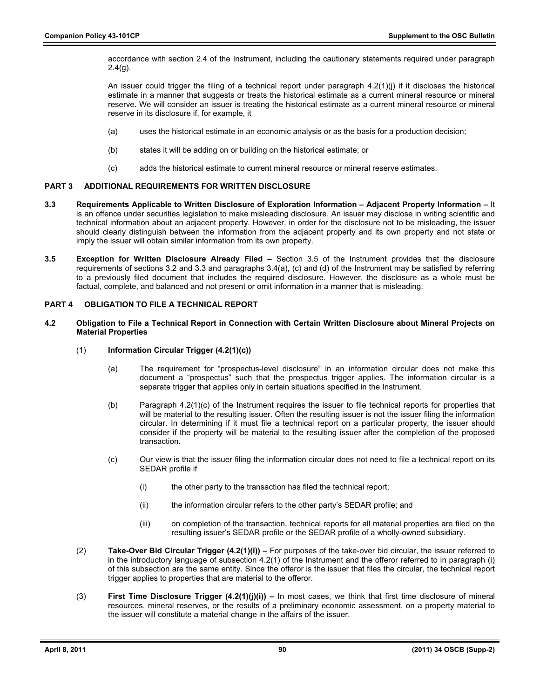accordance with section 2.4 of the Instrument, including the cautionary statements required under paragraph  $2.4(q)$ .

An issuer could trigger the filing of a technical report under paragraph 4.2(1)(j) if it discloses the historical estimate in a manner that suggests or treats the historical estimate as a current mineral resource or mineral reserve. We will consider an issuer is treating the historical estimate as a current mineral resource or mineral reserve in its disclosure if, for example, it

- (a) uses the historical estimate in an economic analysis or as the basis for a production decision;
- (b) states it will be adding on or building on the historical estimate; or
- (c) adds the historical estimate to current mineral resource or mineral reserve estimates.

# **PART 3 ADDITIONAL REQUIREMENTS FOR WRITTEN DISCLOSURE**

- **3.3 Requirements Applicable to Written Disclosure of Exploration Information Adjacent Property Information** It is an offence under securities legislation to make misleading disclosure. An issuer may disclose in writing scientific and technical information about an adjacent property. However, in order for the disclosure not to be misleading, the issuer should clearly distinguish between the information from the adjacent property and its own property and not state or imply the issuer will obtain similar information from its own property.
- **3.5 Exception for Written Disclosure Already Filed** Section 3.5 of the Instrument provides that the disclosure requirements of sections 3.2 and 3.3 and paragraphs 3.4(a), (c) and (d) of the Instrument may be satisfied by referring to a previously filed document that includes the required disclosure. However, the disclosure as a whole must be factual, complete, and balanced and not present or omit information in a manner that is misleading.

# **PART 4 OBLIGATION TO FILE A TECHNICAL REPORT**

- **4.2 Obligation to File a Technical Report in Connection with Certain Written Disclosure about Mineral Projects on Material Properties** 
	- (1) **Information Circular Trigger (4.2(1)(c))** 
		- (a) The requirement for "prospectus-level disclosure" in an information circular does not make this document a "prospectus" such that the prospectus trigger applies. The information circular is a separate trigger that applies only in certain situations specified in the Instrument.
		- (b) Paragraph 4.2(1)(c) of the Instrument requires the issuer to file technical reports for properties that will be material to the resulting issuer. Often the resulting issuer is not the issuer filing the information circular. In determining if it must file a technical report on a particular property, the issuer should consider if the property will be material to the resulting issuer after the completion of the proposed transaction.
		- (c) Our view is that the issuer filing the information circular does not need to file a technical report on its SEDAR profile if
			- (i) the other party to the transaction has filed the technical report;
			- (ii) the information circular refers to the other party's SEDAR profile; and
			- (iii) on completion of the transaction, technical reports for all material properties are filed on the resulting issuer's SEDAR profile or the SEDAR profile of a wholly-owned subsidiary.
	- (2) **Take-Over Bid Circular Trigger (4.2(1)(i))** For purposes of the take-over bid circular, the issuer referred to in the introductory language of subsection 4.2(1) of the Instrument and the offeror referred to in paragraph (i) of this subsection are the same entity. Since the offeror is the issuer that files the circular, the technical report trigger applies to properties that are material to the offeror.
	- (3) **First Time Disclosure Trigger (4.2(1)(j)(i))** In most cases, we think that first time disclosure of mineral resources, mineral reserves, or the results of a preliminary economic assessment, on a property material to the issuer will constitute a material change in the affairs of the issuer.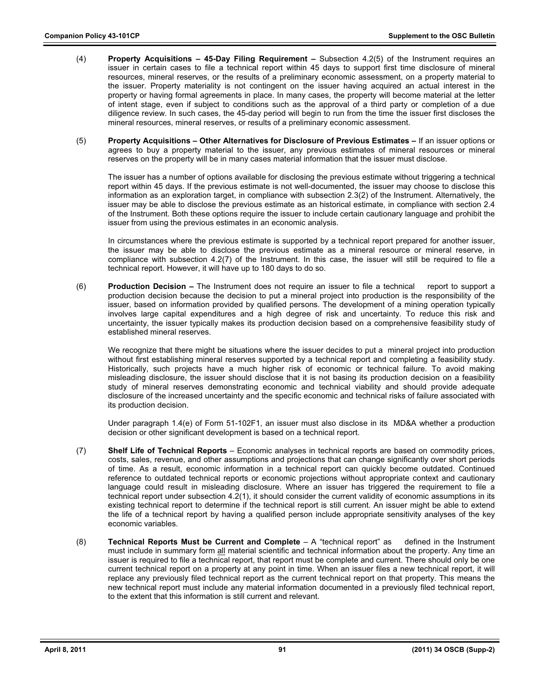- (4) **Property Acquisitions 45-Day Filing Requirement** Subsection 4.2(5) of the Instrument requires an issuer in certain cases to file a technical report within 45 days to support first time disclosure of mineral resources, mineral reserves, or the results of a preliminary economic assessment, on a property material to the issuer. Property materiality is not contingent on the issuer having acquired an actual interest in the property or having formal agreements in place. In many cases, the property will become material at the letter of intent stage, even if subject to conditions such as the approval of a third party or completion of a due diligence review. In such cases, the 45-day period will begin to run from the time the issuer first discloses the mineral resources, mineral reserves, or results of a preliminary economic assessment.
- (5) **Property Acquisitions Other Alternatives for Disclosure of Previous Estimates** If an issuer options or agrees to buy a property material to the issuer, any previous estimates of mineral resources or mineral reserves on the property will be in many cases material information that the issuer must disclose.

The issuer has a number of options available for disclosing the previous estimate without triggering a technical report within 45 days. If the previous estimate is not well-documented, the issuer may choose to disclose this information as an exploration target, in compliance with subsection 2.3(2) of the Instrument. Alternatively, the issuer may be able to disclose the previous estimate as an historical estimate, in compliance with section 2.4 of the Instrument. Both these options require the issuer to include certain cautionary language and prohibit the issuer from using the previous estimates in an economic analysis.

In circumstances where the previous estimate is supported by a technical report prepared for another issuer, the issuer may be able to disclose the previous estimate as a mineral resource or mineral reserve, in compliance with subsection 4.2(7) of the Instrument. In this case, the issuer will still be required to file a technical report. However, it will have up to 180 days to do so.

(6) **Production Decision –** The Instrument does not require an issuer to file a technical report to support a production decision because the decision to put a mineral project into production is the responsibility of the issuer, based on information provided by qualified persons. The development of a mining operation typically involves large capital expenditures and a high degree of risk and uncertainty. To reduce this risk and uncertainty, the issuer typically makes its production decision based on a comprehensive feasibility study of established mineral reserves.

We recognize that there might be situations where the issuer decides to put a mineral project into production without first establishing mineral reserves supported by a technical report and completing a feasibility study. Historically, such projects have a much higher risk of economic or technical failure. To avoid making misleading disclosure, the issuer should disclose that it is not basing its production decision on a feasibility study of mineral reserves demonstrating economic and technical viability and should provide adequate disclosure of the increased uncertainty and the specific economic and technical risks of failure associated with its production decision.

Under paragraph 1.4(e) of Form 51-102F1, an issuer must also disclose in its MD&A whether a production decision or other significant development is based on a technical report.

- (7) **Shelf Life of Technical Reports** Economic analyses in technical reports are based on commodity prices, costs, sales, revenue, and other assumptions and projections that can change significantly over short periods of time. As a result, economic information in a technical report can quickly become outdated. Continued reference to outdated technical reports or economic projections without appropriate context and cautionary language could result in misleading disclosure. Where an issuer has triggered the requirement to file a technical report under subsection 4.2(1), it should consider the current validity of economic assumptions in its existing technical report to determine if the technical report is still current. An issuer might be able to extend the life of a technical report by having a qualified person include appropriate sensitivity analyses of the key economic variables.
- (8) **Technical Reports Must be Current and Complete**  A "technical report" as defined in the Instrument must include in summary form all material scientific and technical information about the property. Any time an issuer is required to file a technical report, that report must be complete and current. There should only be one current technical report on a property at any point in time. When an issuer files a new technical report, it will replace any previously filed technical report as the current technical report on that property. This means the new technical report must include any material information documented in a previously filed technical report, to the extent that this information is still current and relevant.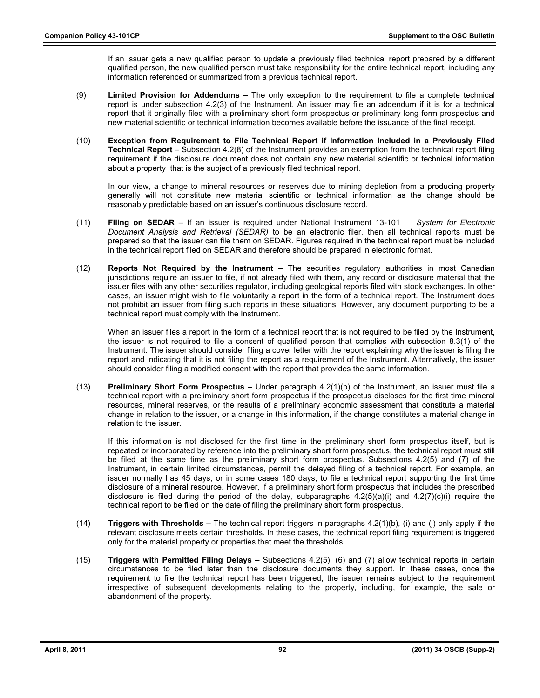If an issuer gets a new qualified person to update a previously filed technical report prepared by a different qualified person, the new qualified person must take responsibility for the entire technical report, including any information referenced or summarized from a previous technical report.

- (9) **Limited Provision for Addendums** The only exception to the requirement to file a complete technical report is under subsection 4.2(3) of the Instrument. An issuer may file an addendum if it is for a technical report that it originally filed with a preliminary short form prospectus or preliminary long form prospectus and new material scientific or technical information becomes available before the issuance of the final receipt.
- (10) **Exception from Requirement to File Technical Report if Information Included in a Previously Filed Technical Report** – Subsection 4.2(8) of the Instrument provides an exemption from the technical report filing requirement if the disclosure document does not contain any new material scientific or technical information about a property that is the subject of a previously filed technical report.

In our view, a change to mineral resources or reserves due to mining depletion from a producing property generally will not constitute new material scientific or technical information as the change should be reasonably predictable based on an issuer's continuous disclosure record.

- (11) **Filing on SEDAR** If an issuer is required under National Instrument 13-101 *System for Electronic Document Analysis and Retrieval (SEDAR)* to be an electronic filer, then all technical reports must be prepared so that the issuer can file them on SEDAR. Figures required in the technical report must be included in the technical report filed on SEDAR and therefore should be prepared in electronic format.
- (12) **Reports Not Required by the Instrument** The securities regulatory authorities in most Canadian jurisdictions require an issuer to file, if not already filed with them, any record or disclosure material that the issuer files with any other securities regulator, including geological reports filed with stock exchanges. In other cases, an issuer might wish to file voluntarily a report in the form of a technical report. The Instrument does not prohibit an issuer from filing such reports in these situations. However, any document purporting to be a technical report must comply with the Instrument.

When an issuer files a report in the form of a technical report that is not required to be filed by the Instrument, the issuer is not required to file a consent of qualified person that complies with subsection 8.3(1) of the Instrument. The issuer should consider filing a cover letter with the report explaining why the issuer is filing the report and indicating that it is not filing the report as a requirement of the Instrument. Alternatively, the issuer should consider filing a modified consent with the report that provides the same information.

(13) **Preliminary Short Form Prospectus –** Under paragraph 4.2(1)(b) of the Instrument, an issuer must file a technical report with a preliminary short form prospectus if the prospectus discloses for the first time mineral resources, mineral reserves, or the results of a preliminary economic assessment that constitute a material change in relation to the issuer, or a change in this information, if the change constitutes a material change in relation to the issuer.

If this information is not disclosed for the first time in the preliminary short form prospectus itself, but is repeated or incorporated by reference into the preliminary short form prospectus, the technical report must still be filed at the same time as the preliminary short form prospectus. Subsections 4.2(5) and (7) of the Instrument, in certain limited circumstances, permit the delayed filing of a technical report. For example, an issuer normally has 45 days, or in some cases 180 days, to file a technical report supporting the first time disclosure of a mineral resource. However, if a preliminary short form prospectus that includes the prescribed disclosure is filed during the period of the delay, subparagraphs  $4.2(5)(a)(i)$  and  $4.2(7)(c)(i)$  require the technical report to be filed on the date of filing the preliminary short form prospectus.

- (14) **Triggers with Thresholds** The technical report triggers in paragraphs 4.2(1)(b), (i) and (j) only apply if the relevant disclosure meets certain thresholds. In these cases, the technical report filing requirement is triggered only for the material property or properties that meet the thresholds.
- (15) **Triggers with Permitted Filing Delays** Subsections 4.2(5), (6) and (7) allow technical reports in certain circumstances to be filed later than the disclosure documents they support. In these cases, once the requirement to file the technical report has been triggered, the issuer remains subject to the requirement irrespective of subsequent developments relating to the property, including, for example, the sale or abandonment of the property.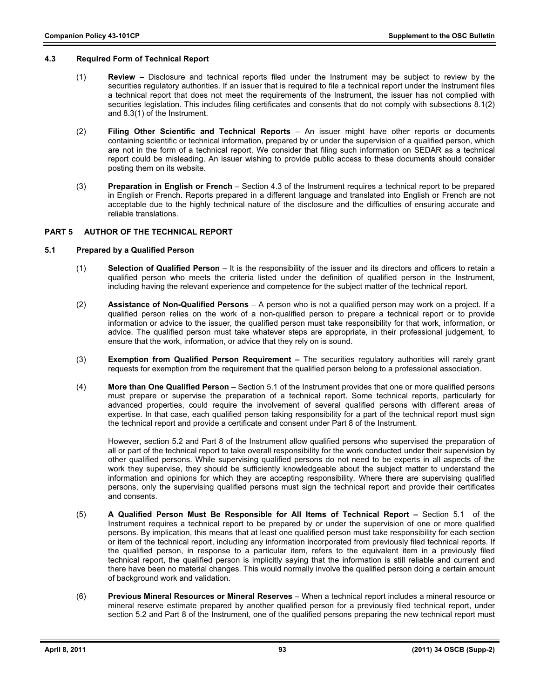## **4.3 Required Form of Technical Report**

- (1) **Review** Disclosure and technical reports filed under the Instrument may be subject to review by the securities regulatory authorities. If an issuer that is required to file a technical report under the Instrument files a technical report that does not meet the requirements of the Instrument, the issuer has not complied with securities legislation. This includes filing certificates and consents that do not comply with subsections 8.1(2) and 8.3(1) of the Instrument.
- (2) **Filing Other Scientific and Technical Reports** An issuer might have other reports or documents containing scientific or technical information, prepared by or under the supervision of a qualified person, which are not in the form of a technical report. We consider that filing such information on SEDAR as a technical report could be misleading. An issuer wishing to provide public access to these documents should consider posting them on its website.
- (3) **Preparation in English or French**  Section 4.3 of the Instrument requires a technical report to be prepared in English or French. Reports prepared in a different language and translated into English or French are not acceptable due to the highly technical nature of the disclosure and the difficulties of ensuring accurate and reliable translations.

# **PART 5 AUTHOR OF THE TECHNICAL REPORT**

# **5.1 Prepared by a Qualified Person**

- (1) **Selection of Qualified Person** It is the responsibility of the issuer and its directors and officers to retain a qualified person who meets the criteria listed under the definition of qualified person in the Instrument, including having the relevant experience and competence for the subject matter of the technical report.
- (2) **Assistance of Non-Qualified Persons** A person who is not a qualified person may work on a project. If a qualified person relies on the work of a non-qualified person to prepare a technical report or to provide information or advice to the issuer, the qualified person must take responsibility for that work, information, or advice. The qualified person must take whatever steps are appropriate, in their professional judgement, to ensure that the work, information, or advice that they rely on is sound.
- (3) **Exemption from Qualified Person Requirement –** The securities regulatory authorities will rarely grant requests for exemption from the requirement that the qualified person belong to a professional association.
- (4) **More than One Qualified Person** Section 5.1 of the Instrument provides that one or more qualified persons must prepare or supervise the preparation of a technical report. Some technical reports, particularly for advanced properties, could require the involvement of several qualified persons with different areas of expertise. In that case, each qualified person taking responsibility for a part of the technical report must sign the technical report and provide a certificate and consent under Part 8 of the Instrument.

However, section 5.2 and Part 8 of the Instrument allow qualified persons who supervised the preparation of all or part of the technical report to take overall responsibility for the work conducted under their supervision by other qualified persons. While supervising qualified persons do not need to be experts in all aspects of the work they supervise, they should be sufficiently knowledgeable about the subject matter to understand the information and opinions for which they are accepting responsibility. Where there are supervising qualified persons, only the supervising qualified persons must sign the technical report and provide their certificates and consents.

- (5) **A Qualified Person Must Be Responsible for All Items of Technical Report** Section 5.1 of the Instrument requires a technical report to be prepared by or under the supervision of one or more qualified persons. By implication, this means that at least one qualified person must take responsibility for each section or item of the technical report, including any information incorporated from previously filed technical reports. If the qualified person, in response to a particular item, refers to the equivalent item in a previously filed technical report, the qualified person is implicitly saying that the information is still reliable and current and there have been no material changes. This would normally involve the qualified person doing a certain amount of background work and validation.
- (6) **Previous Mineral Resources or Mineral Reserves** When a technical report includes a mineral resource or mineral reserve estimate prepared by another qualified person for a previously filed technical report, under section 5.2 and Part 8 of the Instrument, one of the qualified persons preparing the new technical report must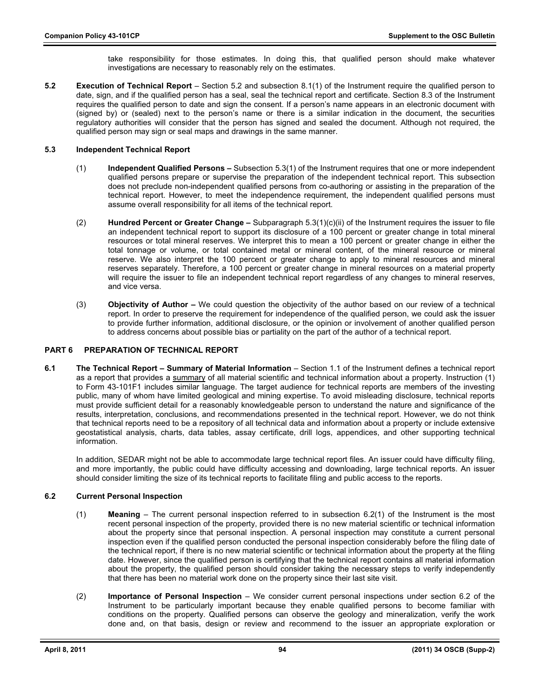take responsibility for those estimates. In doing this, that qualified person should make whatever investigations are necessary to reasonably rely on the estimates.

**5.2 Execution of Technical Report** – Section 5.2 and subsection 8.1(1) of the Instrument require the qualified person to date, sign, and if the qualified person has a seal, seal the technical report and certificate. Section 8.3 of the Instrument requires the qualified person to date and sign the consent. If a person's name appears in an electronic document with (signed by) or (sealed) next to the person's name or there is a similar indication in the document, the securities regulatory authorities will consider that the person has signed and sealed the document. Although not required, the qualified person may sign or seal maps and drawings in the same manner.

# **5.3 Independent Technical Report**

- (1) **Independent Qualified Persons** Subsection 5.3(1) of the Instrument requires that one or more independent qualified persons prepare or supervise the preparation of the independent technical report. This subsection does not preclude non-independent qualified persons from co-authoring or assisting in the preparation of the technical report. However, to meet the independence requirement, the independent qualified persons must assume overall responsibility for all items of the technical report.
- (2) **Hundred Percent or Greater Change** Subparagraph 5.3(1)(c)(ii) of the Instrument requires the issuer to file an independent technical report to support its disclosure of a 100 percent or greater change in total mineral resources or total mineral reserves. We interpret this to mean a 100 percent or greater change in either the total tonnage or volume, or total contained metal or mineral content, of the mineral resource or mineral reserve. We also interpret the 100 percent or greater change to apply to mineral resources and mineral reserves separately. Therefore, a 100 percent or greater change in mineral resources on a material property will require the issuer to file an independent technical report regardless of any changes to mineral reserves, and vice versa.
- (3) **Objectivity of Author** We could question the objectivity of the author based on our review of a technical report. In order to preserve the requirement for independence of the qualified person, we could ask the issuer to provide further information, additional disclosure, or the opinion or involvement of another qualified person to address concerns about possible bias or partiality on the part of the author of a technical report.

# **PART 6 PREPARATION OF TECHNICAL REPORT**

**6.1 The Technical Report – Summary of Material Information** – Section 1.1 of the Instrument defines a technical report as a report that provides a summary of all material scientific and technical information about a property. Instruction (1) to Form 43-101F1 includes similar language. The target audience for technical reports are members of the investing public, many of whom have limited geological and mining expertise. To avoid misleading disclosure, technical reports must provide sufficient detail for a reasonably knowledgeable person to understand the nature and significance of the results, interpretation, conclusions, and recommendations presented in the technical report. However, we do not think that technical reports need to be a repository of all technical data and information about a property or include extensive geostatistical analysis, charts, data tables, assay certificate, drill logs, appendices, and other supporting technical information.

In addition, SEDAR might not be able to accommodate large technical report files. An issuer could have difficulty filing, and more importantly, the public could have difficulty accessing and downloading, large technical reports. An issuer should consider limiting the size of its technical reports to facilitate filing and public access to the reports.

# **6.2 Current Personal Inspection**

- (1) **Meaning** The current personal inspection referred to in subsection 6.2(1) of the Instrument is the most recent personal inspection of the property, provided there is no new material scientific or technical information about the property since that personal inspection. A personal inspection may constitute a current personal inspection even if the qualified person conducted the personal inspection considerably before the filing date of the technical report, if there is no new material scientific or technical information about the property at the filing date. However, since the qualified person is certifying that the technical report contains all material information about the property, the qualified person should consider taking the necessary steps to verify independently that there has been no material work done on the property since their last site visit.
- (2) **Importance of Personal Inspection** We consider current personal inspections under section 6.2 of the Instrument to be particularly important because they enable qualified persons to become familiar with conditions on the property. Qualified persons can observe the geology and mineralization, verify the work done and, on that basis, design or review and recommend to the issuer an appropriate exploration or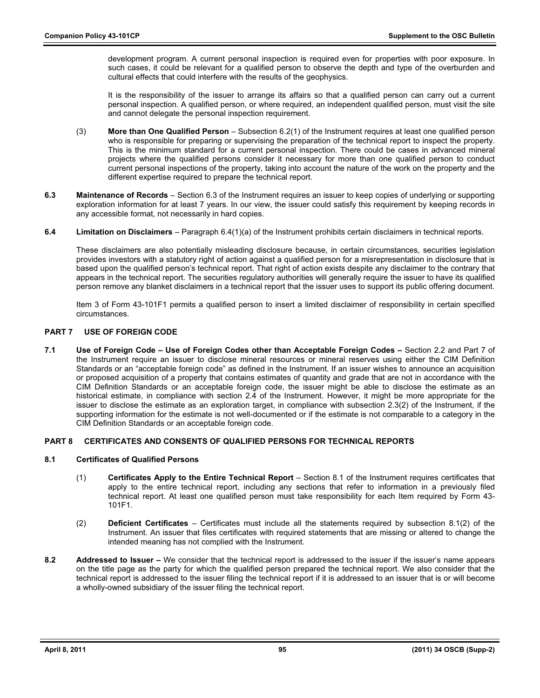development program. A current personal inspection is required even for properties with poor exposure. In such cases, it could be relevant for a qualified person to observe the depth and type of the overburden and cultural effects that could interfere with the results of the geophysics.

It is the responsibility of the issuer to arrange its affairs so that a qualified person can carry out a current personal inspection. A qualified person, or where required, an independent qualified person, must visit the site and cannot delegate the personal inspection requirement.

- (3) **More than One Qualified Person** Subsection 6.2(1) of the Instrument requires at least one qualified person who is responsible for preparing or supervising the preparation of the technical report to inspect the property. This is the minimum standard for a current personal inspection. There could be cases in advanced mineral projects where the qualified persons consider it necessary for more than one qualified person to conduct current personal inspections of the property, taking into account the nature of the work on the property and the different expertise required to prepare the technical report.
- **6.3 Maintenance of Records**  Section 6.3 of the Instrument requires an issuer to keep copies of underlying or supporting exploration information for at least 7 years. In our view, the issuer could satisfy this requirement by keeping records in any accessible format, not necessarily in hard copies.
- **6.4 Limitation on Disclaimers** Paragraph 6.4(1)(a) of the Instrument prohibits certain disclaimers in technical reports.

These disclaimers are also potentially misleading disclosure because, in certain circumstances, securities legislation provides investors with a statutory right of action against a qualified person for a misrepresentation in disclosure that is based upon the qualified person's technical report. That right of action exists despite any disclaimer to the contrary that appears in the technical report. The securities regulatory authorities will generally require the issuer to have its qualified person remove any blanket disclaimers in a technical report that the issuer uses to support its public offering document.

Item 3 of Form 43-101F1 permits a qualified person to insert a limited disclaimer of responsibility in certain specified circumstances.

# **PART 7 USE OF FOREIGN CODE**

**7.1 Use of Foreign Code – Use of Foreign Codes other than Acceptable Foreign Codes –** Section 2.2 and Part 7 of the Instrument require an issuer to disclose mineral resources or mineral reserves using either the CIM Definition Standards or an "acceptable foreign code" as defined in the Instrument. If an issuer wishes to announce an acquisition or proposed acquisition of a property that contains estimates of quantity and grade that are not in accordance with the CIM Definition Standards or an acceptable foreign code, the issuer might be able to disclose the estimate as an historical estimate, in compliance with section 2.4 of the Instrument. However, it might be more appropriate for the issuer to disclose the estimate as an exploration target, in compliance with subsection 2.3(2) of the Instrument, if the supporting information for the estimate is not well-documented or if the estimate is not comparable to a category in the CIM Definition Standards or an acceptable foreign code.

# **PART 8 CERTIFICATES AND CONSENTS OF QUALIFIED PERSONS FOR TECHNICAL REPORTS**

# **8.1 Certificates of Qualified Persons**

- (1) **Certificates Apply to the Entire Technical Report** Section 8.1 of the Instrument requires certificates that apply to the entire technical report, including any sections that refer to information in a previously filed technical report. At least one qualified person must take responsibility for each Item required by Form 43- 101F1.
- (2) **Deficient Certificates** Certificates must include all the statements required by subsection 8.1(2) of the Instrument. An issuer that files certificates with required statements that are missing or altered to change the intended meaning has not complied with the Instrument.
- **8.2 Addressed to Issuer** We consider that the technical report is addressed to the issuer if the issuer's name appears on the title page as the party for which the qualified person prepared the technical report. We also consider that the technical report is addressed to the issuer filing the technical report if it is addressed to an issuer that is or will become a wholly-owned subsidiary of the issuer filing the technical report.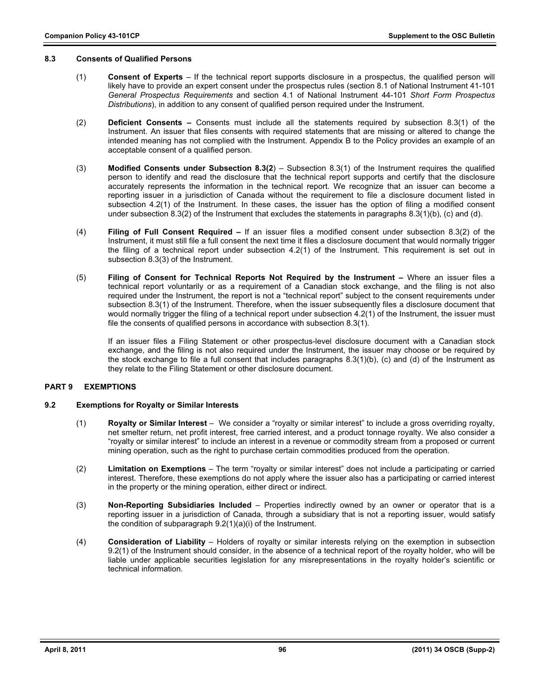#### **8.3 Consents of Qualified Persons**

- (1) **Consent of Experts** If the technical report supports disclosure in a prospectus, the qualified person will likely have to provide an expert consent under the prospectus rules (section 8.1 of National Instrument 41-101 *General Prospectus Requirements* and section 4.1 of National Instrument 44-101 *Short Form Prospectus Distributions*), in addition to any consent of qualified person required under the Instrument.
- (2) **Deficient Consents** Consents must include all the statements required by subsection 8.3(1) of the Instrument. An issuer that files consents with required statements that are missing or altered to change the intended meaning has not complied with the Instrument. Appendix B to the Policy provides an example of an acceptable consent of a qualified person.
- (3) **Modified Consents under Subsection 8.3(2**) Subsection 8.3(1) of the Instrument requires the qualified person to identify and read the disclosure that the technical report supports and certify that the disclosure accurately represents the information in the technical report. We recognize that an issuer can become a reporting issuer in a jurisdiction of Canada without the requirement to file a disclosure document listed in subsection 4.2(1) of the Instrument. In these cases, the issuer has the option of filing a modified consent under subsection 8.3(2) of the Instrument that excludes the statements in paragraphs 8.3(1)(b), (c) and (d).
- (4) **Filing of Full Consent Required** If an issuer files a modified consent under subsection 8.3(2) of the Instrument, it must still file a full consent the next time it files a disclosure document that would normally trigger the filing of a technical report under subsection 4.2(1) of the Instrument. This requirement is set out in subsection 8.3(3) of the Instrument.
- (5) **Filing of Consent for Technical Reports Not Required by the Instrument** Where an issuer files a technical report voluntarily or as a requirement of a Canadian stock exchange, and the filing is not also required under the Instrument, the report is not a "technical report" subject to the consent requirements under subsection 8.3(1) of the Instrument. Therefore, when the issuer subsequently files a disclosure document that would normally trigger the filing of a technical report under subsection 4.2(1) of the Instrument, the issuer must file the consents of qualified persons in accordance with subsection 8.3(1).

If an issuer files a Filing Statement or other prospectus-level disclosure document with a Canadian stock exchange, and the filing is not also required under the Instrument, the issuer may choose or be required by the stock exchange to file a full consent that includes paragraphs 8.3(1)(b), (c) and (d) of the Instrument as they relate to the Filing Statement or other disclosure document.

#### **PART 9 EXEMPTIONS**

#### **9.2 Exemptions for Royalty or Similar Interests**

- (1) **Royalty or Similar Interest**  We consider a "royalty or similar interest" to include a gross overriding royalty, net smelter return, net profit interest, free carried interest, and a product tonnage royalty. We also consider a "royalty or similar interest" to include an interest in a revenue or commodity stream from a proposed or current mining operation, such as the right to purchase certain commodities produced from the operation.
- (2) **Limitation on Exemptions**  The term "royalty or similar interest" does not include a participating or carried interest. Therefore, these exemptions do not apply where the issuer also has a participating or carried interest in the property or the mining operation, either direct or indirect.
- (3) **Non-Reporting Subsidiaries Included** Properties indirectly owned by an owner or operator that is a reporting issuer in a jurisdiction of Canada, through a subsidiary that is not a reporting issuer, would satisfy the condition of subparagraph 9.2(1)(a)(i) of the Instrument.
- (4) **Consideration of Liability** Holders of royalty or similar interests relying on the exemption in subsection 9.2(1) of the Instrument should consider, in the absence of a technical report of the royalty holder, who will be liable under applicable securities legislation for any misrepresentations in the royalty holder's scientific or technical information.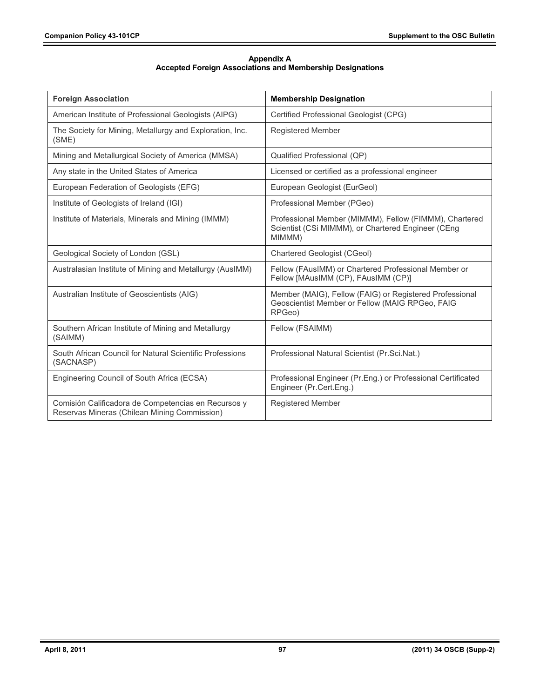| Appendix A                                                |
|-----------------------------------------------------------|
| Accepted Foreign Associations and Membership Designations |

| <b>Foreign Association</b>                                                                          | <b>Membership Designation</b>                                                                                          |
|-----------------------------------------------------------------------------------------------------|------------------------------------------------------------------------------------------------------------------------|
| American Institute of Professional Geologists (AIPG)                                                | Certified Professional Geologist (CPG)                                                                                 |
| The Society for Mining, Metallurgy and Exploration, Inc.<br>(SME)                                   | <b>Registered Member</b>                                                                                               |
| Mining and Metallurgical Society of America (MMSA)                                                  | Qualified Professional (QP)                                                                                            |
| Any state in the United States of America                                                           | Licensed or certified as a professional engineer                                                                       |
| European Federation of Geologists (EFG)                                                             | European Geologist (EurGeol)                                                                                           |
| Institute of Geologists of Ireland (IGI)                                                            | Professional Member (PGeo)                                                                                             |
| Institute of Materials, Minerals and Mining (IMMM)                                                  | Professional Member (MIMMM), Fellow (FIMMM), Chartered<br>Scientist (CSi MIMMM), or Chartered Engineer (CEng<br>MIMMM) |
| Geological Society of London (GSL)                                                                  | <b>Chartered Geologist (CGeol)</b>                                                                                     |
| Australasian Institute of Mining and Metallurgy (AusIMM)                                            | Fellow (FAusIMM) or Chartered Professional Member or<br>Fellow [MAusIMM (CP), FAusIMM (CP)]                            |
| Australian Institute of Geoscientists (AIG)                                                         | Member (MAIG), Fellow (FAIG) or Registered Professional<br>Geoscientist Member or Fellow (MAIG RPGeo, FAIG<br>RPGeo)   |
| Southern African Institute of Mining and Metallurgy<br>(SAIMM)                                      | Fellow (FSAIMM)                                                                                                        |
| South African Council for Natural Scientific Professions<br>(SACNASP)                               | Professional Natural Scientist (Pr.Sci.Nat.)                                                                           |
| Engineering Council of South Africa (ECSA)                                                          | Professional Engineer (Pr. Eng.) or Professional Certificated<br>Engineer (Pr.Cert.Eng.)                               |
| Comisión Calificadora de Competencias en Recursos y<br>Reservas Mineras (Chilean Mining Commission) | <b>Registered Member</b>                                                                                               |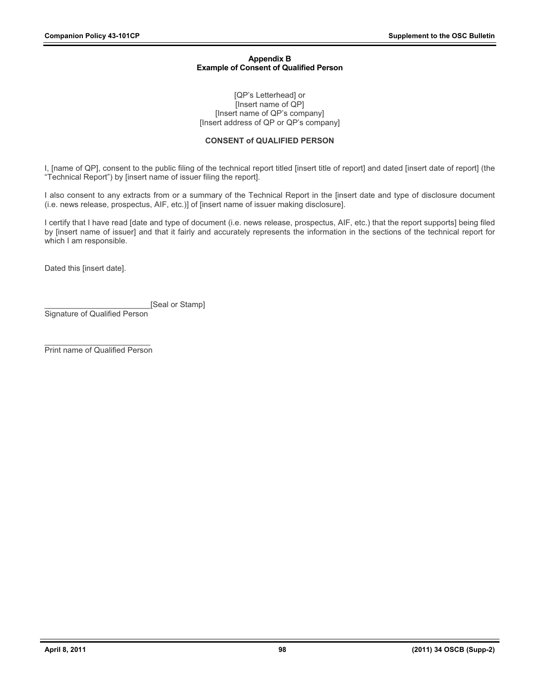#### **Appendix B Example of Consent of Qualified Person**

## [QP's Letterhead] or [Insert name of QP] [Insert name of QP's company] [Insert address of QP or QP's company]

# **CONSENT of QUALIFIED PERSON**

I, [name of QP], consent to the public filing of the technical report titled [insert title of report] and dated [insert date of report] (the "Technical Report") by [insert name of issuer filing the report].

I also consent to any extracts from or a summary of the Technical Report in the [insert date and type of disclosure document (i.e. news release, prospectus, AIF, etc.)] of [insert name of issuer making disclosure].

I certify that I have read [date and type of document (i.e. news release, prospectus, AIF, etc.) that the report supports] being filed by [insert name of issuer] and that it fairly and accurately represents the information in the sections of the technical report for which I am responsible.

Dated this [insert date].

[Seal or Stamp]

Signature of Qualified Person

 $\overline{\phantom{a}}$  , where  $\overline{\phantom{a}}$  , where  $\overline{\phantom{a}}$  , where  $\overline{\phantom{a}}$ Print name of Qualified Person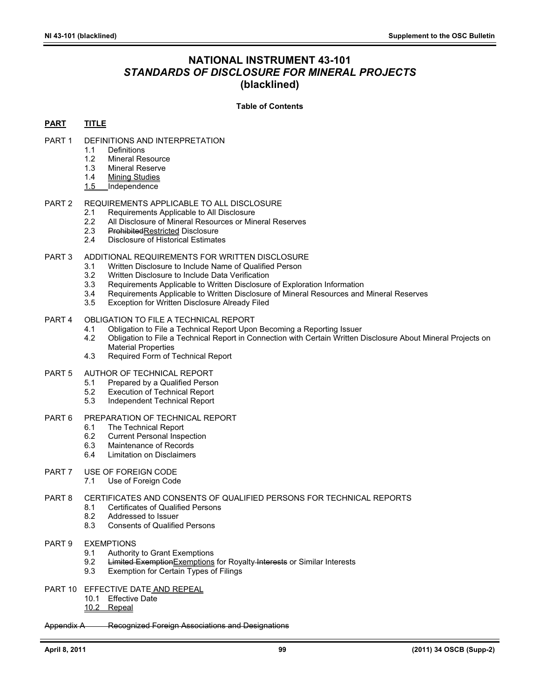# **NATIONAL INSTRUMENT 43-101**  *STANDARDS OF DISCLOSURE FOR MINERAL PROJECTS*  **(blacklined)**

# **Table of Contents**

# **PART TITLE**

# PART 1 DEFINITIONS AND INTERPRETATION

- 1.1 Definitions<br>1.2 Mineral Re
- Mineral Resource
- 1.3 Mineral Reserve
- 1.4 Mining Studies<br>1.5 Independence
- **Independence**

# PART 2 REQUIREMENTS APPLICABLE TO ALL DISCLOSURE

- 2.1 Requirements Applicable to All Disclosure
- 2.2 All Disclosure of Mineral Resources or Mineral Reserves
- 2.3 ProhibitedRestricted Disclosure<br>2.4 Disclosure of Historical Estimate
- Disclosure of Historical Estimates

# PART 3 ADDITIONAL REQUIREMENTS FOR WRITTEN DISCLOSURE<br>3.1 Written Disclosure to Include Name of Qualified Person

- 3.1 Written Disclosure to Include Name of Qualified Person<br>3.2 Written Disclosure to Include Data Verification
- 3.2 Written Disclosure to Include Data Verification
- 3.3 Requirements Applicable to Written Disclosure of Exploration Information<br>3.4 Requirements Applicable to Written Disclosure of Mineral Resources and
- 3.4 Requirements Applicable to Written Disclosure of Mineral Resources and Mineral Reserves<br>3.5 Exception for Written Disclosure Already Filed
- Exception for Written Disclosure Already Filed
- PART 4 OBLIGATION TO FILE A TECHNICAL REPORT<br>4.1 Obligation to File a Technical Report Upor
	- 4.1 Obligation to File a Technical Report Upon Becoming a Reporting Issuer
	- 4.2 Obligation to File a Technical Report in Connection with Certain Written Disclosure About Mineral Projects on Material Properties
	- 4.3 Required Form of Technical Report

# PART 5 AUTHOR OF TECHNICAL REPORT<br>5.1 Prepared by a Qualified Perso

- 5.1 Prepared by a Qualified Person<br>5.2 Execution of Technical Report
- **Execution of Technical Report**
- 5.3 Independent Technical Report

# PART 6 PREPARATION OF TECHNICAL REPORT

- 6.1 The Technical Report<br>6.2 Current Personal Inspe
- 6.2 Current Personal Inspection<br>6.3 Maintenance of Records
- Maintenance of Records
- 6.4 Limitation on Disclaimers

# PART 7 USE OF FOREIGN CODE

7.1 Use of Foreign Code

# PART 8 CERTIFICATES AND CONSENTS OF QUALIFIED PERSONS FOR TECHNICAL REPORTS

- 8.1 Certificates of Qualified Persons
- 8.2 Addressed to Issuer
- 8.3 Consents of Qualified Persons

# PART 9 EXEMPTIONS

- 9.1 Authority to Grant Exemptions<br>9.2 <del>Limited Exemption</del> Exemptions
- 9.2 Limited Exemption Exemptions for Royalty-Interests or Similar Interests<br>9.3 Exemption for Certain Types of Filings
- Exemption for Certain Types of Filings
- PART 10 EFFECTIVE DATE AND REPEAL
	- 10.1 Effective Date
	- 10.2 Repeal

#### Appendix A Recognized Foreign Associations and Designations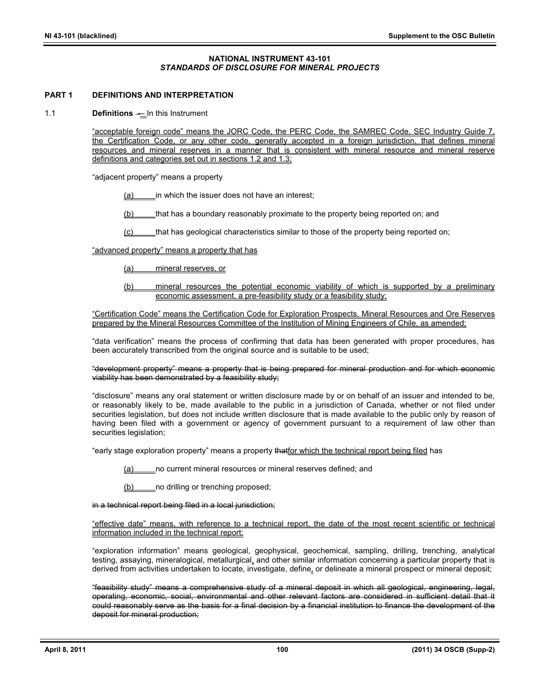# **NATIONAL INSTRUMENT 43-101**  *STANDARDS OF DISCLOSURE FOR MINERAL PROJECTS*

#### **PART 1 DEFINITIONS AND INTERPRETATION**

1.1 **Definitions -**– In this Instrument

"acceptable foreign code" means the JORC Code, the PERC Code, the SAMREC Code, SEC Industry Guide 7, the Certification Code, or any other code, generally accepted in a foreign jurisdiction, that defines mineral resources and mineral reserves in a manner that is consistent with mineral resource and mineral reserve definitions and categories set out in sections 1.2 and 1.3;

"adjacent property" means a property

(a) in which the issuer does not have an interest:

 $(b)$  that has a boundary reasonably proximate to the property being reported on; and

 $(c)$  that has geological characteristics similar to those of the property being reported on;

"advanced property" means a property that has

- (a) mineral reserves, or
- (b) mineral resources the potential economic viability of which is supported by a preliminary economic assessment, a pre-feasibility study or a feasibility study;

"Certification Code" means the Certification Code for Exploration Prospects, Mineral Resources and Ore Reserves prepared by the Mineral Resources Committee of the Institution of Mining Engineers of Chile, as amended;

"data verification" means the process of confirming that data has been generated with proper procedures, has been accurately transcribed from the original source and is suitable to be used;

#### "development property" means a property that is being prepared for mineral production and for which economic viability has been demonstrated by a feasibility study;

"disclosure" means any oral statement or written disclosure made by or on behalf of an issuer and intended to be, or reasonably likely to be, made available to the public in a jurisdiction of Canada, whether or not filed under securities legislation, but does not include written disclosure that is made available to the public only by reason of having been filed with a government or agency of government pursuant to a requirement of law other than securities legislation;

"early stage exploration property" means a property thatfor which the technical report being filed has

(a) no current mineral resources or mineral reserves defined; and

(b) no drilling or trenching proposed;

#### in a technical report being filed in a local jurisdiction;

"effective date" means, with reference to a technical report, the date of the most recent scientific or technical information included in the technical report;

"exploration information" means geological, geophysical, geochemical, sampling, drilling, trenching, analytical testing, assaying, mineralogical, metallurgical, and other similar information concerning a particular property that is derived from activities undertaken to locate, investigate, define, or delineate a mineral prospect or mineral deposit;

"feasibility study" means a comprehensive study of a mineral deposit in which all geological, engineering, legal, operating, economic, social, environmental and other relevant factors are considered in sufficient detail that it could reasonably serve as the basis for a final decision by a financial institution to finance the development of the deposit for mineral production;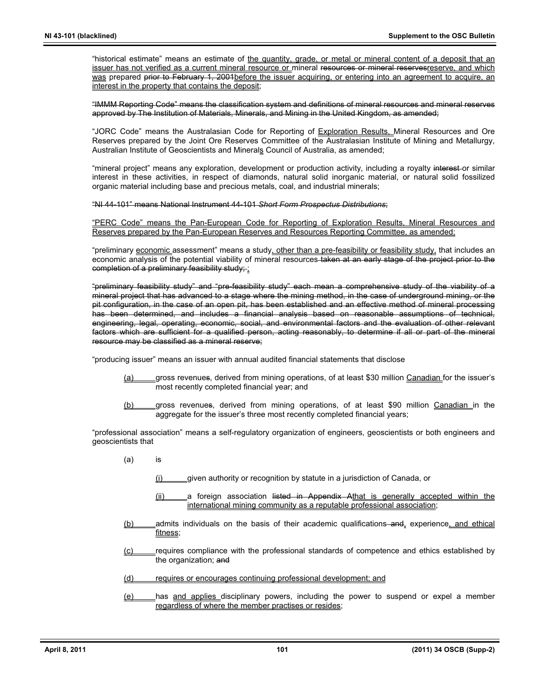"historical estimate" means an estimate of the quantity, grade, or metal or mineral content of a deposit that an issuer has not verified as a current mineral resource or mineral resources or mineral reservesreserve, and which was prepared prior to February 1, 2001before the issuer acquiring, or entering into an agreement to acquire, an interest in the property that contains the deposit;

"IMMM Reporting Code" means the classification system and definitions of mineral resources and mineral reserves approved by The Institution of Materials, Minerals, and Mining in the United Kingdom, as amended;

"JORC Code" means the Australasian Code for Reporting of Exploration Results, Mineral Resources and Ore Reserves prepared by the Joint Ore Reserves Committee of the Australasian Institute of Mining and Metallurgy, Australian Institute of Geoscientists and Minerals Council of Australia, as amended;

"mineral project" means any exploration, development or production activity, including a royalty interest-or similar interest in these activities, in respect of diamonds, natural solid inorganic material, or natural solid fossilized organic material including base and precious metals, coal, and industrial minerals;

#### "NI 44-101" means National Instrument 44-101 *Short Form Prospectus Distributions*;

"PERC Code" means the Pan-European Code for Reporting of Exploration Results, Mineral Resources and Reserves prepared by the Pan-European Reserves and Resources Reporting Committee, as amended;

"preliminary economic assessment" means a study, other than a pre-feasibility or feasibility study, that includes an economic analysis of the potential viability of mineral resources taken at an early stage of the project prior to the completion of a preliminary feasibility study;

"preliminary feasibility study" and "pre-feasibility study" each mean a comprehensive study of the viability of a mineral project that has advanced to a stage where the mining method, in the case of underground mining, or the pit configuration, in the case of an open pit, has been established and an effective method of mineral processing has been determined, and includes a financial analysis based on reasonable assumptions of technical, engineering, legal, operating, economic, social, and environmental factors and the evaluation of other relevant factors which are sufficient for a qualified person, acting reasonably, to determine if all or part of the mineral resource may be classified as a mineral reserve;

"producing issuer" means an issuer with annual audited financial statements that disclose

- (a) gross revenues, derived from mining operations, of at least \$30 million Canadian for the issuer's most recently completed financial year; and
- (b) gross revenues, derived from mining operations, of at least \$90 million Canadian in the aggregate for the issuer's three most recently completed financial years;

"professional association" means a self-regulatory organization of engineers, geoscientists or both engineers and geoscientists that

- (a) is
	- (i) given authority or recognition by statute in a jurisdiction of Canada, or
	- (ii) a foreign association listed in Appendix Athat is generally accepted within the international mining community as a reputable professional association;
- (b) admits individuals on the basis of their academic qualifications–and, experience, and ethical fitness;
- $(c)$  requires compliance with the professional standards of competence and ethics established by the organization; and
- (d) requires or encourages continuing professional development; and
- (e) has and applies disciplinary powers, including the power to suspend or expel a member regardless of where the member practises or resides;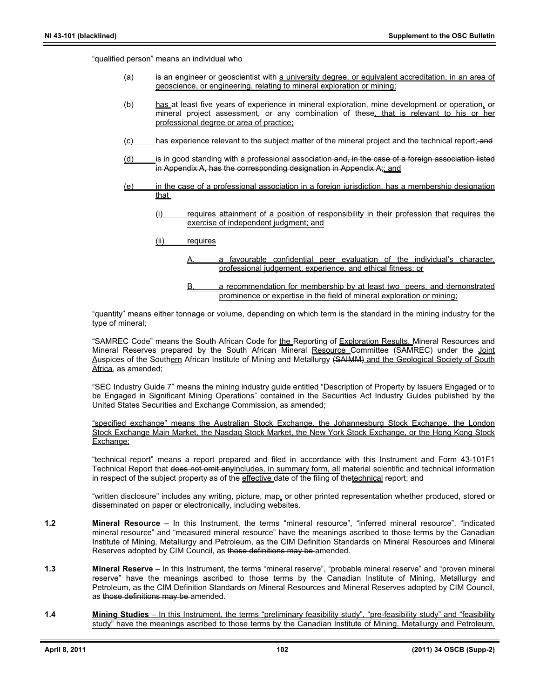"qualified person" means an individual who

- (a) is an engineer or geoscientist with a university degree, or equivalent accreditation, in an area of geoscience, or engineering, relating to mineral exploration or mining;
- (b) has at least five years of experience in mineral exploration, mine development or operation, or mineral project assessment, or any combination of these, that is relevant to his or her professional degree or area of practice;
- (c) has experience relevant to the subject matter of the mineral project and the technical report; and
- (d) is in good standing with a professional association and, in the case of a foreign association listed in Appendix A, has the corresponding designation in Appendix A; and
- (e) in the case of a professional association in a foreign jurisdiction, has a membership designation that
	- (i) requires attainment of a position of responsibility in their profession that requires the exercise of independent judgment; and
	- (ii) requires
		- A. a favourable confidential peer evaluation of the individual's character, professional judgement, experience, and ethical fitness; or
		- B. a recommendation for membership by at least two peers, and demonstrated prominence or expertise in the field of mineral exploration or mining;

"quantity" means either tonnage or volume, depending on which term is the standard in the mining industry for the type of mineral;

"SAMREC Code" means the South African Code for the Reporting of Exploration Results, Mineral Resources and Mineral Reserves prepared by the South African Mineral Resource Committee (SAMREC) under the Joint Auspices of the Southern African Institute of Mining and Metallurgy (SAIMM) and the Geological Society of South Africa, as amended;

"SEC Industry Guide 7" means the mining industry guide entitled "Description of Property by Issuers Engaged or to be Engaged in Significant Mining Operations" contained in the Securities Act Industry Guides published by the United States Securities and Exchange Commission, as amended;

"specified exchange" means the Australian Stock Exchange, the Johannesburg Stock Exchange, the London Stock Exchange Main Market, the Nasdaq Stock Market, the New York Stock Exchange, or the Hong Kong Stock Exchange;

"technical report" means a report prepared and filed in accordance with this Instrument and Form 43-101F1 Technical Report that does not omit anyincludes, in summary form, all material scientific and technical information in respect of the subject property as of the effective date of the filing of thetechnical report; and

"written disclosure" includes any writing, picture, map, or other printed representation whether produced, stored or disseminated on paper or electronically, including websites.

- **1.2 Mineral Resource** In this Instrument, the terms "mineral resource", "inferred mineral resource", "indicated mineral resource" and "measured mineral resource" have the meanings ascribed to those terms by the Canadian Institute of Mining, Metallurgy and Petroleum, as the CIM Definition Standards on Mineral Resources and Mineral Reserves adopted by CIM Council, as those definitions may be amended.
- **1.3 Mineral Reserve** In this Instrument, the terms "mineral reserve", "probable mineral reserve" and "proven mineral reserve" have the meanings ascribed to those terms by the Canadian Institute of Mining, Metallurgy and Petroleum, as the CIM Definition Standards on Mineral Resources and Mineral Reserves adopted by CIM Council, as those definitions may be amended.
- **1.4 Mining Studies**  In this Instrument, the terms "preliminary feasibility study", "pre-feasibility study" and "feasibility study" have the meanings ascribed to those terms by the Canadian Institute of Mining, Metallurgy and Petroleum,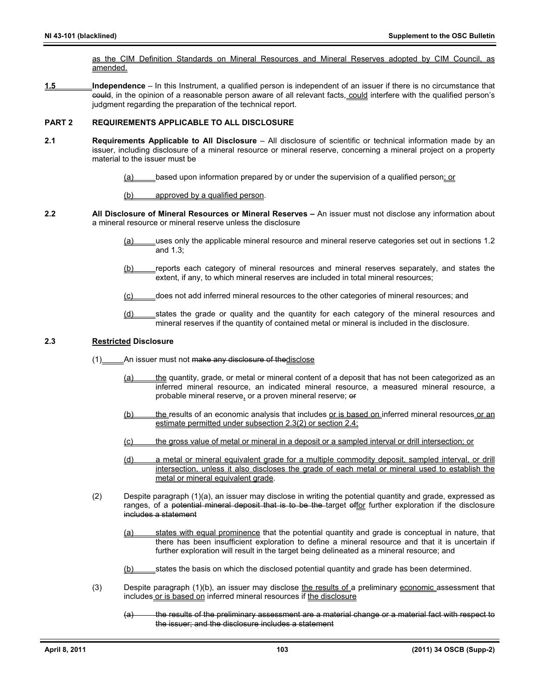as the CIM Definition Standards on Mineral Resources and Mineral Reserves adopted by CIM Council, as amended.

**1.5 Independence** – In this Instrument, a qualified person is independent of an issuer if there is no circumstance that could, in the opinion of a reasonable person aware of all relevant facts, could interfere with the qualified person's judgment regarding the preparation of the technical report.

#### **PART 2 REQUIREMENTS APPLICABLE TO ALL DISCLOSURE**

**2.1 Requirements Applicable to All Disclosure** – All disclosure of scientific or technical information made by an issuer, including disclosure of a mineral resource or mineral reserve, concerning a mineral project on a property material to the issuer must be

(a) based upon information prepared by or under the supervision of a qualified person; or

(b) approved by a qualified person.

- **2.2 All Disclosure of Mineral Resources or Mineral Reserves** An issuer must not disclose any information about a mineral resource or mineral reserve unless the disclosure
	- (a) uses only the applicable mineral resource and mineral reserve categories set out in sections 1.2 and 1.3;
	- $(b)$  reports each category of mineral resources and mineral reserves separately, and states the extent, if any, to which mineral reserves are included in total mineral resources;
	- (c) does not add inferred mineral resources to the other categories of mineral resources; and
	- (d) states the grade or quality and the quantity for each category of the mineral resources and mineral reserves if the quantity of contained metal or mineral is included in the disclosure.

#### **2.3 Restricted Disclosure**

(1) An issuer must not make any disclosure of thedisclose

- (a) the quantity, grade, or metal or mineral content of a deposit that has not been categorized as an inferred mineral resource, an indicated mineral resource, a measured mineral resource, a probable mineral reserve, or a proven mineral reserve; or
- (b) the results of an economic analysis that includes or is based on inferred mineral resources or an estimate permitted under subsection 2.3(2) or section 2.4;
- (c) the gross value of metal or mineral in a deposit or a sampled interval or drill intersection; or
- (d) a metal or mineral equivalent grade for a multiple commodity deposit, sampled interval, or drill intersection, unless it also discloses the grade of each metal or mineral used to establish the metal or mineral equivalent grade.
- (2) Despite paragraph (1)(a), an issuer may disclose in writing the potential quantity and grade, expressed as ranges, of a potential mineral deposit that is to be the target offor further exploration if the disclosure includes a statement
	- (a) states with equal prominence that the potential quantity and grade is conceptual in nature, that there has been insufficient exploration to define a mineral resource and that it is uncertain if further exploration will result in the target being delineated as a mineral resource; and
	- $(b)$  states the basis on which the disclosed potential quantity and grade has been determined.
- (3) Despite paragraph (1)(b), an issuer may disclose the results of a preliminary economic assessment that includes or is based on inferred mineral resources if the disclosure
	- (a) the results of the preliminary assessment are a material change or a material fact with respect to the issuer; and the disclosure includes a statement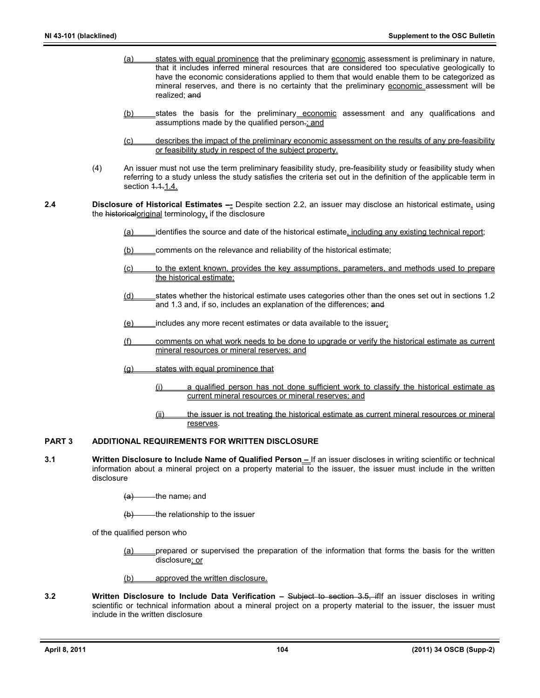- (a) states with equal prominence that the preliminary economic assessment is preliminary in nature, that it includes inferred mineral resources that are considered too speculative geologically to have the economic considerations applied to them that would enable them to be categorized as mineral reserves, and there is no certainty that the preliminary economic assessment will be realized; and
- (b) states the basis for the preliminary economic assessment and any qualifications and assumptions made by the qualified person.; and
- (c) describes the impact of the preliminary economic assessment on the results of any pre-feasibility or feasibility study in respect of the subject property.
- (4) An issuer must not use the term preliminary feasibility study, pre-feasibility study or feasibility study when referring to a study unless the study satisfies the criteria set out in the definition of the applicable term in section 4.4.1.4.
- **2.4 Disclosure of Historical Estimates** Despite section 2.2, an issuer may disclose an historical estimate, using the historicaloriginal terminology, if the disclosure
	- identifies the source and date of the historical estimate, including any existing technical report;
	- $(b)$  comments on the relevance and reliability of the historical estimate;
	- (c) to the extent known, provides the key assumptions, parameters, and methods used to prepare the historical estimate;
	- (d) states whether the historical estimate uses categories other than the ones set out in sections 1.2 and 1.3 and, if so, includes an explanation of the differences; and
	- (e) includes any more recent estimates or data available to the issuer;
	- (f) comments on what work needs to be done to upgrade or verify the historical estimate as current mineral resources or mineral reserves; and
	- (g) states with equal prominence that
		- (i) a qualified person has not done sufficient work to classify the historical estimate as current mineral resources or mineral reserves; and
		- (ii) the issuer is not treating the historical estimate as current mineral resources or mineral reserves.

# **PART 3 ADDITIONAL REQUIREMENTS FOR WRITTEN DISCLOSURE**

- **3.1** Written Disclosure to Include Name of Qualified Person\_If an issuer discloses in writing scientific or technical information about a mineral project on a property material to the issuer, the issuer must include in the written disclosure
	- $(a)$  the name; and
	- $(b)$  the relationship to the issuer

of the qualified person who

- (a) prepared or supervised the preparation of the information that forms the basis for the written disclosure; or
- (b) approved the written disclosure.
- **3.2** Written Disclosure to Include Data Verification Subject to section 3.5, if If an issuer discloses in writing scientific or technical information about a mineral project on a property material to the issuer, the issuer must include in the written disclosure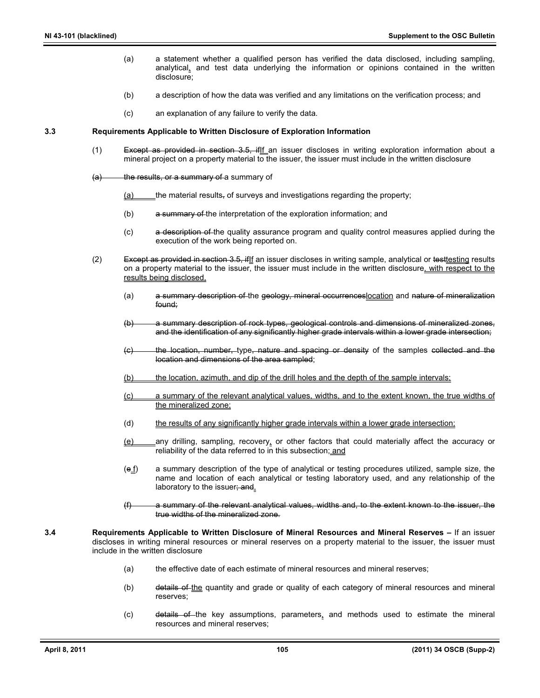- (a) a statement whether a qualified person has verified the data disclosed, including sampling, analytical, and test data underlying the information or opinions contained in the written disclosure;
- (b) a description of how the data was verified and any limitations on the verification process; and
- (c) an explanation of any failure to verify the data.

# **3.3 Requirements Applicable to Written Disclosure of Exploration Information**

- (1) Except as provided in section 3.5, if If an issuer discloses in writing exploration information about a mineral project on a property material to the issuer, the issuer must include in the written disclosure
- (a) the results, or a summary of a summary of
	- (a) the material results, of surveys and investigations regarding the property;
	- (b) a summary of the interpretation of the exploration information; and
	- (c) a description of the quality assurance program and quality control measures applied during the execution of the work being reported on.
- (2) Except as provided in section 3.5, if if an issuer discloses in writing sample, analytical or testtesting results on a property material to the issuer, the issuer must include in the written disclosure, with respect to the results being disclosed,
	- (a) a summary description of the geology, mineral occurrences ocation and nature of mineralization found;
	- (b) a summary description of rock types, geological controls and dimensions of mineralized zones, and the identification of any significantly higher grade intervals within a lower grade intersection;
	- (c) the location, number, type, nature and spacing or density of the samples collected and the location and dimensions of the area sampled;
	- (b) the location, azimuth, and dip of the drill holes and the depth of the sample intervals;
	- (c) a summary of the relevant analytical values, widths, and to the extent known, the true widths of the mineralized zone;
	- (d) the results of any significantly higher grade intervals within a lower grade intersection;
	- (e) any drilling, sampling, recovery, or other factors that could materially affect the accuracy or reliability of the data referred to in this subsection; and
	- $(e_1)$  a summary description of the type of analytical or testing procedures utilized, sample size, the name and location of each analytical or testing laboratory used, and any relationship of the laboratory to the issuer; and.
	- (f) a summary of the relevant analytical values, widths and, to the extent known to the issuer, the true widths of the mineralized zone.
- **3.4 Requirements Applicable to Written Disclosure of Mineral Resources and Mineral Reserves** If an issuer discloses in writing mineral resources or mineral reserves on a property material to the issuer, the issuer must include in the written disclosure
	- (a) the effective date of each estimate of mineral resources and mineral reserves;
	- (b) details of the quantity and grade or quality of each category of mineral resources and mineral reserves;
	- (c) details of the key assumptions, parameters, and methods used to estimate the mineral resources and mineral reserves;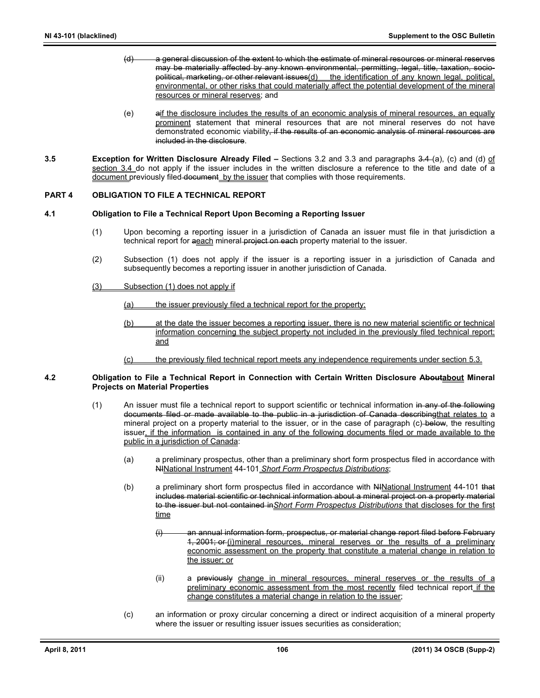- (d) a general discussion of the extent to which the estimate of mineral resources or mineral reserves may be materially affected by any known environmental, permitting, legal, title, taxation, sociopolitical, marketing, or other relevant issues(d) the identification of any known legal, political, environmental, or other risks that could materially affect the potential development of the mineral resources or mineral reserves; and
- (e) aif the disclosure includes the results of an economic analysis of mineral resources, an equally prominent statement that mineral resources that are not mineral reserves do not have demonstrated economic viability, if the results of an economic analysis of mineral resources are included in the disclosure.
- **3.5 Exception for Written Disclosure Already Filed** Sections 3.2 and 3.3 and paragraphs 3.4 (a), (c) and (d) of section 3.4 do not apply if the issuer includes in the written disclosure a reference to the title and date of a document previously filed document by the issuer that complies with those requirements.

# **PART 4 OBLIGATION TO FILE A TECHNICAL REPORT**

# **4.1 Obligation to File a Technical Report Upon Becoming a Reporting Issuer**

- (1) Upon becoming a reporting issuer in a jurisdiction of Canada an issuer must file in that jurisdiction a technical report for aeach mineral project on each property material to the issuer.
- (2) Subsection (1) does not apply if the issuer is a reporting issuer in a jurisdiction of Canada and subsequently becomes a reporting issuer in another jurisdiction of Canada.

# (3) Subsection (1) does not apply if

- (a) the issuer previously filed a technical report for the property;
- (b) at the date the issuer becomes a reporting issuer, there is no new material scientific or technical information concerning the subject property not included in the previously filed technical report; and
- (c) the previously filed technical report meets any independence requirements under section 5.3.

#### **4.2 Obligation to File a Technical Report in Connection with Certain Written Disclosure Aboutabout Mineral Projects on Material Properties**

- (1) An issuer must file a technical report to support scientific or technical information in any of the following documents filed or made available to the public in a jurisdiction of Canada describingthat relates to a mineral project on a property material to the issuer, or in the case of paragraph (c)-below, the resulting issuer, if the information is contained in any of the following documents filed or made available to the public in a jurisdiction of Canada:
	- (a) a preliminary prospectus, other than a preliminary short form prospectus filed in accordance with NINational Instrument 44-101 *Short Form Prospectus Distributions*;
	- (b) a preliminary short form prospectus filed in accordance with NHNational Instrument 44-101 that includes material scientific or technical information about a mineral project on a property material to the issuer but not contained in*Short Form Prospectus Distributions* that discloses for the first time
		- (i) an annual information form, prospectus, or material change report filed before February 1, 2001; or (i) mineral resources, mineral reserves or the results of a preliminary economic assessment on the property that constitute a material change in relation to the issuer; or
		- (ii) a previously change in mineral resources, mineral reserves or the results of a preliminary economic assessment from the most recently filed technical report if the change constitutes a material change in relation to the issuer;
	- (c) an information or proxy circular concerning a direct or indirect acquisition of a mineral property where the issuer or resulting issuer issues securities as consideration;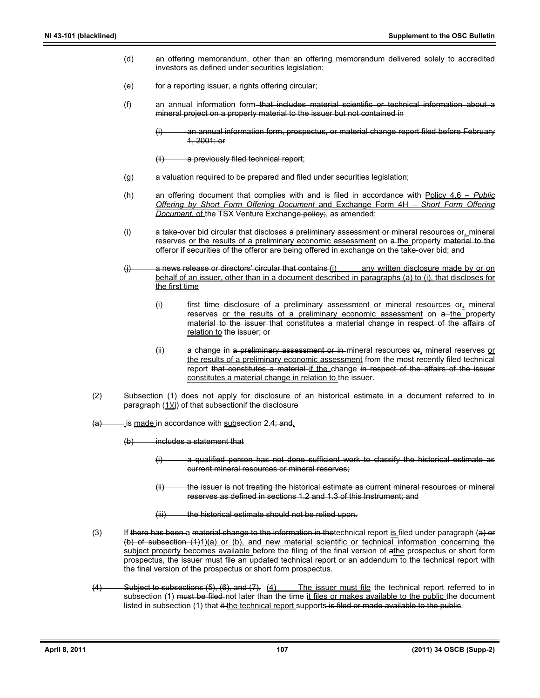- (d) an offering memorandum, other than an offering memorandum delivered solely to accredited investors as defined under securities legislation;
- (e) for a reporting issuer, a rights offering circular;
- (f) an annual information form that includes material scientific or technical information about a mineral project on a property material to the issuer but not contained in
	- annual information form, prospectus, or material change report filed before Februarv 1, 2001; or

(ii) a previously filed technical report;

- (g) a valuation required to be prepared and filed under securities legislation;
- (h) an offering document that complies with and is filed in accordance with Policy 4.6 *Public Offering by Short Form Offering Document* and Exchange Form 4H – *Short Form Offering Document,* of the TSX Venture Exchange policy;, as amended;
- (i) a take-over bid circular that discloses a preliminary assessment or mineral resources or, mineral reserves or the results of a preliminary economic assessment on a the property material to the offeror if securities of the offeror are being offered in exchange on the take-over bid; and
- $(i)$  a news release or directors' circular that contains  $(i)$  any written disclosure made by or on behalf of an issuer, other than in a document described in paragraphs (a) to (i), that discloses for the first time
	- (i) first time disclosure of a preliminary assessment or mineral resources or, mineral reserves or the results of a preliminary economic assessment on a-the property material to the issuer that constitutes a material change in respect of the affairs of relation to the issuer; or
	- (ii) a change in a preliminary assessment or in mineral resources  $\Theta$ , mineral reserves or the results of a preliminary economic assessment from the most recently filed technical report that constitutes a material if the change in respect of the affairs of the issuer constitutes a material change in relation to the issuer.
- (2) Subsection (1) does not apply for disclosure of an historical estimate in a document referred to in paragraph (1)(j) of that subsectionif the disclosure
- $(a)$  is made in accordance with subsection 2.4; and.
	- $(b)$  includes a statement that
		- (i) a qualified person has not done sufficient work to classify the historical estimate as current mineral resources or mineral reserves;
		- (ii) the issuer is not treating the historical estimate as current mineral resources or mineral reserves as defined in sections 1.2 and 1.3 of this Instrument; and
		- (iii) the historical estimate should not be relied upon.
- (3) If there has been a material change to the information in thetechnical report is filed under paragraph (a) or (b) of subsection (1)1)(a) or (b), and new material scientific or technical information concerning the subject property becomes available before the filing of the final version of athe prospectus or short form prospectus, the issuer must file an updated technical report or an addendum to the technical report with the final version of the prospectus or short form prospectus.
- $(4)$  Subject to subsections  $(5)$ ,  $(6)$ , and  $(7)$ ,  $(4)$  The issuer must file the technical report referred to in subsection (1) must be filed not later than the time it files or makes available to the public the document listed in subsection (1) that it the technical report supports is filed or made available to the public.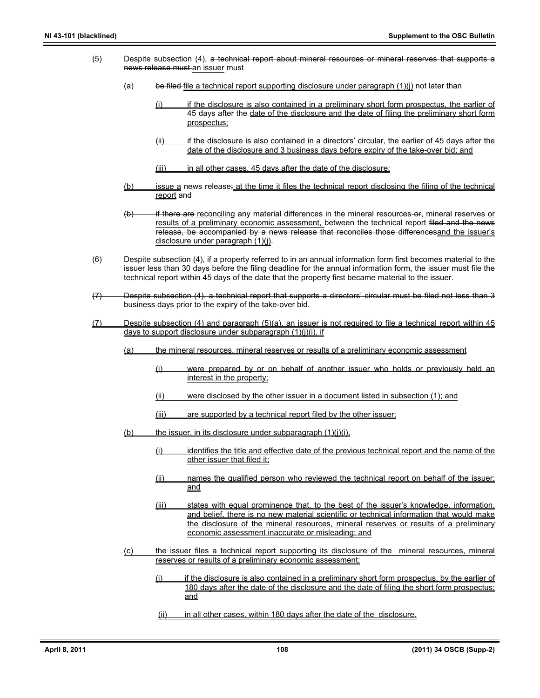- (5) Despite subsection (4), a technical report about mineral resources or mineral reserves that supports a news release must an issuer must
	- (a) be filed file a technical report supporting disclosure under paragraph  $(1)(i)$  not later than
		- (i) if the disclosure is also contained in a preliminary short form prospectus, the earlier of 45 days after the date of the disclosure and the date of filing the preliminary short form prospectus;
		- (ii) if the disclosure is also contained in a directors' circular, the earlier of 45 days after the date of the disclosure and 3 business days before expiry of the take-over bid; and
		- (iii) in all other cases, 45 days after the date of the disclosure;
	- $(b)$  issue a news release; at the time it files the technical report disclosing the filing of the technical report and
	- $(b)$  if there are reconciling any material differences in the mineral resources  $-$ er, mineral reserves or results of a preliminary economic assessment, between the technical report filed and the news release, be accompanied by a news release that reconciles those differencesand the issuer's disclosure under paragraph (1)(j).
- (6) Despite subsection (4), if a property referred to in an annual information form first becomes material to the issuer less than 30 days before the filing deadline for the annual information form, the issuer must file the technical report within 45 days of the date that the property first became material to the issuer.
- (7) Despite subsection (4), a technical report that supports a directors' circular must be filed not less than 3 business days prior to the expiry of the take-over bid.
- (7) Despite subsection (4) and paragraph (5)(a), an issuer is not required to file a technical report within 45 days to support disclosure under subparagraph (1)(j)(i), if
	- (a) the mineral resources, mineral reserves or results of a preliminary economic assessment
		- (i) were prepared by or on behalf of another issuer who holds or previously held an interest in the property;
		- (ii) were disclosed by the other issuer in a document listed in subsection (1); and
		- (iii) are supported by a technical report filed by the other issuer;
	- $(b)$  the issuer, in its disclosure under subparagraph  $(1)(i)(i)$ ,
		- (i) identifies the title and effective date of the previous technical report and the name of the other issuer that filed it;
		- (ii) names the qualified person who reviewed the technical report on behalf of the issuer; and
		- (iii) states with equal prominence that, to the best of the issuer's knowledge, information, and belief, there is no new material scientific or technical information that would make the disclosure of the mineral resources, mineral reserves or results of a preliminary economic assessment inaccurate or misleading; and
	- (c) the issuer files a technical report supporting its disclosure of the mineral resources, mineral reserves or results of a preliminary economic assessment;
		- (i) if the disclosure is also contained in a preliminary short form prospectus, by the earlier of 180 days after the date of the disclosure and the date of filing the short form prospectus; and
		- in all other cases, within 180 days after the date of the disclosure.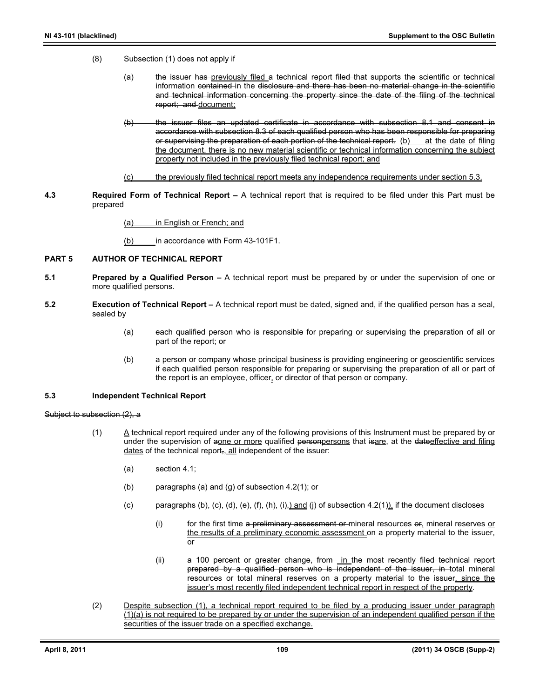- (8) Subsection (1) does not apply if
	- (a) the issuer has previously filed a technical report filed that supports the scientific or technical information contained in the disclosure and there has been no material change in the scientific and technical information concerning the property since the date of the filing of the technical report; and document;
	- (b) the issuer files an updated certificate in accordance with subsection 8.1 and consent in accordance with subsection 8.3 of each qualified person who has been responsible for preparing or supervising the preparation of each portion of the technical report.  $(b)$  at the date of filing the document, there is no new material scientific or technical information concerning the subject property not included in the previously filed technical report; and
	- (c) the previously filed technical report meets any independence requirements under section 5.3.
- **4.3 Required Form of Technical Report** A technical report that is required to be filed under this Part must be prepared

(a) in English or French; and

 $(b)$  in accordance with Form 43-101F1.

# **PART 5 AUTHOR OF TECHNICAL REPORT**

- **5.1 Prepared by a Qualified Person** A technical report must be prepared by or under the supervision of one or more qualified persons.
- **5.2 Execution of Technical Report** A technical report must be dated, signed and, if the qualified person has a seal, sealed by
	- (a) each qualified person who is responsible for preparing or supervising the preparation of all or part of the report; or
	- (b) a person or company whose principal business is providing engineering or geoscientific services if each qualified person responsible for preparing or supervising the preparation of all or part of the report is an employee, officer, or director of that person or company.

# **5.3 Independent Technical Report**

Subject to subsection (2), a

- (1) A technical report required under any of the following provisions of this Instrument must be prepared by or under the supervision of aone or more qualified personpersons that isare, at the dateeffective and filing dates of the technical report $\overline{t_7}$ , all independent of the issuer:
	- (a) section 4.1;
	- (b) paragraphs (a) and (g) of subsection 4.2(1); or
	- (c) paragraphs (b), (c), (d), (e), (f), (h), (i), $\frac{1}{2}$  and (j) of subsection 4.2(1)), if the document discloses
		- (i) for the first time a preliminary assessment or mineral resources  $\theta$ , mineral reserves or the results of a preliminary economic assessment on a property material to the issuer, or
		- (ii) a 100 percent or greater change, from in the most recently filed technical report prepared by a qualified person who is independent of the issuer, in total mineral resources or total mineral reserves on a property material to the issuer, since the issuer's most recently filed independent technical report in respect of the property.
- (2) Despite subsection (1), a technical report required to be filed by a producing issuer under paragraph (1)(a) is not required to be prepared by or under the supervision of an independent qualified person if the securities of the issuer trade on a specified exchange.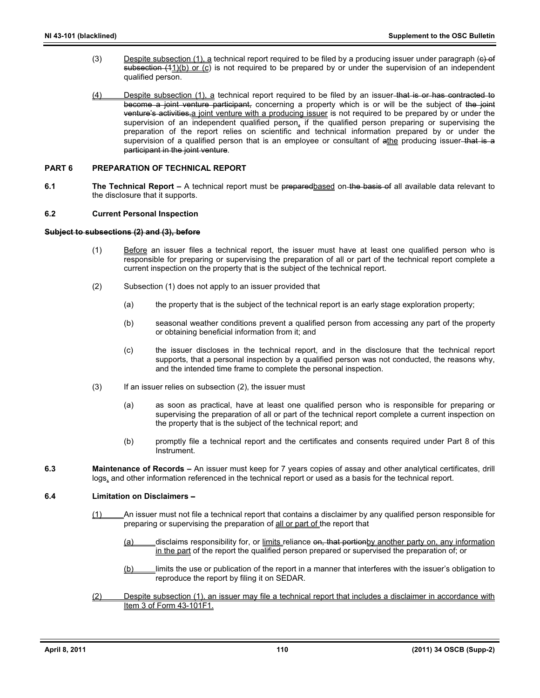- (3) Despite subsection (1), a technical report required to be filed by a producing issuer under paragraph (e) of subsection  $(11)(b)$  or  $(c)$  is not required to be prepared by or under the supervision of an independent qualified person.
- (4) Despite subsection (1), a technical report required to be filed by an issuer that is or has contracted to become a joint venture participant, concerning a property which is or will be the subject of the joint venture's activities,a joint venture with a producing issuer is not required to be prepared by or under the supervision of an independent qualified person, if the qualified person preparing or supervising the preparation of the report relies on scientific and technical information prepared by or under the supervision of a qualified person that is an employee or consultant of athe producing issuer-that is a participant in the joint venture.

# **PART 6 PREPARATION OF TECHNICAL REPORT**

**6.1 The Technical Report –** A technical report must be preparedbased on the basis of all available data relevant to the disclosure that it supports.

# **6.2 Current Personal Inspection**

## **Subject to subsections (2) and (3), before**

- (1) Before an issuer files a technical report, the issuer must have at least one qualified person who is responsible for preparing or supervising the preparation of all or part of the technical report complete a current inspection on the property that is the subject of the technical report.
- (2) Subsection (1) does not apply to an issuer provided that
	- (a) the property that is the subject of the technical report is an early stage exploration property;
	- (b) seasonal weather conditions prevent a qualified person from accessing any part of the property or obtaining beneficial information from it; and
	- (c) the issuer discloses in the technical report, and in the disclosure that the technical report supports, that a personal inspection by a qualified person was not conducted, the reasons why, and the intended time frame to complete the personal inspection.
- (3) If an issuer relies on subsection (2), the issuer must
	- (a) as soon as practical, have at least one qualified person who is responsible for preparing or supervising the preparation of all or part of the technical report complete a current inspection on the property that is the subject of the technical report; and
	- (b) promptly file a technical report and the certificates and consents required under Part 8 of this Instrument.
- **6.3 Maintenance of Records** An issuer must keep for 7 years copies of assay and other analytical certificates, drill logs, and other information referenced in the technical report or used as a basis for the technical report.

# **6.4 Limitation on Disclaimers –**

- (1) An issuer must not file a technical report that contains a disclaimer by any qualified person responsible for preparing or supervising the preparation of all or part of the report that
	- (a) disclaims responsibility for, or limits reliance on, that portionby another party on, any information in the part of the report the qualified person prepared or supervised the preparation of; or
	- $(b)$  limits the use or publication of the report in a manner that interferes with the issuer's obligation to reproduce the report by filing it on SEDAR.
- (2) Despite subsection (1), an issuer may file a technical report that includes a disclaimer in accordance with Item 3 of Form 43-101F1.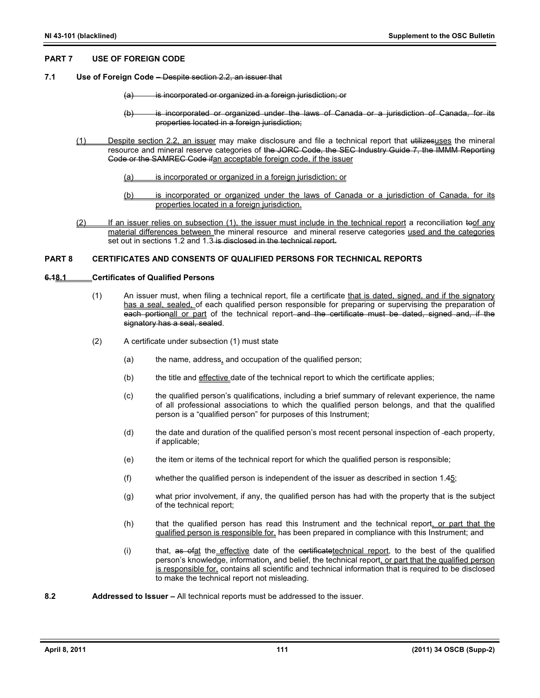# **PART 7 USE OF FOREIGN CODE**

- **7.1 Use of Foreign Code –** Despite section 2.2, an issuer that
	- (a) is incorporated or organized in a foreign jurisdiction; or
	- (b) is incorporated or organized under the laws of Canada or a jurisdiction of Canada, for its properties located in a foreign jurisdiction;
	- (1) Despite section 2.2, an issuer may make disclosure and file a technical report that utilizesuses the mineral resource and mineral reserve categories of the JORC Code, the SEC Industry Guide 7, the IMMM Reporting Code or the SAMREC Code ifan acceptable foreign code, if the issuer
		- (a) is incorporated or organized in a foreign jurisdiction; or
		- (b) is incorporated or organized under the laws of Canada or a jurisdiction of Canada, for its properties located in a foreign jurisdiction.
	- (2) If an issuer relies on subsection (1), the issuer must include in the technical report a reconciliation toof any material differences between the mineral resource and mineral reserve categories used and the categories set out in sections 1.2 and 1.3-is disclosed in the technical report.

# **PART 8 CERTIFICATES AND CONSENTS OF QUALIFIED PERSONS FOR TECHNICAL REPORTS**

#### **6.18.1 Certificates of Qualified Persons**

- (1) An issuer must, when filing a technical report, file a certificate that is dated, signed, and if the signatory has a seal, sealed, of each qualified person responsible for preparing or supervising the preparation of each portionall or part of the technical report–and the certificate must be dated, signed and, if the signatory has a seal, sealed.
- (2) A certificate under subsection (1) must state
	- (a) the name, address, and occupation of the qualified person;
	- (b) the title and effective date of the technical report to which the certificate applies;
	- (c) the qualified person's qualifications, including a brief summary of relevant experience, the name of all professional associations to which the qualified person belongs, and that the qualified person is a "qualified person" for purposes of this Instrument;
	- (d) the date and duration of the qualified person's most recent personal inspection of each property, if applicable;
	- (e) the item or items of the technical report for which the qualified person is responsible;
	- (f) whether the qualified person is independent of the issuer as described in section 1.45;
	- (g) what prior involvement, if any, the qualified person has had with the property that is the subject of the technical report;
	- (h) that the qualified person has read this Instrument and the technical report, or part that the qualified person is responsible for, has been prepared in compliance with this Instrument; and
	- (i) that, as ofat the effective date of the certificatetechnical report, to the best of the qualified person's knowledge, information, and belief, the technical report, or part that the qualified person is responsible for, contains all scientific and technical information that is required to be disclosed to make the technical report not misleading.
- **8.2 Addressed to Issuer** All technical reports must be addressed to the issuer.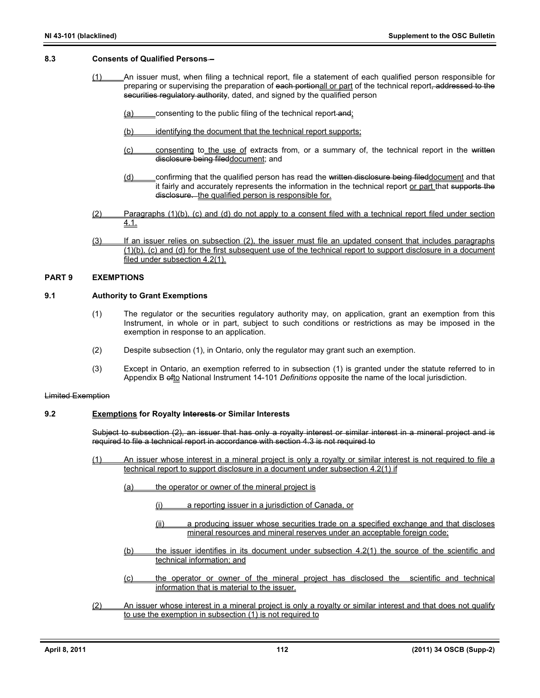## **8.3 Consents of Qualified Persons –**

- (1) An issuer must, when filing a technical report, file a statement of each qualified person responsible for preparing or supervising the preparation of each portionall or part of the technical report, addressed to the securities regulatory authority, dated, and signed by the qualified person
	- (a) consenting to the public filing of the technical report-and;
	- (b) identifying the document that the technical report supports;
	- (c) consenting to the use of extracts from, or a summary of, the technical report in the written disclosure being fileddocument; and
	- (d) confirming that the qualified person has read the written disclosure being fileddocument and that it fairly and accurately represents the information in the technical report or part that supports the disclosure. the qualified person is responsible for.
- (2) Paragraphs (1)(b), (c) and (d) do not apply to a consent filed with a technical report filed under section 4.1.
- (3) If an issuer relies on subsection (2), the issuer must file an updated consent that includes paragraphs (1)(b), (c) and (d) for the first subsequent use of the technical report to support disclosure in a document filed under subsection 4.2(1).

## **PART 9 EXEMPTIONS**

## **9.1 Authority to Grant Exemptions**

- (1) The regulator or the securities regulatory authority may, on application, grant an exemption from this Instrument, in whole or in part, subject to such conditions or restrictions as may be imposed in the exemption in response to an application.
- (2) Despite subsection (1), in Ontario, only the regulator may grant such an exemption.
- (3) Except in Ontario, an exemption referred to in subsection (1) is granted under the statute referred to in Appendix B ofto National Instrument 14-101 *Definitions* opposite the name of the local jurisdiction.

#### Limited Exemption

# **9.2 Exemptions for Royalty Interests or Similar Interests**

Subject to subsection (2), an issuer that has only a royalty interest or similar interest in a mineral project and is required to file a technical report in accordance with section 4.3 is not required to

- (1) An issuer whose interest in a mineral project is only a royalty or similar interest is not required to file a technical report to support disclosure in a document under subsection 4.2(1) if
	- (a) the operator or owner of the mineral project is
		- (i) a reporting issuer in a jurisdiction of Canada, or
		- (ii) a producing issuer whose securities trade on a specified exchange and that discloses mineral resources and mineral reserves under an acceptable foreign code;
	- (b) the issuer identifies in its document under subsection 4.2(1) the source of the scientific and technical information; and
	- (c) the operator or owner of the mineral project has disclosed the scientific and technical information that is material to the issuer.
- (2) An issuer whose interest in a mineral project is only a royalty or similar interest and that does not qualify to use the exemption in subsection (1) is not required to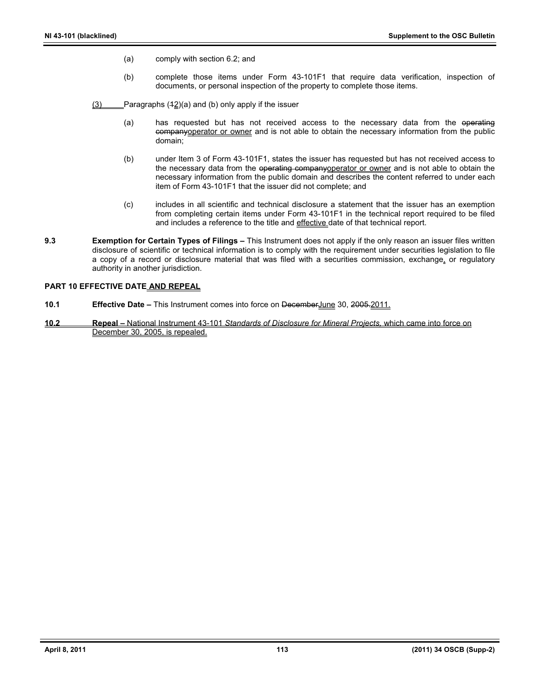- (a) comply with section 6.2; and
- (b) complete those items under Form 43-101F1 that require data verification, inspection of documents, or personal inspection of the property to complete those items.
- $(3)$  Paragraphs  $(42)(a)$  and (b) only apply if the issuer
	- (a) has requested but has not received access to the necessary data from the operating companyoperator or owner and is not able to obtain the necessary information from the public domain;
	- (b) under Item 3 of Form 43-101F1, states the issuer has requested but has not received access to the necessary data from the operating companyoperator or owner and is not able to obtain the necessary information from the public domain and describes the content referred to under each item of Form 43-101F1 that the issuer did not complete; and
	- (c) includes in all scientific and technical disclosure a statement that the issuer has an exemption from completing certain items under Form 43-101F1 in the technical report required to be filed and includes a reference to the title and effective date of that technical report.
- **9.3 Exemption for Certain Types of Filings** This Instrument does not apply if the only reason an issuer files written disclosure of scientific or technical information is to comply with the requirement under securities legislation to file a copy of a record or disclosure material that was filed with a securities commission, exchange, or regulatory authority in another jurisdiction.

# **PART 10 EFFECTIVE DATE AND REPEAL**

- **10.1 Effective Date** This Instrument comes into force on DecemberJune 30, 2005.2011.
- **10.2 Repeal** National Instrument 43-101 *Standards of Disclosure for Mineral Projects,* which came into force on December 30, 2005, is repealed.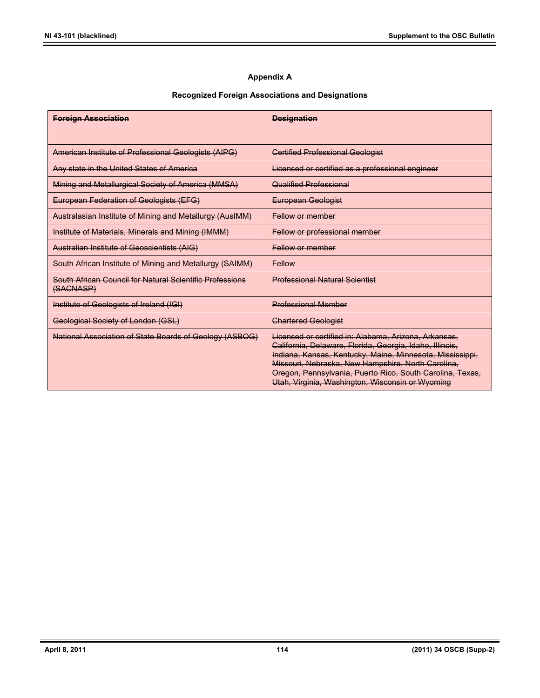# **Appendix A**

# **Recognized Foreign Associations and Designations**

| <b>Foreign Association</b>                                            | <b>Designation</b>                                                                                                                                                                                                                                                                                                                                    |
|-----------------------------------------------------------------------|-------------------------------------------------------------------------------------------------------------------------------------------------------------------------------------------------------------------------------------------------------------------------------------------------------------------------------------------------------|
|                                                                       |                                                                                                                                                                                                                                                                                                                                                       |
| American Institute of Professional Geologists (AIPG)                  | <b>Certified Professional Geologist</b>                                                                                                                                                                                                                                                                                                               |
| Any state in the United States of America                             | Licensed or certified as a professional engineer                                                                                                                                                                                                                                                                                                      |
| Mining and Metallurgical Society of America (MMSA)                    | Qualified Professional                                                                                                                                                                                                                                                                                                                                |
| European Federation of Geologists (EFG)                               | European Geologist                                                                                                                                                                                                                                                                                                                                    |
| Australasian Institute of Mining and Metallurgy (AusIMM)              | Fellow or member                                                                                                                                                                                                                                                                                                                                      |
| Institute of Materials, Minerals and Mining (IMMM)                    | <b>Fellow or professional member</b>                                                                                                                                                                                                                                                                                                                  |
| Australian Institute of Geoscientists (AIG)                           | Fellow or member                                                                                                                                                                                                                                                                                                                                      |
| South African Institute of Mining and Metallurgy (SAIMM)              | Fellow                                                                                                                                                                                                                                                                                                                                                |
| South African Council for Natural Scientific Professions<br>(SACNASP) | <b>Professional Natural Scientist</b>                                                                                                                                                                                                                                                                                                                 |
| Institute of Geologists of Ireland (IGI)                              | <b>Professional Member</b>                                                                                                                                                                                                                                                                                                                            |
| Geological Society of London (GSL)                                    | <b>Chartered Geologist</b>                                                                                                                                                                                                                                                                                                                            |
| National Association of State Boards of Geology (ASBOG)               | Licensed or certified in: Alabama, Arizona, Arkansas,<br>California, Delaware, Florida, Georgia, Idaho, Illinois,<br>Indiana, Kansas, Kentucky, Maine, Minnesota, Mississippi,<br>Missouri, Nebraska, New Hampshire, North Carolina,<br>Oregon, Pennsylvania, Puerto Rico, South Carolina, Texas,<br>Utah, Virginia, Washington, Wisconsin or Wyoming |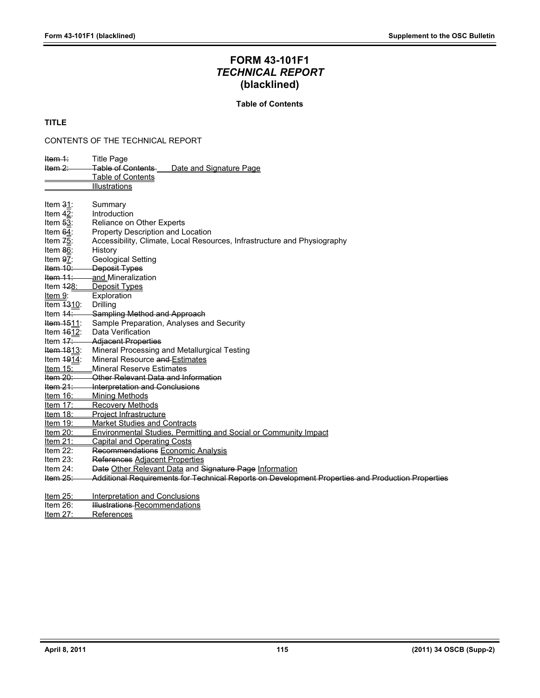# **FORM 43-101F1**  *TECHNICAL REPORT*  **(blacklined)**

# **Table of Contents**

# **TITLE**

CONTENTS OF THE TECHNICAL REPORT

| Item 1:                | <b>Title Page</b>                                                                                 |
|------------------------|---------------------------------------------------------------------------------------------------|
| Item $2$ :             | Table of Contents_<br>Date and Signature Page                                                     |
|                        | <b>Table of Contents</b>                                                                          |
|                        | Illustrations                                                                                     |
| Item $31$ :            | Summary                                                                                           |
| Item $42$ :            | Introduction                                                                                      |
| Item $53$ :            | Reliance on Other Experts                                                                         |
| Item $64$ :            | Property Description and Location                                                                 |
| Item $75$ :            | Accessibility, Climate, Local Resources, Infrastructure and Physiography                          |
| Item $86$ :            | History                                                                                           |
| Item 97:               | <b>Geological Setting</b>                                                                         |
| Item 10:               | Deposit Types                                                                                     |
| Item 11:               | and Mineralization                                                                                |
| Item 428:              | Deposit Types                                                                                     |
| <u>Item 9:</u>         | Exploration                                                                                       |
| Item $4310$ :          | Drilling                                                                                          |
|                        | Item 44: Sampling Method and Approach                                                             |
| <del>ltem 15</del> 11: | Sample Preparation, Analyses and Security                                                         |
| Item 4612:             | Data Verification                                                                                 |
| Item $17$ :            | <b>Adjacent Properties</b>                                                                        |
| <b>Item 1813:</b>      | Mineral Processing and Metallurgical Testing                                                      |
| Item $1914$ :          | Mineral Resource and Estimates                                                                    |
| Item $15$ :            | <b>Mineral Reserve Estimates</b>                                                                  |
| Item $20:$             | Other Relevant Data and Information                                                               |
| Item 21:               | Interpretation and Conclusions                                                                    |
| <u>Item 16:</u>        | <b>Mining Methods</b>                                                                             |
| Item 17:               | <b>Recovery Methods</b>                                                                           |
| Item 18:               | Project Infrastructure                                                                            |
| Item 19:               | <b>Market Studies and Contracts</b>                                                               |
| Item 20:               | Environmental Studies, Permitting and Social or Community Impact                                  |
| Item $21:$             | <b>Capital and Operating Costs</b>                                                                |
| Item $22$ :            | Recommendations Economic Analysis                                                                 |
| Item $23$ :            | References Adjacent Properties                                                                    |
| Item $24$ :            | Date Other Relevant Data and Signature Page Information                                           |
| Item $25$ :            | Additional Requirements for Technical Reports on Development Properties and Production Properties |
| Item 25:               | Interpretation and Conclusions                                                                    |
| Item $26$ :            | Illustrations-Recommendations                                                                     |

Item 27: References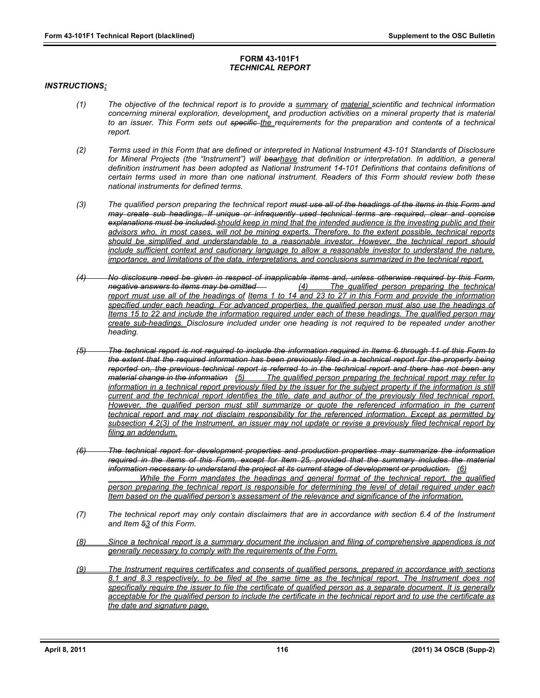# **FORM 43-101F1**  *TECHNICAL REPORT*

# *INSTRUCTIONS:*

- *(1) The objective of the technical report is to provide a summary of material scientific and technical information concerning mineral exploration, development, and production activities on a mineral property that is material to an issuer. This Form sets out specific the requirements for the preparation and contents of a technical report.*
- *(2) Terms used in this Form that are defined or interpreted in National Instrument 43-101 Standards of Disclosure*  for Mineral Projects (the "Instrument") will bearhave that definition or interpretation. In addition, a general *definition instrument has been adopted as National Instrument 14-101 Definitions that contains definitions of certain terms used in more than one national instrument. Readers of this Form should review both these national instruments for defined terms.*
- *(3) The qualified person preparing the technical report must use all of the headings of the items in this Form and may create sub headings. If unique or infrequently used technical terms are required, clear and concise*  explanations must be included should keep in mind that the intended audience is the investing public and their *advisors who, in most cases, will not be mining experts. Therefore, to the extent possible, technical reports should be simplified and understandable to a reasonable investor. However, the technical report should include sufficient context and cautionary language to allow a reasonable investor to understand the nature, importance, and limitations of the data, interpretations, and conclusions summarized in the technical report.*
- *(4) No disclosure need be given in respect of inapplicable items and, unless otherwise required by this Form, negative answers to items may be omitted (4) The qualified person preparing the technical report must use all of the headings of Items 1 to 14 and 23 to 27 in this Form and provide the information*  specified under each heading. For advanced properties, the qualified person must also use the headings of *Items 15 to 22 and include the information required under each of these headings. The qualified person may create sub-headings. Disclosure included under one heading is not required to be repeated under another heading.*
- *(5) The technical report is not required to include the information required in Items 6 through 11 of this Form to*  the extent that the required information has been previously filed in a technical report for the property being *reported on, the previous technical report is referred to in the technical report and there has not been any*  The qualified person preparing the technical report may refer to information in a technical report previously filed by the issuer for the subject property if the information is still *current and the technical report identifies the title, date and author of the previously filed technical report. However, the qualified person must still summarize or quote the referenced information in the current technical report and may not disclaim responsibility for the referenced information. Except as permitted by subsection 4.2(3) of the Instrument, an issuer may not update or revise a previously filed technical report by filing an addendum.*
- *(6) The technical report for development properties and production properties may summarize the information required in the items of this Form, except for Item 25, provided that the summary includes the material information necessary to understand the project at its current stage of development or production. (6) While the Form mandates the headings and general format of the technical report, the qualified person preparing the technical report is responsible for determining the level of detail required under each Item based on the qualified person's assessment of the relevance and significance of the information.*
- *(7) The technical report may only contain disclaimers that are in accordance with section 6.4 of the Instrument and Item 53 of this Form.*
- *(8) Since a technical report is a summary document the inclusion and filing of comprehensive appendices is not generally necessary to comply with the requirements of the Form.*
- *(9) The Instrument requires certificates and consents of qualified persons, prepared in accordance with sections 8.1 and 8.3 respectively, to be filed at the same time as the technical report. The Instrument does not*  specifically require the issuer to file the certificate of qualified person as a separate document. It is generally *acceptable for the qualified person to include the certificate in the technical report and to use the certificate as the date and signature page.*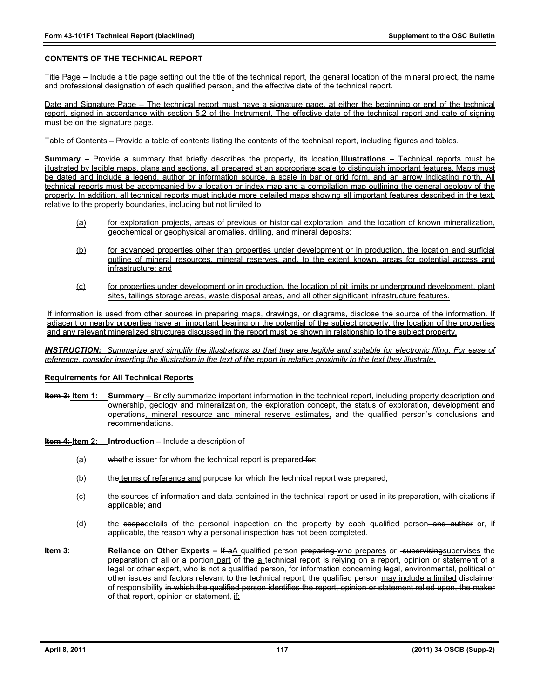# **CONTENTS OF THE TECHNICAL REPORT**

Title Page **–** Include a title page setting out the title of the technical report, the general location of the mineral project, the name and professional designation of each qualified person, and the effective date of the technical report.

Date and Signature Page – The technical report must have a signature page, at either the beginning or end of the technical report, signed in accordance with section 5.2 of the Instrument. The effective date of the technical report and date of signing must be on the signature page.

Table of Contents **–** Provide a table of contents listing the contents of the technical report, including figures and tables.

**Summary –** Provide a summary that briefly describes the property, its location,**Illustrations –** Technical reports must be illustrated by legible maps, plans and sections, all prepared at an appropriate scale to distinguish important features. Maps must be dated and include a legend, author or information source, a scale in bar or grid form, and an arrow indicating north. All technical reports must be accompanied by a location or index map and a compilation map outlining the general geology of the property. In addition, all technical reports must include more detailed maps showing all important features described in the text, relative to the property boundaries, including but not limited to

- (a) for exploration projects, areas of previous or historical exploration, and the location of known mineralization, geochemical or geophysical anomalies, drilling, and mineral deposits;
- (b) for advanced properties other than properties under development or in production, the location and surficial outline of mineral resources, mineral reserves, and, to the extent known, areas for potential access and infrastructure; and
- (c) for properties under development or in production, the location of pit limits or underground development, plant sites, tailings storage areas, waste disposal areas, and all other significant infrastructure features.

If information is used from other sources in preparing maps, drawings, or diagrams, disclose the source of the information. If adjacent or nearby properties have an important bearing on the potential of the subject property, the location of the properties and any relevant mineralized structures discussed in the report must be shown in relationship to the subject property.

*INSTRUCTION: Summarize and simplify the illustrations so that they are legible and suitable for electronic filing. For ease of reference, consider inserting the illustration in the text of the report in relative proximity to the text they illustrate.*

# **Requirements for All Technical Reports**

- **Item 3: Item 1:** Summary Briefly summarize important information in the technical report, including property description and ownership, geology and mineralization, the exploration concept, the status of exploration, development and operations, mineral resource and mineral reserve estimates, and the qualified person's conclusions and recommendations.
- **Item 4: Item 2: Introduction** Include a description of
	- (a) whothe issuer for whom the technical report is prepared for;
	- (b) the terms of reference and purpose for which the technical report was prepared;
	- (c) the sources of information and data contained in the technical report or used in its preparation, with citations if applicable; and
	- (d) the scopedetails of the personal inspection on the property by each qualified person–and author or, if applicable, the reason why a personal inspection has not been completed.
- **Item 3:** Reliance on Other Experts If aA qualified person preparing who prepares or supervising supervises the preparation of all or a portion part of the a technical report is relying on a report, opinion or statement of a legal or other expert, who is not a qualified person, for information concerning legal, environmental, political or other issues and factors relevant to the technical report, the qualified person may include a limited disclaimer of responsibility in which the qualified person identifies the report, opinion or statement relied upon, the maker of that report, opinion or statement, if: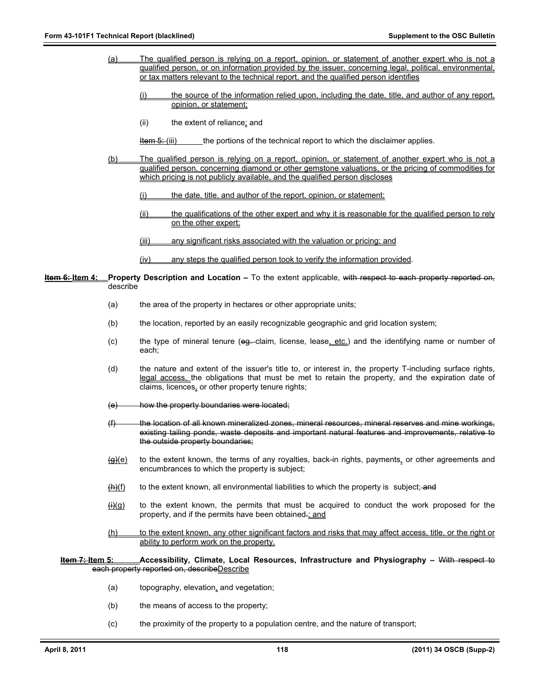- (a) The qualified person is relying on a report, opinion, or statement of another expert who is not a qualified person, or on information provided by the issuer, concerning legal, political, environmental, or tax matters relevant to the technical report, and the qualified person identifies
	- (i) the source of the information relied upon, including the date, title, and author of any report, opinion, or statement;
	- (ii) the extent of reliance; and
	- Item 5: (iii) the portions of the technical report to which the disclaimer applies.
- (b) The qualified person is relying on a report, opinion, or statement of another expert who is not a qualified person, concerning diamond or other gemstone valuations, or the pricing of commodities for which pricing is not publicly available, and the qualified person discloses
	- (i) the date, title, and author of the report, opinion, or statement;
	- (ii) the qualifications of the other expert and why it is reasonable for the qualified person to rely on the other expert;
	- (iii) any significant risks associated with the valuation or pricing; and
	- (iv) any steps the qualified person took to verify the information provided.

#### **Item 6: Item 4: Property Description and Location –** To the extent applicable, with respect to each property reported on, describe

- (a) the area of the property in hectares or other appropriate units;
- (b) the location, reported by an easily recognizable geographic and grid location system;
- (c) the type of mineral tenure (eg. claim, license, lease, etc.) and the identifying name or number of each;
- (d) the nature and extent of the issuer's title to, or interest in, the property T-including surface rights, legal access, the obligations that must be met to retain the property, and the expiration date of claims, licences, or other property tenure rights;
- (e) how the property boundaries were located;
- (f) the location of all known mineralized zones, mineral resources, mineral reserves and mine workings, existing tailing ponds, waste deposits and important natural features and improvements, relative to the outside property boundaries;
- $(g)(e)$  to the extent known, the terms of any royalties, back-in rights, payments, or other agreements and encumbrances to which the property is subject;
- (h)(f) to the extent known, all environmental liabilities to which the property is subject; and
- $(i)(g)$  to the extent known, the permits that must be acquired to conduct the work proposed for the property, and if the permits have been obtained.; and
- (h) to the extent known, any other significant factors and risks that may affect access, title, or the right or ability to perform work on the property.

## **Item 7: Item 5:** Accessibility, Climate, Local Resources, Infrastructure and Physiography – With respect to each property reported on, describeDescribe

- (a) topography, elevation, and vegetation;
- (b) the means of access to the property;
- (c) the proximity of the property to a population centre, and the nature of transport;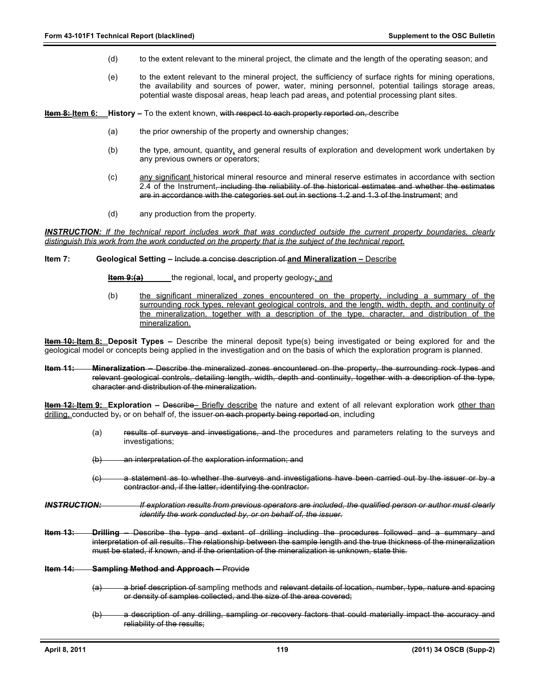- (d) to the extent relevant to the mineral project, the climate and the length of the operating season; and
- (e) to the extent relevant to the mineral project, the sufficiency of surface rights for mining operations, the availability and sources of power, water, mining personnel, potential tailings storage areas, potential waste disposal areas, heap leach pad areas, and potential processing plant sites.

**Item 8: Item 6:** History – To the extent known, with respect to each property reported on, describe

- (a) the prior ownership of the property and ownership changes;
- (b) the type, amount, quantity, and general results of exploration and development work undertaken by any previous owners or operators;
- (c) any significant historical mineral resource and mineral reserve estimates in accordance with section 2.4 of the Instrument, including the reliability of the historical estimates and whether the estimates are in accordance with the categories set out in sections 1.2 and 1.3 of the Instrument; and
- (d) any production from the property.

*INSTRUCTION: If the technical report includes work that was conducted outside the current property boundaries, clearly distinguish this work from the work conducted on the property that is the subject of the technical report.*

## **Item 7: Geological Setting –** Include a concise description of **and Mineralization –** Describe

**Item 9:(a)** the regional, local, and property geology-; and

(b) the significant mineralized zones encountered on the property, including a summary of the surrounding rock types, relevant geological controls, and the length, width, depth, and continuity of the mineralization, together with a description of the type, character, and distribution of the mineralization.

**Item 10: Item 8: Deposit Types –** Describe the mineral deposit type(s) being investigated or being explored for and the geological model or concepts being applied in the investigation and on the basis of which the exploration program is planned.

**Item 11: Mineralization –** Describe the mineralized zones encountered on the property, the surrounding rock types and relevant geological controls, detailing length, width, depth and continuity, together with a description of the type, character and distribution of the mineralization.

**Item 12: Item 9: Exploration –** Describe– Briefly describe the nature and extent of all relevant exploration work other than drilling, conducted by- or on behalf of, the issuer on each property being reported on, including

- (a) results of surveys and investigations, and the procedures and parameters relating to the surveys and investigations;
- (b) an interpretation of the exploration information; and
- (c) a statement as to whether the surveys and investigations have been carried out by the issuer or by a contractor and, if the latter, identifying the contractor.

*INSTRUCTION: If exploration results from previous operators are included, the qualified person or author must clearly identify the work conducted by, or on behalf of, the issuer.*

- **Item 13: Drilling** Describe the type and extent of drilling including the procedures followed and a summary and interpretation of all results. The relationship between the sample length and the true thickness of the mineralization must be stated, if known, and if the orientation of the mineralization is unknown, state this.
- **Item 14: Sampling Method and Approach –** Provide
	- (a) a brief description of sampling methods and relevant details of location, number, type, nature and spacing or density of samples collected, and the size of the area covered;
	- (b) a description of any drilling, sampling or recovery factors that could materially impact the accuracy and reliability of the results;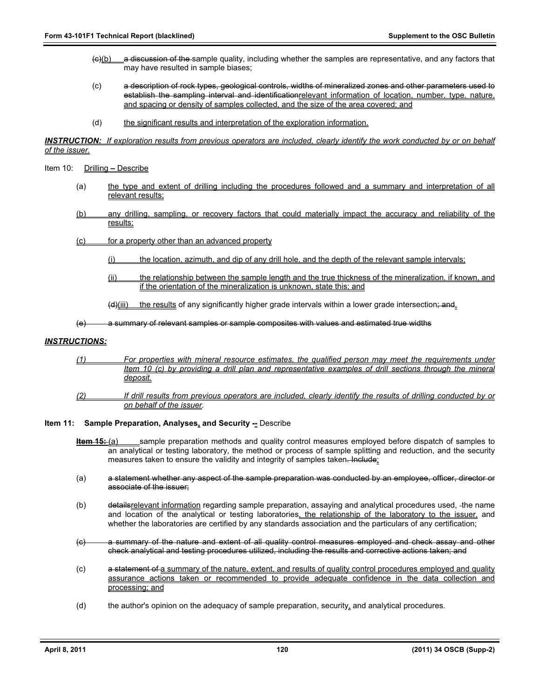- $(c)(b)$  a discussion of the sample quality, including whether the samples are representative, and any factors that may have resulted in sample biases;
- (c) a description of rock types, geological controls, widths of mineralized zones and other parameters used to establish the sampling interval and identificationrelevant information of location, number, type, nature, and spacing or density of samples collected, and the size of the area covered; and
- (d) the significant results and interpretation of the exploration information.

*INSTRUCTION: If exploration results from previous operators are included, clearly identify the work conducted by or on behalf of the issuer.*

Item 10: Drilling - Describe

- (a) the type and extent of drilling including the procedures followed and a summary and interpretation of all relevant results;
- (b) any drilling, sampling, or recovery factors that could materially impact the accuracy and reliability of the results;
- $(c)$  for a property other than an advanced property
	- (i) the location, azimuth, and dip of any drill hole, and the depth of the relevant sample intervals;
	- (ii) the relationship between the sample length and the true thickness of the mineralization, if known, and if the orientation of the mineralization is unknown, state this; and
	- (d)(iii) the results of any significantly higher grade intervals within a lower grade intersection; and.

(e) a summary of relevant samples or sample composites with values and estimated true widths

# *INSTRUCTIONS:*

- *(1) For properties with mineral resource estimates, the qualified person may meet the requirements under Item 10 (c) by providing a drill plan and representative examples of drill sections through the mineral deposit.*
- *(2) If drill results from previous operators are included, clearly identify the results of drilling conducted by or on behalf of the issuer.*

# **Item 11: Sample Preparation, Analyses, and Security -- Describe**

- **Item 15:** (a) sample preparation methods and quality control measures employed before dispatch of samples to an analytical or testing laboratory, the method or process of sample splitting and reduction, and the security measures taken to ensure the validity and integrity of samples taken. Include;
- (a) a statement whether any aspect of the sample preparation was conducted by an employee, officer, director or associate of the issuer;
- (b) detailsrelevant information regarding sample preparation, assaying and analytical procedures used, the name and location of the analytical or testing laboratories, the relationship of the laboratory to the issuer, and whether the laboratories are certified by any standards association and the particulars of any certification;
- (c) a summary of the nature and extent of all quality control measures employed and check assay and other check analytical and testing procedures utilized, including the results and corrective actions taken; and
- (c) a statement of a summary of the nature, extent, and results of quality control procedures employed and quality assurance actions taken or recommended to provide adequate confidence in the data collection and processing; and
- (d) the author's opinion on the adequacy of sample preparation, security, and analytical procedures.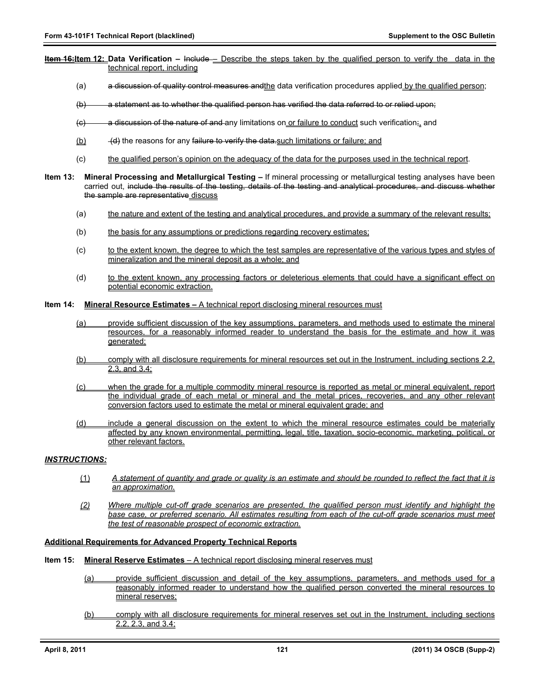- **Item 16:Item 12: Data Verification** Include Describe the steps taken by the qualified person to verify the data in the technical report, including
	- (a) a discussion of quality control measures and the data verification procedures applied by the qualified person;
	- (b) a statement as to whether the qualified person has verified the data referred to or relied upon;
	- $\epsilon$ ) a discussion of the nature of and any limitations on or failure to conduct such verification;, and
	- $(b)$   $(d)$  the reasons for any failure to verify the data.such limitations or failure; and
	- (c) the qualified person's opinion on the adequacy of the data for the purposes used in the technical report.
- **Item 13: Mineral Processing and Metallurgical Testing** If mineral processing or metallurgical testing analyses have been carried out, include the results of the testing, details of the testing and analytical procedures, and discuss whether the sample are representative discuss
	- (a) the nature and extent of the testing and analytical procedures, and provide a summary of the relevant results;
	- (b) the basis for any assumptions or predictions regarding recovery estimates;
	- (c) to the extent known, the degree to which the test samples are representative of the various types and styles of mineralization and the mineral deposit as a whole; and
	- (d) to the extent known, any processing factors or deleterious elements that could have a significant effect on potential economic extraction.
- **Item 14: Mineral Resource Estimates A technical report disclosing mineral resources must** 
	- (a) provide sufficient discussion of the key assumptions, parameters, and methods used to estimate the mineral resources, for a reasonably informed reader to understand the basis for the estimate and how it was generated;
	- (b) comply with all disclosure requirements for mineral resources set out in the Instrument, including sections 2.2, 2.3, and 3.4;
	- (c) when the grade for a multiple commodity mineral resource is reported as metal or mineral equivalent, report the individual grade of each metal or mineral and the metal prices, recoveries, and any other relevant conversion factors used to estimate the metal or mineral equivalent grade; and
	- (d) include a general discussion on the extent to which the mineral resource estimates could be materially affected by any known environmental, permitting, legal, title, taxation, socio-economic, marketing, political, or other relevant factors.

# *INSTRUCTIONS:*

- (1) *A statement of quantity and grade or quality is an estimate and should be rounded to reflect the fact that it is an approximation.*
- *(2) Where multiple cut-off grade scenarios are presented, the qualified person must identify and highlight the*  base case, or preferred scenario. All estimates resulting from each of the cut-off grade scenarios must meet *the test of reasonable prospect of economic extraction.*

# **Additional Requirements for Advanced Property Technical Reports**

- **Item 15: Mineral Reserve Estimates** A technical report disclosing mineral reserves must
	- (a) provide sufficient discussion and detail of the key assumptions, parameters, and methods used for a reasonably informed reader to understand how the qualified person converted the mineral resources to mineral reserves;
	- (b) comply with all disclosure requirements for mineral reserves set out in the Instrument, including sections 2.2, 2.3, and 3.4;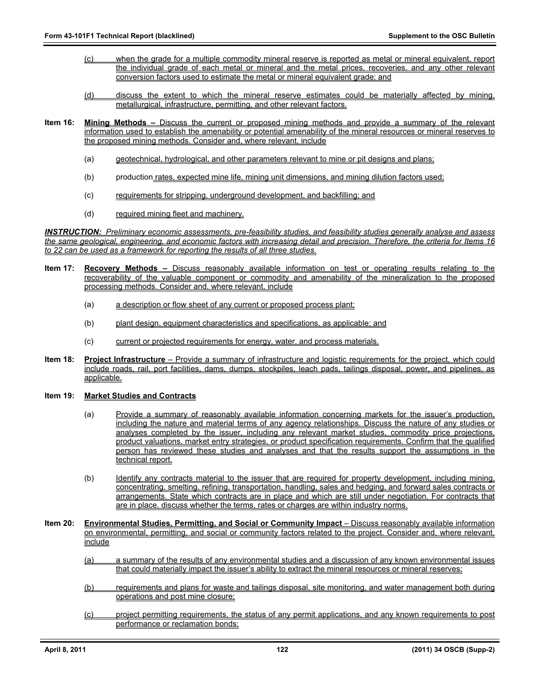- (c) when the grade for a multiple commodity mineral reserve is reported as metal or mineral equivalent, report the individual grade of each metal or mineral and the metal prices, recoveries, and any other relevant conversion factors used to estimate the metal or mineral equivalent grade; and
- (d) discuss the extent to which the mineral reserve estimates could be materially affected by mining, metallurgical, infrastructure, permitting, and other relevant factors.
- **Item 16: Mining Methods** Discuss the current or proposed mining methods and provide a summary of the relevant information used to establish the amenability or potential amenability of the mineral resources or mineral reserves to the proposed mining methods. Consider and, where relevant, include
	- (a) geotechnical, hydrological, and other parameters relevant to mine or pit designs and plans;
	- (b) production rates, expected mine life, mining unit dimensions, and mining dilution factors used;
	- (c) requirements for stripping, underground development, and backfilling; and
	- (d) required mining fleet and machinery.

*INSTRUCTION: Preliminary economic assessments, pre-feasibility studies, and feasibility studies generally analyse and assess the same geological, engineering, and economic factors with increasing detail and precision. Therefore, the criteria for Items 16 to 22 can be used as a framework for reporting the results of all three studies.* 

- **Item 17: Recovery Methods** Discuss reasonably available information on test or operating results relating to the recoverability of the valuable component or commodity and amenability of the mineralization to the proposed processing methods. Consider and, where relevant, include
	- (a) a description or flow sheet of any current or proposed process plant;
	- (b) plant design, equipment characteristics and specifications, as applicable; and
	- (c) current or projected requirements for energy, water, and process materials.
- **Item 18: Project Infrastructure**  Provide a summary of infrastructure and logistic requirements for the project, which could include roads, rail, port facilities, dams, dumps, stockpiles, leach pads, tailings disposal, power, and pipelines, as applicable.

# **Item 19: Market Studies and Contracts**

- (a) Provide a summary of reasonably available information concerning markets for the issuer's production, including the nature and material terms of any agency relationships. Discuss the nature of any studies or analyses completed by the issuer, including any relevant market studies, commodity price projections, product valuations, market entry strategies, or product specification requirements. Confirm that the qualified person has reviewed these studies and analyses and that the results support the assumptions in the technical report.
- (b) Identify any contracts material to the issuer that are required for property development, including mining, concentrating, smelting, refining, transportation, handling, sales and hedging, and forward sales contracts or arrangements. State which contracts are in place and which are still under negotiation. For contracts that are in place, discuss whether the terms, rates or charges are within industry norms.
- **Item 20: Environmental Studies, Permitting, and Social or Community Impact** Discuss reasonably available information on environmental, permitting, and social or community factors related to the project. Consider and, where relevant, include
	- (a) a summary of the results of any environmental studies and a discussion of any known environmental issues that could materially impact the issuer's ability to extract the mineral resources or mineral reserves;
	- (b) requirements and plans for waste and tailings disposal, site monitoring, and water management both during operations and post mine closure;
	- (c) project permitting requirements, the status of any permit applications, and any known requirements to post performance or reclamation bonds;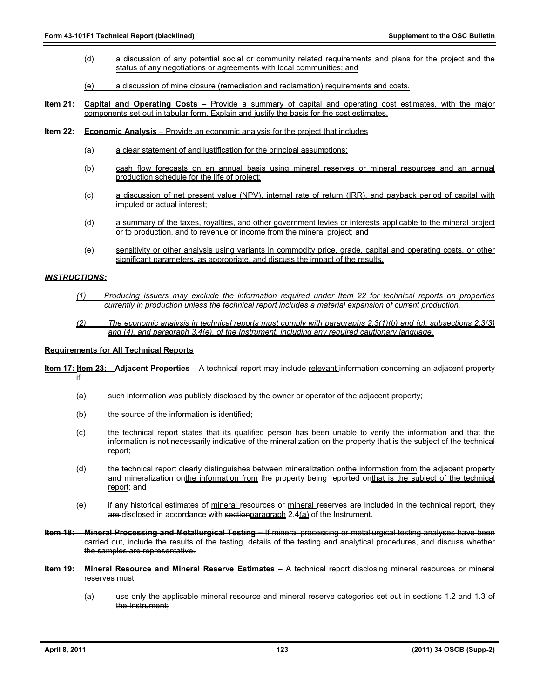- (d) a discussion of any potential social or community related requirements and plans for the project and the status of any negotiations or agreements with local communities; and
- (e) a discussion of mine closure (remediation and reclamation) requirements and costs.
- **Item 21: Capital and Operating Costs**  Provide a summary of capital and operating cost estimates, with the major components set out in tabular form. Explain and justify the basis for the cost estimates.
- **Item 22:** Economic Analysis Provide an economic analysis for the project that includes
	- (a) a clear statement of and justification for the principal assumptions;
	- (b) cash flow forecasts on an annual basis using mineral reserves or mineral resources and an annual production schedule for the life of project;
	- (c) a discussion of net present value (NPV), internal rate of return (IRR), and payback period of capital with imputed or actual interest;
	- (d) a summary of the taxes, royalties, and other government levies or interests applicable to the mineral project or to production, and to revenue or income from the mineral project; and
	- (e) sensitivity or other analysis using variants in commodity price, grade, capital and operating costs, or other significant parameters, as appropriate, and discuss the impact of the results.

## *INSTRUCTIONS:*

- *(1) Producing issuers may exclude the information required under Item 22 for technical reports on properties currently in production unless the technical report includes a material expansion of current production.*
- *(2) The economic analysis in technical reports must comply with paragraphs 2.3(1)(b) and (c), subsections 2.3(3) and (4), and paragraph 3.4(e), of the Instrument, including any required cautionary language.*

#### **Requirements for All Technical Reports**

**Item 17: Item 23: Adjacent Properties** – A technical report may include relevant information concerning an adjacent property if

- (a) such information was publicly disclosed by the owner or operator of the adjacent property;
- (b) the source of the information is identified:
- (c) the technical report states that its qualified person has been unable to verify the information and that the information is not necessarily indicative of the mineralization on the property that is the subject of the technical report;
- (d) the technical report clearly distinguishes between mineralization onthe information from the adjacent property and mineralization onthe information from the property being reported onthat is the subject of the technical report; and
- (e) if any historical estimates of mineral resources or mineral reserves are included in the technical report, they are disclosed in accordance with sectionparagraph  $2.4(a)$  of the Instrument.
- **Item 18: Mineral Processing and Metallurgical Testing –** If mineral processing or metallurgical testing analyses have been carried out, include the results of the testing, details of the testing and analytical procedures, and discuss whether the samples are representative.
- **Item 19: Mineral Resource and Mineral Reserve Estimates –** A technical report disclosing mineral resources or mineral reserves must
	- (a) use only the applicable mineral resource and mineral reserve categories set out in sections 1.2 and 1.3 of the Instrument;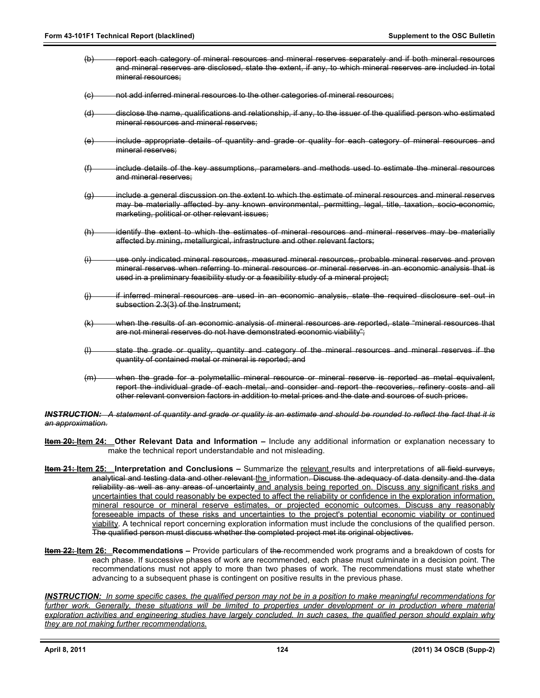- (b) report each category of mineral resources and mineral reserves separately and if both mineral resources and mineral reserves are disclosed, state the extent, if any, to which mineral reserves are included in total mineral resources;
- (c) not add inferred mineral resources to the other categories of mineral resources;
- (d) disclose the name, qualifications and relationship, if any, to the issuer of the qualified person who estimated mineral resources and mineral reserves;
- (e) include appropriate details of quantity and grade or quality for each category of mineral resources and mineral reserves;
- (f) include details of the key assumptions, parameters and methods used to estimate the mineral resources and mineral reserves;
- (g) include a general discussion on the extent to which the estimate of mineral resources and mineral reserves may be materially affected by any known environmental, permitting, legal, title, taxation, socio-economic, marketing, political or other relevant issues;
- (h) identify the extent to which the estimates of mineral resources and mineral reserves may be materially affected by mining, metallurgical, infrastructure and other relevant factors;
- (i) use only indicated mineral resources, measured mineral resources, probable mineral reserves and proven mineral reserves when referring to mineral resources or mineral reserves in an economic analysis that is used in a preliminary feasibility study or a feasibility study of a mineral project;
- (j) if inferred mineral resources are used in an economic analysis, state the required disclosure set out in subsection 2.3(3) of the Instrument;
- (k) when the results of an economic analysis of mineral resources are reported, state "mineral resources that are not mineral reserves do not have demonstrated economic viability";
- (l) state the grade or quality, quantity and category of the mineral resources and mineral reserves if the quantity of contained metal or mineral is reported; and
- (m) when the grade for a polymetallic mineral resource or mineral reserve is reported as metal equivalent, report the individual grade of each metal, and consider and report the recoveries, refinery costs and all other relevant conversion factors in addition to metal prices and the date and sources of such prices.

*INSTRUCTION: A statement of quantity and grade or quality is an estimate and should be rounded to reflect the fact that it is an approximation.*

**Item 20: Item 24: Other Relevant Data and Information –** Include any additional information or explanation necessary to make the technical report understandable and not misleading.

- **Item 21: Item 25: Interpretation and Conclusions** Summarize the relevant results and interpretations of all field surveys, analytical and testing data and other relevant the information. Discuss the adequacy of data density and the data reliability as well as any areas of uncertainty and analysis being reported on. Discuss any significant risks and uncertainties that could reasonably be expected to affect the reliability or confidence in the exploration information, mineral resource or mineral reserve estimates, or projected economic outcomes. Discuss any reasonably foreseeable impacts of these risks and uncertainties to the project's potential economic viability or continued viability. A technical report concerning exploration information must include the conclusions of the qualified person. The qualified person must discuss whether the completed project met its original objectives.
- **Item 22: Item 26: Recommendations** Provide particulars of the recommended work programs and a breakdown of costs for each phase. If successive phases of work are recommended, each phase must culminate in a decision point. The recommendations must not apply to more than two phases of work. The recommendations must state whether advancing to a subsequent phase is contingent on positive results in the previous phase.

*INSTRUCTION: In some specific cases, the qualified person may not be in a position to make meaningful recommendations for*  further work. Generally, these situations will be limited to properties under development or in production where material *exploration activities and engineering studies have largely concluded. In such cases, the qualified person should explain why they are not making further recommendations.*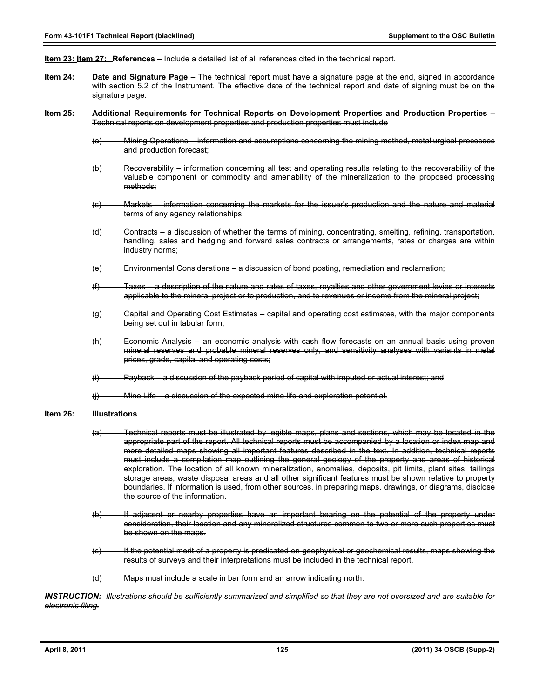**Item 23: Item 27: References –** Include a detailed list of all references cited in the technical report.

- **Item 24: Date and Signature Page** The technical report must have a signature page at the end, signed in accordance with section 5.2 of the Instrument. The effective date of the technical report and date of signing must be on the signature page.
- **Item 25: Additional Requirements for Technical Reports on Development Properties and Production Properties –** Technical reports on development properties and production properties must include
	- (a) Mining Operations information and assumptions concerning the mining method, metallurgical processes and production forecast;
	- (b) Recoverability information concerning all test and operating results relating to the recoverability of the valuable component or commodity and amenability of the mineralization to the proposed processing methods;
	- (c) Markets information concerning the markets for the issuer's production and the nature and material terms of any agency relationships;
	- (d) Contracts a discussion of whether the terms of mining, concentrating, smelting, refining, transportation, handling, sales and hedging and forward sales contracts or arrangements, rates or charges are within industry norms;
	- Environmental Considerations a discussion of bond posting, remediation and reclamation;
	- (f) Taxes a description of the nature and rates of taxes, royalties and other government levies or interests applicable to the mineral project or to production, and to revenues or income from the mineral project;
	- (g) Capital and Operating Cost Estimates capital and operating cost estimates, with the major components being set out in tabular form;
	- (h) Economic Analysis an economic analysis with cash flow forecasts on an annual basis using proven mineral reserves and probable mineral reserves only, and sensitivity analyses with variants in metal prices, grade, capital and operating costs;
	- (i) Payback a discussion of the payback period of capital with imputed or actual interest; and
	- $(i)$  Mine Life a discussion of the expected mine life and exploration potential.

#### **Item 26: Illustrations**

- (a) Technical reports must be illustrated by legible maps, plans and sections, which may be located in the appropriate part of the report. All technical reports must be accompanied by a location or index map and more detailed maps showing all important features described in the text. In addition, technical reports must include a compilation map outlining the general geology of the property and areas of historical exploration. The location of all known mineralization, anomalies, deposits, pit limits, plant sites, tailings storage areas, waste disposal areas and all other significant features must be shown relative to property boundaries. If information is used, from other sources, in preparing maps, drawings, or diagrams, disclose the source of the information.
- (b) If adjacent or nearby properties have an important bearing on the potential of the property under consideration, their location and any mineralized structures common to two or more such properties must be shown on the maps.
- (c) If the potential merit of a property is predicated on geophysical or geochemical results, maps showing the results of surveys and their interpretations must be included in the technical report.
- (d) Maps must include a scale in bar form and an arrow indicating north.

*INSTRUCTION: Illustrations should be sufficiently summarized and simplified so that they are not oversized and are suitable for electronic filing.*